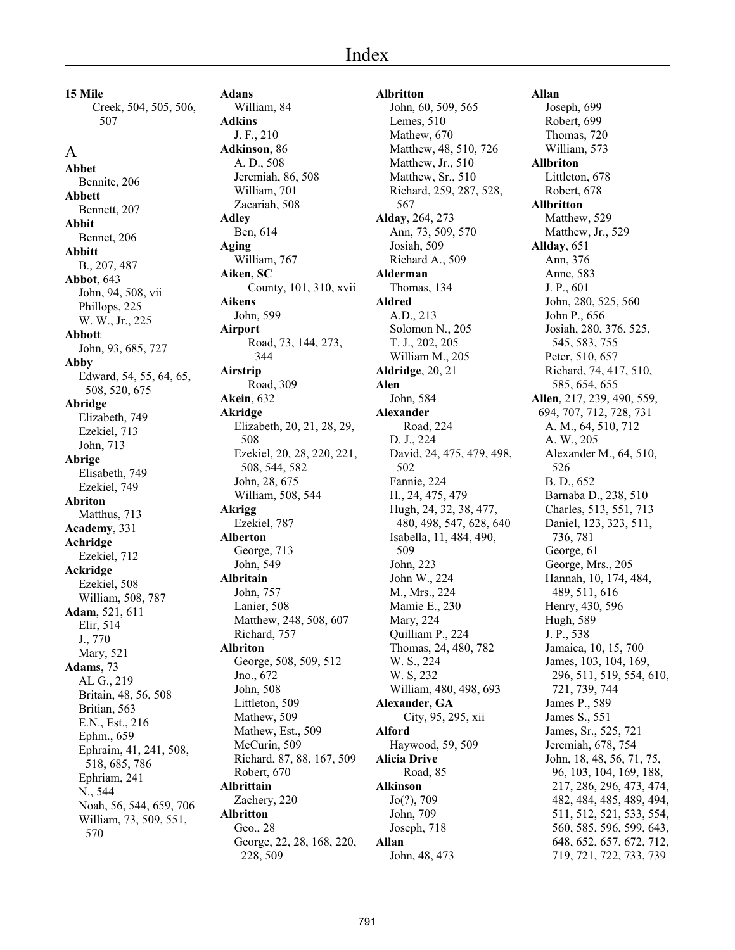# Index

**15 Mile** Creek, 504, 505, 506, 507

A **Abbet** Bennite, 206 **Abbett** Bennett, 207 **Abbit** Bennet, 206 **Abbitt** B., 207, 487 **Abbot**, 643 John, 94, 508, vii Phillops, 225 W. W., Jr., 225 **Abbott** John, 93, 685, 727 **Abby** Edward, 54, 55, 64, 65, 508, 520, 675 **Abridge** Elizabeth, 749 Ezekiel, 713 John, 713 **Abrige** Elisabeth, 749 Ezekiel, 749 **Abriton** Matthus, 713 **Academy**, 331 **Achridge** Ezekiel, 712 **Ackridge** Ezekiel, 508 William, 508, 787 **Adam**, 521, 611 Elir, 514 J., 770 Mary, 521 **Adams**, 73 AL G., 219 Britain, 48, 56, 508 Britian, 563 E.N., Est., 216 Ephm., 659 Ephraim, 41, 241, 508, 518, 685, 786 Ephriam, 241 N., 544 Noah, 56, 544, 659, 706 William, 73, 509, 551, 570

**Adans** William, 84 **Adkins** J. F., 210 **Adkinson**, 86 A. D., 508 Jeremiah, 86, 508 William, 701 Zacariah, 508 **Adley** Ben, 614 **Aging** William, 767 **Aiken, SC** County, 101, 310, xvii **Aikens** John, 599 **Airport** Road, 73, 144, 273, 344 **Airstrip** Road, 309 **Akein**, 632 **Akridge** Elizabeth, 20, 21, 28, 29, 508 Ezekiel, 20, 28, 220, 221, 508, 544, 582 John, 28, 675 William, 508, 544 **Akrigg** Ezekiel, 787 **Alberton** George, 713 John, 549 **Albritain** John, 757 Lanier, 508 Matthew, 248, 508, 607 Richard, 757 **Albriton** George, 508, 509, 512 Jno., 672 John, 508 Littleton, 509 Mathew, 509 Mathew, Est., 509 McCurin, 509 Richard, 87, 88, 167, 509 Robert, 670 **Albrittain** Zachery, 220 **Albritton** Geo., 28 George, 22, 28, 168, 220, 228, 509

**Albritton** John, 60, 509, 565 Lemes, 510 Mathew, 670 Matthew, 48, 510, 726 Matthew, Jr., 510 Matthew, Sr., 510 Richard, 259, 287, 528, 567 **Alday**, 264, 273 Ann, 73, 509, 570 Josiah, 509 Richard A., 509 **Alderman** Thomas, 134 **Aldred** A.D., 213 Solomon N., 205 T. J., 202, 205 William M., 205 **Aldridge**, 20, 21 **Alen** John, 584 **Alexander** Road, 224 D. J., 224 David, 24, 475, 479, 498, 502 Fannie, 224 H., 24, 475, 479 Hugh, 24, 32, 38, 477, 480, 498, 547, 628, 640 Isabella, 11, 484, 490, 509 John, 223 John W., 224 M., Mrs., 224 Mamie E., 230 Mary, 224 Quilliam P., 224 Thomas, 24, 480, 782 W. S., 224 W. S, 232 William, 480, 498, 693 **Alexander, GA** City, 95, 295, xii **Alford** Haywood, 59, 509 **Alicia Drive** Road, 85 **Alkinson** Jo(?), 709 John, 709 Joseph, 718 **Allan** John, 48, 473

**Allan** Joseph, 699 Robert, 699 Thomas, 720 William, 573 **Allbriton** Littleton, 678 Robert, 678 **Allbritton** Matthew, 529 Matthew, Jr., 529 **Allday**, 651 Ann, 376 Anne, 583 J. P., 601 John, 280, 525, 560 John P., 656 Josiah, 280, 376, 525, 545, 583, 755 Peter, 510, 657 Richard, 74, 417, 510, 585, 654, 655 **Allen**, 217, 239, 490, 559, 694, 707, 712, 728, 731 A. M., 64, 510, 712 A. W., 205 Alexander M., 64, 510, 526 B. D., 652 Barnaba D., 238, 510 Charles, 513, 551, 713 Daniel, 123, 323, 511, 736, 781 George, 61 George, Mrs., 205 Hannah, 10, 174, 484, 489, 511, 616 Henry, 430, 596 Hugh, 589 J. P., 538 Jamaica, 10, 15, 700 James, 103, 104, 169, 296, 511, 519, 554, 610, 721, 739, 744 James P., 589 James S., 551 James, Sr., 525, 721 Jeremiah, 678, 754 John, 18, 48, 56, 71, 75, 96, 103, 104, 169, 188, 217, 286, 296, 473, 474, 482, 484, 485, 489, 494, 511, 512, 521, 533, 554, 560, 585, 596, 599, 643, 648, 652, 657, 672, 712, 719, 721, 722, 733, 739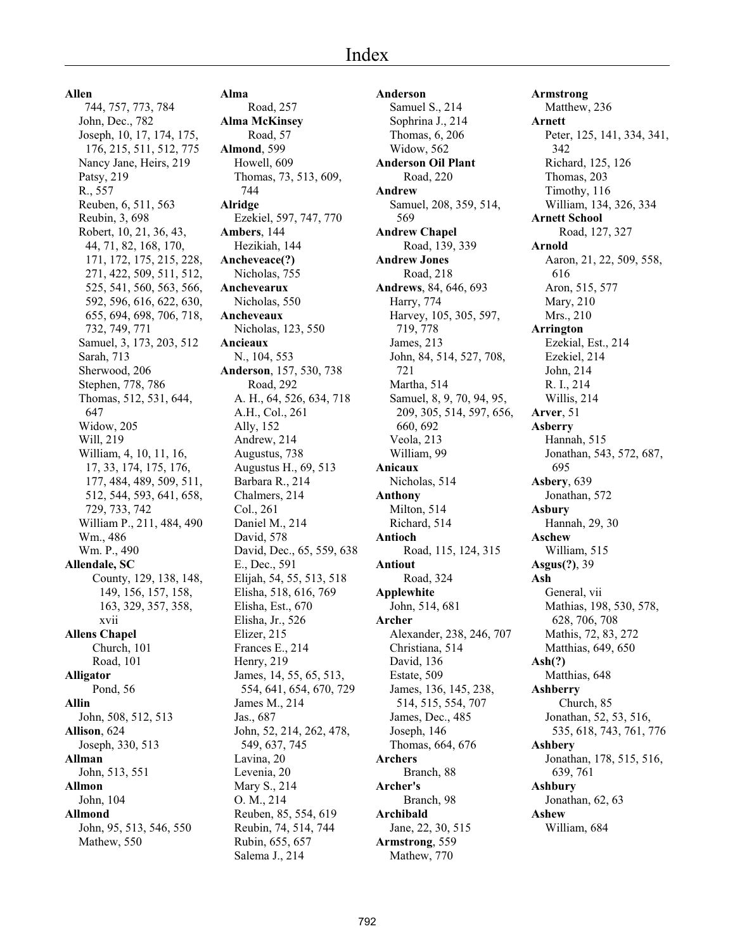**Allen**

 744, 757, 773, 784 John, Dec., 782 Joseph, 10, 17, 174, 175, 176, 215, 511, 512, 775 Nancy Jane, Heirs, 219 Patsy, 219 R., 557 Reuben, 6, 511, 563 Reubin, 3, 698 Robert, 10, 21, 36, 43, 44, 71, 82, 168, 170, 171, 172, 175, 215, 228, 271, 422, 509, 511, 512, 525, 541, 560, 563, 566, 592, 596, 616, 622, 630, 655, 694, 698, 706, 718, 732, 749, 771 Samuel, 3, 173, 203, 512 Sarah, 713 Sherwood, 206 Stephen, 778, 786 Thomas, 512, 531, 644, 647 Widow, 205 Will, 219 William, 4, 10, 11, 16, 17, 33, 174, 175, 176, 177, 484, 489, 509, 511, 512, 544, 593, 641, 658, 729, 733, 742 William P., 211, 484, 490 Wm., 486 Wm. P., 490 **Allendale, SC** County, 129, 138, 148, 149, 156, 157, 158, 163, 329, 357, 358, xvii **Allens Chapel** Church, 101 Road, 101 **Alligator** Pond, 56 **Allin** John, 508, 512, 513 **Allison**, 624 Joseph, 330, 513 **Allman** John, 513, 551 **Allmon** John, 104 **Allmond** John, 95, 513, 546, 550 Mathew, 550

**Alma** Road, 257 **Alma McKinsey** Road, 57 **Almond**, 599 Howell, 609 Thomas, 73, 513, 609, 744 **Alridge** Ezekiel, 597, 747, 770 **Ambers**, 144 Hezikiah, 144 **Ancheveace(?)** Nicholas, 755 **Anchevearux** Nicholas, 550 **Ancheveaux** Nicholas, 123, 550 **Ancieaux** N., 104, 553 **Anderson**, 157, 530, 738 Road, 292 A. H., 64, 526, 634, 718 A.H., Col., 261 Ally, 152 Andrew, 214 Augustus, 738 Augustus H., 69, 513 Barbara R., 214 Chalmers, 214 Col., 261 Daniel M., 214 David, 578 David, Dec., 65, 559, 638 E., Dec., 591 Elijah, 54, 55, 513, 518 Elisha, 518, 616, 769 Elisha, Est., 670 Elisha, Jr., 526 Elizer, 215 Frances E., 214 Henry, 219 James, 14, 55, 65, 513, 554, 641, 654, 670, 729 James M., 214 Jas., 687 John, 52, 214, 262, 478, 549, 637, 745 Lavina, 20 Levenia, 20 Mary S., 214 O. M., 214 Reuben, 85, 554, 619 Reubin, 74, 514, 744 Rubin, 655, 657 Salema J., 214

**Anderson** Samuel S., 214 Sophrina J., 214 Thomas, 6, 206 Widow, 562 **Anderson Oil Plant** Road, 220 **Andrew** Samuel, 208, 359, 514, 569 **Andrew Chapel** Road, 139, 339 **Andrew Jones** Road, 218 **Andrews**, 84, 646, 693 Harry, 774 Harvey, 105, 305, 597, 719, 778 James, 213 John, 84, 514, 527, 708, 721 Martha, 514 Samuel, 8, 9, 70, 94, 95, 209, 305, 514, 597, 656, 660, 692 Veola, 213 William, 99 **Anicaux** Nicholas, 514 **Anthony** Milton, 514 Richard, 514 **Antioch** Road, 115, 124, 315 **Antiout** Road, 324 **Applewhite** John, 514, 681 **Archer** Alexander, 238, 246, 707 Christiana, 514 David, 136 Estate, 509 James, 136, 145, 238, 514, 515, 554, 707 James, Dec., 485 Joseph, 146 Thomas, 664, 676 **Archers** Branch, 88 **Archer's** Branch, 98 **Archibald** Jane, 22, 30, 515 **Armstrong**, 559 Mathew, 770

**Armstrong** Matthew, 236 **Arnett** Peter, 125, 141, 334, 341, 342 Richard, 125, 126 Thomas, 203 Timothy, 116 William, 134, 326, 334 **Arnett School** Road, 127, 327 **Arnold** Aaron, 21, 22, 509, 558, 616 Aron, 515, 577 Mary, 210 Mrs., 210 **Arrington** Ezekial, Est., 214 Ezekiel, 214 John, 214 R. I., 214 Willis, 214 **Arver**, 51 **Asberry** Hannah, 515 Jonathan, 543, 572, 687, 695 **Asbery**, 639 Jonathan, 572 **Asbury** Hannah, 29, 30 **Aschew** William, 515 **Asgus(?)**, 39 **Ash** General, vii Mathias, 198, 530, 578, 628, 706, 708 Mathis, 72, 83, 272 Matthias, 649, 650 **Ash(?)** Matthias, 648 **Ashberry** Church, 85 Jonathan, 52, 53, 516, 535, 618, 743, 761, 776 **Ashbery** Jonathan, 178, 515, 516, 639, 761 **Ashbury** Jonathan, 62, 63 **Ashew** William, 684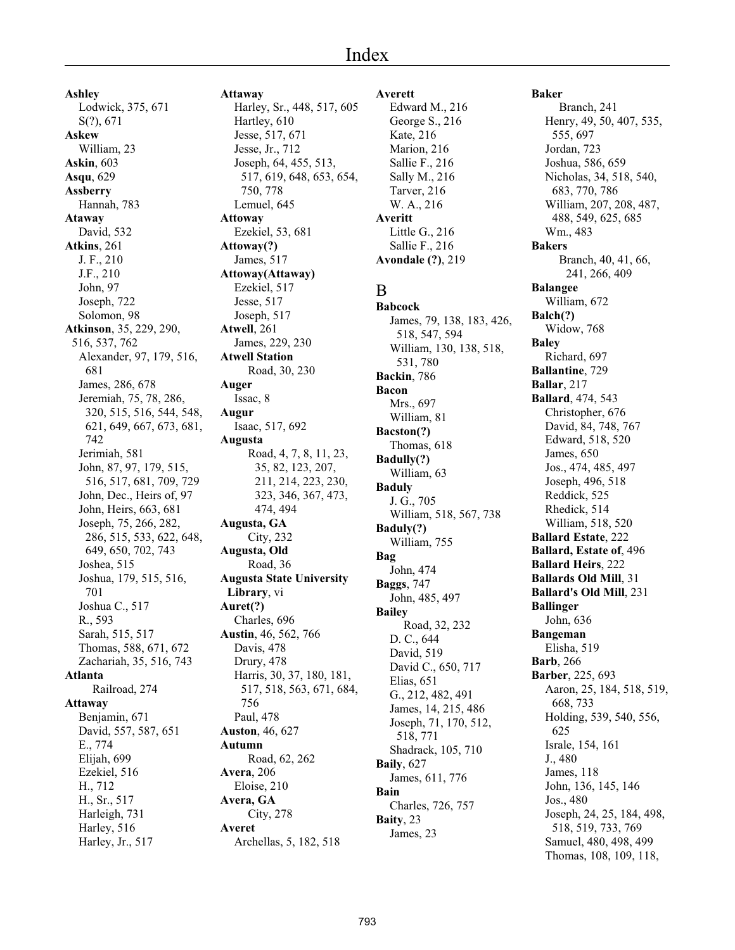# Index

**Ashley** Lodwick, 375, 671 S(?), 671 **Askew** William, 23 **Askin**, 603 **Asqu**, 629 **Assberry** Hannah, 783 **Ataway** David, 532 **Atkins**, 261 J. F., 210 J.F., 210 John, 97 Joseph, 722 Solomon, 98 **Atkinson**, 35, 229, 290, 516, 537, 762 Alexander, 97, 179, 516, 681 James, 286, 678 Jeremiah, 75, 78, 286, 320, 515, 516, 544, 548, 621, 649, 667, 673, 681, 742 Jerimiah, 581 John, 87, 97, 179, 515, 516, 517, 681, 709, 729 John, Dec., Heirs of, 97 John, Heirs, 663, 681 Joseph, 75, 266, 282, 286, 515, 533, 622, 648, 649, 650, 702, 743 Joshea, 515 Joshua, 179, 515, 516, 701 Joshua C., 517 R., 593 Sarah, 515, 517 Thomas, 588, 671, 672 Zachariah, 35, 516, 743 **Atlanta** Railroad, 274 **Attaway** Benjamin, 671 David, 557, 587, 651 E., 774 Elijah, 699 Ezekiel, 516 H., 712 H., Sr., 517 Harleigh, 731 Harley, 516 Harley, Jr., 517

**Attaway** Harley, Sr., 448, 517, 605 Hartley, 610 Jesse, 517, 671 Jesse, Jr., 712 Joseph, 64, 455, 513, 517, 619, 648, 653, 654, 750, 778 Lemuel, 645 **Attoway** Ezekiel, 53, 681 **Attoway(?)** James, 517 **Attoway(Attaway)** Ezekiel, 517 Jesse, 517 Joseph, 517 **Atwell**, 261 James, 229, 230 **Atwell Station** Road, 30, 230 **Auger** Issac, 8 **Augur** Isaac, 517, 692 **Augusta** Road, 4, 7, 8, 11, 23, 35, 82, 123, 207, 211, 214, 223, 230, 323, 346, 367, 473, 474, 494 **Augusta, GA** City, 232 **Augusta, Old** Road, 36 **Augusta State University Library**, vi **Auret(?)** Charles, 696 **Austin**, 46, 562, 766 Davis, 478 Drury, 478 Harris, 30, 37, 180, 181, 517, 518, 563, 671, 684, 756 Paul, 478 **Auston**, 46, 627 **Autumn** Road, 62, 262 **Avera**, 206 Eloise, 210 **Avera, GA** City, 278 **Averet** Archellas, 5, 182, 518

#### **Averett**

Edward M., 216 George S., 216 Kate, 216 Marion, 216 Sallie F., 216 Sally M., 216 Tarver, 216 W. A., 216 **Averitt** Little G., 216 Sallie F., 216 **Avondale (?)**, 219

## B

**Babcock** James, 79, 138, 183, 426, 518, 547, 594 William, 130, 138, 518, 531, 780 **Backin**, 786 **Bacon** Mrs., 697 William, 81 **Bacston(?)** Thomas, 618 **Badully(?)** William, 63 **Baduly** J. G., 705 William, 518, 567, 738 **Baduly(?)** William, 755 **Bag** John, 474 **Baggs**, 747 John, 485, 497 **Bailey** Road, 32, 232 D. C., 644 David, 519 David C., 650, 717 Elias, 651 G., 212, 482, 491 James, 14, 215, 486 Joseph, 71, 170, 512, 518, 771 Shadrack, 105, 710 **Baily**, 627 James, 611, 776 **Bain** Charles, 726, 757 **Baity**, 23 James, 23

#### **Baker**

Branch, 241 Henry, 49, 50, 407, 535, 555, 697 Jordan, 723 Joshua, 586, 659 Nicholas, 34, 518, 540, 683, 770, 786 William, 207, 208, 487, 488, 549, 625, 685 Wm., 483 **Bakers** Branch, 40, 41, 66, 241, 266, 409 **Balangee** William, 672 **Balch(?)** Widow, 768 **Baley** Richard, 697 **Ballantine**, 729 **Ballar**, 217 **Ballard**, 474, 543 Christopher, 676 David, 84, 748, 767 Edward, 518, 520 James, 650 Jos., 474, 485, 497 Joseph, 496, 518 Reddick, 525 Rhedick, 514 William, 518, 520 **Ballard Estate**, 222 **Ballard, Estate of**, 496 **Ballard Heirs**, 222 **Ballards Old Mill**, 31 **Ballard's Old Mill**, 231 **Ballinger** John, 636 **Bangeman** Elisha, 519 **Barb**, 266 **Barber**, 225, 693 Aaron, 25, 184, 518, 519, 668, 733 Holding, 539, 540, 556, 625 Israle, 154, 161 J., 480 James, 118 John, 136, 145, 146 Jos., 480 Joseph, 24, 25, 184, 498, 518, 519, 733, 769 Samuel, 480, 498, 499 Thomas, 108, 109, 118,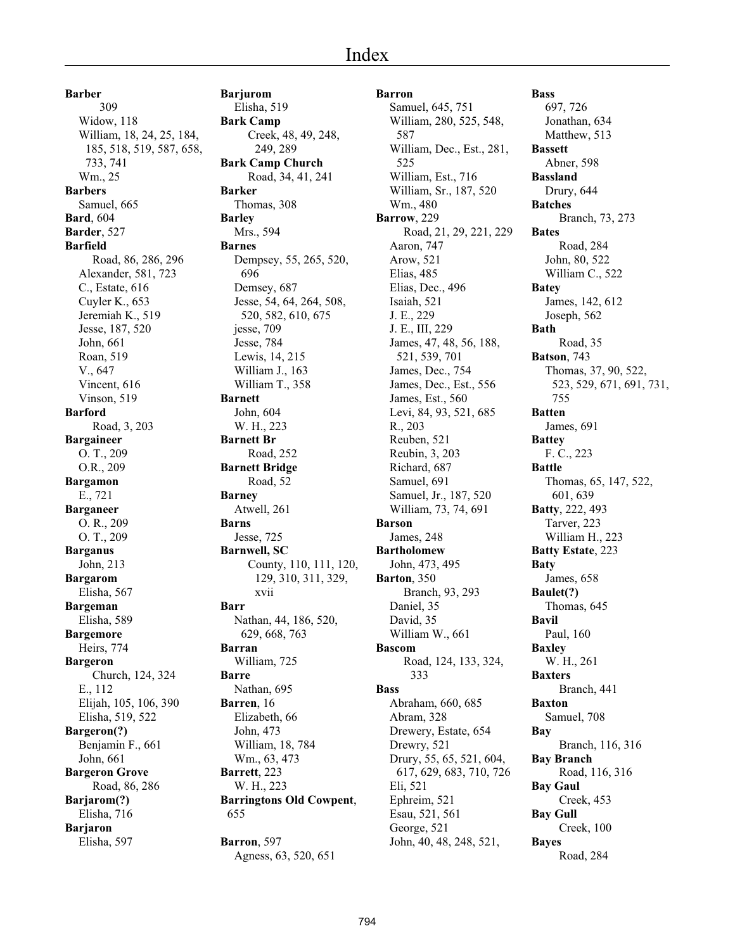**Barber** 309 Widow, 118 William, 18, 24, 25, 184, 185, 518, 519, 587, 658, 733, 741 Wm., 25 **Barbers** Samuel, 665 **Bard**, 604 **Barder**, 527 **Barfield** Road, 86, 286, 296 Alexander, 581, 723 C., Estate, 616 Cuyler K., 653 Jeremiah K., 519 Jesse, 187, 520 John, 661 Roan, 519 V., 647 Vincent, 616 Vinson, 519 **Barford** Road, 3, 203 **Bargaineer** O. T., 209 O.R., 209 **Bargamon** E., 721 **Barganeer** O. R., 209 O. T., 209 **Barganus** John, 213 **Bargarom** Elisha, 567 **Bargeman** Elisha, 589 **Bargemore** Heirs, 774 **Bargeron** Church, 124, 324 E., 112 Elijah, 105, 106, 390 Elisha, 519, 522 **Bargeron(?)** Benjamin F., 661 John, 661 **Bargeron Grove** Road, 86, 286 **Barjarom(?)** Elisha, 716 **Barjaron** Elisha, 597

**Barjurom** Elisha, 519 **Bark Camp** Creek, 48, 49, 248, 249, 289 **Bark Camp Church** Road, 34, 41, 241 **Barker** Thomas, 308 **Barley** Mrs., 594 **Barnes** Dempsey, 55, 265, 520, 696 Demsey, 687 Jesse, 54, 64, 264, 508, 520, 582, 610, 675 jesse, 709 Jesse, 784 Lewis, 14, 215 William J., 163 William T., 358 **Barnett** John, 604 W. H., 223 **Barnett Br** Road, 252 **Barnett Bridge** Road, 52 **Barney** Atwell, 261 **Barns** Jesse, 725 **Barnwell, SC** County, 110, 111, 120, 129, 310, 311, 329, xvii **Barr** Nathan, 44, 186, 520, 629, 668, 763 **Barran** William, 725 **Barre** Nathan, 695 **Barren**, 16 Elizabeth, 66 John, 473 William, 18, 784 Wm., 63, 473 **Barrett**, 223 W. H., 223 **Barringtons Old Cowpent**, 655 **Barron**, 597

Agness, 63, 520, 651

**Barron** Samuel, 645, 751 William, 280, 525, 548, 587 William, Dec., Est., 281, 525 William, Est., 716 William, Sr., 187, 520 Wm., 480 **Barrow**, 229 Road, 21, 29, 221, 229 Aaron, 747 Arow, 521 Elias, 485 Elias, Dec., 496 Isaiah, 521 J. E., 229 J. E., III, 229 James, 47, 48, 56, 188, 521, 539, 701 James, Dec., 754 James, Dec., Est., 556 James, Est., 560 Levi, 84, 93, 521, 685 R., 203 Reuben, 521 Reubin, 3, 203 Richard, 687 Samuel, 691 Samuel, Jr., 187, 520 William, 73, 74, 691 **Barson** James, 248 **Bartholomew** John, 473, 495 **Barton**, 350 Branch, 93, 293 Daniel, 35 David, 35 William W., 661 **Bascom** Road, 124, 133, 324, 333 **Bass** Abraham, 660, 685 Abram, 328 Drewery, Estate, 654 Drewry, 521 Drury, 55, 65, 521, 604, 617, 629, 683, 710, 726 Eli, 521 Ephreim, 521 Esau, 521, 561 George, 521 John, 40, 48, 248, 521,

**Bass** 697, 726 Jonathan, 634 Matthew, 513 **Bassett** Abner, 598 **Bassland** Drury, 644 **Batches** Branch, 73, 273 **Bates** Road, 284 John, 80, 522 William C., 522 **Batey** James, 142, 612 Joseph, 562 **Bath** Road, 35 **Batson**, 743 Thomas, 37, 90, 522, 523, 529, 671, 691, 731, 755 **Batten** James, 691 **Battey** F. C., 223 **Battle** Thomas, 65, 147, 522, 601, 639 **Batty**, 222, 493 Tarver, 223 William H., 223 **Batty Estate**, 223 **Baty** James, 658 **Baulet(?)** Thomas, 645 **Bavil** Paul, 160 **Baxley** W. H., 261 **Baxters** Branch, 441 **Baxton** Samuel, 708 **Bay** Branch, 116, 316 **Bay Branch** Road, 116, 316 **Bay Gaul** Creek, 453 **Bay Gull** Creek, 100 **Bayes** Road, 284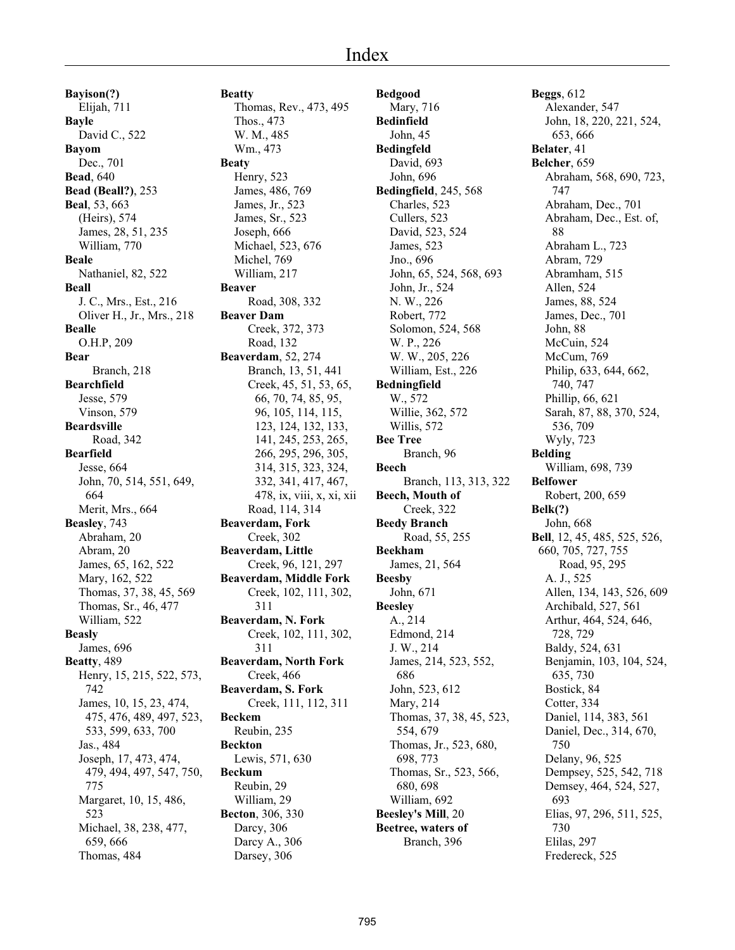# Index

**Bayison(?)** Elijah, 711 **Bayle** David C., 522 **Bayom** Dec., 701 **Bead**, 640 **Bead (Beall?)**, 253 **Beal**, 53, 663 (Heirs), 574 James, 28, 51, 235 William, 770 **Beale** Nathaniel, 82, 522 **Beall** J. C., Mrs., Est., 216 Oliver H., Jr., Mrs., 218 **Bealle** O.H.P, 209 **Bear** Branch, 218 **Bearchfield** Jesse, 579 Vinson, 579 **Beardsville** Road, 342 **Bearfield** Jesse, 664 John, 70, 514, 551, 649, 664 Merit, Mrs., 664 **Beasley**, 743 Abraham, 20 Abram, 20 James, 65, 162, 522 Mary, 162, 522 Thomas, 37, 38, 45, 569 Thomas, Sr., 46, 477 William, 522 **Beasly** James, 696 **Beatty**, 489 Henry, 15, 215, 522, 573, 742 James, 10, 15, 23, 474, 475, 476, 489, 497, 523, 533, 599, 633, 700 Jas., 484 Joseph, 17, 473, 474, 479, 494, 497, 547, 750, 775 Margaret, 10, 15, 486, 523 Michael, 38, 238, 477, 659, 666 Thomas, 484

**Beatty** Thomas, Rev., 473, 495 Thos., 473 W. M., 485 Wm., 473 **Beaty** Henry, 523 James, 486, 769 James, Jr., 523 James, Sr., 523 Joseph, 666 Michael, 523, 676 Michel, 769 William, 217 **Beaver** Road, 308, 332 **Beaver Dam** Creek, 372, 373 Road, 132 **Beaverdam**, 52, 274 Branch, 13, 51, 441 Creek, 45, 51, 53, 65, 66, 70, 74, 85, 95, 96, 105, 114, 115, 123, 124, 132, 133, 141, 245, 253, 265, 266, 295, 296, 305, 314, 315, 323, 324, 332, 341, 417, 467, 478, ix, viii, x, xi, xii Road, 114, 314 **Beaverdam, Fork** Creek, 302 **Beaverdam, Little** Creek, 96, 121, 297 **Beaverdam, Middle Fork** Creek, 102, 111, 302, 311 **Beaverdam, N. Fork** Creek, 102, 111, 302, 311 **Beaverdam, North Fork** Creek, 466 **Beaverdam, S. Fork** Creek, 111, 112, 311 **Beckem** Reubin, 235 **Beckton** Lewis, 571, 630 **Beckum** Reubin, 29 William, 29 **Becton**, 306, 330 Darcy, 306 Darcy A., 306 Darsey, 306

**Bedgood** Mary, 716 **Bedinfield** John, 45 **Bedingfeld** David, 693 John, 696 **Bedingfield**, 245, 568 Charles, 523 Cullers, 523 David, 523, 524 James, 523 Jno., 696 John, 65, 524, 568, 693 John, Jr., 524 N. W., 226 Robert, 772 Solomon, 524, 568 W. P., 226 W. W., 205, 226 William, Est., 226 **Bedningfield** W., 572 Willie, 362, 572 Willis, 572 **Bee Tree** Branch, 96 **Beech** Branch, 113, 313, 322 **Beech, Mouth of** Creek, 322 **Beedy Branch** Road, 55, 255 **Beekham** James, 21, 564 **Beesby** John, 671 **Beesley** A., 214 Edmond, 214 J. W., 214 James, 214, 523, 552, 686 John, 523, 612 Mary, 214 Thomas, 37, 38, 45, 523, 554, 679 Thomas, Jr., 523, 680, 698, 773 Thomas, Sr., 523, 566, 680, 698 William, 692 **Beesley's Mill**, 20 **Beetree, waters of** Branch, 396

**Beggs**, 612 Alexander, 547 John, 18, 220, 221, 524, 653, 666 **Belater**, 41 **Belcher**, 659 Abraham, 568, 690, 723, 747 Abraham, Dec., 701 Abraham, Dec., Est. of, 88 Abraham L., 723 Abram, 729 Abramham, 515 Allen, 524 James, 88, 524 James, Dec., 701 John, 88 McCuin, 524 McCum, 769 Philip, 633, 644, 662, 740, 747 Phillip, 66, 621 Sarah, 87, 88, 370, 524, 536, 709 Wyly, 723 **Belding** William, 698, 739 **Belfower** Robert, 200, 659 **Belk(?)** John, 668 **Bell**, 12, 45, 485, 525, 526, 660, 705, 727, 755 Road, 95, 295 A. J., 525 Allen, 134, 143, 526, 609 Archibald, 527, 561 Arthur, 464, 524, 646, 728, 729 Baldy, 524, 631 Benjamin, 103, 104, 524, 635, 730 Bostick, 84 Cotter, 334 Daniel, 114, 383, 561 Daniel, Dec., 314, 670, 750 Delany, 96, 525 Dempsey, 525, 542, 718 Demsey, 464, 524, 527, 693 Elias, 97, 296, 511, 525, 730 Elilas, 297 Fredereck, 525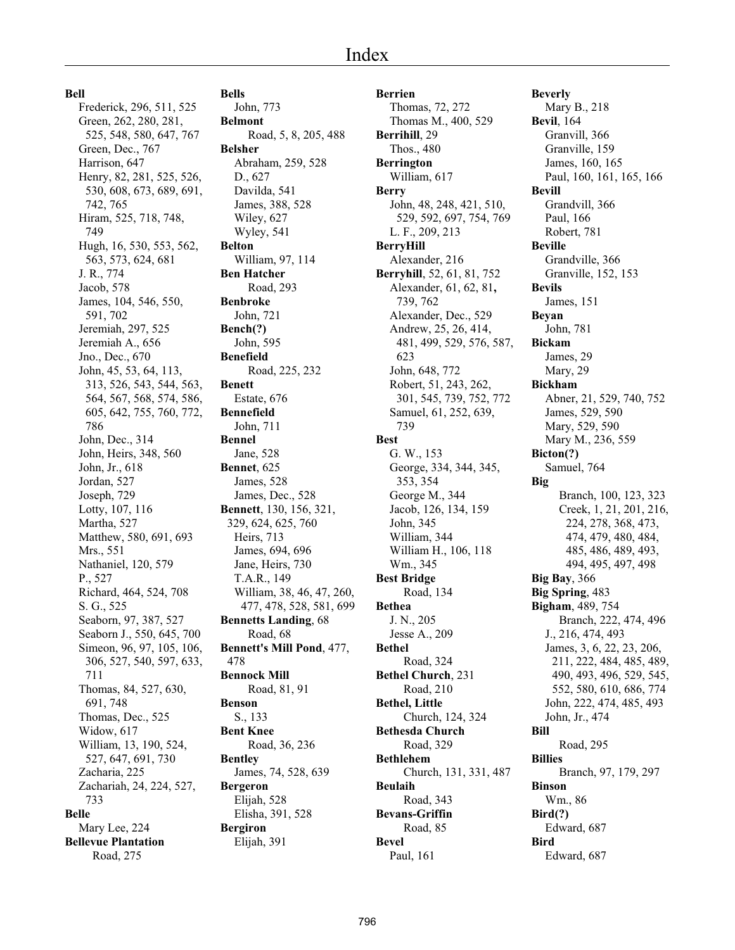**Bell**

Frederick, 296, 511, 525 Green, 262, 280, 281, 525, 548, 580, 647, 767 Green, Dec., 767 Harrison, 647 Henry, 82, 281, 525, 526, 530, 608, 673, 689, 691, 742, 765 Hiram, 525, 718, 748, 749 Hugh, 16, 530, 553, 562, 563, 573, 624, 681 J. R., 774 Jacob, 578 James, 104, 546, 550, 591, 702 Jeremiah, 297, 525 Jeremiah A., 656 Jno., Dec., 670 John, 45, 53, 64, 113, 313, 526, 543, 544, 563, 564, 567, 568, 574, 586, 605, 642, 755, 760, 772, 786 John, Dec., 314 John, Heirs, 348, 560 John, Jr., 618 Jordan, 527 Joseph, 729 Lotty, 107, 116 Martha, 527 Matthew, 580, 691, 693 Mrs., 551 Nathaniel, 120, 579 P., 527 Richard, 464, 524, 708 S. G., 525 Seaborn, 97, 387, 527 Seaborn J., 550, 645, 700 Simeon, 96, 97, 105, 106, 306, 527, 540, 597, 633, 711 Thomas, 84, 527, 630, 691, 748 Thomas, Dec., 525 Widow, 617 William, 13, 190, 524, 527, 647, 691, 730 Zacharia, 225 Zachariah, 24, 224, 527, 733 **Belle** Mary Lee, 224 **Bellevue Plantation** Road, 275

**Bells** John, 773 **Belmont** Road, 5, 8, 205, 488 **Belsher** Abraham, 259, 528 D., 627 Davilda, 541 James, 388, 528 Wiley, 627 Wyley, 541 **Belton** William, 97, 114 **Ben Hatcher** Road, 293 **Benbroke** John, 721 **Bench(?)** John, 595 **Benefield** Road, 225, 232 **Benett** Estate, 676 **Bennefield** John, 711 **Bennel** Jane, 528 **Bennet**, 625 James, 528 James, Dec., 528 **Bennett**, 130, 156, 321, 329, 624, 625, 760 Heirs, 713 James, 694, 696 Jane, Heirs, 730 T.A.R., 149 William, 38, 46, 47, 260, 477, 478, 528, 581, 699 **Bennetts Landing**, 68 Road, 68 **Bennett's Mill Pond**, 477, 478 **Bennock Mill** Road, 81, 91 **Benson** S., 133 **Bent Knee** Road, 36, 236 **Bentley** James, 74, 528, 639 **Bergeron** Elijah, 528 Elisha, 391, 528 **Bergiron** Elijah, 391

**Berrien** Thomas, 72, 272 Thomas M., 400, 529 **Berrihill**, 29 Thos., 480 **Berrington** William, 617 **Berry** John, 48, 248, 421, 510, 529, 592, 697, 754, 769 L. F., 209, 213 **BerryHill** Alexander, 216 **Berryhill**, 52, 61, 81, 752 Alexander, 61, 62, 81**,** 739, 762 Alexander, Dec., 529 Andrew, 25, 26, 414, 481, 499, 529, 576, 587, 623 John, 648, 772 Robert, 51, 243, 262, 301, 545, 739, 752, 772 Samuel, 61, 252, 639, 739 **Best** G. W., 153 George, 334, 344, 345, 353, 354 George M., 344 Jacob, 126, 134, 159 John, 345 William, 344 William H., 106, 118 Wm., 345 **Best Bridge** Road, 134 **Bethea** J. N., 205 Jesse A., 209 **Bethel** Road, 324 **Bethel Church**, 231 Road, 210 **Bethel, Little** Church, 124, 324 **Bethesda Church** Road, 329 **Bethlehem** Church, 131, 331, 487 **Beulaih** Road, 343 **Bevans-Griffin** Road, 85 **Bevel** Paul, 161

**Beverly** Mary B., 218 **Bevil**, 164 Granvill, 366 Granville, 159 James, 160, 165 Paul, 160, 161, 165, 166 **Bevill** Grandvill, 366 Paul, 166 Robert, 781 **Beville** Grandville, 366 Granville, 152, 153 **Bevils** James, 151 **Beyan** John, 781 **Bickam** James, 29 Mary, 29 **Bickham** Abner, 21, 529, 740, 752 James, 529, 590 Mary, 529, 590 Mary M., 236, 559 **Bicton(?)** Samuel, 764 **Big** Branch, 100, 123, 323 Creek, 1, 21, 201, 216, 224, 278, 368, 473, 474, 479, 480, 484, 485, 486, 489, 493, 494, 495, 497, 498 **Big Bay**, 366 **Big Spring**, 483 **Bigham**, 489, 754 Branch, 222, 474, 496 J., 216, 474, 493 James, 3, 6, 22, 23, 206, 211, 222, 484, 485, 489, 490, 493, 496, 529, 545, 552, 580, 610, 686, 774 John, 222, 474, 485, 493 John, Jr., 474 **Bill** Road, 295 **Billies** Branch, 97, 179, 297 **Binson** Wm., 86 **Bird(?)** Edward, 687 **Bird** Edward, 687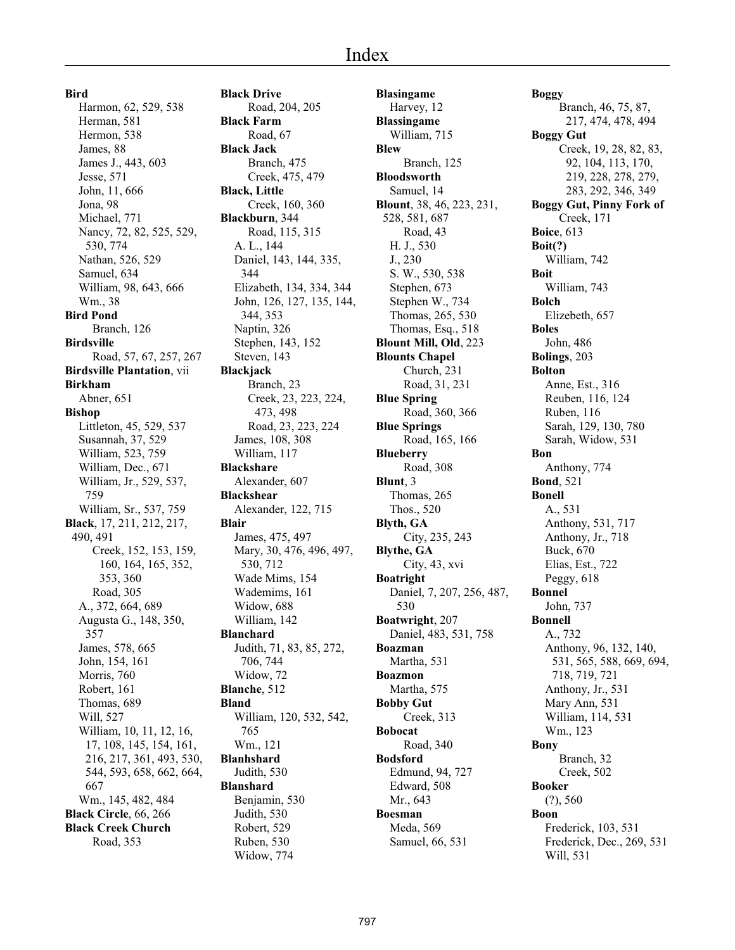**Bird** Harmon, 62, 529, 538 Herman, 581 Hermon, 538 James, 88 James J., 443, 603 Jesse, 571 John, 11, 666 Jona, 98 Michael, 771 Nancy, 72, 82, 525, 529, 530, 774 Nathan, 526, 529 Samuel, 634 William, 98, 643, 666 Wm., 38 **Bird Pond** Branch, 126 **Birdsville** Road, 57, 67, 257, 267 **Birdsville Plantation**, vii **Birkham** Abner, 651 **Bishop** Littleton, 45, 529, 537 Susannah, 37, 529 William, 523, 759 William, Dec., 671 William, Jr., 529, 537, 759 William, Sr., 537, 759 **Black**, 17, 211, 212, 217, 490, 491 Creek, 152, 153, 159, 160, 164, 165, 352, 353, 360 Road, 305 A., 372, 664, 689 Augusta G., 148, 350, 357 James, 578, 665 John, 154, 161 Morris, 760 Robert, 161 Thomas, 689 Will, 527 William, 10, 11, 12, 16, 17, 108, 145, 154, 161, 216, 217, 361, 493, 530, 544, 593, 658, 662, 664, 667 Wm., 145, 482, 484 **Black Circle**, 66, 266 **Black Creek Church** Road, 353

**Black Drive** Road, 204, 205 **Black Farm** Road, 67 **Black Jack** Branch, 475 Creek, 475, 479 **Black, Little** Creek, 160, 360 **Blackburn**, 344 Road, 115, 315 A. L., 144 Daniel, 143, 144, 335, 344 Elizabeth, 134, 334, 344 John, 126, 127, 135, 144, 344, 353 Naptin, 326 Stephen, 143, 152 Steven, 143 **Blackjack** Branch, 23 Creek, 23, 223, 224, 473, 498 Road, 23, 223, 224 James, 108, 308 William, 117 **Blackshare** Alexander, 607 **Blackshear** Alexander, 122, 715 **Blair** James, 475, 497 Mary, 30, 476, 496, 497, 530, 712 Wade Mims, 154 Wademims, 161 Widow, 688 William, 142 **Blanchard** Judith, 71, 83, 85, 272, 706, 744 Widow, 72 **Blanche**, 512 **Bland** William, 120, 532, 542, 765 Wm., 121 **Blanhshard** Judith, 530 **Blanshard** Benjamin, 530 Judith, 530 Robert, 529 Ruben, 530 Widow, 774

**Blasingame** Harvey, 12 **Blassingame** William, 715 **Blew** Branch, 125 **Bloodsworth** Samuel, 14 **Blount**, 38, 46, 223, 231, 528, 581, 687 Road, 43 H. J., 530 J., 230 S. W., 530, 538 Stephen, 673 Stephen W., 734 Thomas, 265, 530 Thomas, Esq., 518 **Blount Mill, Old**, 223 **Blounts Chapel** Church, 231 Road, 31, 231 **Blue Spring** Road, 360, 366 **Blue Springs** Road, 165, 166 **Blueberry** Road, 308 **Blunt**, 3 Thomas, 265 Thos., 520 **Blyth, GA** City, 235, 243 **Blythe, GA** City, 43, xvi **Boatright** Daniel, 7, 207, 256, 487, 530 **Boatwright**, 207 Daniel, 483, 531, 758 **Boazman** Martha, 531 **Boazmon** Martha, 575 **Bobby Gut** Creek, 313 **Bobocat** Road, 340 **Bodsford** Edmund, 94, 727 Edward, 508 Mr., 643 **Boesman** Meda, 569 Samuel, 66, 531

**Boggy** Branch, 46, 75, 87, 217, 474, 478, 494 **Boggy Gut** Creek, 19, 28, 82, 83, 92, 104, 113, 170, 219, 228, 278, 279, 283, 292, 346, 349 **Boggy Gut, Pinny Fork of** Creek, 171 **Boice**, 613 **Boit(?)** William, 742 **Boit** William, 743 **Bolch** Elizebeth, 657 **Boles** John, 486 **Bolings**, 203 **Bolton** Anne, Est., 316 Reuben, 116, 124 Ruben, 116 Sarah, 129, 130, 780 Sarah, Widow, 531 **Bon** Anthony, 774 **Bond**, 521 **Bonell** A., 531 Anthony, 531, 717 Anthony, Jr., 718 Buck, 670 Elias, Est., 722 Peggy, 618 **Bonnel** John, 737 **Bonnell** A., 732 Anthony, 96, 132, 140, 531, 565, 588, 669, 694, 718, 719, 721 Anthony, Jr., 531 Mary Ann, 531 William, 114, 531 Wm., 123 **Bony** Branch, 32 Creek, 502 **Booker** (?), 560 **Boon** Frederick, 103, 531 Frederick, Dec., 269, 531 Will, 531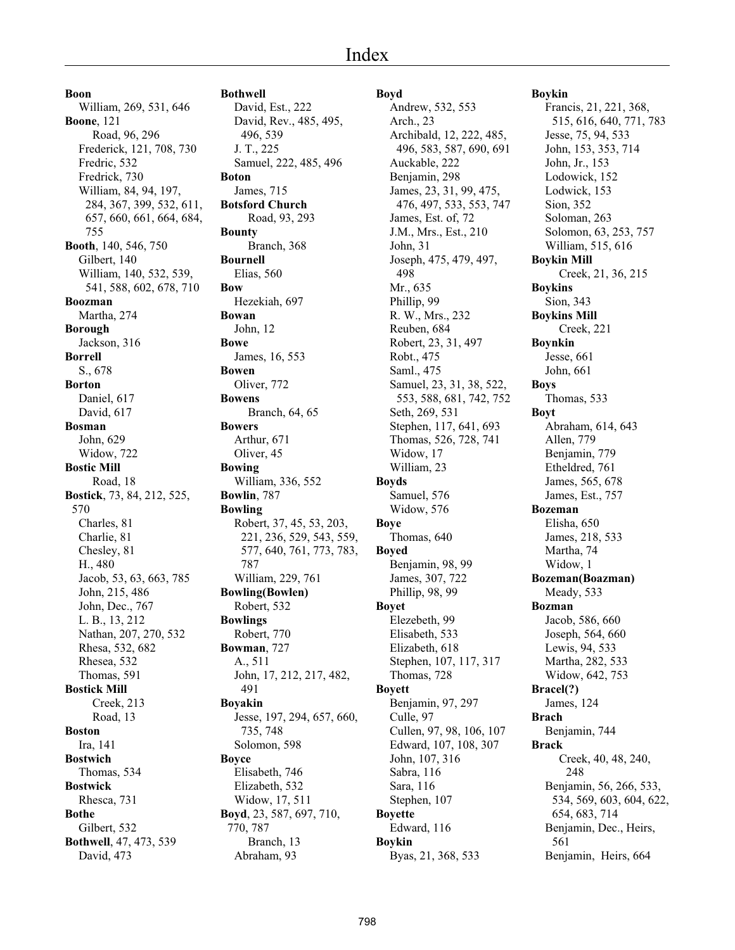**Boon** William, 269, 531, 646 **Boone**, 121 Road, 96, 296 Frederick, 121, 708, 730 Fredric, 532 Fredrick, 730 William, 84, 94, 197, 284, 367, 399, 532, 611, 657, 660, 661, 664, 684, 755 **Booth**, 140, 546, 750 Gilbert, 140 William, 140, 532, 539, 541, 588, 602, 678, 710 **Boozman** Martha, 274 **Borough** Jackson, 316 **Borrell** S., 678 **Borton** Daniel, 617 David, 617 **Bosman** John, 629 Widow, 722 **Bostic Mill** Road, 18 **Bostick**, 73, 84, 212, 525, 570 Charles, 81 Charlie, 81 Chesley, 81 H., 480 Jacob, 53, 63, 663, 785 John, 215, 486 John, Dec., 767 L. B., 13, 212 Nathan, 207, 270, 532 Rhesa, 532, 682 Rhesea, 532 Thomas, 591 **Bostick Mill** Creek, 213 Road, 13 **Boston** Ira, 141 **Bostwich** Thomas, 534 **Bostwick** Rhesca, 731 **Bothe** Gilbert, 532 **Bothwell**, 47, 473, 539 David, 473

# **Bothwell**

David, Est., 222 David, Rev., 485, 495, 496, 539 J. T., 225 Samuel, 222, 485, 496 **Boton** James, 715 **Botsford Church** Road, 93, 293 **Bounty** Branch, 368 **Bournell** Elias, 560 **Bow** Hezekiah, 697 **Bowan** John, 12 **Bowe** James, 16, 553 **Bowen** Oliver, 772 **Bowens** Branch, 64, 65 **Bowers** Arthur, 671 Oliver, 45 **Bowing** William, 336, 552 **Bowlin**, 787 **Bowling** Robert, 37, 45, 53, 203, 221, 236, 529, 543, 559, 577, 640, 761, 773, 783, 787 William, 229, 761 **Bowling(Bowlen)** Robert, 532 **Bowlings** Robert, 770 **Bowman**, 727 A., 511 John, 17, 212, 217, 482, 491 **Boyakin** Jesse, 197, 294, 657, 660, 735, 748 Solomon, 598 **Boyce** Elisabeth, 746 Elizabeth, 532 Widow, 17, 511 **Boyd**, 23, 587, 697, 710, 770, 787 Branch, 13 Abraham, 93

# **Boyd**

Andrew, 532, 553 Arch., 23 Archibald, 12, 222, 485, 496, 583, 587, 690, 691 Auckable, 222 Benjamin, 298 James, 23, 31, 99, 475, 476, 497, 533, 553, 747 James, Est. of, 72 J.M., Mrs., Est., 210 John, 31 Joseph, 475, 479, 497, 498 Mr., 635 Phillip, 99 R. W., Mrs., 232 Reuben, 684 Robert, 23, 31, 497 Robt., 475 Saml., 475 Samuel, 23, 31, 38, 522, 553, 588, 681, 742, 752 Seth, 269, 531 Stephen, 117, 641, 693 Thomas, 526, 728, 741 Widow, 17 William, 23 **Boyds** Samuel, 576 Widow, 576 **Boye** Thomas, 640 **Boyed** Benjamin, 98, 99 James, 307, 722 Phillip, 98, 99 **Boyet** Elezebeth, 99 Elisabeth, 533 Elizabeth, 618 Stephen, 107, 117, 317 Thomas, 728 **Boyett** Benjamin, 97, 297 Culle, 97 Cullen, 97, 98, 106, 107 Edward, 107, 108, 307 John, 107, 316 Sabra, 116 Sara, 116 Stephen, 107 **Boyette** Edward, 116 **Boykin** Byas, 21, 368, 533

**Boykin** Francis, 21, 221, 368, 515, 616, 640, 771, 783

Jesse, 75, 94, 533 John, 153, 353, 714 John, Jr., 153 Lodowick, 152 Lodwick, 153 Sion, 352 Soloman, 263 Solomon, 63, 253, 757 William, 515, 616 **Boykin Mill** Creek, 21, 36, 215 **Boykins** Sion, 343 **Boykins Mill** Creek, 221 **Boynkin** Jesse, 661 John, 661 **Boys** Thomas, 533 **Boyt** Abraham, 614, 643 Allen, 779 Benjamin, 779 Etheldred, 761 James, 565, 678 James, Est., 757 **Bozeman** Elisha, 650 James, 218, 533 Martha, 74 Widow, 1 **Bozeman(Boazman)** Meady, 533 **Bozman** Jacob, 586, 660 Joseph, 564, 660 Lewis, 94, 533 Martha, 282, 533 Widow, 642, 753 **Bracel(?)** James, 124 **Brach** Benjamin, 744 **Brack** Creek, 40, 48, 240, 248 Benjamin, 56, 266, 533, 534, 569, 603, 604, 622, 654, 683, 714 Benjamin, Dec., Heirs, 561 Benjamin, Heirs, 664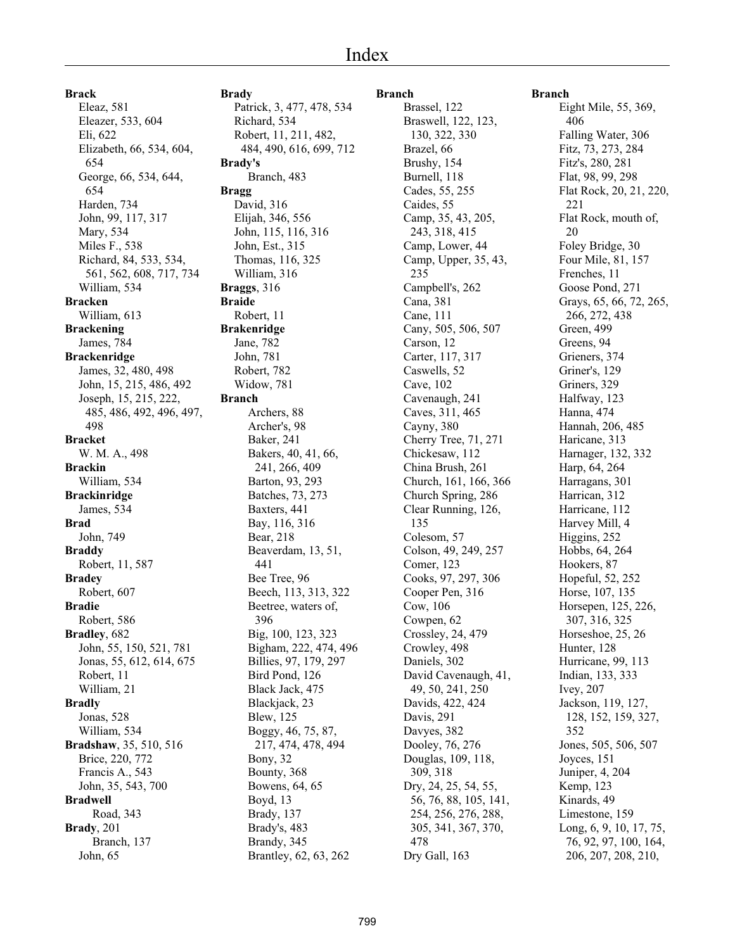**Brack** Eleaz, 581 Eleazer, 533, 604 Eli, 622 Elizabeth, 66, 534, 604, 654 George, 66, 534, 644, 654 Harden, 734 John, 99, 117, 317 Mary, 534 Miles F., 538 Richard, 84, 533, 534, 561, 562, 608, 717, 734 William, 534 **Bracken** William, 613 **Brackening** James, 784 **Brackenridge** James, 32, 480, 498 John, 15, 215, 486, 492 Joseph, 15, 215, 222, 485, 486, 492, 496, 497, 498 **Bracket** W. M. A., 498 **Brackin** William, 534 **Brackinridge** James, 534 **Brad** John, 749 **Braddy** Robert, 11, 587 **Bradey** Robert, 607 **Bradie** Robert, 586 **Bradley**, 682 John, 55, 150, 521, 781 Jonas, 55, 612, 614, 675 Robert, 11 William, 21 **Bradly** Jonas, 528 William, 534 **Bradshaw**, 35, 510, 516 Brice, 220, 772 Francis A., 543 John, 35, 543, 700 **Bradwell** Road, 343 **Brady**, 201 Branch, 137 John, 65

**Brady** Patrick, 3, 477, 478, 534 Richard, 534 Robert, 11, 211, 482, 484, 490, 616, 699, 712 **Brady's** Branch, 483 **Bragg** David, 316 Elijah, 346, 556 John, 115, 116, 316 John, Est., 315 Thomas, 116, 325 William, 316 **Braggs**, 316 **Braide** Robert, 11 **Brakenridge** Jane, 782 John, 781 Robert, 782 Widow, 781 **Branch** Archers, 88 Archer's, 98 Baker, 241 Bakers, 40, 41, 66, 241, 266, 409 Barton, 93, 293 Batches, 73, 273 Baxters, 441 Bay, 116, 316 Bear, 218 Beaverdam, 13, 51, 441 Bee Tree, 96 Beech, 113, 313, 322 Beetree, waters of, 396 Big, 100, 123, 323 Bigham, 222, 474, 496 Billies, 97, 179, 297 Bird Pond, 126 Black Jack, 475 Blackjack, 23 Blew, 125 Boggy, 46, 75, 87, 217, 474, 478, 494 Bony, 32 Bounty, 368 Bowens, 64, 65 Boyd, 13 Brady, 137 Brady's, 483 Brandy, 345 Brantley, 62, 63, 262

#### **Branch**

Brassel, 122 Braswell, 122, 123, 130, 322, 330 Brazel, 66 Brushy, 154 Burnell, 118 Cades, 55, 255 Caides, 55 Camp, 35, 43, 205, 243, 318, 415 Camp, Lower, 44 Camp, Upper, 35, 43, 235 Campbell's, 262 Cana, 381 Cane, 111 Cany, 505, 506, 507 Carson, 12 Carter, 117, 317 Caswells, 52 Cave, 102 Cavenaugh, 241 Caves, 311, 465 Cayny, 380 Cherry Tree, 71, 271 Chickesaw, 112 China Brush, 261 Church, 161, 166, 366 Church Spring, 286 Clear Running, 126, 135 Colesom, 57 Colson, 49, 249, 257 Comer, 123 Cooks, 97, 297, 306 Cooper Pen, 316 Cow, 106 Cowpen, 62 Crossley, 24, 479 Crowley, 498 Daniels, 302 David Cavenaugh, 41, 49, 50, 241, 250 Davids, 422, 424 Davis, 291 Davyes, 382 Dooley, 76, 276 Douglas, 109, 118, 309, 318 Dry, 24, 25, 54, 55, 56, 76, 88, 105, 141, 254, 256, 276, 288, 305, 341, 367, 370, 478 Dry Gall, 163

#### **Branch**

Eight Mile, 55, 369, 406 Falling Water, 306 Fitz, 73, 273, 284 Fitz's, 280, 281 Flat, 98, 99, 298 Flat Rock, 20, 21, 220, 221 Flat Rock, mouth of, 20 Foley Bridge, 30 Four Mile, 81, 157 Frenches, 11 Goose Pond, 271 Grays, 65, 66, 72, 265, 266, 272, 438 Green, 499 Greens, 94 Grieners, 374 Griner's, 129 Griners, 329 Halfway, 123 Hanna, 474 Hannah, 206, 485 Haricane, 313 Harnager, 132, 332 Harp, 64, 264 Harragans, 301 Harrican, 312 Harricane, 112 Harvey Mill, 4 Higgins, 252 Hobbs, 64, 264 Hookers, 87 Hopeful, 52, 252 Horse, 107, 135 Horsepen, 125, 226, 307, 316, 325 Horseshoe, 25, 26 Hunter, 128 Hurricane, 99, 113 Indian, 133, 333 Ivey, 207 Jackson, 119, 127, 128, 152, 159, 327, 352 Jones, 505, 506, 507 Joyces, 151 Juniper, 4, 204 Kemp, 123 Kinards, 49 Limestone, 159 Long, 6, 9, 10, 17, 75, 76, 92, 97, 100, 164, 206, 207, 208, 210,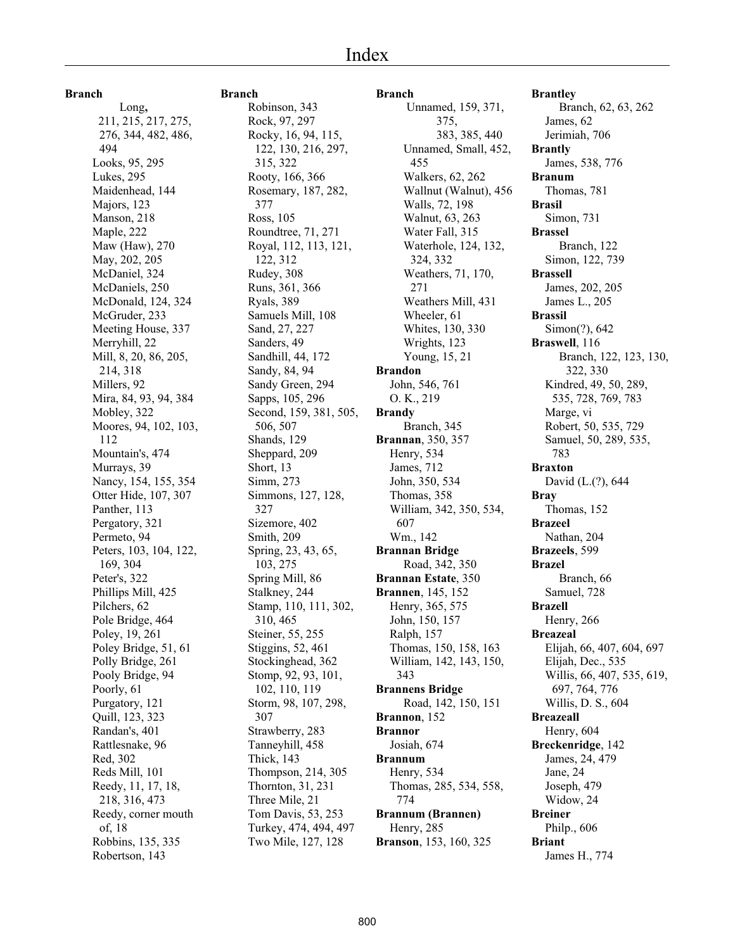#### **Branch**

 Long**,** 211, 215, 217, 275, 276, 344, 482, 486, 494 Looks, 95, 295 Lukes, 295 Maidenhead, 144 Majors, 123 Manson, 218 Maple, 222 Maw (Haw), 270 May, 202, 205 McDaniel, 324 McDaniels, 250 McDonald, 124, 324 McGruder, 233 Meeting House, 337 Merryhill, 22 Mill, 8, 20, 86, 205, 214, 318 Millers, 92 Mira, 84, 93, 94, 384 Mobley, 322 Moores, 94, 102, 103, 112 Mountain's, 474 Murrays, 39 Nancy, 154, 155, 354 Otter Hide, 107, 307 Panther, 113 Pergatory, 321 Permeto, 94 Peters, 103, 104, 122, 169, 304 Peter's, 322 Phillips Mill, 425 Pilchers, 62 Pole Bridge, 464 Poley, 19, 261 Poley Bridge, 51, 61 Polly Bridge, 261 Pooly Bridge, 94 Poorly, 61 Purgatory, 121 Quill, 123, 323 Randan's, 401 Rattlesnake, 96 Red, 302 Reds Mill, 101 Reedy, 11, 17, 18, 218, 316, 473 Reedy, corner mouth of, 18 Robbins, 135, 335 Robertson, 143

#### **Branch**

Robinson, 343 Rock, 97, 297 Rocky, 16, 94, 115, 122, 130, 216, 297, 315, 322 Rooty, 166, 366 Rosemary, 187, 282, 377 Ross, 105 Roundtree, 71, 271 Royal, 112, 113, 121, 122, 312 Rudey, 308 Runs, 361, 366 Ryals, 389 Samuels Mill, 108 Sand, 27, 227 Sanders, 49 Sandhill, 44, 172 Sandy, 84, 94 Sandy Green, 294 Sapps, 105, 296 Second, 159, 381, 505, 506, 507 Shands, 129 Sheppard, 209 Short, 13 Simm, 273 Simmons, 127, 128, 327 Sizemore, 402 Smith, 209 Spring, 23, 43, 65, 103, 275 Spring Mill, 86 Stalkney, 244 Stamp, 110, 111, 302, 310, 465 Steiner, 55, 255 Stiggins, 52, 461 Stockinghead, 362 Stomp, 92, 93, 101, 102, 110, 119 Storm, 98, 107, 298, 307 Strawberry, 283 Tanneyhill, 458 Thick, 143 Thompson, 214, 305 Thornton, 31, 231 Three Mile, 21 Tom Davis, 53, 253 Turkey, 474, 494, 497 Two Mile, 127, 128

**Branch**  Unnamed, 159, 371, 375, 383, 385, 440 Unnamed, Small, 452, 455 Walkers, 62, 262 Wallnut (Walnut), 456 Walls, 72, 198 Walnut, 63, 263 Water Fall, 315 Waterhole, 124, 132, 324, 332 Weathers, 71, 170, 271 Weathers Mill, 431 Wheeler, 61 Whites, 130, 330 Wrights, 123 Young, 15, 21 **Brandon** John, 546, 761 O. K., 219 **Brandy** Branch, 345 **Brannan**, 350, 357 Henry, 534 James, 712 John, 350, 534 Thomas, 358 William, 342, 350, 534, 607 Wm., 142 **Brannan Bridge** Road, 342, 350 **Brannan Estate**, 350 **Brannen**, 145, 152 Henry, 365, 575 John, 150, 157 Ralph, 157 Thomas, 150, 158, 163 William, 142, 143, 150, 343 **Brannens Bridge** Road, 142, 150, 151 **Brannon**, 152 **Brannor** Josiah, 674 **Brannum** Henry, 534 Thomas, 285, 534, 558, 774 **Brannum (Brannen)** Henry, 285 **Branson**, 153, 160, 325

**Brantley** Branch, 62, 63, 262 James, 62 Jerimiah, 706 **Brantly** James, 538, 776 **Branum** Thomas, 781 **Brasil** Simon, 731 **Brassel** Branch, 122 Simon, 122, 739 **Brassell** James, 202, 205 James L., 205 **Brassil** Simon(?), 642 **Braswell**, 116 Branch, 122, 123, 130, 322, 330 Kindred, 49, 50, 289, 535, 728, 769, 783 Marge, vi Robert, 50, 535, 729 Samuel, 50, 289, 535, 783 **Braxton** David (L.(?), 644 **Bray** Thomas, 152 **Brazeel** Nathan, 204 **Brazeels**, 599 **Brazel** Branch, 66 Samuel, 728 **Brazell** Henry, 266 **Breazeal** Elijah, 66, 407, 604, 697 Elijah, Dec., 535 Willis, 66, 407, 535, 619, 697, 764, 776 Willis, D. S., 604 **Breazeall** Henry, 604 **Breckenridge**, 142 James, 24, 479 Jane, 24 Joseph, 479 Widow, 24 **Breiner** Philp., 606 **Briant** James H., 774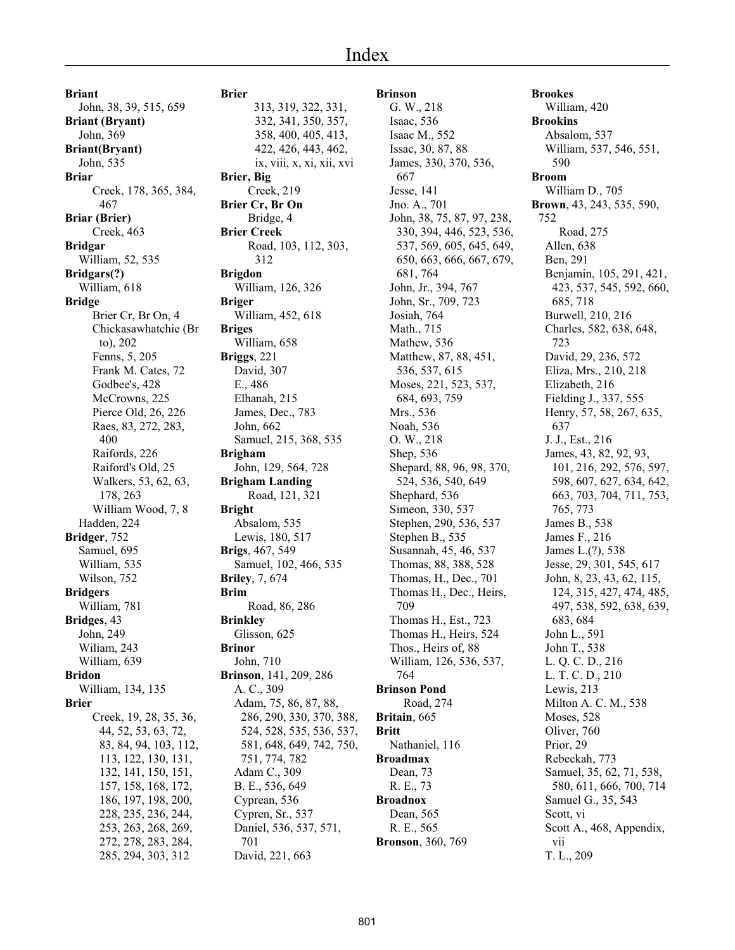# Index

**Briant** John, 38, 39, 515, 659 **Briant (Bryant)** John, 369 **Briant(Bryant)** John, 535 **Briar** Creek, 178, 365, 384, 467 **Briar (Brier)** Creek, 463 **Bridgar** William, 52, 535 **Bridgars(?)** William, 618 **Bridge** Brier Cr, Br On, 4 Chickasawhatchie (Br to), 202 Fenns, 5, 205 Frank M. Cates, 72 Godbee's, 428 McCrowns, 225 Pierce Old, 26, 226 Raes, 83, 272, 283, 400 Raifords, 226 Raiford's Old, 25 Walkers, 53, 62, 63, 178, 263 William Wood, 7, 8 Hadden, 224 **Bridger**, 752 Samuel, 695 William, 535 Wilson, 752 **Bridgers** William, 781 **Bridges**, 43 John, 249 Wiliam, 243 William, 639 **Bridon** William, 134, 135 **Brier** Creek, 19, 28, 35, 36, 44, 52, 53, 63, 72, 83, 84, 94, 103, 112, 113, 122, 130, 131, 132, 141, 150, 151, 157, 158, 168, 172, 186, 197, 198, 200, 228, 235, 236, 244, 253, 263, 268, 269, 272, 278, 283, 284, 285, 294, 303, 312

**Brier** 313, 319, 322, 331, 332, 341, 350, 357, 358, 400, 405, 413, 422, 426, 443, 462, ix, viii, x, xi, xii, xvi **Brier, Big** Creek, 219 **Brier Cr, Br On** Bridge, 4 **Brier Creek** Road, 103, 112, 303, 312 **Brigdon** William, 126, 326 **Briger** William, 452, 618 **Briges** William, 658 **Briggs**, 221 David, 307 E., 486 Elhanah, 215 James, Dec., 783 John, 662 Samuel, 215, 368, 535 **Brigham** John, 129, 564, 728 **Brigham Landing** Road, 121, 321 **Bright** Absalom, 535 Lewis, 180, 517 **Brigs**, 467, 549 Samuel, 102, 466, 535 **Briley**, 7, 674 **Brim** Road, 86, 286 **Brinkley** Glisson, 625 **Brinor** John, 710 **Brinson**, 141, 209, 286 A. C., 309 Adam, 75, 86, 87, 88, 286, 290, 330, 370, 388, 524, 528, 535, 536, 537, 581, 648, 649, 742, 750, 751, 774, 782 Adam C., 309 B. E., 536, 649 Cyprean, 536 Cypren, Sr., 537 Daniel, 536, 537, 571, 701 David, 221, 663

**Brinson** G. W., 218 Isaac, 536 Isaac M., 552 Issac, 30, 87, 88 James, 330, 370, 536, 667 Jesse, 141 Jno. A., 701 John, 38, 75, 87, 97, 238, 330, 394, 446, 523, 536, 537, 569, 605, 645, 649, 650, 663, 666, 667, 679, 681, 764 John, Jr., 394, 767 John, Sr., 709, 723 Josiah, 764 Math., 715 Mathew, 536 Matthew, 87, 88, 451, 536, 537, 615 Moses, 221, 523, 537, 684, 693, 759 Mrs., 536 Noah, 536 O. W., 218 Shep, 536 Shepard, 88, 96, 98, 370, 524, 536, 540, 649 Shephard, 536 Simeon, 330, 537 Stephen, 290, 536, 537 Stephen B., 535 Susannah, 45, 46, 537 Thomas, 88, 388, 528 Thomas, H., Dec., 701 Thomas H., Dec., Heirs, 709 Thomas H., Est., 723 Thomas H., Heirs, 524 Thos., Heirs of, 88 William, 126, 536, 537, 764 **Brinson Pond** Road, 274 **Britain**, 665 **Britt** Nathaniel, 116 **Broadmax** Dean, 73 R. E., 73 **Broadnox** Dean, 565 R. E., 565 **Bronson**, 360, 769

**Brookes** William, 420 **Brookins** Absalom, 537 William, 537, 546, 551, 590 **Broom** William D., 705 **Brown**, 43, 243, 535, 590, 752 Road, 275 Allen, 638 Ben, 291 Benjamin, 105, 291, 421, 423, 537, 545, 592, 660, 685, 718 Burwell, 210, 216 Charles, 582, 638, 648, 723 David, 29, 236, 572 Eliza, Mrs., 210, 218 Elizabeth, 216 Fielding J., 337, 555 Henry, 57, 58, 267, 635, 637 J. J., Est., 216 James, 43, 82, 92, 93, 101, 216, 292, 576, 597, 598, 607, 627, 634, 642, 663, 703, 704, 711, 753, 765, 773 James B., 538 James F., 216 James L.(?), 538 Jesse, 29, 301, 545, 617 John, 8, 23, 43, 62, 115, 124, 315, 427, 474, 485, 497, 538, 592, 638, 639, 683, 684 John L., 591 John T., 538 L. Q. C. D., 216 L. T. C. D., 210 Lewis, 213 Milton A. C. M., 538 Moses, 528 Oliver, 760 Prior, 29 Rebeckah, 773 Samuel, 35, 62, 71, 538, 580, 611, 666, 700, 714 Samuel G., 35, 543 Scott, vi Scott A., 468, Appendix, vii T. L., 209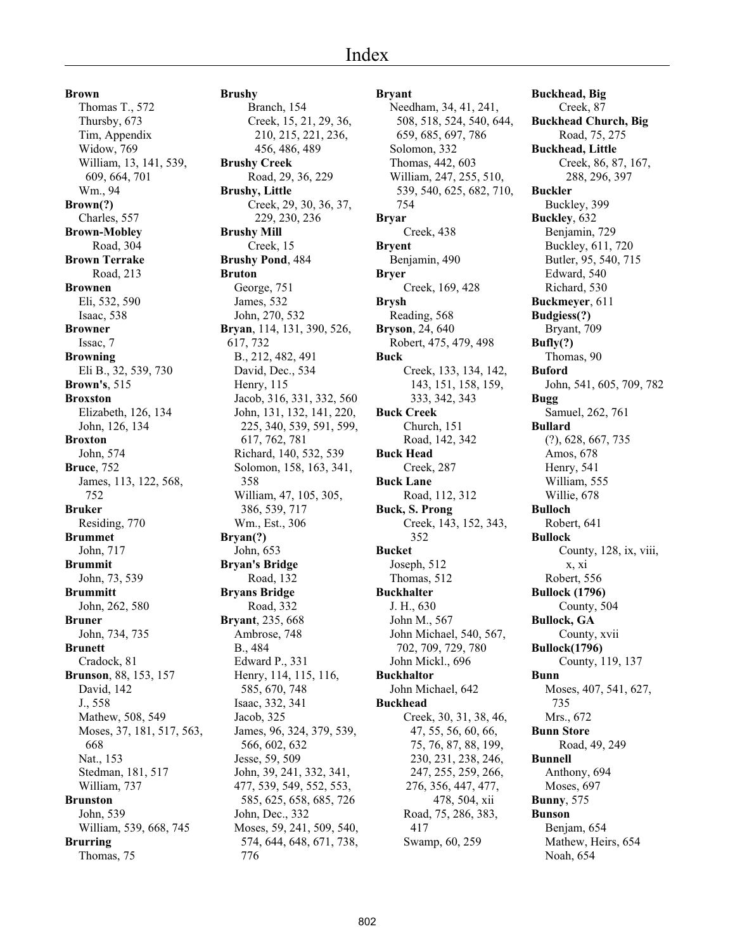**Brown** Thomas T., 572 Thursby, 673 Tim, Appendix Widow, 769 William, 13, 141, 539, 609, 664, 701 Wm., 94 **Brown(?)** Charles, 557 **Brown-Mobley** Road, 304 **Brown Terrake** Road, 213 **Brownen** Eli, 532, 590 Isaac, 538 **Browner** Issac, 7 **Browning** Eli B., 32, 539, 730 **Brown's**, 515 **Broxston** Elizabeth, 126, 134 John, 126, 134 **Broxton** John, 574 **Bruce**, 752 James, 113, 122, 568, 752 **Bruker** Residing, 770 **Brummet** John, 717 **Brummit** John, 73, 539 **Brummitt** John, 262, 580 **Bruner** John, 734, 735 **Brunett** Cradock, 81 **Brunson**, 88, 153, 157 David, 142 J., 558 Mathew, 508, 549 Moses, 37, 181, 517, 563, 668 Nat., 153 Stedman, 181, 517 William, 737 **Brunston** John, 539 William, 539, 668, 745 **Brurring** Thomas, 75

**Brushy** Branch, 154 456, 486, 489 **Brushy Creek Brushy, Little** 229, 230, 236 **Brushy Mill** Creek, 15 **Brushy Pond**, 484 **Bruton** George, 751 James, 532 John, 270, 532 **Bryan**, 114, 131, 390, 526, 617, 732 B., 212, 482, 491 David, Dec., 534

358

**Bryan(?)**

B., 484

776

Creek, 15, 21, 29, 36, 210, 215, 221, 236, Road, 29, 36, 229 Creek, 29, 30, 36, 37, Henry, 115 Jacob, 316, 331, 332, 560 John, 131, 132, 141, 220, 225, 340, 539, 591, 599, 617, 762, 781 Richard, 140, 532, 539 Solomon, 158, 163, 341, William, 47, 105, 305, 386, 539, 717 Wm., Est., 306 John, 653 **Bryan's Bridge** Road, 132 **Bryans Bridge** Road, 332 **Bryant**, 235, 668 Ambrose, 748 Edward P., 331 Henry, 114, 115, 116, 585, 670, 748 Isaac, 332, 341 Jacob, 325 James, 96, 324, 379, 539, 566, 602, 632 Jesse, 59, 509 John, 39, 241, 332, 341, 477, 539, 549, 552, 553, 585, 625, 658, 685, 726 John, Dec., 332 Moses, 59, 241, 509, 540, 574, 644, 648, 671, 738, **Bryar Bryer Brysh Buck**

**Bryant** Needham, 34, 41, 241, 508, 518, 524, 540, 644, 659, 685, 697, 786 Solomon, 332 Thomas, 442, 603 William, 247, 255, 510, 539, 540, 625, 682, 710, 754 Creek, 438 **Bryent** Benjamin, 490 Creek, 169, 428 Reading, 568 **Bryson**, 24, 640 Robert, 475, 479, 498 Creek, 133, 134, 142, 143, 151, 158, 159, 333, 342, 343 **Buck Creek** Church, 151 Road, 142, 342 **Buck Head** Creek, 287 **Buck Lane** Road, 112, 312 **Buck, S. Prong** Creek, 143, 152, 343, 352 **Bucket** Joseph, 512 Thomas, 512 **Buckhalter** J. H., 630 John M., 567 John Michael, 540, 567, 702, 709, 729, 780 John Mickl., 696 **Buckhaltor** John Michael, 642 **Buckhead** Creek, 30, 31, 38, 46, 47, 55, 56, 60, 66, 75, 76, 87, 88, 199, 230, 231, 238, 246, 247, 255, 259, 266, 276, 356, 447, 477, 478, 504, xii Road, 75, 286, 383, 417 Swamp, 60, 259

**Buckhead, Big** Creek, 87 **Buckhead Church, Big** Road, 75, 275 **Buckhead, Little** Creek, 86, 87, 167, 288, 296, 397 **Buckler** Buckley, 399 **Buckley**, 632 Benjamin, 729 Buckley, 611, 720 Butler, 95, 540, 715 Edward, 540 Richard, 530 **Buckmeyer**, 611 **Budgiess(?)** Bryant, 709 **Bufly(?)** Thomas, 90 **Buford** John, 541, 605, 709, 782 **Bugg** Samuel, 262, 761 **Bullard** (?), 628, 667, 735 Amos, 678 Henry, 541 William, 555 Willie, 678 **Bulloch** Robert, 641 **Bullock** County, 128, ix, viii, x, xi Robert, 556 **Bullock (1796)** County, 504 **Bullock, GA** County, xvii **Bullock(1796)** County, 119, 137 **Bunn** Moses, 407, 541, 627, 735 Mrs., 672 **Bunn Store** Road, 49, 249 **Bunnell** Anthony, 694 Moses, 697 **Bunny**, 575 **Bunson** Benjam, 654 Mathew, Heirs, 654

Noah, 654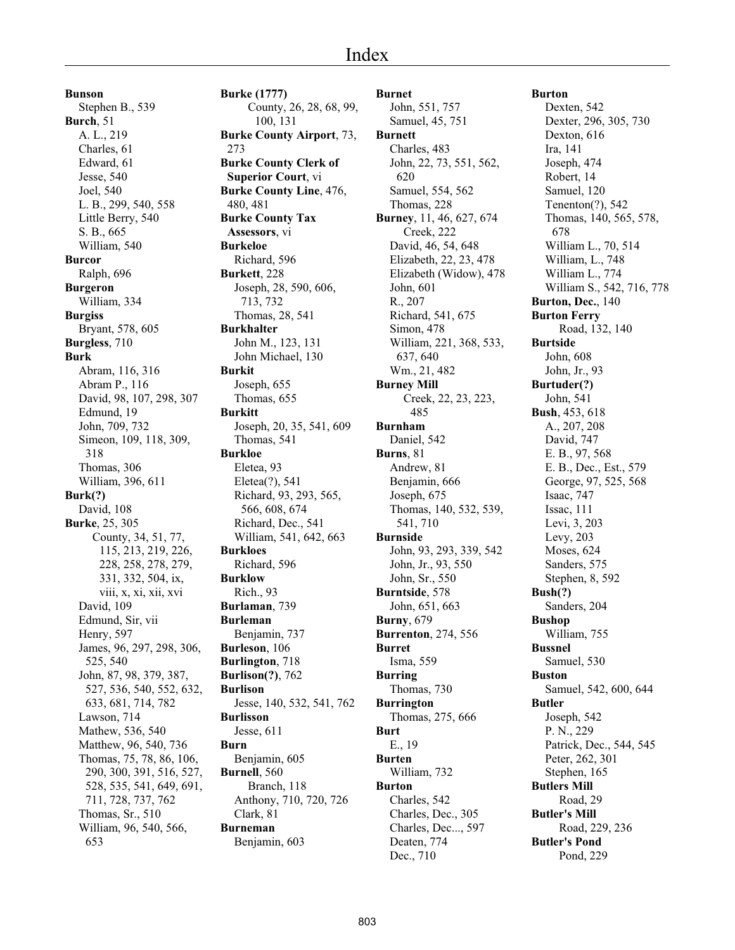**Bunson** Stephen B., 539 **Burch**, 51 A. L., 219 Charles, 61 Edward, 61 Jesse, 540 Joel, 540 L. B., 299, 540, 558 Little Berry, 540 S. B., 665 William, 540 **Burcor** Ralph, 696 **Burgeron** William, 334 **Burgiss** Bryant, 578, 605 **Burgless**, 710 **Burk** Abram, 116, 316 Abram P., 116 David, 98, 107, 298, 307 Edmund, 19 John, 709, 732 Simeon, 109, 118, 309, 318 Thomas, 306 William, 396, 611 **Burk(?)** David, 108 **Burke**, 25, 305 County, 34, 51, 77, 115, 213, 219, 226, 228, 258, 278, 279, 331, 332, 504, ix, viii, x, xi, xii, xvi David, 109 Edmund, Sir, vii Henry, 597 James, 96, 297, 298, 306, 525, 540 John, 87, 98, 379, 387, 527, 536, 540, 552, 632, 633, 681, 714, 782 Lawson, 714 Mathew, 536, 540 Matthew, 96, 540, 736 Thomas, 75, 78, 86, 106, 290, 300, 391, 516, 527, 528, 535, 541, 649, 691, 711, 728, 737, 762 Thomas, Sr., 510 William, 96, 540, 566, 653

**Burke (1777)** County, 26, 28, 68, 99, 100, 131 **Burke County Airport**, 73, 273 **Burke County Clerk of Superior Court**, vi **Burke County Line**, 476, 480, 481 **Burke County Tax Assessors**, vi **Burkeloe** Richard, 596 **Burkett**, 228 Joseph, 28, 590, 606, 713, 732 Thomas, 28, 541 **Burkhalter** John M., 123, 131 John Michael, 130 **Burkit** Joseph, 655 Thomas, 655 **Burkitt** Joseph, 20, 35, 541, 609 Thomas, 541 **Burkloe** Eletea, 93 Eletea(?), 541 Richard, 93, 293, 565, 566, 608, 674 Richard, Dec., 541 William, 541, 642, 663 **Burkloes** Richard, 596 **Burklow** Rich., 93 **Burlaman**, 739 **Burleman** Benjamin, 737 **Burleson**, 106 **Burlington**, 718 **Burlison(?)**, 762 **Burlison** Jesse, 140, 532, 541, 762 **Burlisson** Jesse, 611 **Burn** Benjamin, 605 **Burnell**, 560 Branch, 118 Anthony, 710, 720, 726 Clark, 81 **Burneman** Benjamin, 603

#### **Burnet** John, 551, 757 Samuel, 45, 751 **Burnett** Charles, 483 John, 22, 73, 551, 562, 620 Samuel, 554, 562 Thomas, 228 **Burney**, 11, 46, 627, 674 Creek, 222 David, 46, 54, 648 Elizabeth, 22, 23, 478 Elizabeth (Widow), 478 John, 601 R., 207 Richard, 541, 675 Simon, 478 William, 221, 368, 533, 637, 640 Wm., 21, 482 **Burney Mill** Creek, 22, 23, 223, 485 **Burnham** Daniel, 542 **Burns**, 81 Andrew, 81 Benjamin, 666 Joseph, 675 Thomas, 140, 532, 539, 541, 710 **Burnside** John, 93, 293, 339, 542 John, Jr., 93, 550 John, Sr., 550 **Burntside**, 578 John, 651, 663 **Burny**, 679 **Burrenton**, 274, 556 **Burret** Isma, 559 **Burring** Thomas, 730 **Burrington** Thomas, 275, 666 **Burt** E., 19 **Burten** William, 732 **Burton** Charles, 542 Charles, Dec., 305 Charles, Dec..., 597 Deaten, 774 Dec., 710

## **Burton** Dexten, 542 Dexter, 296, 305, 730 Dexton, 616 Ira, 141 Joseph, 474 Robert, 14 Samuel, 120 Tenenton(?), 542 Thomas, 140, 565, 578, 678 William L., 70, 514 William, L., 748 William L., 774 William S., 542, 716, 778 **Burton, Dec.**, 140 **Burton Ferry** Road, 132, 140 **Burtside** John, 608 John, Jr., 93 **Burtuder(?)** John, 541 **Bush**, 453, 618 A., 207, 208 David, 747 E. B., 97, 568 E. B., Dec., Est., 579 George, 97, 525, 568 Isaac, 747 Issac, 111 Levi, 3, 203 Levy, 203 Moses, 624 Sanders, 575 Stephen, 8, 592 **Bush(?)** Sanders, 204 **Bushop** William, 755 **Bussnel** Samuel, 530 **Buston** Samuel, 542, 600, 644 **Butler** Joseph, 542 P. N., 229 Patrick, Dec., 544, 545 Peter, 262, 301 Stephen, 165 **Butlers Mill** Road, 29 **Butler's Mill** Road, 229, 236 **Butler's Pond** Pond, 229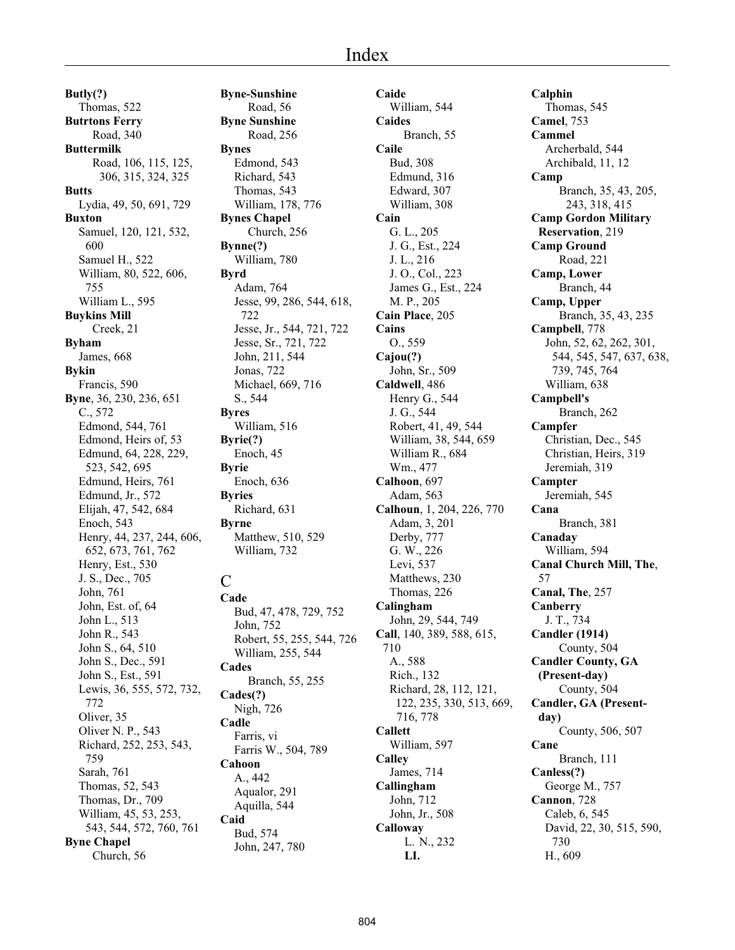**Butly(?)** Thomas, 522 **Butrtons Ferry** Road, 340 **Buttermilk** Road, 106, 115, 125, 306, 315, 324, 325 **Butts** Lydia, 49, 50, 691, 729 **Buxton** Samuel, 120, 121, 532, 600 Samuel H., 522 William, 80, 522, 606, 755 William L., 595 **Buykins Mill** Creek, 21 **Byham** James, 668 **Bykin** Francis, 590 **Byne**, 36, 230, 236, 651 C., 572 Edmond, 544, 761 Edmond, Heirs of, 53 Edmund, 64, 228, 229, 523, 542, 695 Edmund, Heirs, 761 Edmund, Jr., 572 Elijah, 47, 542, 684 Enoch, 543 Henry, 44, 237, 244, 606, 652, 673, 761, 762 Henry, Est., 530 J. S., Dec., 705 John, 761 John, Est. of, 64 John L., 513 John R., 543 John S., 64, 510 John S., Dec., 591 John S., Est., 591 Lewis, 36, 555, 572, 732, 772 Oliver, 35 Oliver N. P., 543 Richard, 252, 253, 543, 759 Sarah, 761 Thomas, 52, 543 Thomas, Dr., 709 William, 45, 53, 253, 543, 544, 572, 760, 761 **Byne Chapel** Church, 56

**Byne-Sunshine** Road, 56 **Byne Sunshine** Road, 256 **Bynes** Edmond, 543 Richard, 543 Thomas, 543 William, 178, 776 **Bynes Chapel** Church, 256 **Bynne(?)** William, 780 **Byrd** Adam, 764 Jesse, 99, 286, 544, 618, 722 Jesse, Jr., 544, 721, 722 Jesse, Sr., 721, 722 John, 211, 544 Jonas, 722 Michael, 669, 716 S., 544 **Byres** William, 516 **Byrie(?)** Enoch, 45 **Byrie** Enoch, 636 **Byries** Richard, 631 **Byrne** Matthew, 510, 529 William, 732  $\overline{C}$ **Cade** Bud, 47, 478, 729, 752 John, 752 Robert, 55, 255, 544, 726 William, 255, 544 **Cades** Branch, 55, 255 **Cades(?)** Nigh, 726 **Cadle** Farris, vi Farris W., 504, 789

## **Cahoon** A., 442 Aqualor, 291 Aquilla, 544 **Caid** Bud, 574 John, 247, 780

**Caide** William, 544 **Caides** Branch, 55 **Caile** Bud, 308 Edmund, 316 Edward, 307 William, 308 **Cain** G. L., 205 J. G., Est., 224 J. L., 216 J. O., Col., 223 James G., Est., 224 M. P., 205 **Cain Place**, 205 **Cains** O., 559 **Cajou(?)** John, Sr., 509 **Caldwell**, 486 Henry G., 544 J. G., 544 Robert, 41, 49, 544 William, 38, 544, 659 William R., 684 Wm., 477 **Calhoon**, 697 Adam, 563 **Calhoun**, 1, 204, 226, 770 Adam, 3, 201 Derby, 777 G. W., 226 Levi, 537 Matthews, 230 Thomas, 226 **Calingham** John, 29, 544, 749 **Call**, 140, 389, 588, 615, 710 A., 588 Rich., 132 Richard, 28, 112, 121, 122, 235, 330, 513, 669, 716, 778 **Callett** William, 597 **Calley** James, 714 **Callingham** John, 712 John, Jr., 508 **Calloway** L. N., 232 **LI.**

**Calphin** Thomas, 545 **Camel**, 753 **Cammel** Archerbald, 544 Archibald, 11, 12 **Camp** Branch, 35, 43, 205, 243, 318, 415 **Camp Gordon Military Reservation**, 219 **Camp Ground** Road, 221 **Camp, Lower** Branch, 44 **Camp, Upper** Branch, 35, 43, 235 **Campbell**, 778 John, 52, 62, 262, 301, 544, 545, 547, 637, 638, 739, 745, 764 William, 638 **Campbell's** Branch, 262 **Campfer** Christian, Dec., 545 Christian, Heirs, 319 Jeremiah, 319 **Campter** Jeremiah, 545 **Cana** Branch, 381 **Canaday** William, 594 **Canal Church Mill, The**, 57 **Canal, The**, 257 **Canberry** J. T., 734 **Candler (1914)** County, 504 **Candler County, GA (Present-day)** County, 504 **Candler, GA (Presentday)** County, 506, 507 **Cane** Branch, 111 **Canless(?)** George M., 757 **Cannon**, 728 Caleb, 6, 545 David, 22, 30, 515, 590, 730 H., 609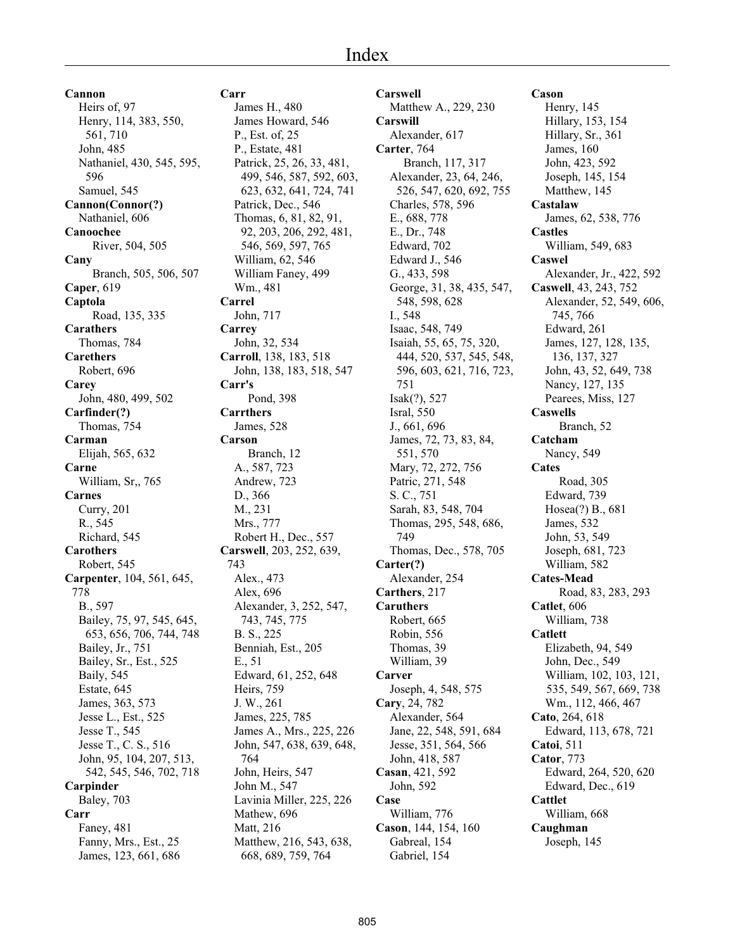**Cannon** Heirs of, 97 Henry, 114, 383, 550, 561, 710 John, 485 Nathaniel, 430, 545, 595, 596 Samuel, 545 **Cannon(Connor(?)** Nathaniel, 606 **Canoochee** River, 504, 505 **Cany** Branch, 505, 506, 507 **Caper**, 619 **Captola** Road, 135, 335 **Carathers** Thomas, 784 **Carethers** Robert, 696 **Carey** John, 480, 499, 502 **Carfinder(?)** Thomas, 754 **Carman** Elijah, 565, 632 **Carne** William, Sr,, 765 **Carnes** Curry, 201 R., 545 Richard, 545 **Carothers** Robert, 545 **Carpenter**, 104, 561, 645, 778 B., 597 Bailey, 75, 97, 545, 645, 653, 656, 706, 744, 748 Bailey, Jr., 751 Bailey, Sr., Est., 525 Baily, 545 Estate, 645 James, 363, 573 Jesse L., Est., 525 Jesse T., 545 Jesse T., C. S., 516 John, 95, 104, 207, 513, 542, 545, 546, 702, 718 **Carpinder** Baley, 703 **Carr** Faney, 481 Fanny, Mrs., Est., 25 James, 123, 661, 686

# **Carr**

James H., 480 James Howard, 546 P., Est. of, 25 P., Estate, 481 Patrick, 25, 26, 33, 481, 499, 546, 587, 592, 603, 623, 632, 641, 724, 741 Patrick, Dec., 546 Thomas, 6, 81, 82, 91, 92, 203, 206, 292, 481, 546, 569, 597, 765 William, 62, 546 William Faney, 499 Wm., 481 **Carrel** John, 717 **Carrey** John, 32, 534 **Carroll**, 138, 183, 518 John, 138, 183, 518, 547 **Carr's** Pond, 398 **Carrthers** James, 528 **Carson** Branch, 12 A., 587, 723 Andrew, 723 D., 366 M., 231 Mrs., 777 Robert H., Dec., 557 **Carswell**, 203, 252, 639, 743 Alex., 473 Alex, 696 Alexander, 3, 252, 547, 743, 745, 775 B. S., 225 Benniah, Est., 205 E., 51 Edward, 61, 252, 648 Heirs, 759 J. W., 261 James, 225, 785 James A., Mrs., 225, 226 John, 547, 638, 639, 648, 764 John, Heirs, 547 John M., 547 Lavinia Miller, 225, 226 Mathew, 696 Matt, 216 Matthew, 216, 543, 638, 668, 689, 759, 764

**Carswell** Matthew A., 229, 230 **Carswill** Alexander, 617 **Carter**, 764 Branch, 117, 317 Alexander, 23, 64, 246, 526, 547, 620, 692, 755 Charles, 578, 596 E., 688, 778 E., Dr., 748 Edward, 702 Edward J., 546 G., 433, 598 George, 31, 38, 435, 547, 548, 598, 628 I., 548 Isaac, 548, 749 Isaiah, 55, 65, 75, 320, 444, 520, 537, 545, 548, 596, 603, 621, 716, 723, 751 Isak(?), 527 Isral, 550 J., 661, 696 James, 72, 73, 83, 84, 551, 570 Mary, 72, 272, 756 Patric, 271, 548 S. C., 751 Sarah, 83, 548, 704 Thomas, 295, 548, 686, 749 Thomas, Dec., 578, 705 **Carter(?)** Alexander, 254 **Carthers**, 217 **Caruthers** Robert, 665 Robin, 556 Thomas, 39 William, 39 **Carver** Joseph, 4, 548, 575 **Cary**, 24, 782 Alexander, 564 Jane, 22, 548, 591, 684 Jesse, 351, 564, 566 John, 418, 587 **Casan**, 421, 592 John, 592 **Case** William, 776 **Cason**, 144, 154, 160 Gabreal, 154 Gabriel, 154

# **Cason**

Henry, 145 Hillary, 153, 154 Hillary, Sr., 361 James, 160 John, 423, 592 Joseph, 145, 154 Matthew, 145 **Castalaw** James, 62, 538, 776 **Castles** William, 549, 683 **Caswel** Alexander, Jr., 422, 592 **Caswell**, 43, 243, 752 Alexander, 52, 549, 606, 745, 766 Edward, 261 James, 127, 128, 135, 136, 137, 327 John, 43, 52, 649, 738 Nancy, 127, 135 Pearees, Miss, 127 **Caswells** Branch, 52 **Catcham** Nancy, 549 **Cates** Road, 305 Edward, 739 Hosea(?) B., 681 James, 532 John, 53, 549 Joseph, 681, 723 William, 582 **Cates-Mead** Road, 83, 283, 293 **Catlet**, 606 William, 738 **Catlett** Elizabeth, 94, 549 John, Dec., 549 William, 102, 103, 121, 535, 549, 567, 669, 738 Wm., 112, 466, 467 **Cato**, 264, 618 Edward, 113, 678, 721 **Catoi**, 511 **Cator**, 773 Edward, 264, 520, 620 Edward, Dec., 619 **Cattlet** William, 668 **Caughman** Joseph, 145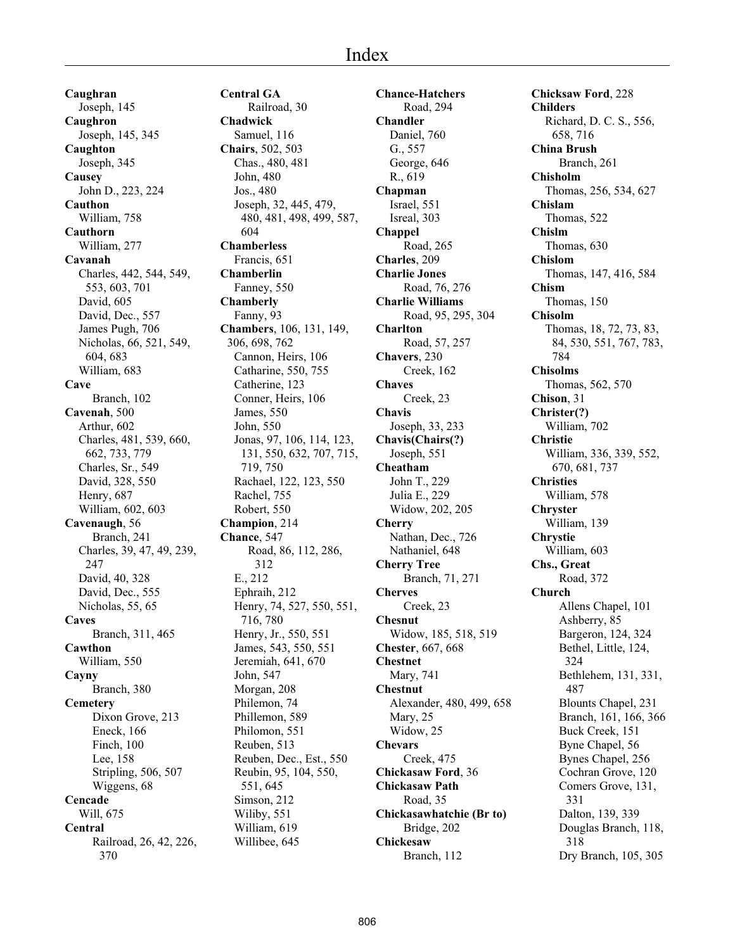**Caughran** Joseph, 145 **Caughron** Joseph, 145, 345 **Caughton** Joseph, 345 **Causey** John D., 223, 224 **Cauthon** William, 758 **Cauthorn** William, 277 **Cavanah** Charles, 442, 544, 549, 553, 603, 701 David, 605 David, Dec., 557 James Pugh, 706 Nicholas, 66, 521, 549, 604, 683 William, 683 **Cave** Branch, 102 **Cavenah**, 500 Arthur, 602 Charles, 481, 539, 660, 662, 733, 779 Charles, Sr., 549 David, 328, 550 Henry, 687 William, 602, 603 **Cavenaugh**, 56 Branch, 241 Charles, 39, 47, 49, 239, 247 David, 40, 328 David, Dec., 555 Nicholas, 55, 65 **Caves** Branch, 311, 465 **Cawthon** William, 550 **Cayny** Branch, 380 **Cemetery** Dixon Grove, 213 Eneck, 166 Finch, 100 Lee, 158 Stripling, 506, 507 Wiggens, 68 **Cencade** Will, 675 **Central** Railroad, 26, 42, 226, 370

**Central GA** Railroad, 30 **Chadwick** Samuel, 116 **Chairs**, 502, 503 Chas., 480, 481 John, 480 Jos., 480 Joseph, 32, 445, 479, 480, 481, 498, 499, 587, 604 **Chamberless** Francis, 651 **Chamberlin** Fanney, 550 **Chamberly** Fanny, 93 **Chambers**, 106, 131, 149, 306, 698, 762 Cannon, Heirs, 106 Catharine, 550, 755 Catherine, 123 Conner, Heirs, 106 James, 550 John, 550 Jonas, 97, 106, 114, 123, 131, 550, 632, 707, 715, 719, 750 Rachael, 122, 123, 550 Rachel, 755 Robert, 550 **Champion**, 214 **Chance**, 547 Road, 86, 112, 286, 312 E., 212 Ephraih, 212 Henry, 74, 527, 550, 551, 716, 780 Henry, Jr., 550, 551 James, 543, 550, 551 Jeremiah, 641, 670 John, 547 Morgan, 208 Philemon, 74 Phillemon, 589 Philomon, 551 Reuben, 513 Reuben, Dec., Est., 550 Reubin, 95, 104, 550, 551, 645 Simson, 212 Wiliby, 551 William, 619 Willibee, 645

**Chance-Hatchers** Road, 294 **Chandler** Daniel, 760 G., 557 George, 646 R., 619 **Chapman** Israel, 551 Isreal, 303 **Chappel** Road, 265 **Charles**, 209 **Charlie Jones** Road, 76, 276 **Charlie Williams** Road, 95, 295, 304 **Charlton** Road, 57, 257 **Chavers**, 230 Creek, 162 **Chaves** Creek, 23 **Chavis** Joseph, 33, 233 **Chavis(Chairs(?)** Joseph, 551 **Cheatham** John T., 229 Julia E., 229 Widow, 202, 205 **Cherry** Nathan, Dec., 726 Nathaniel, 648 **Cherry Tree** Branch, 71, 271 **Cherves** Creek, 23 **Chesnut** Widow, 185, 518, 519 **Chester**, 667, 668 **Chestnet** Mary, 741 **Chestnut** Alexander, 480, 499, 658 Mary, 25 Widow, 25 **Chevars** Creek, 475 **Chickasaw Ford**, 36 **Chickasaw Path** Road, 35 **Chickasawhatchie (Br to)** Bridge, 202 **Chickesaw** Branch, 112

**Chicksaw Ford**, 228 **Childers** Richard, D. C. S., 556, 658, 716 **China Brush** Branch, 261 **Chisholm** Thomas, 256, 534, 627 **Chislam** Thomas, 522 **Chislm** Thomas, 630 **Chislom** Thomas, 147, 416, 584 **Chism** Thomas, 150 **Chisolm** Thomas, 18, 72, 73, 83, 84, 530, 551, 767, 783, 784 **Chisolms** Thomas, 562, 570 **Chison**, 31 **Christer(?)** William, 702 **Christie** William, 336, 339, 552, 670, 681, 737 **Christies** William, 578 **Chryster** William, 139 **Chrystie** William, 603 **Chs., Great** Road, 372 **Church** Allens Chapel, 101 Ashberry, 85 Bargeron, 124, 324 Bethel, Little, 124, 324 Bethlehem, 131, 331, 487 Blounts Chapel, 231 Branch, 161, 166, 366 Buck Creek, 151 Byne Chapel, 56 Bynes Chapel, 256 Cochran Grove, 120 Comers Grove, 131, 331 Dalton, 139, 339 Douglas Branch, 118, 318 Dry Branch, 105, 305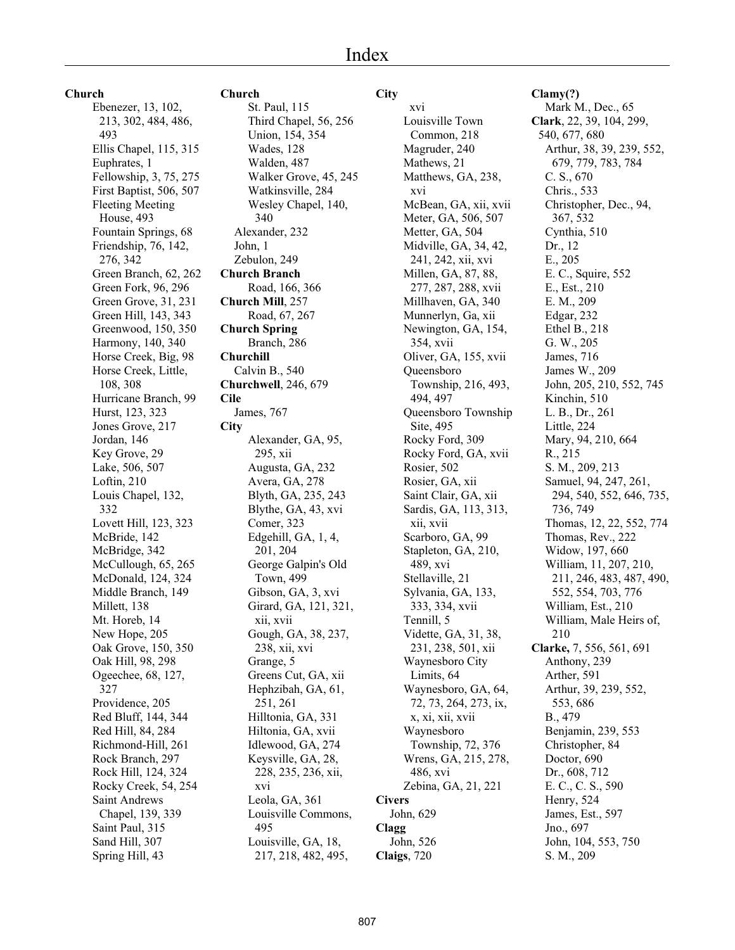#### **Church**

Ebenezer, 13, 102, 213, 302, 484, 486, 493 Ellis Chapel, 115, 315 Euphrates, 1 Fellowship, 3, 75, 275 First Baptist, 506, 507 Fleeting Meeting House, 493 Fountain Springs, 68 Friendship, 76, 142, 276, 342 Green Branch, 62, 262 Green Fork, 96, 296 Green Grove, 31, 231 Green Hill, 143, 343 Greenwood, 150, 350 Harmony, 140, 340 Horse Creek, Big, 98 Horse Creek, Little, 108, 308 Hurricane Branch, 99 Hurst, 123, 323 Jones Grove, 217 Jordan, 146 Key Grove, 29 Lake, 506, 507 Loftin, 210 Louis Chapel, 132, 332 Lovett Hill, 123, 323 McBride, 142 McBridge, 342 McCullough, 65, 265 McDonald, 124, 324 Middle Branch, 149 Millett, 138 Mt. Horeb, 14 New Hope, 205 Oak Grove, 150, 350 Oak Hill, 98, 298 Ogeechee, 68, 127, 327 Providence, 205 Red Bluff, 144, 344 Red Hill, 84, 284 Richmond-Hill, 261 Rock Branch, 297 Rock Hill, 124, 324 Rocky Creek, 54, 254 Saint Andrews Chapel, 139, 339 Saint Paul, 315 Sand Hill, 307 Spring Hill, 43

### **Church**

St. Paul, 115 Third Chapel, 56, 256 Union, 154, 354 Wades, 128 Walden, 487 Walker Grove, 45, 245 Watkinsville, 284 Wesley Chapel, 140, 340 Alexander, 232 John, 1 Zebulon, 249 **Church Branch** Road, 166, 366 **Church Mill**, 257 Road, 67, 267 **Church Spring** Branch, 286 **Churchill** Calvin B., 540 **Churchwell**, 246, 679 **Cile** James, 767 **City** Alexander, GA, 95, 295, xii Augusta, GA, 232 Avera, GA, 278 Blyth, GA, 235, 243 Blythe, GA, 43, xvi Comer, 323 Edgehill, GA, 1, 4, 201, 204 George Galpin's Old Town, 499 Gibson, GA, 3, xvi Girard, GA, 121, 321, xii, xvii Gough, GA, 38, 237, 238, xii, xvi Grange, 5 Greens Cut, GA, xii Hephzibah, GA, 61, 251, 261 Hilltonia, GA, 331 Hiltonia, GA, xvii Idlewood, GA, 274 Keysville, GA, 28, 228, 235, 236, xii, xvi Leola, GA, 361 Louisville Commons, 495 Louisville, GA, 18, 217, 218, 482, 495,

# **City**

 xvi Louisville Town Common, 218 Magruder, 240 Mathews, 21 Matthews, GA, 238, xvi McBean, GA, xii, xvii Meter, GA, 506, 507 Metter, GA, 504 Midville, GA, 34, 42, 241, 242, xii, xvi Millen, GA, 87, 88, 277, 287, 288, xvii Millhaven, GA, 340 Munnerlyn, Ga, xii Newington, GA, 154, 354, xvii Oliver, GA, 155, xvii Queensboro Township, 216, 493, 494, 497 Queensboro Township Site, 495 Rocky Ford, 309 Rocky Ford, GA, xvii Rosier, 502 Rosier, GA, xii Saint Clair, GA, xii Sardis, GA, 113, 313, xii, xvii Scarboro, GA, 99 Stapleton, GA, 210, 489, xvi Stellaville, 21 Sylvania, GA, 133, 333, 334, xvii Tennill, 5 Vidette, GA, 31, 38, 231, 238, 501, xii Waynesboro City Limits, 64 Waynesboro, GA, 64, 72, 73, 264, 273, ix, x, xi, xii, xvii Waynesboro Township, 72, 376 Wrens, GA, 215, 278, 486, xvi Zebina, GA, 21, 221 **Civers** John, 629 **Clagg** John, 526 **Claigs**, 720

**Clamy(?)** Mark M., Dec., 65 **Clark**, 22, 39, 104, 299, 540, 677, 680 Arthur, 38, 39, 239, 552, 679, 779, 783, 784 C. S., 670 Chris., 533 Christopher, Dec., 94, 367, 532 Cynthia, 510 Dr., 12 E., 205 E. C., Squire, 552 E., Est., 210 E. M., 209 Edgar, 232 Ethel B., 218 G. W., 205 James, 716 James W., 209 John, 205, 210, 552, 745 Kinchin, 510 L. B., Dr., 261 Little, 224 Mary, 94, 210, 664 R., 215 S. M., 209, 213 Samuel, 94, 247, 261, 294, 540, 552, 646, 735, 736, 749 Thomas, 12, 22, 552, 774 Thomas, Rev., 222 Widow, 197, 660 William, 11, 207, 210, 211, 246, 483, 487, 490, 552, 554, 703, 776 William, Est., 210 William, Male Heirs of, 210 **Clarke,** 7, 556, 561, 691 Anthony, 239 Arther, 591 Arthur, 39, 239, 552, 553, 686 B., 479 Benjamin, 239, 553 Christopher, 84 Doctor, 690 Dr., 608, 712 E. C., C. S., 590 Henry, 524 James, Est., 597 Jno., 697 John, 104, 553, 750 S. M., 209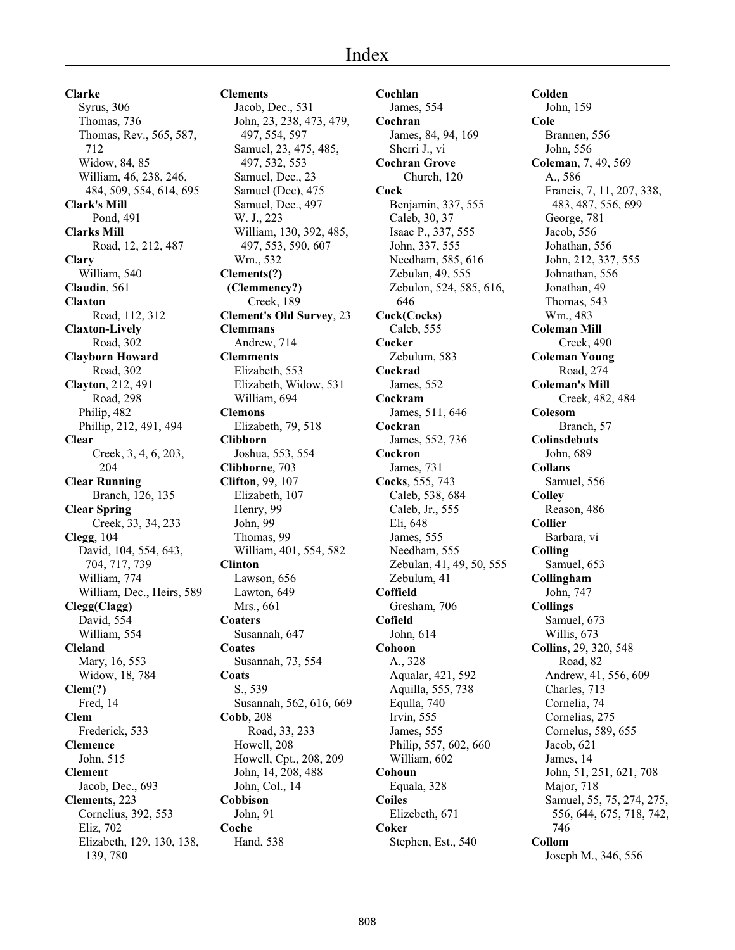**Clarke** Syrus, 306 Thomas, 736 Thomas, Rev., 565, 587, 712 Widow, 84, 85 William, 46, 238, 246, 484, 509, 554, 614, 695 **Clark's Mill** Pond, 491 **Clarks Mill** Road, 12, 212, 487 **Clary** William, 540 **Claudin**, 561 **Claxton** Road, 112, 312 **Claxton-Lively** Road, 302 **Clayborn Howard** Road, 302 **Clayton**, 212, 491 Road, 298 Philip, 482 Phillip, 212, 491, 494 **Clear** Creek, 3, 4, 6, 203, 204 **Clear Running** Branch, 126, 135 **Clear Spring** Creek, 33, 34, 233 **Clegg**, 104 David, 104, 554, 643, 704, 717, 739 William, 774 William, Dec., Heirs, 589 **Clegg(Clagg)** David, 554 William, 554 **Cleland** Mary, 16, 553 Widow, 18, 784 **Clem(?)** Fred, 14 **Clem** Frederick, 533 **Clemence** John, 515 **Clement** Jacob, Dec., 693 **Clements**, 223 Cornelius, 392, 553 Eliz, 702 Elizabeth, 129, 130, 138, 139, 780

Jacob, Dec., 531 John, 23, 238, 473, 479, 497, 554, 597 Samuel, 23, 475, 485, 497, 532, 553 Samuel, Dec., 23 Samuel (Dec), 475 Samuel, Dec., 497 W. J., 223 William, 130, 392, 485, 497, 553, 590, 607 Wm., 532 **Clements(?) (Clemmency?)** Creek, 189 **Clement's Old Survey**, 23 **Clemmans** Andrew, 714 **Clemments** Elizabeth, 553 Elizabeth, Widow, 531 William, 694 **Clemons** Elizabeth, 79, 518 **Clibborn** Joshua, 553, 554 **Clibborne**, 703 **Clifton**, 99, 107 Elizabeth, 107 Henry, 99 John, 99 Thomas, 99 William, 401, 554, 582 **Clinton** Lawson, 656 Lawton, 649 Mrs., 661 **Coaters** Susannah, 647 **Coates** Susannah, 73, 554 **Coats** S., 539 Susannah, 562, 616, 669 **Cobb**, 208 Road, 33, 233 Howell, 208 Howell, Cpt., 208, 209 John, 14, 208, 488 John, Col., 14 **Cobbison** John, 91 **Coche** Hand, 538

**Clements**

**Cochlan** James, 554 **Cochran** James, 84, 94, 169 Sherri J., vi **Cochran Grove** Church, 120 **Cock** Benjamin, 337, 555 Caleb, 30, 37 Isaac P., 337, 555 John, 337, 555 Needham, 585, 616 Zebulan, 49, 555 Zebulon, 524, 585, 616, 646 **Cock(Cocks)** Caleb, 555 **Cocker** Zebulum, 583 **Cockrad** James, 552 **Cockram** James, 511, 646 **Cockran** James, 552, 736 **Cockron** James, 731 **Cocks**, 555, 743 Caleb, 538, 684 Caleb, Jr., 555 Eli, 648 James, 555 Needham, 555 Zebulan, 41, 49, 50, 555 Zebulum, 41 **Coffield** Gresham, 706 **Cofield** John, 614 **Cohoon** A., 328 Aqualar, 421, 592 Aquilla, 555, 738 Equlla, 740 Irvin, 555 James, 555 Philip, 557, 602, 660 William, 602 **Cohoun** Equala, 328 **Coiles** Elizebeth, 671 **Coker** Stephen, Est., 540

**Colden** John, 159 **Cole** Brannen, 556 John, 556 **Coleman**, 7, 49, 569 A., 586 Francis, 7, 11, 207, 338, 483, 487, 556, 699 George, 781 Jacob, 556 Johathan, 556 John, 212, 337, 555 Johnathan, 556 Jonathan, 49 Thomas, 543 Wm., 483 **Coleman Mill** Creek, 490 **Coleman Young** Road, 274 **Coleman's Mill** Creek, 482, 484 **Colesom** Branch, 57 **Colinsdebuts** John, 689 **Collans** Samuel, 556 **Colley** Reason, 486 **Collier** Barbara, vi **Colling** Samuel, 653 **Collingham** John, 747 **Collings** Samuel, 673 Willis, 673 **Collins**, 29, 320, 548 Road, 82 Andrew, 41, 556, 609 Charles, 713 Cornelia, 74 Cornelias, 275 Cornelus, 589, 655 Jacob, 621 James, 14 John, 51, 251, 621, 708 Major, 718 Samuel, 55, 75, 274, 275, 556, 644, 675, 718, 742, 746 **Collom**

Joseph M., 346, 556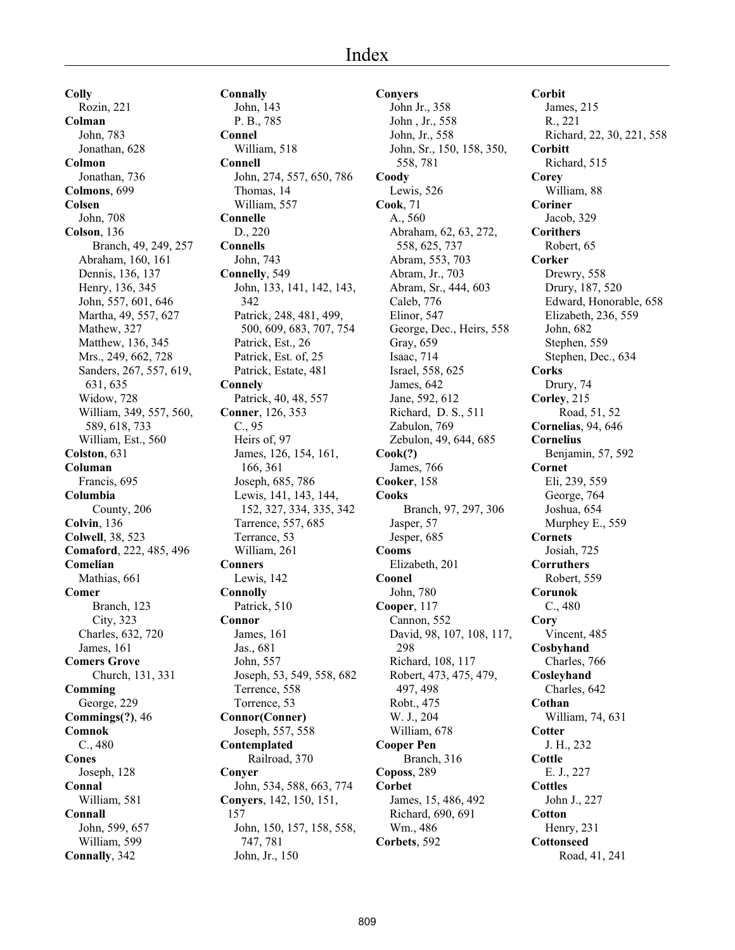**Colly** Rozin, 221 **Colman** John, 783 Jonathan, 628 **Colmon** Jonathan, 736 **Colmons**, 699 **Colsen** John, 708 **Colson**, 136 Branch, 49, 249, 257 Abraham, 160, 161 Dennis, 136, 137 Henry, 136, 345 John, 557, 601, 646 Martha, 49, 557, 627 Mathew, 327 Matthew, 136, 345 Mrs., 249, 662, 728 Sanders, 267, 557, 619, 631, 635 Widow, 728 William, 349, 557, 560, 589, 618, 733 William, Est., 560 **Colston**, 631 **Columan** Francis, 695 **Columbia** County, 206 **Colvin**, 136 **Colwell**, 38, 523 **Comaford**, 222, 485, 496 **Comelian** Mathias, 661 **Comer** Branch, 123 City, 323 Charles, 632, 720 James, 161 **Comers Grove** Church, 131, 331 **Comming** George, 229 **Commings(?)**, 46 **Comnok** C., 480 **Cones** Joseph, 128 **Connal** William, 581 **Connall** John, 599, 657 William, 599 **Connally**, 342

**Connally** John, 143 P. B., 785 **Connel** William, 518 **Connell** John, 274, 557, 650, 786 Thomas, 14 William, 557 **Connelle** D., 220 **Connells** John, 743 **Connelly**, 549 John, 133, 141, 142, 143, 342 Patrick, 248, 481, 499, 500, 609, 683, 707, 754 Patrick, Est., 26 Patrick, Est. of, 25 Patrick, Estate, 481 **Connely** Patrick, 40, 48, 557 **Conner**, 126, 353 C., 95 Heirs of, 97 James, 126, 154, 161, 166, 361 Joseph, 685, 786 Lewis, 141, 143, 144, 152, 327, 334, 335, 342 Tarrence, 557, 685 Terrance, 53 William, 261 **Conners** Lewis, 142 **Connolly** Patrick, 510 **Connor** James, 161 Jas., 681 John, 557 Joseph, 53, 549, 558, 682 Terrence, 558 Torrence, 53 **Connor(Conner)** Joseph, 557, 558 **Contemplated** Railroad, 370 **Conyer** John, 534, 588, 663, 774 **Conyers**, 142, 150, 151, 157 John, 150, 157, 158, 558, 747, 781 John, Jr., 150

**Conyers** John Jr., 358 John , Jr., 558 John, Jr., 558 John, Sr., 150, 158, 350, 558, 781 **Coody** Lewis, 526 **Cook**, 71 A., 560 Abraham, 62, 63, 272, 558, 625, 737 Abram, 553, 703 Abram, Jr., 703 Abram, Sr., 444, 603 Caleb, 776 Elinor, 547 George, Dec., Heirs, 558 Gray, 659 Isaac, 714 Israel, 558, 625 James, 642 Jane, 592, 612 Richard, D. S., 511 Zabulon, 769 Zebulon, 49, 644, 685 **Cook(?)** James, 766 **Cooker**, 158 **Cooks** Branch, 97, 297, 306 Jasper, 57 Jesper, 685 **Cooms** Elizabeth, 201 **Coonel** John, 780 **Cooper**, 117 Cannon, 552 David, 98, 107, 108, 117, 298 Richard, 108, 117 Robert, 473, 475, 479, 497, 498 Robt., 475 W. J., 204 William, 678 **Cooper Pen** Branch, 316 **Coposs**, 289 **Corbet** James, 15, 486, 492 Richard, 690, 691 Wm., 486 **Corbets**, 592

**Corbit** James, 215 R., 221 Richard, 22, 30, 221, 558 **Corbitt** Richard, 515 **Corey** William, 88 **Coriner** Jacob, 329 **Corithers** Robert, 65 **Corker** Drewry, 558 Drury, 187, 520 Edward, Honorable, 658 Elizabeth, 236, 559 John, 682 Stephen, 559 Stephen, Dec., 634 **Corks** Drury, 74 **Corley**, 215 Road, 51, 52 **Cornelias**, 94, 646 **Cornelius** Benjamin, 57, 592 **Cornet** Eli, 239, 559 George, 764 Joshua, 654 Murphey E., 559 **Cornets** Josiah, 725 **Corruthers** Robert, 559 **Corunok** C., 480 **Cory** Vincent, 485 **Cosbyhand** Charles, 766 **Cosleyhand** Charles, 642 **Cothan** William, 74, 631 **Cotter** J. H., 232 **Cottle** E. J., 227 **Cottles** John J., 227 **Cotton** Henry, 231 **Cottonseed** Road, 41, 241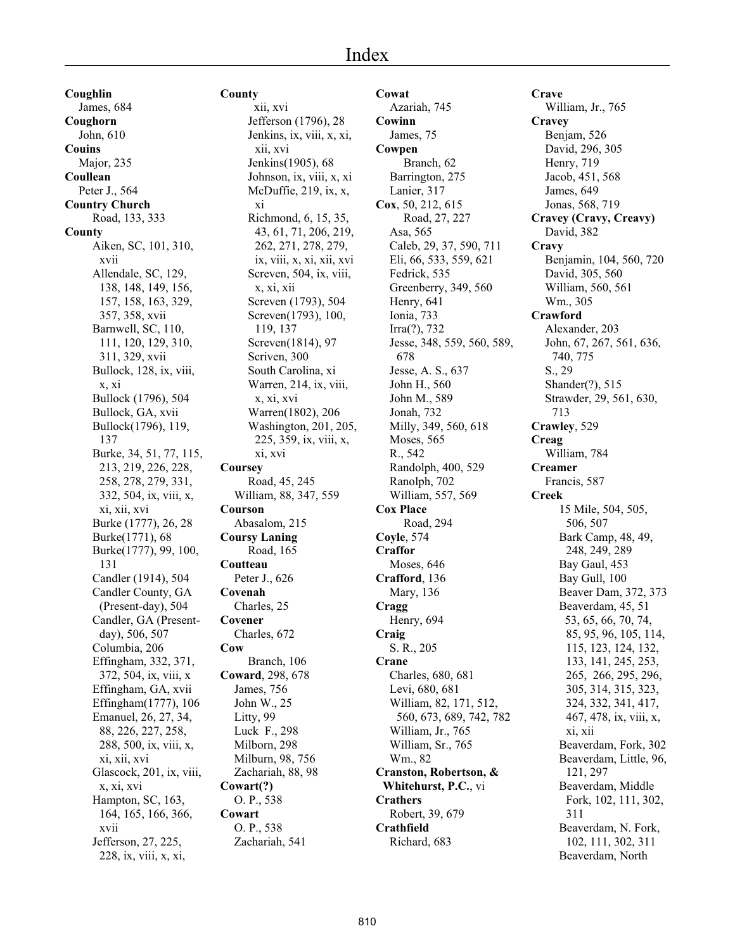**Coughlin** James, 684 **Coughorn** John, 610 **Couins** Major, 235 **Coullean** Peter J., 564 **Country Church** Road, 133, 333 **County** Aiken, SC, 101, 310, xvii Allendale, SC, 129, 138, 148, 149, 156, 157, 158, 163, 329, 357, 358, xvii Barnwell, SC, 110, 111, 120, 129, 310, 311, 329, xvii Bullock, 128, ix, viii, x, xi Bullock (1796), 504 Bullock, GA, xvii Bullock(1796), 119, 137 Burke, 34, 51, 77, 115, 213, 219, 226, 228, 258, 278, 279, 331, 332, 504, ix, viii, x, xi, xii, xvi Burke (1777), 26, 28 Burke(1771), 68 Burke(1777), 99, 100, 131 Candler (1914), 504 Candler County, GA (Present-day), 504 Candler, GA (Presentday), 506, 507 Columbia, 206 Effingham, 332, 371, 372, 504, ix, viii, x Effingham, GA, xvii Effingham(1777), 106 Emanuel, 26, 27, 34, 88, 226, 227, 258, 288, 500, ix, viii, x, xi, xii, xvi Glascock, 201, ix, viii, x, xi, xvi Hampton, SC, 163, 164, 165, 166, 366, xvii Jefferson, 27, 225, 228, ix, viii, x, xi,

**County** xii, xvi Jefferson (1796), 28 Jenkins, ix, viii, x, xi, xii, xvi Jenkins(1905), 68 Johnson, ix, viii, x, xi McDuffie, 219, ix, x, xi Richmond, 6, 15, 35, 43, 61, 71, 206, 219, 262, 271, 278, 279, ix, viii, x, xi, xii, xvi Screven, 504, ix, viii, x, xi, xii Screven (1793), 504 Screven(1793), 100, 119, 137 Screven(1814), 97 Scriven, 300 South Carolina, xi Warren, 214, ix, viii, x, xi, xvi Warren(1802), 206 Washington, 201, 205, 225, 359, ix, viii, x, xi, xvi **Coursey** Road, 45, 245 William, 88, 347, 559 **Courson** Abasalom, 215 **Coursy Laning** Road, 165 **Coutteau** Peter J., 626 **Covenah** Charles, 25 **Covener** Charles, 672 **Cow** Branch, 106 **Coward**, 298, 678 James, 756 John W., 25 Litty, 99 Luck F., 298 Milborn, 298 Milburn, 98, 756 Zachariah, 88, 98 **Cowart(?)** O. P., 538 **Cowart** O. P., 538 Zachariah, 541

**Cowat** Azariah, 745 **Cowinn** James, 75 **Cowpen** Branch, 62 Barrington, 275 Lanier, 317 **Cox**, 50, 212, 615 Road, 27, 227 Asa, 565 Caleb, 29, 37, 590, 711 Eli, 66, 533, 559, 621 Fedrick, 535 Greenberry, 349, 560 Henry, 641 Ionia, 733 Irra(?), 732 Jesse, 348, 559, 560, 589, 678 Jesse, A. S., 637 John H., 560 John M., 589 Jonah, 732 Milly, 349, 560, 618 Moses, 565 R., 542 Randolph, 400, 529 Ranolph, 702 William, 557, 569 **Cox Place** Road, 294 **Coyle**, 574 **Craffor** Moses, 646 **Crafford**, 136 Mary, 136 **Cragg** Henry, 694 **Craig** S. R., 205 **Crane** Charles, 680, 681 Levi, 680, 681 William, 82, 171, 512, 560, 673, 689, 742, 782 William, Jr., 765 William, Sr., 765 Wm., 82 **Cranston, Robertson, & Whitehurst, P.C.**, vi **Crathers** Robert, 39, 679 **Crathfield** Richard, 683

**Crave** William, Jr., 765 **Cravey** Benjam, 526 David, 296, 305 Henry, 719 Jacob, 451, 568 James, 649 Jonas, 568, 719 **Cravey (Cravy, Creavy)** David, 382 **Cravy** Benjamin, 104, 560, 720 David, 305, 560 William, 560, 561 Wm., 305 **Crawford** Alexander, 203 John, 67, 267, 561, 636, 740, 775 S., 29 Shander(?), 515 Strawder, 29, 561, 630, 713 **Crawley**, 529 **Creag** William, 784 **Creamer** Francis, 587 **Creek** 15 Mile, 504, 505, 506, 507 Bark Camp, 48, 49, 248, 249, 289 Bay Gaul, 453 Bay Gull, 100 Beaver Dam, 372, 373 Beaverdam, 45, 51 53, 65, 66, 70, 74, 85, 95, 96, 105, 114, 115, 123, 124, 132, 133, 141, 245, 253, 265, 266, 295, 296, 305, 314, 315, 323, 324, 332, 341, 417, 467, 478, ix, viii, x, xi, xii Beaverdam, Fork, 302 Beaverdam, Little, 96, 121, 297 Beaverdam, Middle Fork, 102, 111, 302, 311 Beaverdam, N. Fork, 102, 111, 302, 311 Beaverdam, North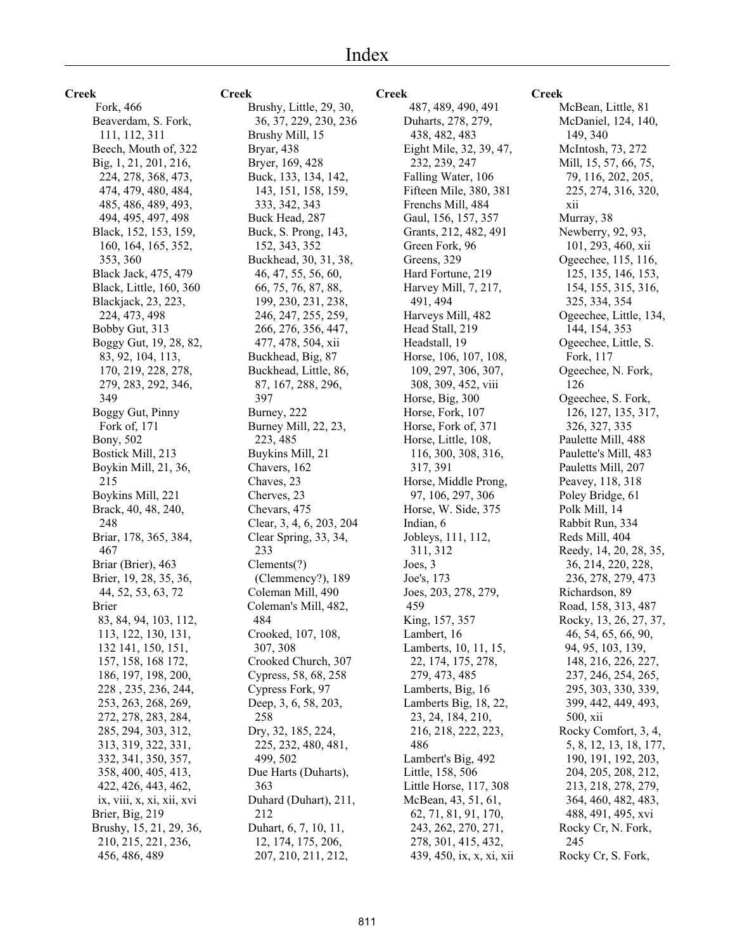**Creek**

 Fork, 466 Beaverdam, S. Fork, 111, 112, 311 Beech, Mouth of, 322 Big, 1, 21, 201, 216, 224, 278, 368, 473, 474, 479, 480, 484, 485, 486, 489, 493, 494, 495, 497, 498 Black, 152, 153, 159, 160, 164, 165, 352, 353, 360 Black Jack, 475, 479 Black, Little, 160, 360 Blackjack, 23, 223, 224, 473, 498 Bobby Gut, 313 Boggy Gut, 19, 28, 82, 83, 92, 104, 113, 170, 219, 228, 278, 279, 283, 292, 346, 349 Boggy Gut, Pinny Fork of, 171 Bony, 502 Bostick Mill, 213 Boykin Mill, 21, 36, 215 Boykins Mill, 221 Brack, 40, 48, 240, 248 Briar, 178, 365, 384, 467 Briar (Brier), 463 Brier, 19, 28, 35, 36, 44, 52, 53, 63, 72 Brier 83, 84, 94, 103, 112, 113, 122, 130, 131, 132 141, 150, 151, 157, 158, 168 172, 186, 197, 198, 200, 228 , 235, 236, 244, 253, 263, 268, 269, 272, 278, 283, 284, 285, 294, 303, 312, 313, 319, 322, 331, 332, 341, 350, 357, 358, 400, 405, 413, 422, 426, 443, 462, ix, viii, x, xi, xii, xvi Brier, Big, 219 Brushy, 15, 21, 29, 36, 210, 215, 221, 236, 456, 486, 489

#### **Creek**

Brushy, Little, 29, 30, 36, 37, 229, 230, 236 Brushy Mill, 15 Bryar, 438 Bryer, 169, 428 Buck, 133, 134, 142, 143, 151, 158, 159, 333, 342, 343 Buck Head, 287 Buck, S. Prong, 143, 152, 343, 352 Buckhead, 30, 31, 38, 46, 47, 55, 56, 60, 66, 75, 76, 87, 88, 199, 230, 231, 238, 246, 247, 255, 259, 266, 276, 356, 447, 477, 478, 504, xii Buckhead, Big, 87 Buckhead, Little, 86, 87, 167, 288, 296, 397 Burney, 222 Burney Mill, 22, 23, 223, 485 Buykins Mill, 21 Chavers, 162 Chaves, 23 Cherves, 23 Chevars, 475 Clear, 3, 4, 6, 203, 204 Clear Spring, 33, 34, 233 Clements(?) (Clemmency?), 189 Coleman Mill, 490 Coleman's Mill, 482, 484 Crooked, 107, 108, 307, 308 Crooked Church, 307 Cypress, 58, 68, 258 Cypress Fork, 97 Deep, 3, 6, 58, 203, 258 Dry, 32, 185, 224, 225, 232, 480, 481, 499, 502 Due Harts (Duharts), 363 Duhard (Duhart), 211, 212 Duhart, 6, 7, 10, 11, 12, 174, 175, 206, 207, 210, 211, 212,

## **Creek**

 487, 489, 490, 491 Duharts, 278, 279, 438, 482, 483 Eight Mile, 32, 39, 47, 232, 239, 247 Falling Water, 106 Fifteen Mile, 380, 381 Frenchs Mill, 484 Gaul, 156, 157, 357 Grants, 212, 482, 491 Green Fork, 96 Greens, 329 Hard Fortune, 219 Harvey Mill, 7, 217, 491, 494 Harveys Mill, 482 Head Stall, 219 Headstall, 19 Horse, 106, 107, 108, 109, 297, 306, 307, 308, 309, 452, viii Horse, Big, 300 Horse, Fork, 107 Horse, Fork of, 371 Horse, Little, 108, 116, 300, 308, 316, 317, 391 Horse, Middle Prong, 97, 106, 297, 306 Horse, W. Side, 375 Indian, 6 Jobleys, 111, 112, 311, 312 Joes, 3 Joe's, 173 Joes, 203, 278, 279, 459 King, 157, 357 Lambert, 16 Lamberts, 10, 11, 15, 22, 174, 175, 278, 279, 473, 485 Lamberts, Big, 16 Lamberts Big, 18, 22, 23, 24, 184, 210, 216, 218, 222, 223, 486 Lambert's Big, 492 Little, 158, 506 Little Horse, 117, 308 McBean, 43, 51, 61, 62, 71, 81, 91, 170, 243, 262, 270, 271, 278, 301, 415, 432, 439, 450, ix, x, xi, xii

## **Creek**

McBean, Little, 81 McDaniel, 124, 140, 149, 340 McIntosh, 73, 272 Mill, 15, 57, 66, 75, 79, 116, 202, 205, 225, 274, 316, 320, xii Murray, 38 Newberry, 92, 93, 101, 293, 460, xii Ogeechee, 115, 116, 125, 135, 146, 153, 154, 155, 315, 316, 325, 334, 354 Ogeechee, Little, 134, 144, 154, 353 Ogeechee, Little, S. Fork, 117 Ogeechee, N. Fork, 126 Ogeechee, S. Fork, 126, 127, 135, 317, 326, 327, 335 Paulette Mill, 488 Paulette's Mill, 483 Pauletts Mill, 207 Peavey, 118, 318 Poley Bridge, 61 Polk Mill, 14 Rabbit Run, 334 Reds Mill, 404 Reedy, 14, 20, 28, 35, 36, 214, 220, 228, 236, 278, 279, 473 Richardson, 89 Road, 158, 313, 487 Rocky, 13, 26, 27, 37, 46, 54, 65, 66, 90, 94, 95, 103, 139, 148, 216, 226, 227, 237, 246, 254, 265, 295, 303, 330, 339, 399, 442, 449, 493, 500, xii Rocky Comfort, 3, 4, 5, 8, 12, 13, 18, 177, 190, 191, 192, 203, 204, 205, 208, 212, 213, 218, 278, 279, 364, 460, 482, 483, 488, 491, 495, xvi Rocky Cr, N. Fork, 245 Rocky Cr, S. Fork,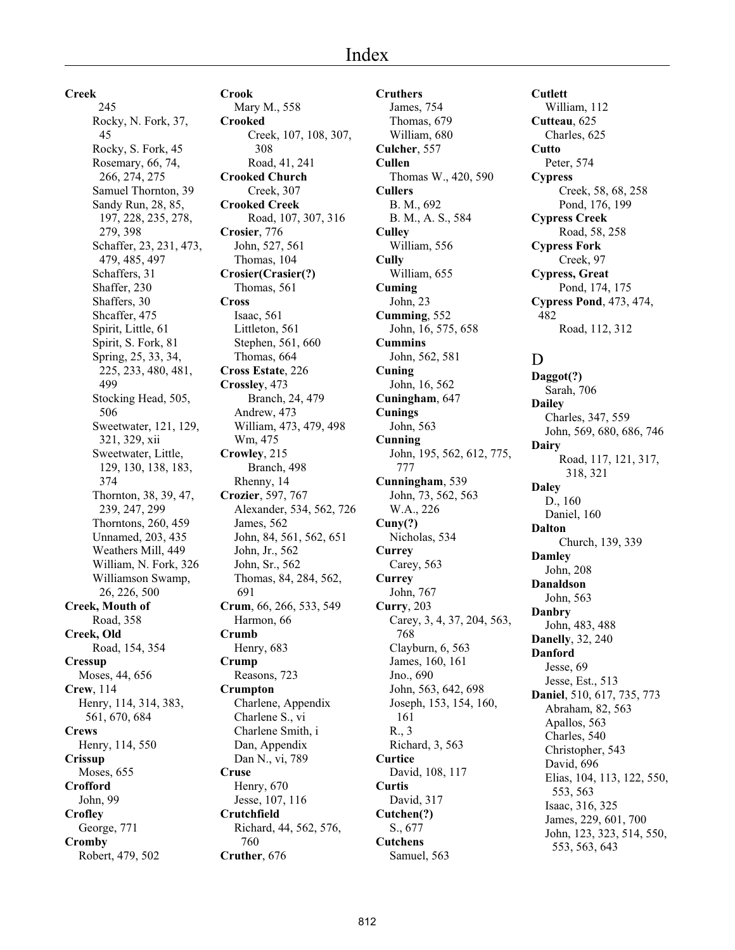**Creek**

 245 Rocky, N. Fork, 37, 45 Rocky, S. Fork, 45 Rosemary, 66, 74, 266, 274, 275 Samuel Thornton, 39 Sandy Run, 28, 85, 197, 228, 235, 278, 279, 398 Schaffer, 23, 231, 473, 479, 485, 497 Schaffers, 31 Shaffer, 230 Shaffers, 30 Shcaffer, 475 Spirit, Little, 61 Spirit, S. Fork, 81 Spring, 25, 33, 34, 225, 233, 480, 481, 499 Stocking Head, 505, 506 Sweetwater, 121, 129, 321, 329, xii Sweetwater, Little, 129, 130, 138, 183, 374 Thornton, 38, 39, 47, 239, 247, 299 Thorntons, 260, 459 Unnamed, 203, 435 Weathers Mill, 449 William, N. Fork, 326 Williamson Swamp, 26, 226, 500 **Creek, Mouth of** Road, 358 **Creek, Old** Road, 154, 354 **Cressup** Moses, 44, 656 **Crew**, 114 Henry, 114, 314, 383, 561, 670, 684 **Crews** Henry, 114, 550 **Crissup** Moses, 655 **Crofford** John, 99 **Crofley** George, 771 **Cromby** Robert, 479, 502

**Crook** Mary M., 558 **Crooked** Creek, 107, 108, 307, 308 Road, 41, 241 **Crooked Church** Creek, 307 **Crooked Creek** Road, 107, 307, 316 **Crosier**, 776 John, 527, 561 Thomas, 104 **Crosier(Crasier(?)** Thomas, 561 **Cross** Isaac, 561 Littleton, 561 Stephen, 561, 660 Thomas, 664 **Cross Estate**, 226 **Crossley**, 473 Branch, 24, 479 Andrew, 473 William, 473, 479, 498 Wm, 475 **Crowley**, 215 Branch, 498 Rhenny, 14 **Crozier**, 597, 767 Alexander, 534, 562, 726 James, 562 John, 84, 561, 562, 651 John, Jr., 562 John, Sr., 562 Thomas, 84, 284, 562, 691 **Crum**, 66, 266, 533, 549 Harmon, 66 **Crumb** Henry, 683 **Crump** Reasons, 723 **Crumpton** Charlene, Appendix Charlene S., vi Charlene Smith, i Dan, Appendix Dan N., vi, 789 **Cruse** Henry, 670 Jesse, 107, 116 **Crutchfield** Richard, 44, 562, 576, 760 **Cruther**, 676

**Cruthers** James, 754 Thomas, 679 William, 680 **Culcher**, 557 **Cullen** Thomas W., 420, 590 **Cullers** B. M., 692 B. M., A. S., 584 **Culley** William, 556 **Cully** William, 655 **Cuming** John, 23 **Cumming**, 552 John, 16, 575, 658 **Cummins** John, 562, 581 **Cuning** John, 16, 562 **Cuningham**, 647 **Cunings** John, 563 **Cunning** John, 195, 562, 612, 775, 777 **Cunningham**, 539 John, 73, 562, 563 W.A., 226 **Cuny(?)** Nicholas, 534 **Currey** Carey, 563 **Currey** John, 767 **Curry**, 203 Carey, 3, 4, 37, 204, 563, 768 Clayburn, 6, 563 James, 160, 161 Jno., 690 John, 563, 642, 698 Joseph, 153, 154, 160, 161 R., 3 Richard, 3, 563 **Curtice** David, 108, 117 **Curtis** David, 317 **Cutchen(?)** S., 677 **Cutchens** Samuel, 563

**Cutlett** William, 112 **Cutteau**, 625 Charles, 625 **Cutto** Peter, 574 **Cypress** Creek, 58, 68, 258 Pond, 176, 199 **Cypress Creek** Road, 58, 258 **Cypress Fork** Creek, 97 **Cypress, Great** Pond, 174, 175 **Cypress Pond**, 473, 474, 482 Road, 112, 312

# D

**Daggot(?)** Sarah, 706 **Dailey** Charles, 347, 559 John, 569, 680, 686, 746 **Dairy** Road, 117, 121, 317, 318, 321 **Daley** D., 160 Daniel, 160 **Dalton** Church, 139, 339 **Damley** John, 208 **Danaldson** John, 563 **Danbry** John, 483, 488 **Danelly**, 32, 240 **Danford** Jesse, 69 Jesse, Est., 513 **Daniel**, 510, 617, 735, 773 Abraham, 82, 563 Apallos, 563 Charles, 540 Christopher, 543 David, 696 Elias, 104, 113, 122, 550, 553, 563 Isaac, 316, 325 James, 229, 601, 700 John, 123, 323, 514, 550, 553, 563, 643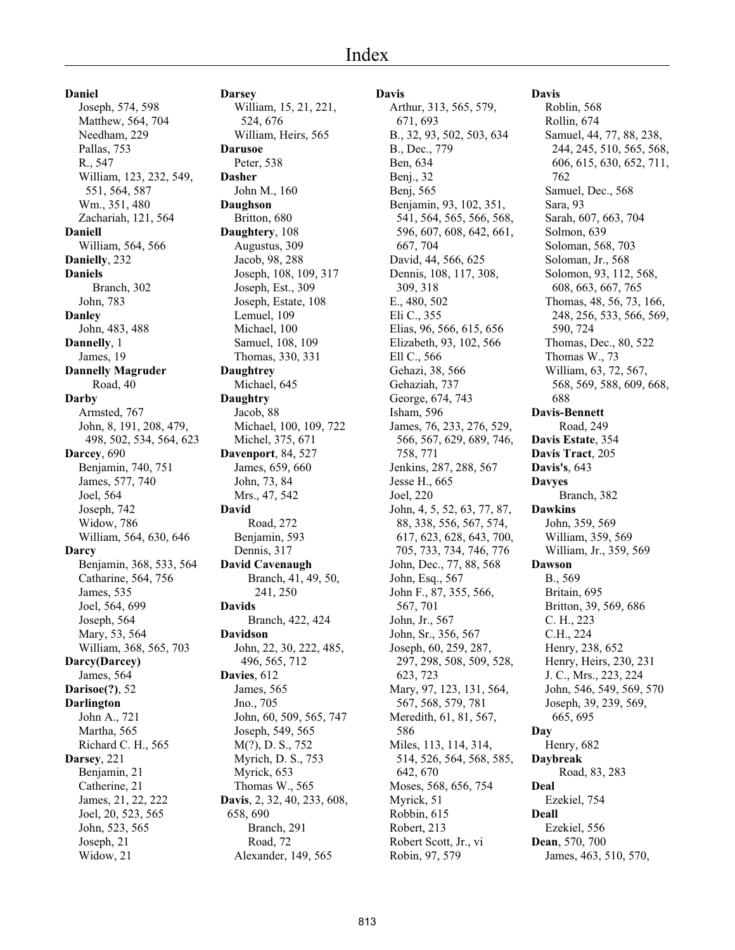**Daniel** Joseph, 574, 598 Matthew, 564, 704 Needham, 229 Pallas, 753 R., 547 William, 123, 232, 549, 551, 564, 587 Wm., 351, 480 Zachariah, 121, 564 **Daniell** William, 564, 566 **Danielly**, 232 **Daniels** Branch, 302 John, 783 **Danley** John, 483, 488 **Dannelly**, 1 James, 19 **Dannelly Magruder** Road, 40 **Darby** Armsted, 767 John, 8, 191, 208, 479, 498, 502, 534, 564, 623 **Darcey**, 690 Benjamin, 740, 751 James, 577, 740 Joel, 564 Joseph, 742 Widow, 786 William, 564, 630, 646 **Darcy** Benjamin, 368, 533, 564 Catharine, 564, 756 James, 535 Joel, 564, 699 Joseph, 564 Mary, 53, 564 William, 368, 565, 703 **Darcy(Darcey)** James, 564 **Darisoe(?)**, 52 **Darlington** John A., 721 Martha, 565 Richard C. H., 565 **Darsey**, 221 Benjamin, 21 Catherine, 21 James, 21, 22, 222 Joel, 20, 523, 565 John, 523, 565 Joseph, 21 Widow, 21

**Darsey** William, 15, 21, 221, 524, 676 William, Heirs, 565 **Darusoe** Peter, 538 **Dasher** John M., 160 **Daughson** Britton, 680 **Daughtery**, 108 Augustus, 309 Jacob, 98, 288 Joseph, 108, 109, 317 Joseph, Est., 309 Joseph, Estate, 108 Lemuel, 109 Michael, 100 Samuel, 108, 109 Thomas, 330, 331 **Daughtrey** Michael, 645 **Daughtry** Jacob, 88 Michael, 100, 109, 722 Michel, 375, 671 **Davenport**, 84, 527 James, 659, 660 John, 73, 84 Mrs., 47, 542 **David** Road, 272 Benjamin, 593 Dennis, 317 **David Cavenaugh** Branch, 41, 49, 50, 241, 250 **Davids** Branch, 422, 424 **Davidson** John, 22, 30, 222, 485, 496, 565, 712 **Davies**, 612 James, 565 Jno., 705 John, 60, 509, 565, 747 Joseph, 549, 565 M(?), D. S., 752 Myrich, D. S., 753 Myrick, 653 Thomas W., 565 **Davis**, 2, 32, 40, 233, 608, 658, 690 Branch, 291 Road, 72 Alexander, 149, 565

#### **Davis**

Arthur, 313, 565, 579, 671, 693 B., 32, 93, 502, 503, 634 B., Dec., 779 Ben, 634 Benj., 32 Benj, 565 Benjamin, 93, 102, 351, 541, 564, 565, 566, 568, 596, 607, 608, 642, 661, 667, 704 David, 44, 566, 625 Dennis, 108, 117, 308, 309, 318 E., 480, 502 Eli C., 355 Elias, 96, 566, 615, 656 Elizabeth, 93, 102, 566 Ell C., 566 Gehazi, 38, 566 Gehaziah, 737 George, 674, 743 Isham, 596 James, 76, 233, 276, 529, 566, 567, 629, 689, 746, 758, 771 Jenkins, 287, 288, 567 Jesse H., 665 Joel, 220 John, 4, 5, 52, 63, 77, 87, 88, 338, 556, 567, 574, 617, 623, 628, 643, 700, 705, 733, 734, 746, 776 John, Dec., 77, 88, 568 John, Esq., 567 John F., 87, 355, 566, 567, 701 John, Jr., 567 John, Sr., 356, 567 Joseph, 60, 259, 287, 297, 298, 508, 509, 528, 623, 723 Mary, 97, 123, 131, 564, 567, 568, 579, 781 Meredith, 61, 81, 567, 586 Miles, 113, 114, 314, 514, 526, 564, 568, 585, 642, 670 Moses, 568, 656, 754 Myrick, 51 Robbin, 615 Robert, 213 Robert Scott, Jr., vi Robin, 97, 579

**Davis** Roblin, 568 Rollin, 674 Samuel, 44, 77, 88, 238, 244, 245, 510, 565, 568, 606, 615, 630, 652, 711, 762 Samuel, Dec., 568 Sara, 93 Sarah, 607, 663, 704 Solmon, 639 Soloman, 568, 703 Soloman, Jr., 568 Solomon, 93, 112, 568, 608, 663, 667, 765 Thomas, 48, 56, 73, 166, 248, 256, 533, 566, 569, 590, 724 Thomas, Dec., 80, 522 Thomas W., 73 William, 63, 72, 567, 568, 569, 588, 609, 668, 688 **Davis-Bennett** Road, 249 **Davis Estate**, 354 **Davis Tract**, 205 **Davis's**, 643 **Davyes** Branch, 382 **Dawkins** John, 359, 569 William, 359, 569 William, Jr., 359, 569 **Dawson** B., 569 Britain, 695 Britton, 39, 569, 686 C. H., 223 C.H., 224 Henry, 238, 652 Henry, Heirs, 230, 231 J. C., Mrs., 223, 224 John, 546, 549, 569, 570 Joseph, 39, 239, 569, 665, 695 **Day** Henry, 682 **Daybreak** Road, 83, 283 **Deal** Ezekiel, 754 **Deall** Ezekiel, 556

**Dean**, 570, 700

James, 463, 510, 570,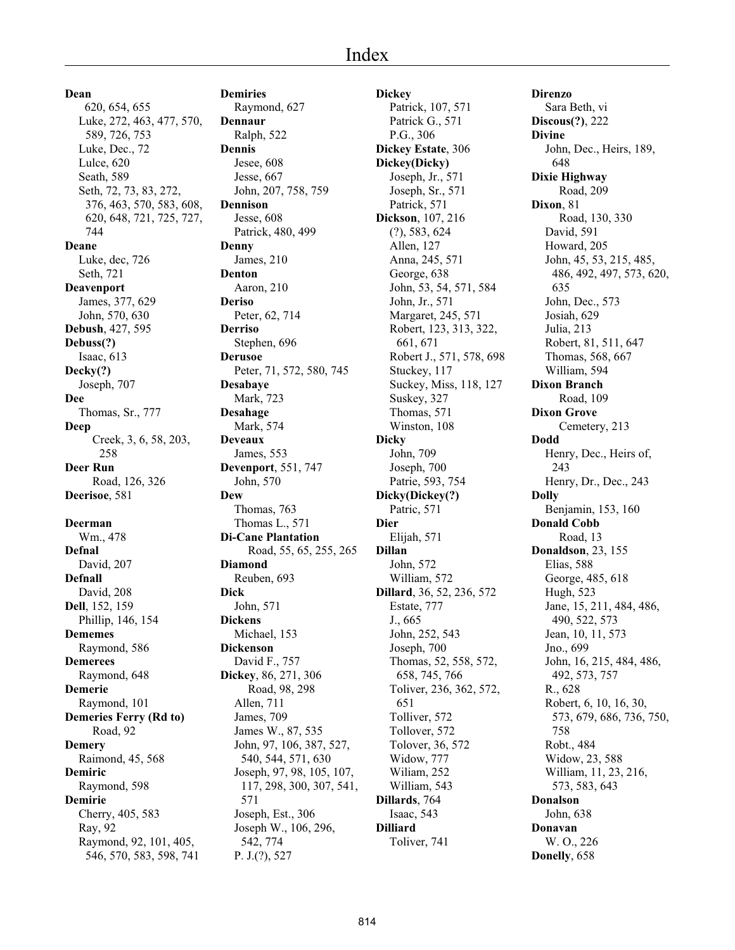620, 654, 655 Luke, 272, 463, 477, 570, 589, 726, 753 Luke, Dec., 72 Lulce, 620 Seath, 589 Seth, 72, 73, 83, 272, 376, 463, 570, 583, 608, 620, 648, 721, 725, 727, 744 **Deane** Luke, dec, 726 Seth, 721 **Deavenport** James, 377, 629 John, 570, 630 **Debush**, 427, 595 **Debuss(?)** Isaac, 613 **Decky(?)** Joseph, 707 **Dee** Thomas, Sr., 777 **Deep** Creek, 3, 6, 58, 203, 258 **Deer Run** Road, 126, 326 **Deerisoe**, 581 **Deerman** Wm., 478 **Defnal** David, 207 **Defnall** David, 208 **Dell**, 152, 159 Phillip, 146, 154 **Dememes** Raymond, 586 **Demerees** Raymond, 648 **Demerie** Raymond, 101 **Demeries Ferry (Rd to)** Road, 92 **Demery** Raimond, 45, 568 **Demiric** Raymond, 598 **Demirie** Cherry, 405, 583 Ray, 92

> Raymond, 92, 101, 405, 546, 570, 583, 598, 741

**Dean**

**Demiries** Raymond, 627 **Dennaur** Ralph, 522 **Dennis** Jesee, 608 Jesse, 667 John, 207, 758, 759 **Dennison** Jesse, 608 Patrick, 480, 499 **Denny** James, 210 **Denton** Aaron, 210 **Deriso** Peter, 62, 714 **Derriso** Stephen, 696 **Derusoe** Peter, 71, 572, 580, 745 **Desabaye** Mark, 723 **Desahage** Mark, 574 **Deveaux** James, 553 **Devenport**, 551, 747 John, 570 **Dew** Thomas, 763 Thomas L., 571 **Di-Cane Plantation** Road, 55, 65, 255, 265 **Diamond** Reuben, 693 **Dick** John, 571 **Dickens** Michael, 153 **Dickenson** David F., 757 **Dickey**, 86, 271, 306 Road, 98, 298 Allen, 711 James, 709 James W., 87, 535 John, 97, 106, 387, 527, 540, 544, 571, 630 Joseph, 97, 98, 105, 107, 117, 298, 300, 307, 541, 571 Joseph, Est., 306 Joseph W., 106, 296, 542, 774 P. J.(?), 527

**Dickey** Patrick, 107, 571 Patrick G., 571 P.G., 306 **Dickey Estate**, 306 **Dickey(Dicky)** Joseph, Jr., 571 Joseph, Sr., 571 Patrick, 571 **Dickson**, 107, 216 (?), 583, 624 Allen, 127 Anna, 245, 571 George, 638 John, 53, 54, 571, 584 John, Jr., 571 Margaret, 245, 571 Robert, 123, 313, 322, 661, 671 Robert J., 571, 578, 698 Stuckey, 117 Suckey, Miss, 118, 127 Suskey, 327 Thomas, 571 Winston, 108 **Dicky** John, 709 Joseph, 700 Patrie, 593, 754 **Dicky(Dickey(?)** Patric, 571 **Dier** Elijah, 571 **Dillan** John, 572 William, 572 **Dillard**, 36, 52, 236, 572 Estate, 777 J., 665 John, 252, 543 Joseph, 700 Thomas, 52, 558, 572, 658, 745, 766 Toliver, 236, 362, 572, 651 Tolliver, 572 Tollover, 572 Tolover, 36, 572 Widow, 777 Wiliam, 252 William, 543 **Dillards**, 764 Isaac, 543 **Dilliard** Toliver, 741

**Direnzo** Sara Beth, vi **Discous(?)**, 222 **Divine** John, Dec., Heirs, 189, 648 **Dixie Highway** Road, 209 **Dixon**, 81 Road, 130, 330 David, 591 Howard, 205 John, 45, 53, 215, 485, 486, 492, 497, 573, 620, 635 John, Dec., 573 Josiah, 629 Julia, 213 Robert, 81, 511, 647 Thomas, 568, 667 William, 594 **Dixon Branch** Road, 109 **Dixon Grove** Cemetery, 213 **Dodd** Henry, Dec., Heirs of, 243 Henry, Dr., Dec., 243 **Dolly** Benjamin, 153, 160 **Donald Cobb** Road, 13 **Donaldson**, 23, 155 Elias, 588 George, 485, 618 Hugh, 523 Jane, 15, 211, 484, 486, 490, 522, 573 Jean, 10, 11, 573 Jno., 699 John, 16, 215, 484, 486, 492, 573, 757 R., 628 Robert, 6, 10, 16, 30, 573, 679, 686, 736, 750, 758 Robt., 484 Widow, 23, 588 William, 11, 23, 216, 573, 583, 643 **Donalson** John, 638 **Donavan** W. O., 226 **Donelly**, 658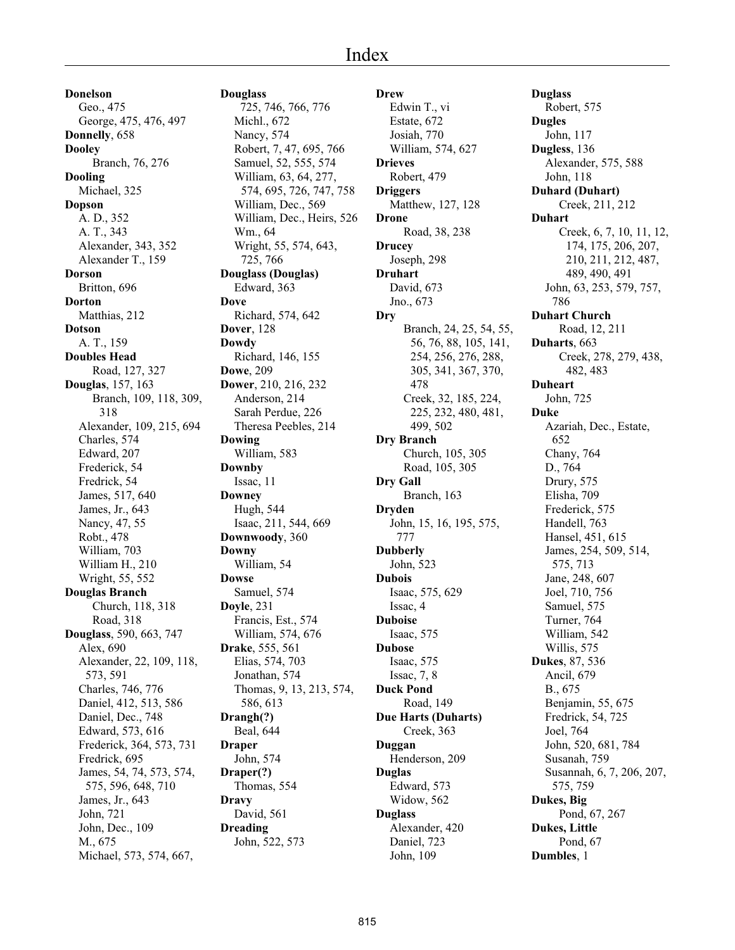# Index

**Donelson** Geo., 475 George, 475, 476, 497 **Donnelly**, 658 **Dooley** Branch, 76, 276 **Dooling** Michael, 325 **Dopson** A. D., 352 A. T., 343 Alexander, 343, 352 Alexander T., 159 **Dorson** Britton, 696 **Dorton** Matthias, 212 **Dotson** A. T., 159 **Doubles Head** Road, 127, 327 **Douglas**, 157, 163 Branch, 109, 118, 309, 318 Alexander, 109, 215, 694 Charles, 574 Edward, 207 Frederick, 54 Fredrick, 54 James, 517, 640 James, Jr., 643 Nancy, 47, 55 Robt., 478 William, 703 William H., 210 Wright, 55, 552 **Douglas Branch** Church, 118, 318 Road, 318 **Douglass**, 590, 663, 747 Alex, 690 Alexander, 22, 109, 118, 573, 591 Charles, 746, 776 Daniel, 412, 513, 586 Daniel, Dec., 748 Edward, 573, 616 Frederick, 364, 573, 731 Fredrick, 695 James, 54, 74, 573, 574, 575, 596, 648, 710 James, Jr., 643 John, 721 John, Dec., 109 M., 675 Michael, 573, 574, 667,

**Douglass** 725, 746, 766, 776 Michl., 672 Nancy, 574 Robert, 7, 47, 695, 766 Samuel, 52, 555, 574 William, 63, 64, 277, 574, 695, 726, 747, 758 William, Dec., 569 William, Dec., Heirs, 526 Wm., 64 Wright, 55, 574, 643, 725, 766 **Douglass (Douglas)** Edward, 363 **Dove** Richard, 574, 642 **Dover**, 128 **Dowdy** Richard, 146, 155 **Dowe**, 209 **Dower**, 210, 216, 232 Anderson, 214 Sarah Perdue, 226 Theresa Peebles, 214 **Dowing** William, 583 **Downby** Issac, 11 **Downey** Hugh, 544 Isaac, 211, 544, 669 **Downwoody**, 360 **Downy** William, 54 **Dowse** Samuel, 574 **Doyle**, 231 Francis, Est., 574 William, 574, 676 **Drake**, 555, 561 Elias, 574, 703 Jonathan, 574 Thomas, 9, 13, 213, 574, 586, 613 **Drangh(?)** Beal, 644 **Draper** John, 574 **Draper(?)** Thomas, 554 **Dravy** David, 561 **Dreading** John, 522, 573

**Drew** Edwin T., vi Estate, 672 Josiah, 770 William, 574, 627 **Drieves** Robert, 479 **Driggers** Matthew, 127, 128 **Drone** Road, 38, 238 **Drucey** Joseph, 298 **Druhart** David, 673 Jno., 673 **Dry** Branch, 24, 25, 54, 55, 56, 76, 88, 105, 141, 254, 256, 276, 288, 305, 341, 367, 370, 478 Creek, 32, 185, 224, 225, 232, 480, 481, 499, 502 **Dry Branch** Church, 105, 305 Road, 105, 305 **Dry Gall** Branch, 163 **Dryden** John, 15, 16, 195, 575, 777 **Dubberly** John, 523 **Dubois** Isaac, 575, 629 Issac, 4 **Duboise** Isaac, 575 **Dubose** Isaac, 575 Issac, 7, 8 **Duck Pond** Road, 149 **Due Harts (Duharts)** Creek, 363 **Duggan** Henderson, 209 **Duglas** Edward, 573 Widow, 562 **Duglass** Alexander, 420 Daniel, 723 John, 109

**Duglass** Robert, 575 **Dugles** John, 117 **Dugless**, 136 Alexander, 575, 588 John, 118 **Duhard (Duhart)** Creek, 211, 212 **Duhart** Creek, 6, 7, 10, 11, 12, 174, 175, 206, 207, 210, 211, 212, 487, 489, 490, 491 John, 63, 253, 579, 757, 786 **Duhart Church** Road, 12, 211 **Duharts**, 663 Creek, 278, 279, 438, 482, 483 **Duheart** John, 725 **Duke** Azariah, Dec., Estate, 652 Chany, 764 D., 764 Drury, 575 Elisha, 709 Frederick, 575 Handell, 763 Hansel, 451, 615 James, 254, 509, 514, 575, 713 Jane, 248, 607 Joel, 710, 756 Samuel, 575 Turner, 764 William, 542 Willis, 575 **Dukes**, 87, 536 Ancil, 679 B., 675 Benjamin, 55, 675 Fredrick, 54, 725 Joel, 764 John, 520, 681, 784 Susanah, 759 Susannah, 6, 7, 206, 207, 575, 759 **Dukes, Big** Pond, 67, 267 **Dukes, Little** Pond, 67 **Dumbles**, 1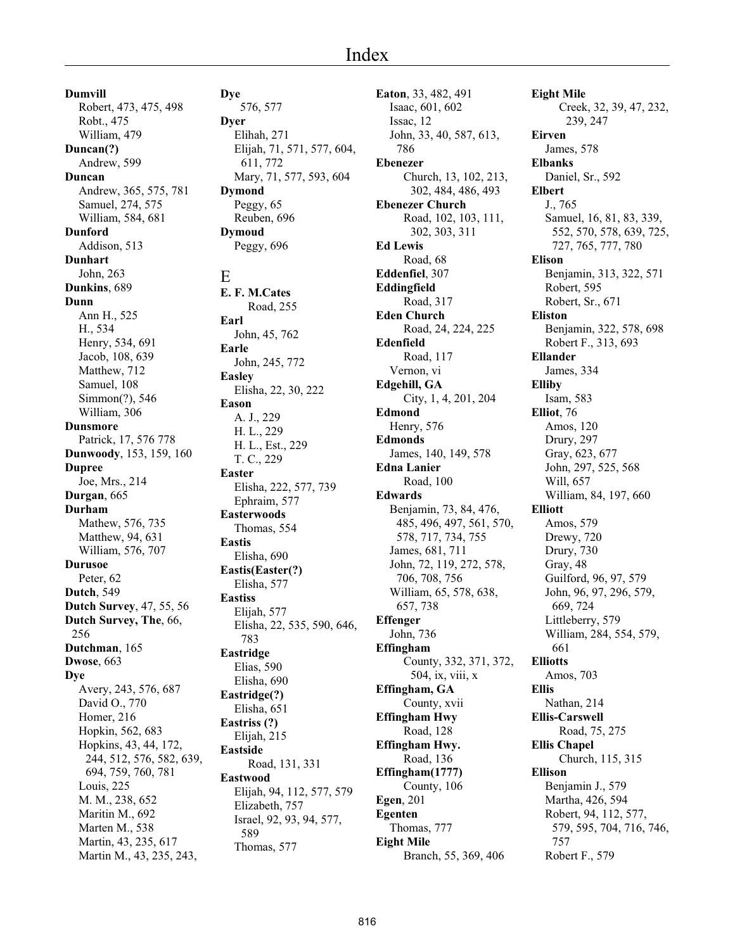**Dumvill** Robert, 473, 475, 498 Robt., 475 William, 479 **Duncan(?)** Andrew, 599 **Duncan** Andrew, 365, 575, 781 Samuel, 274, 575 William, 584, 681 **Dunford** Addison, 513 **Dunhart** John, 263 **Dunkins**, 689 **Dunn** Ann H., 525 H., 534 Henry, 534, 691 Jacob, 108, 639 Matthew, 712 Samuel, 108 Simmon(?), 546 William, 306 **Dunsmore** Patrick, 17, 576 778 **Dunwoody**, 153, 159, 160 **Dupree** Joe, Mrs., 214 **Durgan**, 665 **Durham** Mathew, 576, 735 Matthew, 94, 631 William, 576, 707 **Durusoe** Peter, 62 **Dutch**, 549 **Dutch Survey**, 47, 55, 56 **Dutch Survey, The**, 66, 256 **Dutchman**, 165 **Dwose**, 663 **Dye** Avery, 243, 576, 687 David O., 770 Homer, 216 Hopkin, 562, 683 Hopkins, 43, 44, 172, 244, 512, 576, 582, 639, 694, 759, 760, 781 Louis, 225 M. M., 238, 652 Maritin M., 692 Marten M., 538 Martin, 43, 235, 617 Martin M., 43, 235, 243,

**Dye** 576, 577 **Dyer** Elihah, 271 Elijah, 71, 571, 577, 604, 611, 772 Mary, 71, 577, 593, 604 **Dymond** Peggy, 65 Reuben, 696 **Dymoud** Peggy, 696 E **E. F. M.Cates** Road, 255 **Earl** John, 45, 762 **Earle** John, 245, 772 **Easley** Elisha, 22, 30, 222 **Eason** A. J., 229 H. L., 229 H. L., Est., 229 T. C., 229 **Easter** Elisha, 222, 577, 739 Ephraim, 577 **Easterwoods** Thomas, 554 **Eastis** Elisha, 690 **Eastis(Easter(?)** Elisha, 577 **Eastiss** Elijah, 577 Elisha, 22, 535, 590, 646, 783 **Eastridge** Elias, 590 Elisha, 690 **Eastridge(?)** Elisha, 651 **Eastriss (?)** Elijah, 215 **Eastside** Road, 131, 331 **Eastwood** Elijah, 94, 112, 577, 579 Elizabeth, 757 Israel, 92, 93, 94, 577, 589 Thomas, 577

**Eaton**, 33, 482, 491 Isaac, 601, 602 Issac, 12 John, 33, 40, 587, 613, 786 **Ebenezer** Church, 13, 102, 213, 302, 484, 486, 493 **Ebenezer Church** Road, 102, 103, 111, 302, 303, 311 **Ed Lewis** Road, 68 **Eddenfiel**, 307 **Eddingfield** Road, 317 **Eden Church** Road, 24, 224, 225 **Edenfield** Road, 117 Vernon, vi **Edgehill, GA** City, 1, 4, 201, 204 **Edmond** Henry, 576 **Edmonds** James, 140, 149, 578 **Edna Lanier** Road, 100 **Edwards** Benjamin, 73, 84, 476, 485, 496, 497, 561, 570, 578, 717, 734, 755 James, 681, 711 John, 72, 119, 272, 578, 706, 708, 756 William, 65, 578, 638, 657, 738 **Effenger** John, 736 **Effingham** County, 332, 371, 372, 504, ix, viii, x **Effingham, GA** County, xvii **Effingham Hwy** Road, 128 **Effingham Hwy.** Road, 136 **Effingham(1777)** County, 106 **Egen**, 201 **Egenten** Thomas, 777 **Eight Mile** Branch, 55, 369, 406

**Eight Mile** Creek, 32, 39, 47, 232, 239, 247 **Eirven** James, 578 **Elbanks** Daniel, Sr., 592 **Elbert** J., 765 Samuel, 16, 81, 83, 339, 552, 570, 578, 639, 725, 727, 765, 777, 780 **Elison** Benjamin, 313, 322, 571 Robert, 595 Robert, Sr., 671 **Eliston** Benjamin, 322, 578, 698 Robert F., 313, 693 **Ellander** James, 334 **Elliby** Isam, 583 **Elliot**, 76 Amos, 120 Drury, 297 Gray, 623, 677 John, 297, 525, 568 Will, 657 William, 84, 197, 660 **Elliott** Amos, 579 Drewy, 720 Drury, 730 Gray, 48 Guilford, 96, 97, 579 John, 96, 97, 296, 579, 669, 724 Littleberry, 579 William, 284, 554, 579, 661 **Elliotts** Amos, 703 **Ellis** Nathan, 214 **Ellis-Carswell** Road, 75, 275 **Ellis Chapel** Church, 115, 315 **Ellison** Benjamin J., 579 Martha, 426, 594 Robert, 94, 112, 577, 579, 595, 704, 716, 746, 757 Robert F., 579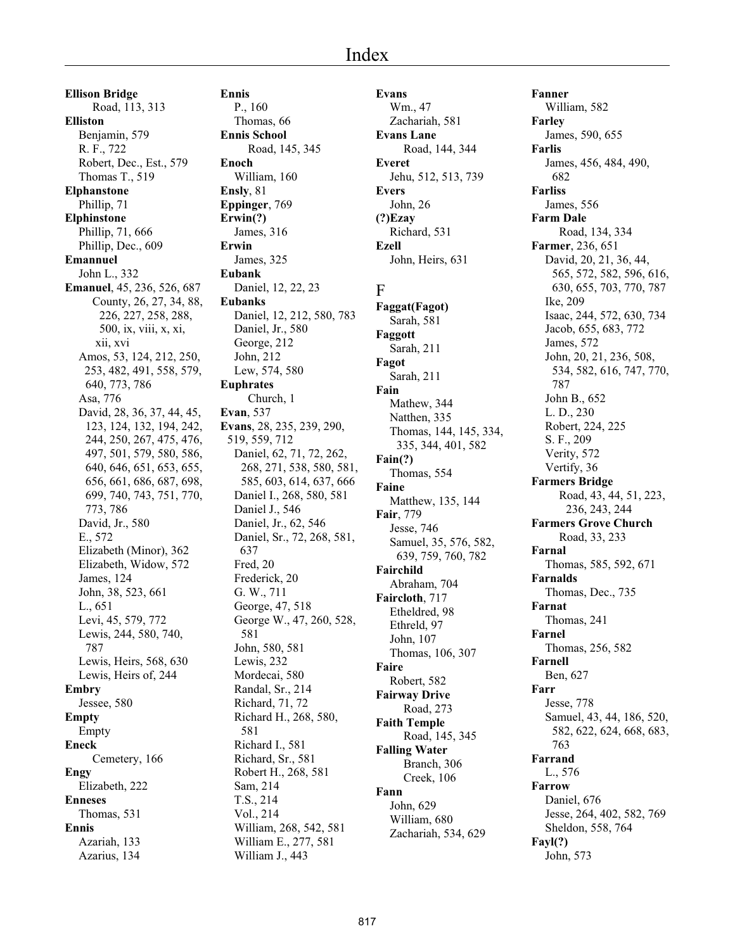**Ellison Bridge** Road, 113, 313 **Elliston** Benjamin, 579 R. F., 722 Robert, Dec., Est., 579 Thomas T., 519 **Elphanstone** Phillip, 71 **Elphinstone** Phillip, 71, 666 Phillip, Dec., 609 **Emannuel** John L., 332 **Emanuel**, 45, 236, 526, 687 County, 26, 27, 34, 88, 226, 227, 258, 288, 500, ix, viii, x, xi, xii, xvi Amos, 53, 124, 212, 250, 253, 482, 491, 558, 579, 640, 773, 786 Asa, 776 David, 28, 36, 37, 44, 45, 123, 124, 132, 194, 242, 244, 250, 267, 475, 476, 497, 501, 579, 580, 586, 640, 646, 651, 653, 655, 656, 661, 686, 687, 698, 699, 740, 743, 751, 770, 773, 786 David, Jr., 580 E., 572 Elizabeth (Minor), 362 Elizabeth, Widow, 572 James, 124 John, 38, 523, 661 L., 651 Levi, 45, 579, 772 Lewis, 244, 580, 740, 787 Lewis, Heirs, 568, 630 Lewis, Heirs of, 244 **Embry** Jessee, 580 **Empty** Empty **Eneck** Cemetery, 166 **Engy** Elizabeth, 222 **Enneses** Thomas, 531 **Ennis** Azariah, 133 Azarius, 134

**Ennis** P., 160 Thomas, 66 **Ennis School** Road, 145, 345 **Enoch** William, 160 **Ensly**, 81 **Eppinger**, 769 **Erwin(?)** James, 316 **Erwin** James, 325 **Eubank** Daniel, 12, 22, 23 **Eubanks** Daniel, 12, 212, 580, 783 Daniel, Jr., 580 George, 212 John, 212 Lew, 574, 580 **Euphrates** Church, 1 **Evan**, 537 **Evans**, 28, 235, 239, 290, 519, 559, 712 Daniel, 62, 71, 72, 262, 268, 271, 538, 580, 581, 585, 603, 614, 637, 666 Daniel I., 268, 580, 581 Daniel J., 546 Daniel, Jr., 62, 546 Daniel, Sr., 72, 268, 581, 637 Fred, 20 Frederick, 20 G. W., 711 George, 47, 518 George W., 47, 260, 528, 581 John, 580, 581 Lewis, 232 Mordecai, 580 Randal, Sr., 214 Richard, 71, 72 Richard H., 268, 580, 581 Richard I., 581 Richard, Sr., 581 Robert H., 268, 581 Sam, 214 T.S., 214 Vol., 214 William, 268, 542, 581 William E., 277, 581 William J., 443

**Evans** Wm., 47 Zachariah, 581 **Evans Lane** Road, 144, 344 **Everet** Jehu, 512, 513, 739 **Evers** John, 26 **(?)Ezay** Richard, 531 **Ezell** John, Heirs, 631 F **Faggat(Fagot)** Sarah, 581 **Faggott** Sarah, 211 **Fagot** Sarah, 211 **Fain** Mathew, 344

Natthen, 335

Thomas, 554

Abraham, 704 **Faircloth**, 717 Etheldred, 98 Ethreld, 97 John, 107

Thomas, 106, 307

Road, 145, 345

Branch, 306 Creek, 106

Robert, 582 **Fairway Drive** Road, 273 **Faith Temple**

**Falling Water**

John, 629 William, 680 Zachariah, 534, 629

Matthew, 135, 144

Samuel, 35, 576, 582, 639, 759, 760, 782

**Fain(?)**

**Faine**

**Fair**, 779 Jesse, 746

**Fairchild**

**Faire**

**Fann**

Thomas, 144, 145, 334, 335, 344, 401, 582

**Fanner** William, 582 **Farley** James, 590, 655 **Farlis** James, 456, 484, 490, 682 **Farliss** James, 556 **Farm Dale** Road, 134, 334 **Farmer**, 236, 651 David, 20, 21, 36, 44, 565, 572, 582, 596, 616, 630, 655, 703, 770, 787 Ike, 209 Isaac, 244, 572, 630, 734 Jacob, 655, 683, 772 James, 572 John, 20, 21, 236, 508, 534, 582, 616, 747, 770, 787 John B., 652 L. D., 230 Robert, 224, 225 S. F., 209 Verity, 572 Vertify, 36 **Farmers Bridge** Road, 43, 44, 51, 223, 236, 243, 244 **Farmers Grove Church** Road, 33, 233 **Farnal** Thomas, 585, 592, 671 **Farnalds** Thomas, Dec., 735 **Farnat** Thomas, 241 **Farnel** Thomas, 256, 582 **Farnell** Ben, 627 **Farr** Jesse, 778 Samuel, 43, 44, 186, 520, 582, 622, 624, 668, 683, 763 **Farrand** L., 576 **Farrow** Daniel, 676 Jesse, 264, 402, 582, 769 Sheldon, 558, 764 **Fayl(?)** John, 573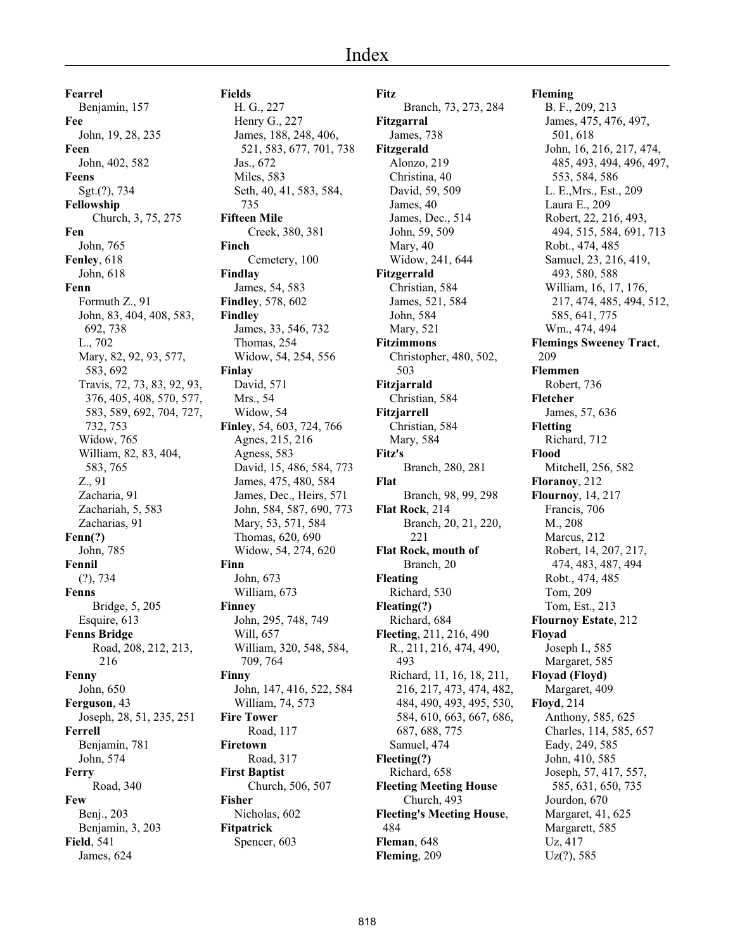**Fearrel** Benjamin, 157 **Fee** John, 19, 28, 235 **Feen** John, 402, 582 **Feens** Sgt.(?), 734 **Fellowship** Church, 3, 75, 275 **Fen** John, 765 **Fenley**, 618 John, 618 **Fenn** Formuth Z., 91 John, 83, 404, 408, 583, 692, 738 L., 702 Mary, 82, 92, 93, 577, 583, 692 Travis, 72, 73, 83, 92, 93, 376, 405, 408, 570, 577, 583, 589, 692, 704, 727, 732, 753 Widow, 765 William, 82, 83, 404, 583, 765 Z., 91 Zacharia, 91 Zachariah, 5, 583 Zacharias, 91 **Fenn(?)** John, 785 **Fennil** (?), 734 **Fenns** Bridge, 5, 205 Esquire, 613 **Fenns Bridge** Road, 208, 212, 213, 216 **Fenny** John, 650 **Ferguson**, 43 Joseph, 28, 51, 235, 251 **Ferrell** Benjamin, 781 John, 574 **Ferry** Road, 340 **Few** Benj., 203 Benjamin, 3, 203 **Field**, 541 James, 624

#### H. G., 227 Henry G., 227 James, 188, 248, 406, 521, 583, 677, 701, 738 Jas., 672 Miles, 583 Seth, 40, 41, 583, 584, 735 **Fifteen Mile** Creek, 380, 381 **Finch** Cemetery, 100 **Findlay** James, 54, 583 **Findley**, 578, 602 **Findley** James, 33, 546, 732 Thomas, 254 Widow, 54, 254, 556 **Finlay** David, 571 Mrs., 54 Widow, 54 **Finley**, 54, 603, 724, 766 Agnes, 215, 216 Agness, 583 David, 15, 486, 584, 773 James, 475, 480, 584 James, Dec., Heirs, 571 John, 584, 587, 690, 773 Mary, 53, 571, 584 Thomas, 620, 690 Widow, 54, 274, 620 **Finn** John, 673 William, 673 **Finney** John, 295, 748, 749 Will, 657 William, 320, 548, 584, 709, 764 **Finny** John, 147, 416, 522, 584 William, 74, 573 **Fire Tower** Road, 117 **Firetown** Road, 317 **First Baptist** Church, 506, 507 **Fisher** Nicholas, 602 **Fitpatrick**

Spencer, 603

**Fields**

**Fitz** Branch, 73, 273, 284 **Fitzgarral** James, 738 **Fitzgerald** Alonzo, 219 Christina, 40 David, 59, 509 James, 40 James, Dec., 514 John, 59, 509 Mary, 40 Widow, 241, 644 **Fitzgerrald** Christian, 584 James, 521, 584 John, 584 Mary, 521 **Fitzimmons** Christopher, 480, 502, 503 **Fitzjarrald** Christian, 584 **Fitzjarrell** Christian, 584 Mary, 584 **Fitz's** Branch, 280, 281 **Flat** Branch, 98, 99, 298 **Flat Rock**, 214 Branch, 20, 21, 220, 221 **Flat Rock, mouth of** Branch, 20 **Fleating** Richard, 530 **Fleating(?)** Richard, 684 **Fleeting**, 211, 216, 490 R., 211, 216, 474, 490, 493 Richard, 11, 16, 18, 211, 216, 217, 473, 474, 482, 484, 490, 493, 495, 530, 584, 610, 663, 667, 686, 687, 688, 775 Samuel, 474 **Fleeting(?)** Richard, 658 **Fleeting Meeting House** Church, 493 **Fleeting's Meeting House**, 484 **Fleman**, 648 **Fleming**, 209

**Fleming** B. F., 209, 213 James, 475, 476, 497, 501, 618 John, 16, 216, 217, 474, 485, 493, 494, 496, 497, 553, 584, 586 L. E.,Mrs., Est., 209 Laura E., 209 Robert, 22, 216, 493, 494, 515, 584, 691, 713 Robt., 474, 485 Samuel, 23, 216, 419, 493, 580, 588 William, 16, 17, 176, 217, 474, 485, 494, 512, 585, 641, 775 Wm., 474, 494 **Flemings Sweeney Tract**, 209 **Flemmen** Robert, 736 **Fletcher** James, 57, 636 **Fletting** Richard, 712 **Flood** Mitchell, 256, 582 **Floranoy**, 212 **Flournoy**, 14, 217 Francis, 706 M., 208 Marcus, 212 Robert, 14, 207, 217, 474, 483, 487, 494 Robt., 474, 485 Tom, 209 Tom, Est., 213 **Flournoy Estate**, 212 **Floyad** Joseph I., 585 Margaret, 585 **Floyad (Floyd)** Margaret, 409 **Floyd**, 214 Anthony, 585, 625 Charles, 114, 585, 657 Eady, 249, 585 John, 410, 585 Joseph, 57, 417, 557, 585, 631, 650, 735 Jourdon, 670 Margaret, 41, 625 Margarett, 585 Uz, 417 Uz(?), 585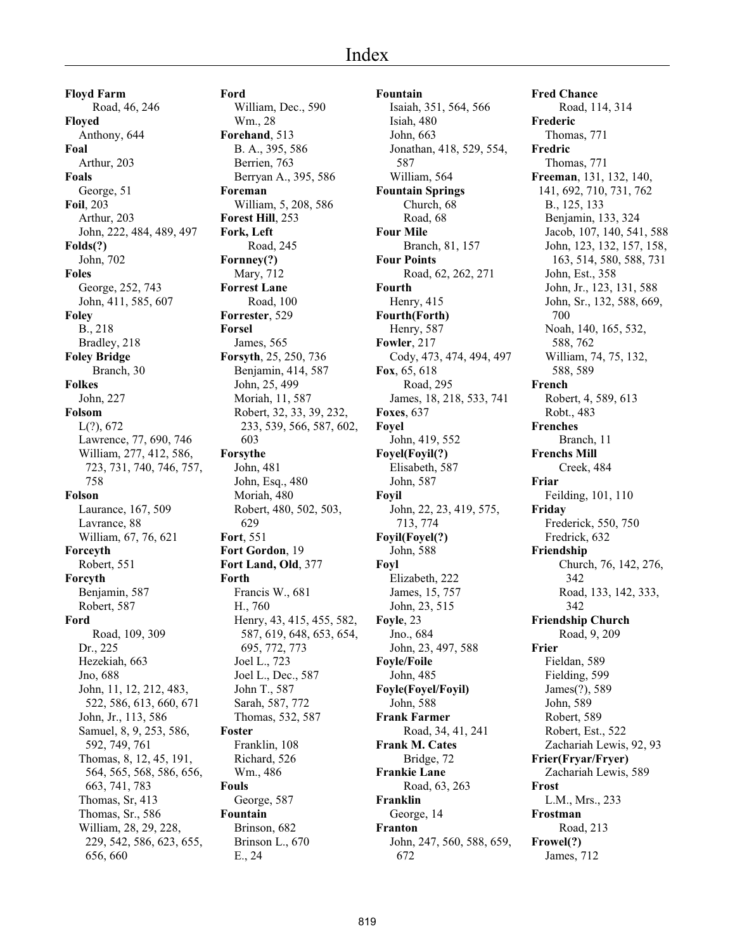**Floyd Farm** Road, 46, 246 **Floyed** Anthony, 644 **Foal** Arthur, 203 **Foals** George, 51 **Foil**, 203 Arthur, 203 John, 222, 484, 489, 497 **Folds(?)** John, 702 **Foles** George, 252, 743 John, 411, 585, 607 **Foley** B., 218 Bradley, 218 **Foley Bridge** Branch, 30 **Folkes** John, 227 **Folsom**  $L(?)$ , 672 Lawrence, 77, 690, 746 William, 277, 412, 586, 723, 731, 740, 746, 757, 758 **Folson** Laurance, 167, 509 Lavrance, 88 William, 67, 76, 621 **Forceyth** Robert, 551 **Forcyth** Benjamin, 587 Robert, 587 **Ford** Road, 109, 309 Dr., 225 Hezekiah, 663 Jno, 688 John, 11, 12, 212, 483, 522, 586, 613, 660, 671 John, Jr., 113, 586 Samuel, 8, 9, 253, 586, 592, 749, 761 Thomas, 8, 12, 45, 191, 564, 565, 568, 586, 656, 663, 741, 783 Thomas, Sr, 413 Thomas, Sr., 586 William, 28, 29, 228, 229, 542, 586, 623, 655, 656, 660

**Ford** William, Dec., 590 Wm., 28 **Forehand**, 513 B. A., 395, 586 Berrien, 763 Berryan A., 395, 586 **Foreman** William, 5, 208, 586 **Forest Hill**, 253 **Fork, Left** Road, 245 **Fornney(?)** Mary, 712 **Forrest Lane** Road, 100 **Forrester**, 529 **Forsel** James, 565 **Forsyth**, 25, 250, 736 Benjamin, 414, 587 John, 25, 499 Moriah, 11, 587 Robert, 32, 33, 39, 232, 233, 539, 566, 587, 602, 603 **Forsythe** John, 481 John, Esq., 480 Moriah, 480 Robert, 480, 502, 503, 629 **Fort**, 551 **Fort Gordon**, 19 **Fort Land, Old**, 377 **Forth** Francis W., 681 H., 760 Henry, 43, 415, 455, 582, 587, 619, 648, 653, 654, 695, 772, 773 Joel L., 723 Joel L., Dec., 587 John T., 587 Sarah, 587, 772 Thomas, 532, 587 **Foster** Franklin, 108 Richard, 526 Wm., 486 **Fouls** George, 587 **Fountain** Brinson, 682 Brinson L., 670 E., 24

**Fountain** Isaiah, 351, 564, 566 Isiah, 480 John, 663 Jonathan, 418, 529, 554, 587 William, 564 **Fountain Springs** Church, 68 Road, 68 **Four Mile** Branch, 81, 157 **Four Points** Road, 62, 262, 271 **Fourth** Henry, 415 **Fourth(Forth)** Henry, 587 **Fowler**, 217 Cody, 473, 474, 494, 497 **Fox**, 65, 618 Road, 295 James, 18, 218, 533, 741 **Foxes**, 637 **Foyel** John, 419, 552 **Foyel(Foyil(?)** Elisabeth, 587 John, 587 **Foyil** John, 22, 23, 419, 575, 713, 774 **Foyil(Foyel(?)** John, 588 **Foyl** Elizabeth, 222 James, 15, 757 John, 23, 515 **Foyle**, 23 Jno., 684 John, 23, 497, 588 **Foyle/Foile** John, 485 **Foyle(Foyel/Foyil)** John, 588 **Frank Farmer** Road, 34, 41, 241 **Frank M. Cates** Bridge, 72 **Frankie Lane** Road, 63, 263 **Franklin** George, 14 **Franton** John, 247, 560, 588, 659, 672

**Fred Chance** Road, 114, 314 **Frederic** Thomas, 771 **Fredric** Thomas, 771 **Freeman**, 131, 132, 140, 141, 692, 710, 731, 762 B., 125, 133 Benjamin, 133, 324 Jacob, 107, 140, 541, 588 John, 123, 132, 157, 158, 163, 514, 580, 588, 731 John, Est., 358 John, Jr., 123, 131, 588 John, Sr., 132, 588, 669, 700 Noah, 140, 165, 532, 588, 762 William, 74, 75, 132, 588, 589 **French** Robert, 4, 589, 613 Robt., 483 **Frenches** Branch, 11 **Frenchs Mill** Creek, 484 **Friar** Feilding, 101, 110 **Friday** Frederick, 550, 750 Fredrick, 632 **Friendship** Church, 76, 142, 276, 342 Road, 133, 142, 333, 342 **Friendship Church** Road, 9, 209 **Frier** Fieldan, 589 Fielding, 599 James(?), 589 John, 589 Robert, 589 Robert, Est., 522 Zachariah Lewis, 92, 93 **Frier(Fryar/Fryer)** Zachariah Lewis, 589 **Frost** L.M., Mrs., 233 **Frostman** Road, 213 **Frowel(?)** James, 712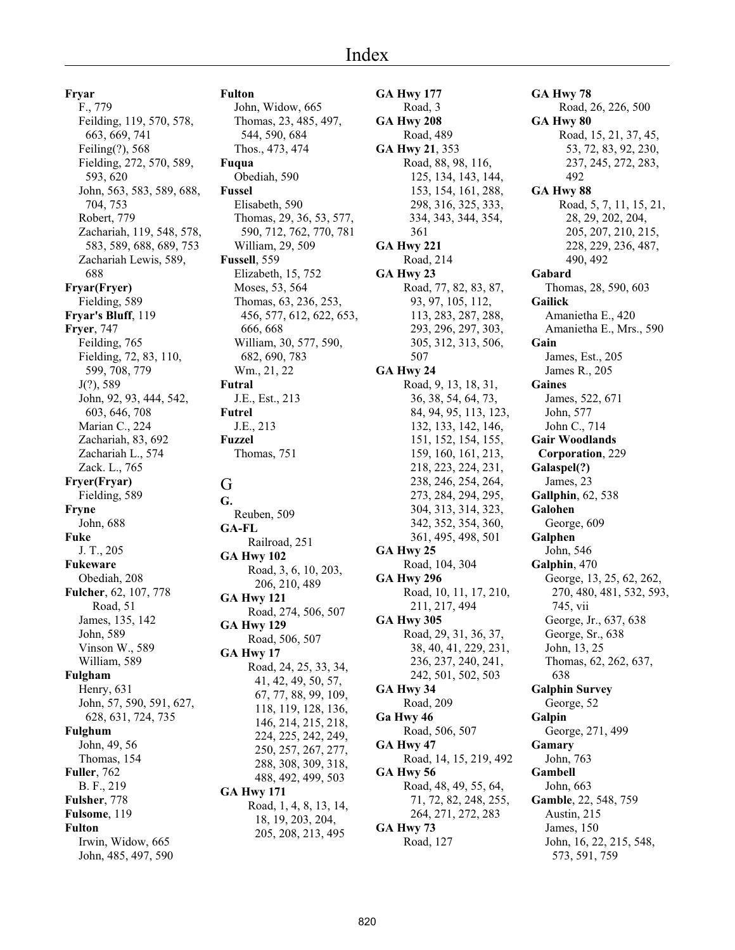**Fryar**

F., 779 Feilding, 119, 570, 578, 663, 669, 741 Feiling(?), 568 Fielding, 272, 570, 589, 593, 620 John, 563, 583, 589, 688, 704, 753 Robert, 779 Zachariah, 119, 548, 578, 583, 589, 688, 689, 753 Zachariah Lewis, 589, 688 **Fryar(Fryer)** Fielding, 589 **Fryar's Bluff**, 119 **Fryer**, 747 Feilding, 765 Fielding, 72, 83, 110, 599, 708, 779 J(?), 589 John, 92, 93, 444, 542, 603, 646, 708 Marian C., 224 Zachariah, 83, 692 Zachariah L., 574 Zack. L., 765 **Fryer(Fryar)** Fielding, 589 **Fryne** John, 688 **Fuke** J. T., 205 **Fukeware** Obediah, 208 **Fulcher**, 62, 107, 778 Road, 51 James, 135, 142 John, 589 Vinson W., 589 William, 589 **Fulgham** Henry, 631 John, 57, 590, 591, 627, 628, 631, 724, 735 **Fulghum** John, 49, 56 Thomas, 154 **Fuller**, 762 B. F., 219 **Fulsher**, 778 **Fulsome**, 119 **Fulton** Irwin, Widow, 665 John, 485, 497, 590

#### **Fulton**

John, Widow, 665 Thomas, 23, 485, 497, 544, 590, 684 Thos., 473, 474 **Fuqua** Obediah, 590 **Fussel** Elisabeth, 590 Thomas, 29, 36, 53, 577, 590, 712, 762, 770, 781 William, 29, 509 **Fussell**, 559 Elizabeth, 15, 752 Moses, 53, 564 Thomas, 63, 236, 253, 456, 577, 612, 622, 653, 666, 668 William, 30, 577, 590, 682, 690, 783 Wm., 21, 22 **Futral** J.E., Est., 213 **Futrel** J.E., 213 **Fuzzel** Thomas, 751 G **G.** Reuben, 509 **GA-FL** Railroad, 251 **GA Hwy 102** Road, 3, 6, 10, 203, 206, 210, 489 **GA Hwy 121** Road, 274, 506, 507 **GA Hwy 129** Road, 506, 507 **GA Hwy 17** Road, 24, 25, 33, 34, 41, 42, 49, 50, 57, 67, 77, 88, 99, 109, 118, 119, 128, 136, 146, 214, 215, 218, 224, 225, 242, 249, 250, 257, 267, 277, 288, 308, 309, 318, 488, 492, 499, 503 **GA Hwy 171** Road, 1, 4, 8, 13, 14, 18, 19, 203, 204, 205, 208, 213, 495

**GA Hwy 177** Road, 3 **GA Hwy 208** Road, 489 **GA Hwy 21**, 353 Road, 88, 98, 116, 125, 134, 143, 144, 153, 154, 161, 288, 298, 316, 325, 333, 334, 343, 344, 354, 361 **GA Hwy 221** Road, 214 **GA Hwy 23** Road, 77, 82, 83, 87, 93, 97, 105, 112, 113, 283, 287, 288, 293, 296, 297, 303, 305, 312, 313, 506, 507 **GA Hwy 24** Road, 9, 13, 18, 31, 36, 38, 54, 64, 73, 84, 94, 95, 113, 123, 132, 133, 142, 146, 151, 152, 154, 155, 159, 160, 161, 213, 218, 223, 224, 231, 238, 246, 254, 264, 273, 284, 294, 295, 304, 313, 314, 323, 342, 352, 354, 360, 361, 495, 498, 501 **GA Hwy 25** Road, 104, 304 **GA Hwy 296** Road, 10, 11, 17, 210, 211, 217, 494 **GA Hwy 305** Road, 29, 31, 36, 37, 38, 40, 41, 229, 231, 236, 237, 240, 241, 242, 501, 502, 503 **GA Hwy 34** Road, 209 **Ga Hwy 46** Road, 506, 507 **GA Hwy 47** Road, 14, 15, 219, 492 **GA Hwy 56** Road, 48, 49, 55, 64, 71, 72, 82, 248, 255, 264, 271, 272, 283 **GA Hwy 73** Road, 127

**GA Hwy 78** Road, 26, 226, 500 **GA Hwy 80** Road, 15, 21, 37, 45, 53, 72, 83, 92, 230, 237, 245, 272, 283, 492 **GA Hwy 88** Road, 5, 7, 11, 15, 21, 28, 29, 202, 204, 205, 207, 210, 215, 228, 229, 236, 487, 490, 492 **Gabard** Thomas, 28, 590, 603 **Gailick** Amanietha E., 420 Amanietha E., Mrs., 590 **Gain** James, Est., 205 James R., 205 **Gaines** James, 522, 671 John, 577 John C., 714 **Gair Woodlands Corporation**, 229 **Galaspel(?)** James, 23 **Gallphin**, 62, 538 **Galohen** George, 609 **Galphen** John, 546 **Galphin**, 470 George, 13, 25, 62, 262, 270, 480, 481, 532, 593, 745, vii George, Jr., 637, 638 George, Sr., 638 John, 13, 25 Thomas, 62, 262, 637, 638 **Galphin Survey** George, 52 **Galpin** George, 271, 499 **Gamary** John, 763 **Gambell** John, 663 **Gamble**, 22, 548, 759 Austin, 215 James, 150 John, 16, 22, 215, 548, 573, 591, 759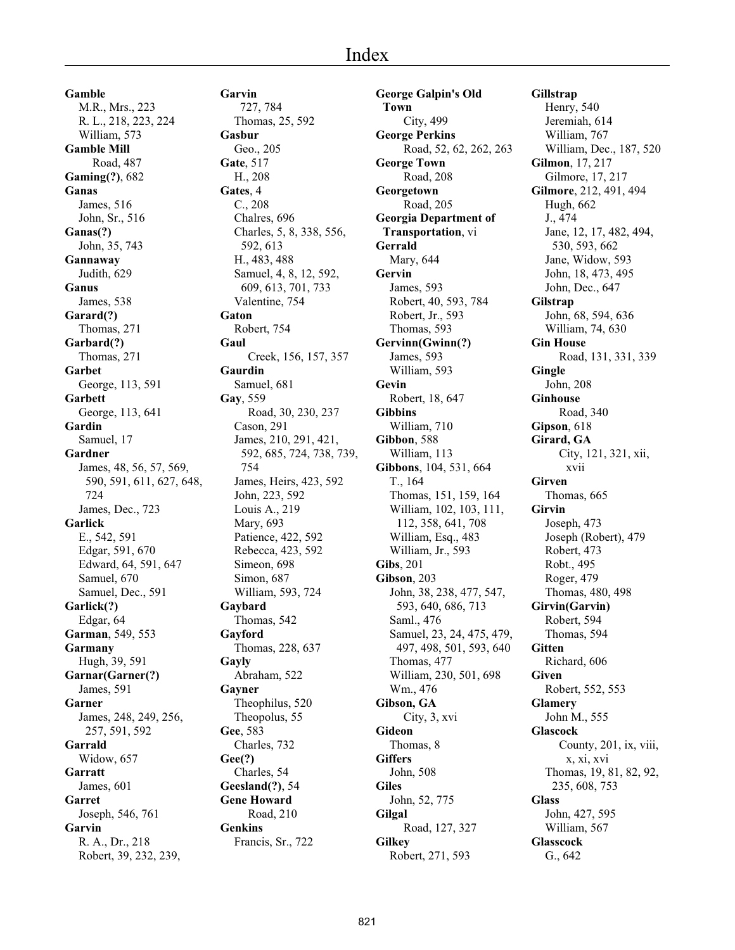**Gamble** M.R., Mrs., 223 R. L., 218, 223, 224 William, 573 **Gamble Mill** Road, 487 **Gaming(?)**, 682 **Ganas** James, 516 John, Sr., 516 **Ganas(?)** John, 35, 743 **Gannaway** Judith, 629 **Ganus** James, 538 **Garard(?)** Thomas, 271 **Garbard(?)** Thomas, 271 **Garbet** George, 113, 591 **Garbett** George, 113, 641 **Gardin** Samuel, 17 **Gardner** James, 48, 56, 57, 569, 590, 591, 611, 627, 648, 724 James, Dec., 723 **Garlick** E., 542, 591 Edgar, 591, 670 Edward, 64, 591, 647 Samuel, 670 Samuel, Dec., 591 **Garlick(?)** Edgar, 64 **Garman**, 549, 553 **Garmany** Hugh, 39, 591 **Garnar(Garner(?)** James, 591 **Garner** James, 248, 249, 256, 257, 591, 592 **Garrald** Widow, 657 **Garratt** James, 601 **Garret** Joseph, 546, 761 **Garvin** R. A., Dr., 218 Robert, 39, 232, 239,

**Garvin** 727, 784 Thomas, 25, 592 **Gasbur** Geo., 205 **Gate**, 517 H., 208 **Gates**, 4 C., 208 Chalres, 696 Charles, 5, 8, 338, 556, 592, 613 H., 483, 488 Samuel, 4, 8, 12, 592, 609, 613, 701, 733 Valentine, 754 **Gaton** Robert, 754 **Gaul** Creek, 156, 157, 357 **Gaurdin** Samuel, 681 **Gay**, 559 Road, 30, 230, 237 Cason, 291 James, 210, 291, 421, 592, 685, 724, 738, 739, 754 James, Heirs, 423, 592 John, 223, 592 Louis A., 219 Mary, 693 Patience, 422, 592 Rebecca, 423, 592 Simeon, 698 Simon, 687 William, 593, 724 **Gaybard** Thomas, 542 **Gayford** Thomas, 228, 637 **Gayly** Abraham, 522 **Gayner** Theophilus, 520 Theopolus, 55 **Gee**, 583 Charles, 732 **Gee(?)** Charles, 54 **Geesland(?)**, 54 **Gene Howard** Road, 210 **Genkins** Francis, Sr., 722

**George Galpin's Old Town** City, 499 **George Perkins** Road, 52, 62, 262, 263 **George Town** Road, 208 **Georgetown** Road, 205 **Georgia Department of Transportation**, vi **Gerrald** Mary, 644 **Gervin** James, 593 Robert, 40, 593, 784 Robert, Jr., 593 Thomas, 593 **Gervinn(Gwinn(?)** James, 593 William, 593 **Gevin** Robert, 18, 647 **Gibbins** William, 710 **Gibbon**, 588 William, 113 **Gibbons**, 104, 531, 664 T., 164 Thomas, 151, 159, 164 William, 102, 103, 111, 112, 358, 641, 708 William, Esq., 483 William, Jr., 593 **Gibs**, 201 **Gibson**, 203 John, 38, 238, 477, 547, 593, 640, 686, 713 Saml., 476 Samuel, 23, 24, 475, 479, 497, 498, 501, 593, 640 Thomas, 477 William, 230, 501, 698 Wm., 476 **Gibson, GA** City, 3, xvi **Gideon** Thomas, 8 **Giffers** John, 508 **Giles** John, 52, 775 **Gilgal** Road, 127, 327 **Gilkey** Robert, 271, 593

**Gillstrap** Henry, 540 Jeremiah, 614 William, 767 William, Dec., 187, 520 **Gilmon**, 17, 217 Gilmore, 17, 217 **Gilmore**, 212, 491, 494 Hugh, 662 J., 474 Jane, 12, 17, 482, 494, 530, 593, 662 Jane, Widow, 593 John, 18, 473, 495 John, Dec., 647 **Gilstrap** John, 68, 594, 636 William, 74, 630 **Gin House** Road, 131, 331, 339 **Gingle** John, 208 **Ginhouse** Road, 340 **Gipson**, 618 **Girard, GA** City, 121, 321, xii, xvii **Girven** Thomas, 665 **Girvin** Joseph, 473 Joseph (Robert), 479 Robert, 473 Robt., 495 Roger, 479 Thomas, 480, 498 **Girvin(Garvin)** Robert, 594 Thomas, 594 **Gitten** Richard, 606 **Given** Robert, 552, 553 **Glamery** John M., 555 **Glascock** County, 201, ix, viii, x, xi, xvi Thomas, 19, 81, 82, 92, 235, 608, 753 **Glass** John, 427, 595 William, 567 **Glasscock** G., 642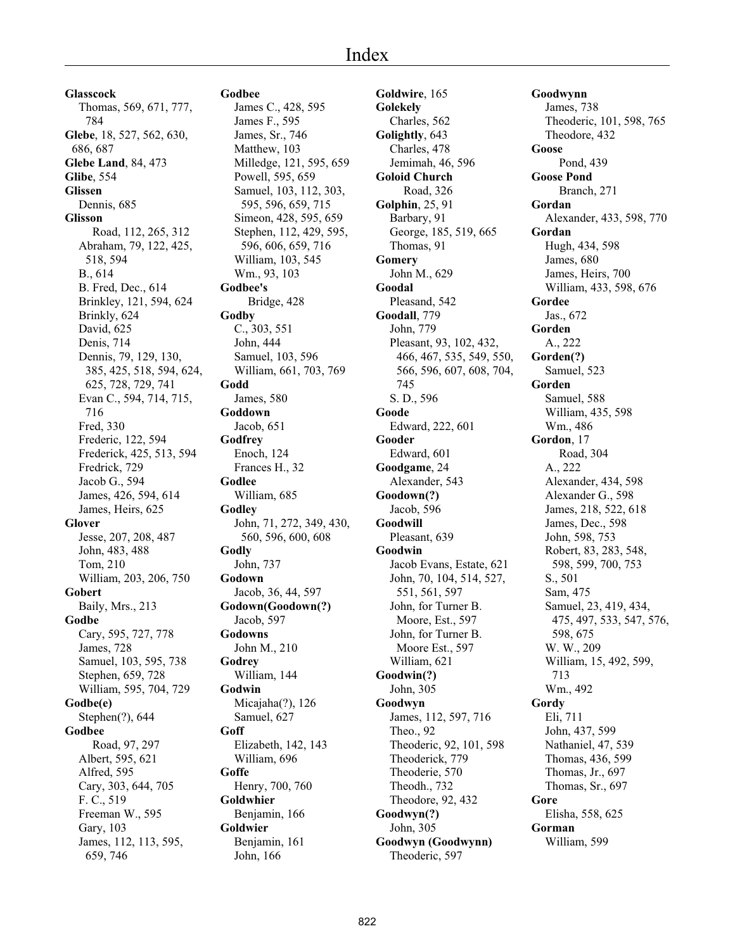# Index

**Glasscock** Thomas, 569, 671, 777, 784 **Glebe**, 18, 527, 562, 630, 686, 687 **Glebe Land**, 84, 473 **Glibe**, 554 **Glissen** Dennis, 685 **Glisson** Road, 112, 265, 312 Abraham, 79, 122, 425, 518, 594 B., 614 B. Fred, Dec., 614 Brinkley, 121, 594, 624 Brinkly, 624 David, 625 Denis, 714 Dennis, 79, 129, 130, 385, 425, 518, 594, 624, 625, 728, 729, 741 Evan C., 594, 714, 715, 716 Fred, 330 Frederic, 122, 594 Frederick, 425, 513, 594 Fredrick, 729 Jacob G., 594 James, 426, 594, 614 James, Heirs, 625 **Glover** Jesse, 207, 208, 487 John, 483, 488 Tom, 210 William, 203, 206, 750 **Gobert** Baily, Mrs., 213 **Godbe** Cary, 595, 727, 778 James, 728 Samuel, 103, 595, 738 Stephen, 659, 728 William, 595, 704, 729 **Godbe(e)** Stephen(?), 644 **Godbee** Road, 97, 297 Albert, 595, 621 Alfred, 595 Cary, 303, 644, 705 F. C., 519 Freeman W., 595 Gary, 103 James, 112, 113, 595, 659, 746

**Godbee** James C., 428, 595 James F., 595 James, Sr., 746 Matthew, 103 Milledge, 121, 595, 659 Powell, 595, 659 Samuel, 103, 112, 303, 595, 596, 659, 715 Simeon, 428, 595, 659 Stephen, 112, 429, 595, 596, 606, 659, 716 William, 103, 545 Wm., 93, 103 **Godbee's** Bridge, 428 **Godby** C., 303, 551 John, 444 Samuel, 103, 596 William, 661, 703, 769 **Godd** James, 580 **Goddown** Jacob, 651 **Godfrey** Enoch, 124 Frances H., 32 **Godlee** William, 685 **Godley** John, 71, 272, 349, 430, 560, 596, 600, 608 **Godly** John, 737 **Godown** Jacob, 36, 44, 597 **Godown(Goodown(?)** Jacob, 597 **Godowns** John M., 210 **Godrey** William, 144 **Godwin** Micajaha(?), 126 Samuel, 627 **Goff** Elizabeth, 142, 143 William, 696 **Goffe** Henry, 700, 760 **Goldwhier** Benjamin, 166 **Goldwier** Benjamin, 161 John, 166

**Goldwire**, 165 **Golekely** Charles, 562 **Golightly**, 643 Charles, 478 Jemimah, 46, 596 **Goloid Church** Road, 326 **Golphin**, 25, 91 Barbary, 91 George, 185, 519, 665 Thomas, 91 **Gomery** John M., 629 **Goodal** Pleasand, 542 **Goodall**, 779 John, 779 Pleasant, 93, 102, 432, 466, 467, 535, 549, 550, 566, 596, 607, 608, 704, 745 S. D., 596 **Goode** Edward, 222, 601 **Gooder** Edward, 601 **Goodgame**, 24 Alexander, 543 **Goodown(?)** Jacob, 596 **Goodwill** Pleasant, 639 **Goodwin** Jacob Evans, Estate, 621 John, 70, 104, 514, 527, 551, 561, 597 John, for Turner B. Moore, Est., 597 John, for Turner B. Moore Est., 597 William, 621 **Goodwin(?)** John, 305 **Goodwyn** James, 112, 597, 716 Theo., 92 Theoderic, 92, 101, 598 Theoderick, 779 Theoderie, 570 Theodh., 732 Theodore, 92, 432 **Goodwyn(?)** John, 305 **Goodwyn (Goodwynn)** Theoderic, 597

**Goodwynn** James, 738 Theoderic, 101, 598, 765 Theodore, 432 **Goose** Pond, 439 **Goose Pond** Branch, 271 **Gordan** Alexander, 433, 598, 770 **Gordan** Hugh, 434, 598 James, 680 James, Heirs, 700 William, 433, 598, 676 **Gordee** Jas., 672 **Gorden** A., 222 **Gorden(?)** Samuel, 523 **Gorden** Samuel, 588 William, 435, 598 Wm., 486 **Gordon**, 17 Road, 304 A., 222 Alexander, 434, 598 Alexander G., 598 James, 218, 522, 618 James, Dec., 598 John, 598, 753 Robert, 83, 283, 548, 598, 599, 700, 753 S., 501 Sam, 475 Samuel, 23, 419, 434, 475, 497, 533, 547, 576, 598, 675 W. W., 209 William, 15, 492, 599, 713 Wm., 492 **Gordy** Eli, 711 John, 437, 599 Nathaniel, 47, 539 Thomas, 436, 599 Thomas, Jr., 697 Thomas, Sr., 697 **Gore** Elisha, 558, 625 **Gorman** William, 599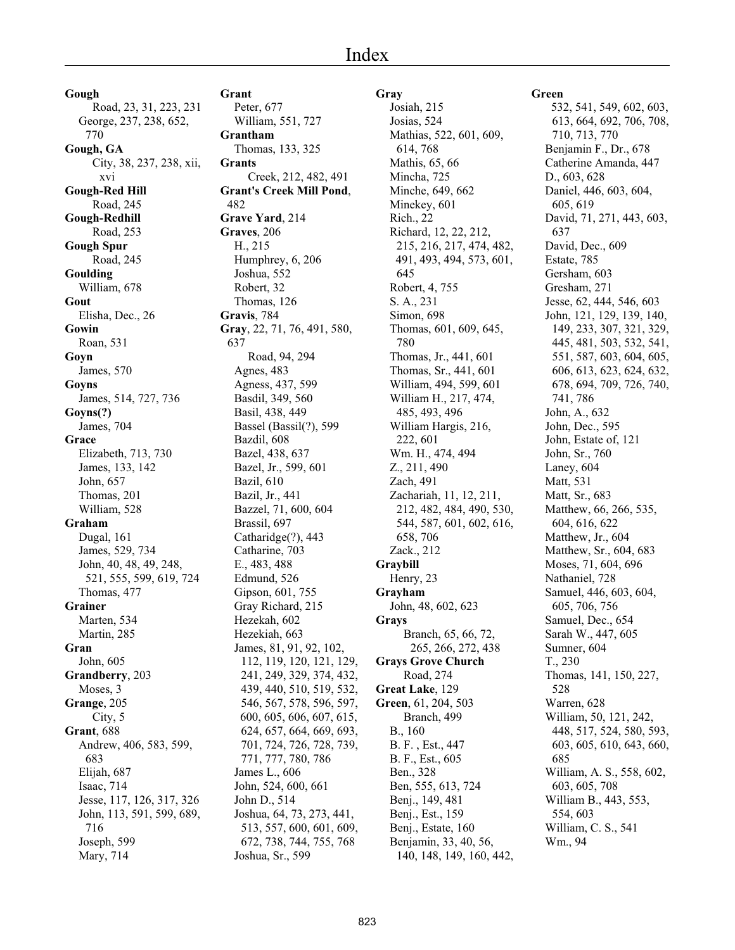# Index

**Gough** Road, 23, 31, 223, 231 George, 237, 238, 652, 770 **Gough, GA** City, 38, 237, 238, xii, xvi **Gough-Red Hill** Road, 245 **Gough-Redhill** Road, 253 **Gough Spur** Road, 245 **Goulding** William, 678 **Gout** Elisha, Dec., 26 **Gowin** Roan, 531 **Goyn** James, 570 **Goyns** James, 514, 727, 736 **Goyns(?)** James, 704 **Grace** Elizabeth, 713, 730 James, 133, 142 John, 657 Thomas, 201 William, 528 **Graham** Dugal, 161 James, 529, 734 John, 40, 48, 49, 248, 521, 555, 599, 619, 724 Thomas, 477 **Grainer** Marten, 534 Martin, 285 **Gran** John, 605 **Grandberry**, 203 Moses, 3 **Grange**, 205 City, 5 **Grant**, 688 Andrew, 406, 583, 599, 683 Elijah, 687 Isaac, 714 Jesse, 117, 126, 317, 326 John, 113, 591, 599, 689, 716 Joseph, 599 Mary, 714

## **Grant**

Peter, 677 William, 551, 727 **Grantham** Thomas, 133, 325 **Grants** Creek, 212, 482, 491 **Grant's Creek Mill Pond**, 482 **Grave Yard**, 214 **Graves**, 206 H., 215 Humphrey, 6, 206 Joshua, 552 Robert, 32 Thomas, 126 **Gravis**, 784 **Gray**, 22, 71, 76, 491, 580, 637 Road, 94, 294 Agnes, 483 Agness, 437, 599 Basdil, 349, 560 Basil, 438, 449 Bassel (Bassil(?), 599 Bazdil, 608 Bazel, 438, 637 Bazel, Jr., 599, 601 Bazil, 610 Bazil, Jr., 441 Bazzel, 71, 600, 604 Brassil, 697 Catharidge(?), 443 Catharine, 703 E., 483, 488 Edmund, 526 Gipson, 601, 755 Gray Richard, 215 Hezekah, 602 Hezekiah, 663 James, 81, 91, 92, 102, 112, 119, 120, 121, 129, 241, 249, 329, 374, 432, 439, 440, 510, 519, 532, 546, 567, 578, 596, 597, 600, 605, 606, 607, 615, 624, 657, 664, 669, 693, 701, 724, 726, 728, 739, 771, 777, 780, 786 James L., 606 John, 524, 600, 661 John D., 514 Joshua, 64, 73, 273, 441, 513, 557, 600, 601, 609, 672, 738, 744, 755, 768 Joshua, Sr., 599

**Gray** Josiah, 215 Josias, 524 Mathias, 522, 601, 609, 614, 768 Mathis, 65, 66 Mincha, 725 Minche, 649, 662 Minekey, 601 Rich., 22 Richard, 12, 22, 212, 215, 216, 217, 474, 482, 491, 493, 494, 573, 601, 645 Robert, 4, 755 S. A., 231 Simon, 698 Thomas, 601, 609, 645, 780 Thomas, Jr., 441, 601 Thomas, Sr., 441, 601 William, 494, 599, 601 William H., 217, 474, 485, 493, 496 William Hargis, 216, 222, 601 Wm. H., 474, 494 Z., 211, 490 Zach, 491 Zachariah, 11, 12, 211, 212, 482, 484, 490, 530, 544, 587, 601, 602, 616, 658, 706 Zack., 212 **Graybill** Henry, 23 **Grayham** John, 48, 602, 623 **Grays** Branch, 65, 66, 72, 265, 266, 272, 438 **Grays Grove Church** Road, 274 **Great Lake**, 129 **Green**, 61, 204, 503 Branch, 499 B., 160 B. F. , Est., 447 B. F., Est., 605 Ben., 328 Ben, 555, 613, 724 Benj., 149, 481 Benj., Est., 159 Benj., Estate, 160 Benjamin, 33, 40, 56, 140, 148, 149, 160, 442,

#### **Green**

 532, 541, 549, 602, 603, 613, 664, 692, 706, 708, 710, 713, 770 Benjamin F., Dr., 678 Catherine Amanda, 447 D., 603, 628 Daniel, 446, 603, 604, 605, 619 David, 71, 271, 443, 603, 637 David, Dec., 609 Estate, 785 Gersham, 603 Gresham, 271 Jesse, 62, 444, 546, 603 John, 121, 129, 139, 140, 149, 233, 307, 321, 329, 445, 481, 503, 532, 541, 551, 587, 603, 604, 605, 606, 613, 623, 624, 632, 678, 694, 709, 726, 740, 741, 786 John, A., 632 John, Dec., 595 John, Estate of, 121 John, Sr., 760 Laney, 604 Matt, 531 Matt, Sr., 683 Matthew, 66, 266, 535, 604, 616, 622 Matthew, Jr., 604 Matthew, Sr., 604, 683 Moses, 71, 604, 696 Nathaniel, 728 Samuel, 446, 603, 604, 605, 706, 756 Samuel, Dec., 654 Sarah W., 447, 605 Sumner, 604 T., 230 Thomas, 141, 150, 227, 528 Warren, 628 William, 50, 121, 242, 448, 517, 524, 580, 593, 603, 605, 610, 643, 660, 685 William, A. S., 558, 602, 603, 605, 708 William B., 443, 553, 554, 603 William, C. S., 541 Wm., 94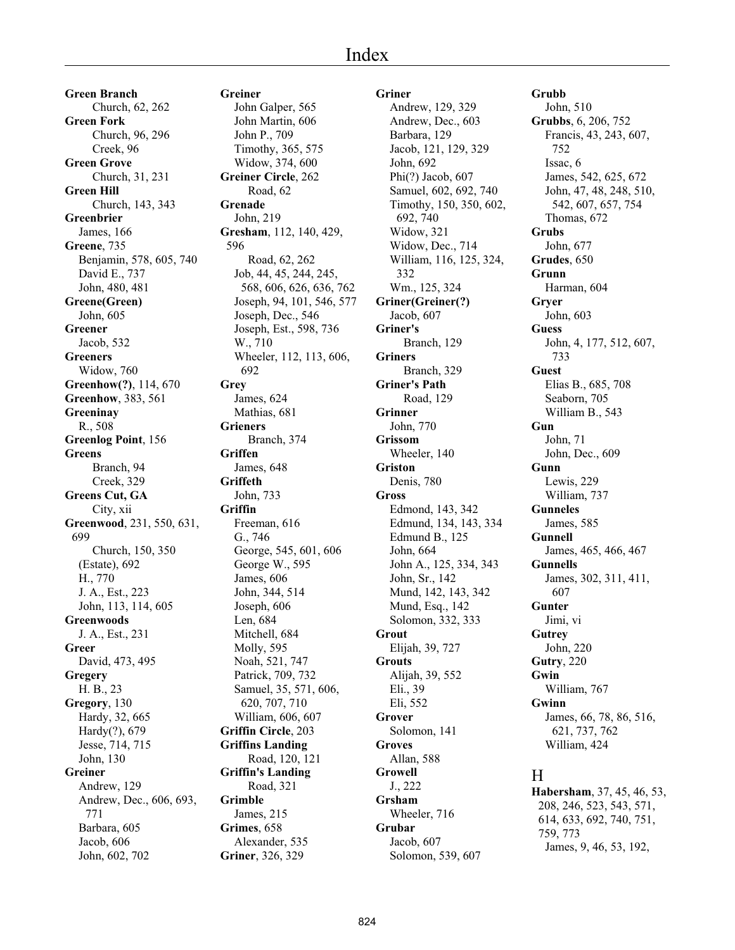**Green Branch** Church, 62, 262 **Green Fork** Church, 96, 296 Creek, 96 **Green Grove** Church, 31, 231 **Green Hill** Church, 143, 343 **Greenbrier** James, 166 **Greene**, 735 Benjamin, 578, 605, 740 David E., 737 John, 480, 481 **Greene(Green)** John, 605 **Greener** Jacob, 532 **Greeners** Widow, 760 **Greenhow(?)**, 114, 670 **Greenhow**, 383, 561 **Greeninay** R., 508 **Greenlog Point**, 156 **Greens** Branch, 94 Creek, 329 **Greens Cut, GA** City, xii **Greenwood**, 231, 550, 631, 699 Church, 150, 350 (Estate), 692 H., 770 J. A., Est., 223 John, 113, 114, 605 **Greenwoods** J. A., Est., 231 **Greer** David, 473, 495 **Gregery** H. B., 23 **Gregory**, 130 Hardy, 32, 665 Hardy(?), 679 Jesse, 714, 715 John, 130 **Greiner** Andrew, 129 Andrew, Dec., 606, 693, 771 Barbara, 605 Jacob, 606 John, 602, 702

**Greiner** John Galper, 565 John Martin, 606 John P., 709 Timothy, 365, 575 Widow, 374, 600 **Greiner Circle**, 262 Road, 62 **Grenade** John, 219 **Gresham**, 112, 140, 429, 596 Road, 62, 262 Job, 44, 45, 244, 245, 568, 606, 626, 636, 762 Joseph, 94, 101, 546, 577 Joseph, Dec., 546 Joseph, Est., 598, 736 W., 710 Wheeler, 112, 113, 606, 692 **Grey** James, 624 Mathias, 681 **Grieners** Branch, 374 **Griffen** James, 648 **Griffeth** John, 733 **Griffin** Freeman, 616 G., 746 George, 545, 601, 606 George W., 595 James, 606 John, 344, 514 Joseph, 606 Len, 684 Mitchell, 684 Molly, 595 Noah, 521, 747 Patrick, 709, 732 Samuel, 35, 571, 606, 620, 707, 710 William, 606, 607 **Griffin Circle**, 203 **Griffins Landing** Road, 120, 121 **Griffin's Landing** Road, 321 **Grimble** James, 215 **Grimes**, 658 Alexander, 535 **Griner**, 326, 329

#### **Griner**

Andrew, 129, 329 Andrew, Dec., 603 Barbara, 129 Jacob, 121, 129, 329 John, 692 Phi(?) Jacob, 607 Samuel, 602, 692, 740 Timothy, 150, 350, 602, 692, 740 Widow, 321 Widow, Dec., 714 William, 116, 125, 324, 332 Wm., 125, 324 **Griner(Greiner(?)** Jacob, 607 **Griner's** Branch, 129 **Griners** Branch, 329 **Griner's Path** Road, 129 **Grinner** John, 770 **Grissom** Wheeler, 140 **Griston** Denis, 780 **Gross** Edmond, 143, 342 Edmund, 134, 143, 334 Edmund B., 125 John, 664 John A., 125, 334, 343 John, Sr., 142 Mund, 142, 143, 342 Mund, Esq., 142 Solomon, 332, 333 **Grout** Elijah, 39, 727 **Grouts** Alijah, 39, 552 Eli., 39 Eli, 552 **Grover** Solomon, 141 **Groves** Allan, 588 **Growell** J., 222 **Grsham** Wheeler, 716 **Grubar** Jacob, 607 Solomon, 539, 607

**Grubb** John, 510 **Grubbs**, 6, 206, 752 Francis, 43, 243, 607, 752 Issac, 6 James, 542, 625, 672 John, 47, 48, 248, 510, 542, 607, 657, 754 Thomas, 672 **Grubs** John, 677 **Grudes**, 650 **Grunn** Harman, 604 **Gryer** John, 603 **Guess** John, 4, 177, 512, 607, 733 **Guest** Elias B., 685, 708 Seaborn, 705 William B., 543 **Gun** John, 71 John, Dec., 609 **Gunn** Lewis, 229 William, 737 **Gunneles** James, 585 **Gunnell** James, 465, 466, 467 **Gunnells** James, 302, 311, 411, 607 **Gunter** Jimi, vi **Gutrey** John, 220 **Gutry**, 220 **Gwin** William, 767 **Gwinn** James, 66, 78, 86, 516, 621, 737, 762 William, 424

# H

**Habersham**, 37, 45, 46, 53, 208, 246, 523, 543, 571, 614, 633, 692, 740, 751, 759, 773 James, 9, 46, 53, 192,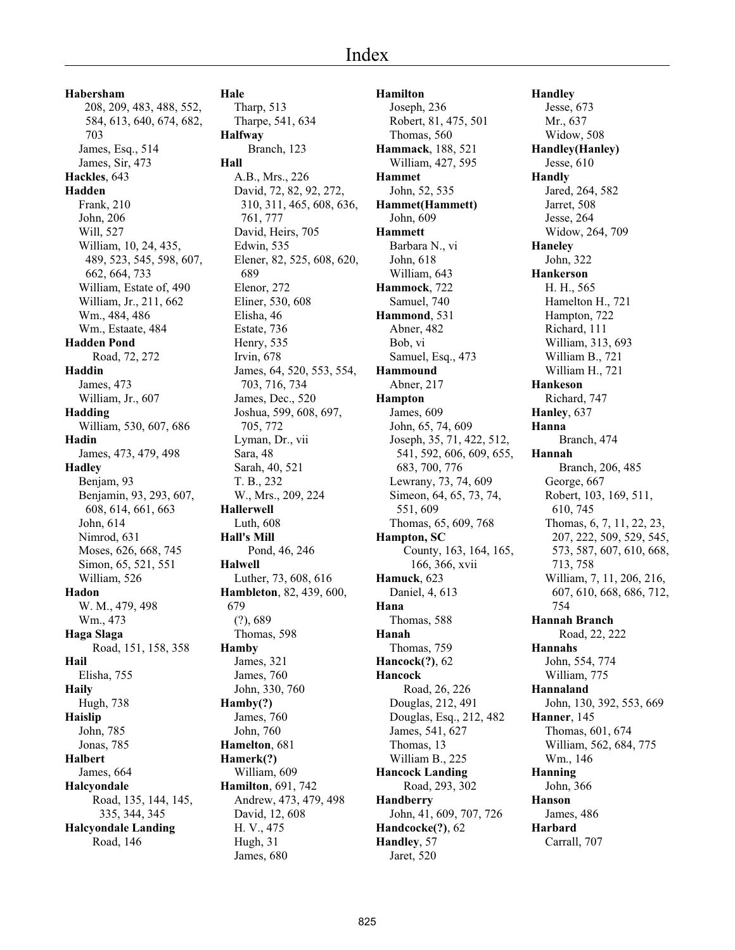**Habersham** 208, 209, 483, 488, 552, 584, 613, 640, 674, 682, 703 James, Esq., 514 James, Sir, 473 **Hackles**, 643 **Hadden** Frank, 210 John, 206 Will, 527 William, 10, 24, 435, 489, 523, 545, 598, 607, 662, 664, 733 William, Estate of, 490 William, Jr., 211, 662 Wm., 484, 486 Wm., Estaate, 484 **Hadden Pond** Road, 72, 272 **Haddin** James, 473 William, Jr., 607 **Hadding** William, 530, 607, 686 **Hadin** James, 473, 479, 498 **Hadley** Benjam, 93 Benjamin, 93, 293, 607, 608, 614, 661, 663 John, 614 Nimrod, 631 Moses, 626, 668, 745 Simon, 65, 521, 551 William, 526 **Hadon** W. M., 479, 498 Wm., 473 **Haga Slaga** Road, 151, 158, 358 **Hail** Elisha, 755 **Haily** Hugh, 738 **Haislip** John, 785 Jonas, 785 **Halbert** James, 664 **Halcyondale** Road, 135, 144, 145, 335, 344, 345 **Halcyondale Landing** Road, 146

**Hale** Tharp, 513 Tharpe, 541, 634 **Halfway** Branch, 123 **Hall** A.B., Mrs., 226 David, 72, 82, 92, 272, 310, 311, 465, 608, 636, 761, 777 David, Heirs, 705 Edwin, 535 Elener, 82, 525, 608, 620, 689 Elenor, 272 Eliner, 530, 608 Elisha, 46 Estate, 736 Henry, 535 Irvin, 678 James, 64, 520, 553, 554, 703, 716, 734 James, Dec., 520 Joshua, 599, 608, 697, 705, 772 Lyman, Dr., vii Sara, 48 Sarah, 40, 521 T. B., 232 W., Mrs., 209, 224 **Hallerwell** Luth, 608 **Hall's Mill** Pond, 46, 246 **Halwell** Luther, 73, 608, 616 **Hambleton**, 82, 439, 600, 679 (?), 689 Thomas, 598 **Hamby** James, 321 James, 760 John, 330, 760 **Hamby(?)** James, 760 John, 760 **Hamelton**, 681 **Hamerk(?)** William, 609 **Hamilton**, 691, 742 Andrew, 473, 479, 498 David, 12, 608 H. V., 475 Hugh, 31 James, 680

**Hamilton** Joseph, 236 Robert, 81, 475, 501 Thomas, 560 **Hammack**, 188, 521 William, 427, 595 **Hammet** John, 52, 535 **Hammet(Hammett)** John, 609 **Hammett** Barbara N., vi John, 618 William, 643 **Hammock**, 722 Samuel, 740 **Hammond**, 531 Abner, 482 Bob, vi Samuel, Esq., 473 **Hammound** Abner, 217 **Hampton** James, 609 John, 65, 74, 609 Joseph, 35, 71, 422, 512, 541, 592, 606, 609, 655, 683, 700, 776 Lewrany, 73, 74, 609 Simeon, 64, 65, 73, 74, 551, 609 Thomas, 65, 609, 768 **Hampton, SC** County, 163, 164, 165, 166, 366, xvii **Hamuck**, 623 Daniel, 4, 613 **Hana** Thomas, 588 **Hanah** Thomas, 759 **Hancock(?)**, 62 **Hancock** Road, 26, 226 Douglas, 212, 491 Douglas, Esq., 212, 482 James, 541, 627 Thomas, 13 William B., 225 **Hancock Landing** Road, 293, 302 **Handberry** John, 41, 609, 707, 726 **Handcocke(?)**, 62 **Handley**, 57 Jaret, 520

**Handley** Jesse, 673 Mr., 637 Widow, 508 **Handley(Hanley)** Jesse, 610 **Handly** Jared, 264, 582 Jarret, 508 Jesse, 264 Widow, 264, 709 **Haneley** John, 322 **Hankerson** H. H., 565 Hamelton H., 721 Hampton, 722 Richard, 111 William, 313, 693 William B., 721 William H., 721 **Hankeson** Richard, 747 **Hanley**, 637 **Hanna** Branch, 474 **Hannah** Branch, 206, 485 George, 667 Robert, 103, 169, 511, 610, 745 Thomas, 6, 7, 11, 22, 23, 207, 222, 509, 529, 545, 573, 587, 607, 610, 668, 713, 758 William, 7, 11, 206, 216, 607, 610, 668, 686, 712, 754 **Hannah Branch** Road, 22, 222 **Hannahs** John, 554, 774 William, 775 **Hannaland** John, 130, 392, 553, 669 **Hanner**, 145 Thomas, 601, 674 William, 562, 684, 775 Wm., 146 **Hanning** John, 366 **Hanson** James, 486 **Harbard** Carrall, 707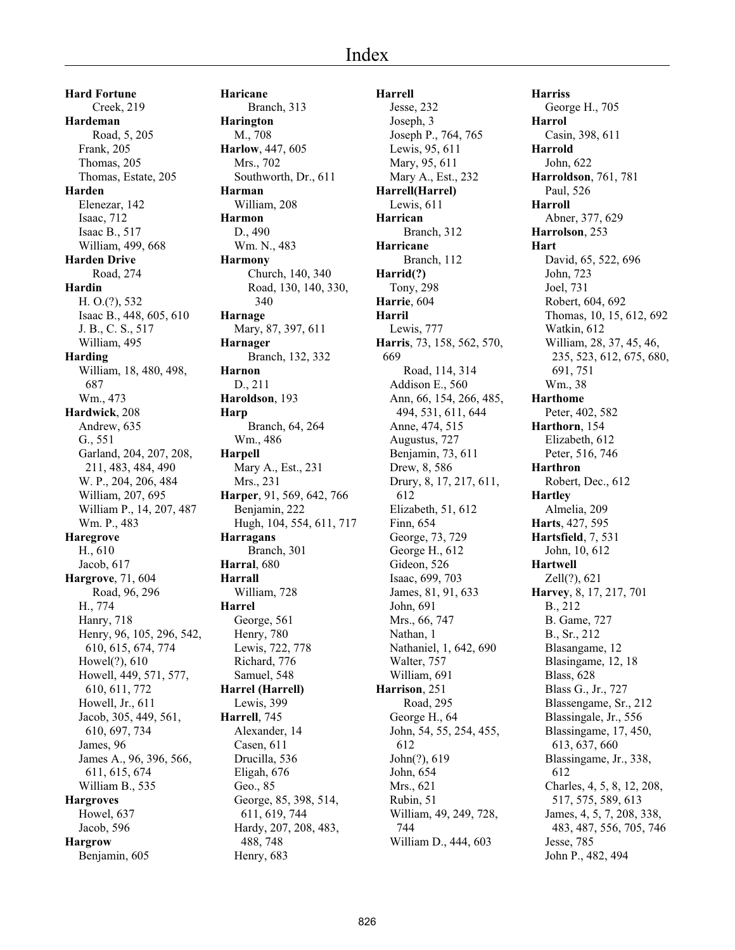**Hard Fortune** Creek, 219 **Hardeman** Road, 5, 205 Frank, 205 Thomas, 205 Thomas, Estate, 205 **Harden** Elenezar, 142 Isaac, 712 Isaac B., 517 William, 499, 668 **Harden Drive** Road, 274 **Hardin** H. O.(?), 532 Isaac B., 448, 605, 610 J. B., C. S., 517 William, 495 **Harding** William, 18, 480, 498, 687 Wm., 473 **Hardwick**, 208 Andrew, 635 G., 551 Garland, 204, 207, 208, 211, 483, 484, 490 W. P., 204, 206, 484 William, 207, 695 William P., 14, 207, 487 Wm. P., 483 **Haregrove** H., 610 Jacob, 617 **Hargrove**, 71, 604 Road, 96, 296 H., 774 Hanry, 718 Henry, 96, 105, 296, 542, 610, 615, 674, 774 Howel(?), 610 Howell, 449, 571, 577, 610, 611, 772 Howell, Jr., 611 Jacob, 305, 449, 561, 610, 697, 734 James, 96 James A., 96, 396, 566, 611, 615, 674 William B., 535 **Hargroves** Howel, 637 Jacob, 596 **Hargrow** Benjamin, 605

**Haricane** Branch, 313 **Harington** M., 708 **Harlow**, 447, 605 Mrs., 702 Southworth, Dr., 611 **Harman** William, 208 **Harmon** D., 490 Wm. N., 483 **Harmony** Church, 140, 340 Road, 130, 140, 330, 340 **Harnage** Mary, 87, 397, 611 **Harnager** Branch, 132, 332 **Harnon** D., 211 **Haroldson**, 193 **Harp** Branch, 64, 264 Wm., 486 **Harpell** Mary A., Est., 231 Mrs., 231 **Harper**, 91, 569, 642, 766 Benjamin, 222 Hugh, 104, 554, 611, 717 **Harragans** Branch, 301 **Harral**, 680 **Harrall** William, 728 **Harrel** George, 561 Henry, 780 Lewis, 722, 778 Richard, 776 Samuel, 548 **Harrel (Harrell)** Lewis, 399 **Harrell**, 745 Alexander, 14 Casen, 611 Drucilla, 536 Eligah, 676 Geo., 85 George, 85, 398, 514, 611, 619, 744 Hardy, 207, 208, 483, 488, 748 Henry, 683

**Harrell** Jesse, 232 Joseph, 3 Joseph P., 764, 765 Lewis, 95, 611 Mary, 95, 611 Mary A., Est., 232 **Harrell(Harrel)** Lewis, 611 **Harrican** Branch, 312 **Harricane** Branch, 112 **Harrid(?)** Tony, 298 **Harrie**, 604 **Harril** Lewis, 777 **Harris**, 73, 158, 562, 570, 669 Road, 114, 314 Addison E., 560 Ann, 66, 154, 266, 485, 494, 531, 611, 644 Anne, 474, 515 Augustus, 727 Benjamin, 73, 611 Drew, 8, 586 Drury, 8, 17, 217, 611, 612 Elizabeth, 51, 612 Finn, 654 George, 73, 729 George H., 612 Gideon, 526 Isaac, 699, 703 James, 81, 91, 633 John, 691 Mrs., 66, 747 Nathan, 1 Nathaniel, 1, 642, 690 Walter, 757 William, 691 **Harrison**, 251 Road, 295 George H., 64 John, 54, 55, 254, 455, 612 John(?), 619 John, 654 Mrs., 621 Rubin, 51 William, 49, 249, 728, 744 William D., 444, 603

**Harriss** George H., 705 **Harrol** Casin, 398, 611 **Harrold** John, 622 **Harroldson**, 761, 781 Paul, 526 **Harroll** Abner, 377, 629 **Harrolson**, 253 **Hart** David, 65, 522, 696 John, 723 Joel, 731 Robert, 604, 692 Thomas, 10, 15, 612, 692 Watkin, 612 William, 28, 37, 45, 46, 235, 523, 612, 675, 680, 691, 751 Wm., 38 **Harthome** Peter, 402, 582 **Harthorn**, 154 Elizabeth, 612 Peter, 516, 746 **Harthron** Robert, Dec., 612 **Hartley** Almelia, 209 **Harts**, 427, 595 **Hartsfield**, 7, 531 John, 10, 612 **Hartwell** Zell(?), 621 **Harvey**, 8, 17, 217, 701 B., 212 B. Game, 727 B., Sr., 212 Blasangame, 12 Blasingame, 12, 18 Blass, 628 Blass G., Jr., 727 Blassengame, Sr., 212 Blassingale, Jr., 556 Blassingame, 17, 450, 613, 637, 660 Blassingame, Jr., 338, 612 Charles, 4, 5, 8, 12, 208, 517, 575, 589, 613 James, 4, 5, 7, 208, 338, 483, 487, 556, 705, 746 Jesse, 785 John P., 482, 494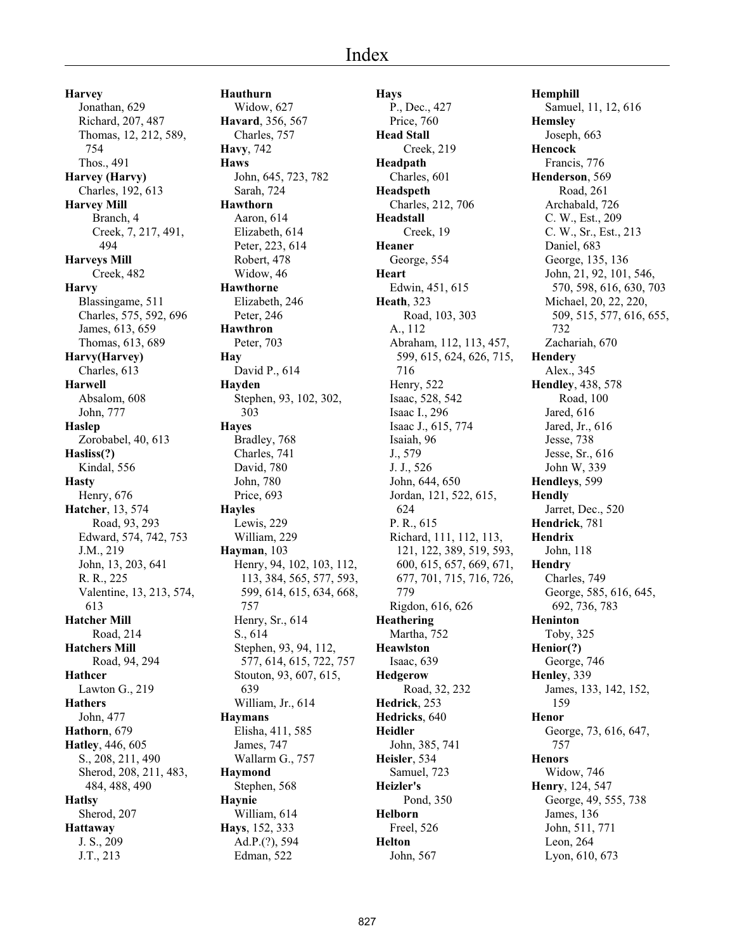**Harvey** Jonathan, 629 Richard, 207, 487 Thomas, 12, 212, 589, 754 Thos., 491 **Harvey (Harvy)** Charles, 192, 613 **Harvey Mill** Branch, 4 Creek, 7, 217, 491, 494 **Harveys Mill** Creek, 482 **Harvy** Blassingame, 511 Charles, 575, 592, 696 James, 613, 659 Thomas, 613, 689 **Harvy(Harvey)** Charles, 613 **Harwell** Absalom, 608 John, 777 **Haslep** Zorobabel, 40, 613 **Hasliss(?)** Kindal, 556 **Hasty** Henry, 676 **Hatcher**, 13, 574 Road, 93, 293 Edward, 574, 742, 753 J.M., 219 John, 13, 203, 641 R. R., 225 Valentine, 13, 213, 574, 613 **Hatcher Mill** Road, 214 **Hatchers Mill** Road, 94, 294 **Hathcer** Lawton G., 219 **Hathers** John, 477 **Hathorn**, 679 **Hatley**, 446, 605 S., 208, 211, 490 Sherod, 208, 211, 483, 484, 488, 490 **Hatlsy** Sherod, 207 **Hattaway** J. S., 209 J.T., 213

**Hauthurn** Widow, 627 **Havard**, 356, 567 Charles, 757 **Havy**, 742 **Haws** John, 645, 723, 782 Sarah, 724 **Hawthorn** Aaron, 614 Elizabeth, 614 Peter, 223, 614 Robert, 478 Widow, 46 **Hawthorne** Elizabeth, 246 Peter, 246 **Hawthron** Peter, 703 **Hay** David P., 614 **Hayden** Stephen, 93, 102, 302, 303 **Hayes** Bradley, 768 Charles, 741 David, 780 John, 780 Price, 693 **Hayles** Lewis, 229 William, 229 **Hayman**, 103 Henry, 94, 102, 103, 112, 113, 384, 565, 577, 593, 599, 614, 615, 634, 668, 757 Henry, Sr., 614 S., 614 Stephen, 93, 94, 112, 577, 614, 615, 722, 757 Stouton, 93, 607, 615, 639 William, Jr., 614 **Haymans** Elisha, 411, 585 James, 747 Wallarm G., 757 **Haymond** Stephen, 568 **Haynie** William, 614 **Hays**, 152, 333 Ad.P.(?), 594 Edman, 522

**Hays** P., Dec., 427 Price, 760 **Head Stall** Creek, 219 **Headpath** Charles, 601 **Headspeth** Charles, 212, 706 **Headstall** Creek, 19 **Heaner** George, 554 **Heart** Edwin, 451, 615 **Heath**, 323 Road, 103, 303 A., 112 Abraham, 112, 113, 457, 599, 615, 624, 626, 715, 716 Henry, 522 Isaac, 528, 542 Isaac I., 296 Isaac J., 615, 774 Isaiah, 96 J., 579 J. J., 526 John, 644, 650 Jordan, 121, 522, 615, 624 P. R., 615 Richard, 111, 112, 113, 121, 122, 389, 519, 593, 600, 615, 657, 669, 671, 677, 701, 715, 716, 726, 779 Rigdon, 616, 626 **Heathering** Martha, 752 **Heawlston** Isaac, 639 **Hedgerow** Road, 32, 232 **Hedrick**, 253 **Hedricks**, 640 **Heidler** John, 385, 741 **Heisler**, 534 Samuel, 723 **Heizler's** Pond, 350 **Helborn** Freel, 526 **Helton** John, 567

**Hemphill** Samuel, 11, 12, 616 **Hemsley** Joseph, 663 **Hencock** Francis, 776 **Henderson**, 569 Road, 261 Archabald, 726 C. W., Est., 209 C. W., Sr., Est., 213 Daniel, 683 George, 135, 136 John, 21, 92, 101, 546, 570, 598, 616, 630, 703 Michael, 20, 22, 220, 509, 515, 577, 616, 655, 732 Zachariah, 670 **Hendery** Alex., 345 **Hendley**, 438, 578 Road, 100 Jared, 616 Jared, Jr., 616 Jesse, 738 Jesse, Sr., 616 John W, 339 **Hendleys**, 599 **Hendly** Jarret, Dec., 520 **Hendrick**, 781 **Hendrix** John, 118 **Hendry** Charles, 749 George, 585, 616, 645, 692, 736, 783 **Heninton** Toby, 325 **Henior(?)** George, 746 **Henley**, 339 James, 133, 142, 152, 159 **Henor** George, 73, 616, 647, 757 **Henors** Widow, 746 **Henry**, 124, 547 George, 49, 555, 738 James, 136 John, 511, 771 Leon, 264 Lyon, 610, 673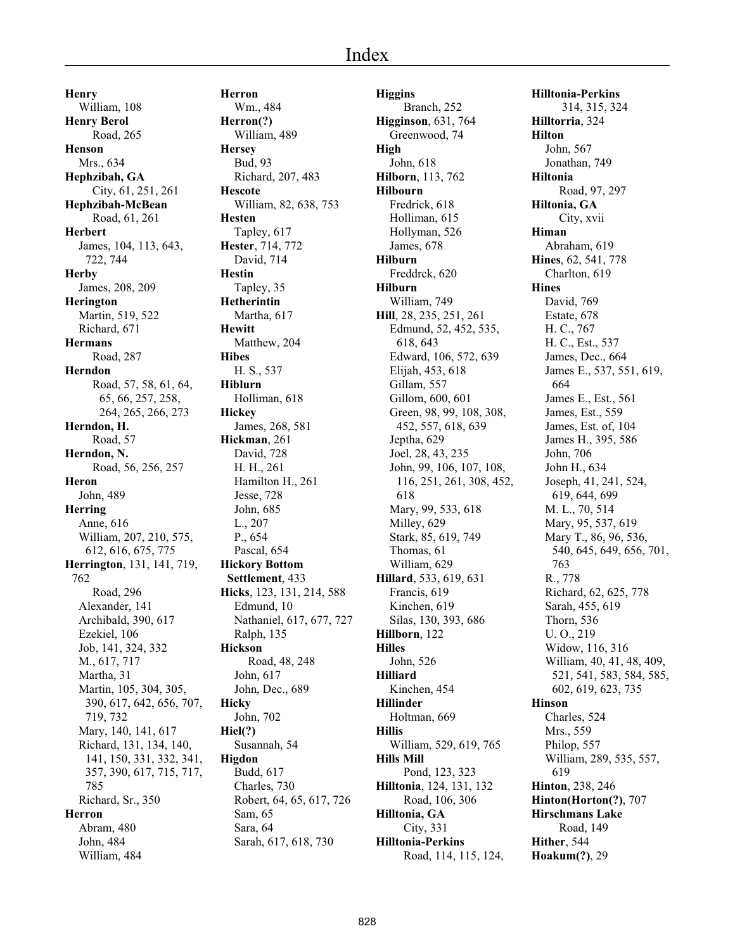**Henry** William, 108 **Henry Berol** Road, 265 **Henson** Mrs., 634 **Hephzibah, GA** City, 61, 251, 261 **Hephzibah-McBean** Road, 61, 261 **Herbert** James, 104, 113, 643, 722, 744 **Herby** James, 208, 209 **Herington** Martin, 519, 522 Richard, 671 **Hermans** Road, 287 **Herndon** Road, 57, 58, 61, 64, 65, 66, 257, 258, 264, 265, 266, 273 **Herndon, H.** Road, 57 **Herndon, N.** Road, 56, 256, 257 **Heron** John, 489 **Herring** Anne, 616 William, 207, 210, 575, 612, 616, 675, 775 **Herrington**, 131, 141, 719, 762 Road, 296 Alexander, 141 Archibald, 390, 617 Ezekiel, 106 Job, 141, 324, 332 M., 617, 717 Martha, 31 Martin, 105, 304, 305, 390, 617, 642, 656, 707, 719, 732 Mary, 140, 141, 617 Richard, 131, 134, 140, 141, 150, 331, 332, 341, 357, 390, 617, 715, 717, 785 Richard, Sr., 350 **Herron** Abram, 480 John, 484 William, 484

**Herron** Wm., 484 **Herron(?)** William, 489 **Hersey** Bud, 93 Richard, 207, 483 **Hescote** William, 82, 638, 753 **Hesten** Tapley, 617 **Hester**, 714, 772 David, 714 **Hestin** Tapley, 35 **Hetherintin** Martha, 617 **Hewitt** Matthew, 204 **Hibes** H. S., 537 **Hiblurn** Holliman, 618 **Hickey** James, 268, 581 **Hickman**, 261 David, 728 H. H., 261 Hamilton H., 261 Jesse, 728 John, 685 L., 207 P., 654 Pascal, 654 **Hickory Bottom Settlement**, 433 **Hicks**, 123, 131, 214, 588 Edmund, 10 Nathaniel, 617, 677, 727 Ralph, 135 **Hickson** Road, 48, 248 John, 617 John, Dec., 689 **Hicky** John, 702 **Hiel(?)** Susannah, 54 **Higdon** Budd, 617 Charles, 730 Robert, 64, 65, 617, 726 Sam, 65 Sara, 64 Sarah, 617, 618, 730

**Higgins** Branch, 252 **Higginson**, 631, 764 Greenwood, 74 **High** John, 618 **Hilborn**, 113, 762 **Hilbourn** Fredrick, 618 Holliman, 615 Hollyman, 526 James, 678 **Hilburn** Freddrck, 620 **Hilburn** William, 749 **Hill**, 28, 235, 251, 261 Edmund, 52, 452, 535, 618, 643 Edward, 106, 572, 639 Elijah, 453, 618 Gillam, 557 Gillom, 600, 601 Green, 98, 99, 108, 308, 452, 557, 618, 639 Jeptha, 629 Joel, 28, 43, 235 John, 99, 106, 107, 108, 116, 251, 261, 308, 452, 618 Mary, 99, 533, 618 Milley, 629 Stark, 85, 619, 749 Thomas, 61 William, 629 **Hillard**, 533, 619, 631 Francis, 619 Kinchen, 619 Silas, 130, 393, 686 **Hillborn**, 122 **Hilles** John, 526 **Hilliard** Kinchen, 454 **Hillinder** Holtman, 669 **Hillis** William, 529, 619, 765 **Hills Mill** Pond, 123, 323 **Hilltonia**, 124, 131, 132 Road, 106, 306 **Hilltonia, GA** City, 331 **Hilltonia-Perkins** Road, 114, 115, 124,

**Hilltonia-Perkins** 314, 315, 324 **Hilltorria**, 324 **Hilton** John, 567 Jonathan, 749 **Hiltonia** Road, 97, 297 **Hiltonia, GA** City, xvii **Himan** Abraham, 619 **Hines**, 62, 541, 778 Charlton, 619 **Hines** David, 769 Estate, 678 H. C., 767 H. C., Est., 537 James, Dec., 664 James E., 537, 551, 619, 664 James E., Est., 561 James, Est., 559 James, Est. of, 104 James H., 395, 586 John, 706 John H., 634 Joseph, 41, 241, 524, 619, 644, 699 M. L., 70, 514 Mary, 95, 537, 619 Mary T., 86, 96, 536, 540, 645, 649, 656, 701, 763 R., 778 Richard, 62, 625, 778 Sarah, 455, 619 Thorn, 536 U. O., 219 Widow, 116, 316 William, 40, 41, 48, 409, 521, 541, 583, 584, 585, 602, 619, 623, 735 **Hinson** Charles, 524 Mrs., 559 Philop, 557 William, 289, 535, 557, 619 **Hinton**, 238, 246 **Hinton(Horton(?)**, 707 **Hirschmans Lake** Road, 149 **Hither**, 544 **Hoakum(?)**, 29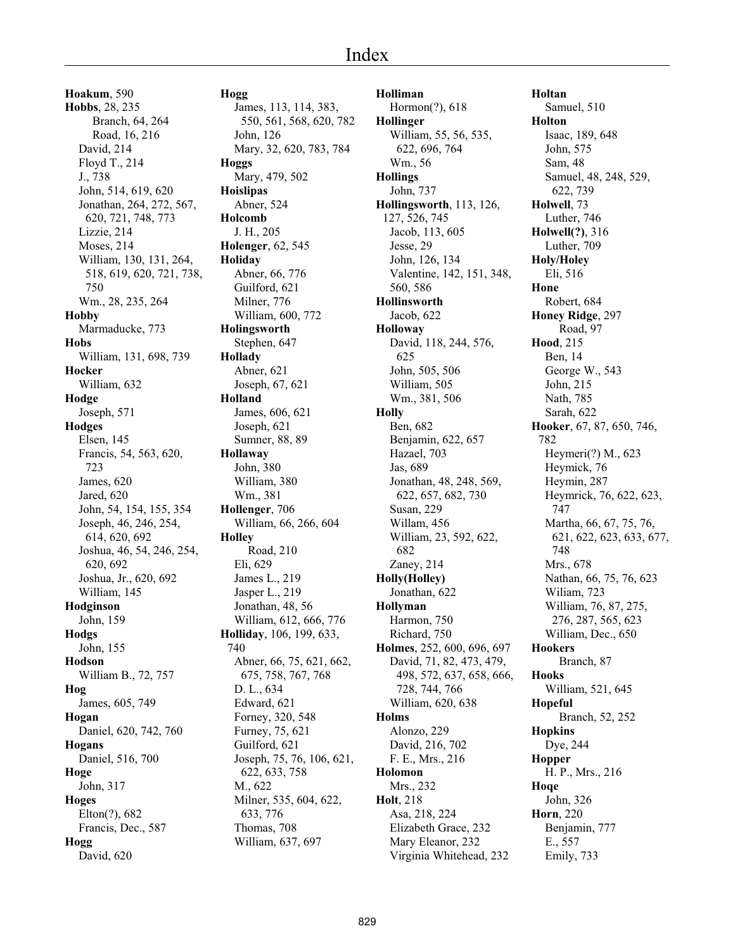**Hoakum**, 590 **Hobbs**, 28, 235 Branch, 64, 264 Road, 16, 216 David, 214 Floyd T., 214 J., 738 John, 514, 619, 620 Jonathan, 264, 272, 567, 620, 721, 748, 773 Lizzie, 214 Moses, 214 William, 130, 131, 264, 518, 619, 620, 721, 738, 750 Wm., 28, 235, 264 **Hobby** Marmaducke, 773 **Hobs** William, 131, 698, 739 **Hocker** William, 632 **Hodge** Joseph, 571 **Hodges** Elsen, 145 Francis, 54, 563, 620, 723 James, 620 Jared, 620 John, 54, 154, 155, 354 Joseph, 46, 246, 254, 614, 620, 692 Joshua, 46, 54, 246, 254, 620, 692 Joshua, Jr., 620, 692 William, 145 **Hodginson** John, 159 **Hodgs** John, 155 **Hodson** William B., 72, 757 **Hog** James, 605, 749 **Hogan** Daniel, 620, 742, 760 **Hogans** Daniel, 516, 700 **Hoge** John, 317 **Hoges** Elton(?), 682 Francis, Dec., 587 **Hogg** David, 620

**Hogg** James, 113, 114, 383, 550, 561, 568, 620, 782 John, 126 Mary, 32, 620, 783, 784 **Hoggs** Mary, 479, 502 **Hoislipas** Abner, 524 **Holcomb** J. H., 205 **Holenger**, 62, 545 **Holiday** Abner, 66, 776 Guilford, 621 Milner, 776 William, 600, 772 **Holingsworth** Stephen, 647 **Hollady** Abner, 621 Joseph, 67, 621 **Holland** James, 606, 621 Joseph, 621 Sumner, 88, 89 **Hollaway** John, 380 William, 380 Wm., 381 **Hollenger**, 706 William, 66, 266, 604 **Holley** Road, 210 Eli, 629 James L., 219 Jasper L., 219 Jonathan, 48, 56 William, 612, 666, 776 **Holliday**, 106, 199, 633, 740 Abner, 66, 75, 621, 662, 675, 758, 767, 768 D. L., 634 Edward, 621 Forney, 320, 548 Furney, 75, 621 Guilford, 621 Joseph, 75, 76, 106, 621, 622, 633, 758 M., 622 Milner, 535, 604, 622, 633, 776 Thomas, 708 William, 637, 697

**Holliman** Hormon(?), 618 **Hollinger** William, 55, 56, 535, 622, 696, 764 Wm., 56 **Hollings** John, 737 **Hollingsworth**, 113, 126, 127, 526, 745 Jacob, 113, 605 Jesse, 29 John, 126, 134 Valentine, 142, 151, 348, 560, 586 **Hollinsworth** Jacob, 622 **Holloway** David, 118, 244, 576, 625 John, 505, 506 William, 505 Wm., 381, 506 **Holly** Ben, 682 Benjamin, 622, 657 Hazael, 703 Jas, 689 Jonathan, 48, 248, 569, 622, 657, 682, 730 Susan, 229 Willam, 456 William, 23, 592, 622, 682 Zaney, 214 **Holly(Holley)** Jonathan, 622 **Hollyman** Harmon, 750 Richard, 750 **Holmes**, 252, 600, 696, 697 David, 71, 82, 473, 479, 498, 572, 637, 658, 666, 728, 744, 766 William, 620, 638 **Holms** Alonzo, 229 David, 216, 702 F. E., Mrs., 216 **Holomon** Mrs., 232 **Holt**, 218 Asa, 218, 224 Elizabeth Grace, 232 Mary Eleanor, 232 Virginia Whitehead, 232

**Holtan** Samuel, 510 **Holton** Isaac, 189, 648 John, 575 Sam, 48 Samuel, 48, 248, 529, 622, 739 **Holwell**, 73 Luther, 746 **Holwell(?)**, 316 Luther, 709 **Holy/Holey** Eli, 516 **Hone** Robert, 684 **Honey Ridge**, 297 Road, 97 **Hood**, 215 Ben, 14 George W., 543 John, 215 Nath, 785 Sarah, 622 **Hooker**, 67, 87, 650, 746, 782 Heymeri(?) M., 623 Heymick, 76 Heymin, 287 Heymrick, 76, 622, 623, 747 Martha, 66, 67, 75, 76, 621, 622, 623, 633, 677, 748 Mrs., 678 Nathan, 66, 75, 76, 623 Wiliam, 723 William, 76, 87, 275, 276, 287, 565, 623 William, Dec., 650 **Hookers** Branch, 87 **Hooks** William, 521, 645 **Hopeful** Branch, 52, 252 **Hopkins** Dye, 244 **Hopper** H. P., Mrs., 216 **Hoqe** John, 326 **Horn**, 220 Benjamin, 777 E., 557 Emily, 733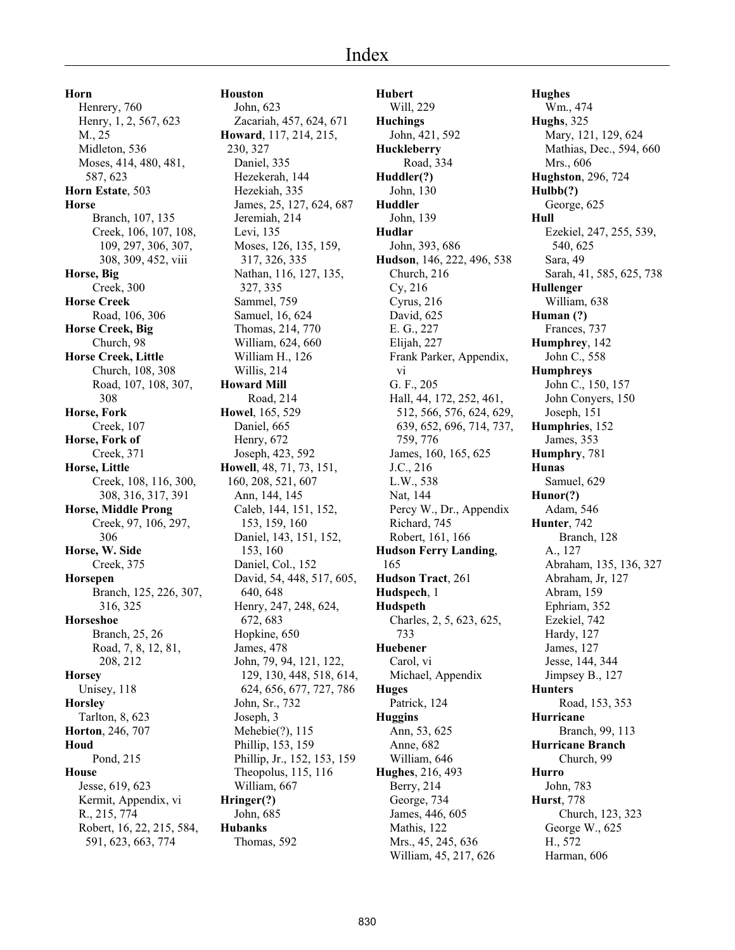**Horn** Henrery, 760 Henry, 1, 2, 567, 623 M., 25 Midleton, 536 Moses, 414, 480, 481, 587, 623 **Horn Estate**, 503 **Horse** Branch, 107, 135 Creek, 106, 107, 108, 109, 297, 306, 307, 308, 309, 452, viii **Horse, Big** Creek, 300 **Horse Creek** Road, 106, 306 **Horse Creek, Big** Church, 98 **Horse Creek, Little** Church, 108, 308 Road, 107, 108, 307, 308 **Horse, Fork** Creek, 107 **Horse, Fork of** Creek, 371 **Horse, Little** Creek, 108, 116, 300, 308, 316, 317, 391 **Horse, Middle Prong** Creek, 97, 106, 297, 306 **Horse, W. Side** Creek, 375 **Horsepen** Branch, 125, 226, 307, 316, 325 **Horseshoe** Branch, 25, 26 Road, 7, 8, 12, 81, 208, 212 **Horsey** Unisey, 118 **Horsley** Tarlton, 8, 623 **Horton**, 246, 707 **Houd** Pond, 215 **House** Jesse, 619, 623 Kermit, Appendix, vi R., 215, 774 Robert, 16, 22, 215, 584, 591, 623, 663, 774

# **Houston**

John, 623 Zacariah, 457, 624, 671 **Howard**, 117, 214, 215, 230, 327 Daniel, 335 Hezekerah, 144 Hezekiah, 335 James, 25, 127, 624, 687 Jeremiah, 214 Levi, 135 Moses, 126, 135, 159, 317, 326, 335 Nathan, 116, 127, 135, 327, 335 Sammel, 759 Samuel, 16, 624 Thomas, 214, 770 William, 624, 660 William H., 126 Willis, 214 **Howard Mill** Road, 214 **Howel**, 165, 529 Daniel, 665 Henry, 672 Joseph, 423, 592 **Howell**, 48, 71, 73, 151, 160, 208, 521, 607 Ann, 144, 145 Caleb, 144, 151, 152, 153, 159, 160 Daniel, 143, 151, 152, 153, 160 Daniel, Col., 152 David, 54, 448, 517, 605, 640, 648 Henry, 247, 248, 624, 672, 683 Hopkine, 650 James, 478 John, 79, 94, 121, 122, 129, 130, 448, 518, 614, 624, 656, 677, 727, 786 John, Sr., 732 Joseph, 3 Mehebie(?), 115 Phillip, 153, 159 Phillip, Jr., 152, 153, 159 Theopolus, 115, 116 William, 667 **Hringer(?)** John, 685 **Hubanks** Thomas, 592

**Hubert** Will, 229 **Huchings** John, 421, 592 **Huckleberry** Road, 334 **Huddler(?)** John, 130 **Huddler** John, 139 **Hudlar** John, 393, 686 **Hudson**, 146, 222, 496, 538 Church, 216 Cy, 216 Cyrus, 216 David, 625 E. G., 227 Elijah, 227 Frank Parker, Appendix, vi G. F., 205 Hall, 44, 172, 252, 461, 512, 566, 576, 624, 629, 639, 652, 696, 714, 737, 759, 776 James, 160, 165, 625 J.C., 216 L.W., 538 Nat, 144 Percy W., Dr., Appendix Richard, 745 Robert, 161, 166 **Hudson Ferry Landing**, 165 **Hudson Tract**, 261 **Hudspech**, 1 **Hudspeth** Charles, 2, 5, 623, 625, 733 **Huebener** Carol, vi Michael, Appendix **Huges** Patrick, 124 **Huggins** Ann, 53, 625 Anne, 682 William, 646 **Hughes**, 216, 493 Berry, 214 George, 734 James, 446, 605 Mathis, 122 Mrs., 45, 245, 636 William, 45, 217, 626

**Hughes** Wm., 474 **Hughs**, 325 Mary, 121, 129, 624 Mathias, Dec., 594, 660 Mrs., 606 **Hughston**, 296, 724 **Hulbb(?)** George, 625 **Hull** Ezekiel, 247, 255, 539, 540, 625 Sara, 49 Sarah, 41, 585, 625, 738 **Hullenger** William, 638 **Human (?)** Frances, 737 **Humphrey**, 142 John C., 558 **Humphreys** John C., 150, 157 John Conyers, 150 Joseph, 151 **Humphries**, 152 James, 353 **Humphry**, 781 **Hunas** Samuel, 629 **Hunor(?)** Adam, 546 **Hunter**, 742 Branch, 128 A., 127 Abraham, 135, 136, 327 Abraham, Jr, 127 Abram, 159 Ephriam, 352 Ezekiel, 742 Hardy, 127 James, 127 Jesse, 144, 344 Jimpsey B., 127 **Hunters** Road, 153, 353 **Hurricane** Branch, 99, 113 **Hurricane Branch** Church, 99 **Hurro** John, 783 **Hurst**, 778 Church, 123, 323 George W., 625 H., 572 Harman, 606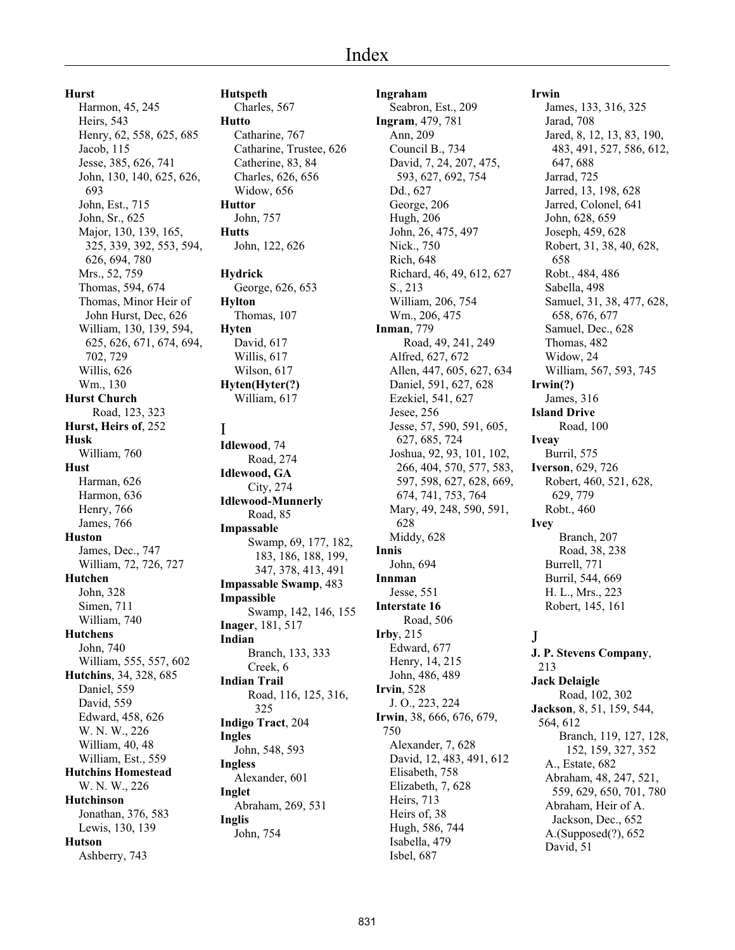**Hurst**

Harmon, 45, 245 Heirs, 543 Henry, 62, 558, 625, 685 Jacob, 115 Jesse, 385, 626, 741 John, 130, 140, 625, 626, 693 John, Est., 715 John, Sr., 625 Major, 130, 139, 165, 325, 339, 392, 553, 594, 626, 694, 780 Mrs., 52, 759 Thomas, 594, 674 Thomas, Minor Heir of John Hurst, Dec, 626 William, 130, 139, 594, 625, 626, 671, 674, 694, 702, 729 Willis, 626 Wm., 130 **Hurst Church** Road, 123, 323 **Hurst, Heirs of**, 252 **Husk** William, 760 **Hust** Harman, 626 Harmon, 636 Henry, 766 James, 766 **Huston** James, Dec., 747 William, 72, 726, 727 **Hutchen** John, 328 Simen, 711 William, 740 **Hutchens** John, 740 William, 555, 557, 602 **Hutchins**, 34, 328, 685 Daniel, 559 David, 559 Edward, 458, 626 W. N. W., 226 William, 40, 48 William, Est., 559 **Hutchins Homestead** W. N. W., 226 **Hutchinson** Jonathan, 376, 583 Lewis, 130, 139 **Hutson** Ashberry, 743

**Hutspeth** Charles, 567 **Hutto** Catharine, 767 Catharine, Trustee, 626 Catherine, 83, 84 Charles, 626, 656 Widow, 656 **Huttor** John, 757 **Hutts** John, 122, 626 **Hydrick** George, 626, 653 **Hylton** Thomas, 107 **Hyten** David, 617 Willis, 617 Wilson, 617 **Hyten(Hyter(?)** William, 617 I **Idlewood**, 74 Road, 274 **Idlewood, GA** City, 274 **Idlewood-Munnerly** Road, 85 **Impassable** Swamp, 69, 177, 182, 183, 186, 188, 199, 347, 378, 413, 491 **Impassable Swamp**, 483 **Impassible** Swamp, 142, 146, 155 **Inager**, 181, 517 **Indian** Branch, 133, 333 Creek, 6 **Indian Trail** Road, 116, 125, 316, 325 **Indigo Tract**, 204 **Ingles** John, 548, 593 **Ingless** Alexander, 601 **Inglet** Abraham, 269, 531 **Inglis** John, 754

**Ingraham** Seabron, Est., 209 **Ingram**, 479, 781 Ann, 209 Council B., 734 David, 7, 24, 207, 475, 593, 627, 692, 754 Dd., 627 George, 206 Hugh, 206 John, 26, 475, 497 Nick., 750 Rich, 648 Richard, 46, 49, 612, 627 S., 213 William, 206, 754 Wm., 206, 475 **Inman**, 779 Road, 49, 241, 249 Alfred, 627, 672 Allen, 447, 605, 627, 634 Daniel, 591, 627, 628 Ezekiel, 541, 627 Jesee, 256 Jesse, 57, 590, 591, 605, 627, 685, 724 Joshua, 92, 93, 101, 102, 266, 404, 570, 577, 583, 597, 598, 627, 628, 669, 674, 741, 753, 764 Mary, 49, 248, 590, 591, 628 Middy, 628 **Innis** John, 694 **Innman** Jesse, 551 **Interstate 16** Road, 506 **Irby**, 215 Edward, 677 Henry, 14, 215 John, 486, 489 **Irvin**, 528 J. O., 223, 224 **Irwin**, 38, 666, 676, 679, 750 Alexander, 7, 628 David, 12, 483, 491, 612 Elisabeth, 758 Elizabeth, 7, 628 Heirs, 713 Heirs of, 38 Hugh, 586, 744 Isabella, 479 Isbel, 687

# **Irwin**

James, 133, 316, 325 Jarad, 708 Jared, 8, 12, 13, 83, 190, 483, 491, 527, 586, 612, 647, 688 Jarrad, 725 Jarred, 13, 198, 628 Jarred, Colonel, 641 John, 628, 659 Joseph, 459, 628 Robert, 31, 38, 40, 628, 658 Robt., 484, 486 Sabella, 498 Samuel, 31, 38, 477, 628, 658, 676, 677 Samuel, Dec., 628 Thomas, 482 Widow, 24 William, 567, 593, 745 **Irwin(?)** James, 316 **Island Drive** Road, 100 **Iveay** Burril, 575 **Iverson**, 629, 726 Robert, 460, 521, 628, 629, 779 Robt., 460 **Ivey** Branch, 207 Road, 38, 238 Burrell, 771 Burril, 544, 669 H. L., Mrs., 223 Robert, 145, 161 J **J. P. Stevens Company**, 213 **Jack Delaigle** Road, 102, 302

**Jackson**, 8, 51, 159, 544, 564, 612 Branch, 119, 127, 128, 152, 159, 327, 352 A., Estate, 682 Abraham, 48, 247, 521, 559, 629, 650, 701, 780 Abraham, Heir of A. Jackson, Dec., 652 A.(Supposed(?), 652 David, 51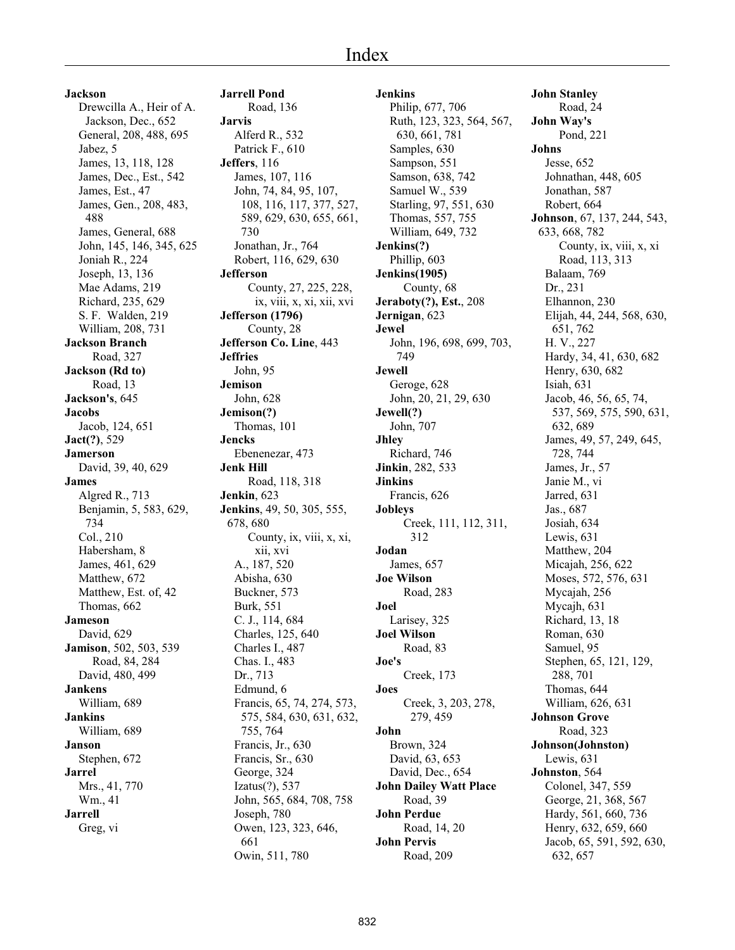#### **Jackson**

Drewcilla A., Heir of A. Jackson, Dec., 652 General, 208, 488, 695 Jabez, 5 James, 13, 118, 128 James, Dec., Est., 542 James, Est., 47 James, Gen., 208, 483, 488 James, General, 688 John, 145, 146, 345, 625 Joniah R., 224 Joseph, 13, 136 Mae Adams, 219 Richard, 235, 629 S. F. Walden, 219 William, 208, 731 **Jackson Branch** Road, 327 **Jackson (Rd to)** Road, 13 **Jackson's**, 645 **Jacobs** Jacob, 124, 651 **Jact(?)**, 529 **Jamerson** David, 39, 40, 629 **James** Algred R., 713 Benjamin, 5, 583, 629, 734 Col., 210 Habersham, 8 James, 461, 629 Matthew, 672 Matthew, Est. of, 42 Thomas, 662 **Jameson** David, 629 **Jamison**, 502, 503, 539 Road, 84, 284 David, 480, 499 **Jankens** William, 689 **Jankins** William, 689 **Janson** Stephen, 672 **Jarrel** Mrs., 41, 770 Wm., 41 **Jarrell** Greg, vi

**Jarrell Pond** Road, 136 **Jarvis** Alferd R., 532 Patrick F., 610 **Jeffers**, 116 James, 107, 116 John, 74, 84, 95, 107, 108, 116, 117, 377, 527, 589, 629, 630, 655, 661, 730 Jonathan, Jr., 764 Robert, 116, 629, 630 **Jefferson** County, 27, 225, 228, ix, viii, x, xi, xii, xvi **Jefferson (1796)** County, 28 **Jefferson Co. Line**, 443 **Jeffries** John, 95 **Jemison** John, 628 **Jemison(?)** Thomas, 101 **Jencks** Ebenenezar, 473 **Jenk Hill** Road, 118, 318 **Jenkin**, 623 **Jenkins**, 49, 50, 305, 555, 678, 680 County, ix, viii, x, xi, xii, xvi A., 187, 520 Abisha, 630 Buckner, 573 Burk, 551 C. J., 114, 684 Charles, 125, 640 Charles I., 487 Chas. I., 483 Dr., 713 Edmund, 6 Francis, 65, 74, 274, 573, 575, 584, 630, 631, 632, 755, 764 Francis, Jr., 630 Francis, Sr., 630 George, 324 Izatus(?), 537 John, 565, 684, 708, 758 Joseph, 780 Owen, 123, 323, 646, 661 Owin, 511, 780

**Jenkins** Philip, 677, 706 Ruth, 123, 323, 564, 567, 630, 661, 781 Samples, 630 Sampson, 551 Samson, 638, 742 Samuel W., 539 Starling, 97, 551, 630 Thomas, 557, 755 William, 649, 732 **Jenkins(?)** Phillip, 603 **Jenkins(1905)** County, 68 **Jeraboty(?), Est.**, 208 **Jernigan**, 623 **Jewel** John, 196, 698, 699, 703, 749 **Jewell** Geroge, 628 John, 20, 21, 29, 630 **Jewell(?)** John, 707 **Jhley** Richard, 746 **Jinkin**, 282, 533 **Jinkins** Francis, 626 **Jobleys** Creek, 111, 112, 311, 312 **Jodan** James, 657 **Joe Wilson** Road, 283 **Joel** Larisey, 325 **Joel Wilson** Road, 83 **Joe's** Creek, 173 **Joes** Creek, 3, 203, 278, 279, 459 **John** Brown, 324 David, 63, 653 David, Dec., 654 **John Dailey Watt Place** Road, 39 **John Perdue** Road, 14, 20 **John Pervis** Road, 209

**John Stanley** Road, 24 **John Way's** Pond, 221 **Johns** Jesse, 652 Johnathan, 448, 605 Jonathan, 587 Robert, 664 **Johnson**, 67, 137, 244, 543, 633, 668, 782 County, ix, viii, x, xi Road, 113, 313 Balaam, 769 Dr., 231 Elhannon, 230 Elijah, 44, 244, 568, 630, 651, 762 H. V., 227 Hardy, 34, 41, 630, 682 Henry, 630, 682 Isiah, 631 Jacob, 46, 56, 65, 74, 537, 569, 575, 590, 631, 632, 689 James, 49, 57, 249, 645, 728, 744 James, Jr., 57 Janie M., vi Jarred, 631 Jas., 687 Josiah, 634 Lewis, 631 Matthew, 204 Micajah, 256, 622 Moses, 572, 576, 631 Mycajah, 256 Mycajh, 631 Richard, 13, 18 Roman, 630 Samuel, 95 Stephen, 65, 121, 129, 288, 701 Thomas, 644 William, 626, 631 **Johnson Grove** Road, 323 **Johnson(Johnston)** Lewis, 631 **Johnston**, 564 Colonel, 347, 559 George, 21, 368, 567 Hardy, 561, 660, 736 Henry, 632, 659, 660 Jacob, 65, 591, 592, 630, 632, 657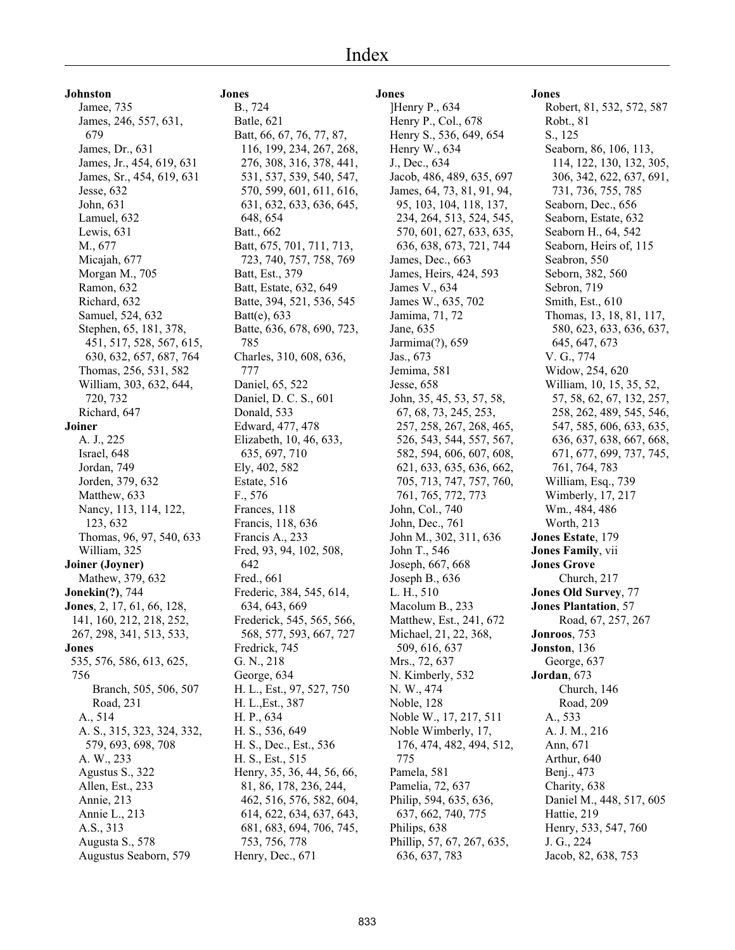**Johnston**

Jamee, 735 James, 246, 557, 631, 679 James, Dr., 631 James, Jr., 454, 619, 631 James, Sr., 454, 619, 631 Jesse, 632 John, 631 Lamuel, 632 Lewis, 631 M., 677 Micajah, 677 Morgan M., 705 Ramon, 632 Richard, 632 Samuel, 524, 632 Stephen, 65, 181, 378, 451, 517, 528, 567, 615, 630, 632, 657, 687, 764 Thomas, 256, 531, 582 William, 303, 632, 644, 720, 732 Richard, 647 **Joiner** A. J., 225 Israel, 648 Jordan, 749 Jorden, 379, 632 Matthew, 633 Nancy, 113, 114, 122, 123, 632 Thomas, 96, 97, 540, 633 William, 325 **Joiner (Joyner)** Mathew, 379, 632 **Jonekin(?)**, 744 **Jones**, 2, 17, 61, 66, 128, 141, 160, 212, 218, 252, 267, 298, 341, 513, 533, **Jones** 535, 576, 586, 613, 625, 756 Branch, 505, 506, 507 Road, 231 A., 514 A. S., 315, 323, 324, 332, 579, 693, 698, 708 A. W., 233 Agustus S., 322 Allen, Est., 233 Annie, 213 Annie L., 213 A.S., 313 Augusta S., 578 Augustus Seaborn, 579

# **Jones** B., 724

Batle, 621 Batt, 66, 67, 76, 77, 87, 116, 199, 234, 267, 268, 276, 308, 316, 378, 441, 531, 537, 539, 540, 547, 570, 599, 601, 611, 616, 631, 632, 633, 636, 645, 648, 654 Batt., 662 Batt, 675, 701, 711, 713, 723, 740, 757, 758, 769 Batt, Est., 379 Batt, Estate, 632, 649 Batte, 394, 521, 536, 545 Batt(e), 633 Batte, 636, 678, 690, 723, 785 Charles, 310, 608, 636, 777 Daniel, 65, 522 Daniel, D. C. S., 601 Donald, 533 Edward, 477, 478 Elizabeth, 10, 46, 633, 635, 697, 710 Ely, 402, 582 Estate, 516 F., 576 Frances, 118 Francis, 118, 636 Francis A., 233 Fred, 93, 94, 102, 508, 642 Fred., 661 Frederic, 384, 545, 614, 634, 643, 669 Frederick, 545, 565, 566, 568, 577, 593, 667, 727 Fredrick, 745 G. N., 218 George, 634 H. L., Est., 97, 527, 750 H. L.,Est., 387 H. P., 634 H. S., 536, 649 H. S., Dec., Est., 536 H. S., Est., 515 Henry, 35, 36, 44, 56, 66, 81, 86, 178, 236, 244, 462, 516, 576, 582, 604, 614, 622, 634, 637, 643, 681, 683, 694, 706, 745, 753, 756, 778 Henry, Dec., 671

# **Jones** ]Henry P., 634 Henry P., Col., 678 Henry S., 536, 649, 654 Henry W., 634 J., Dec., 634 Jacob, 486, 489, 635, 697 James, 64, 73, 81, 91, 94, 95, 103, 104, 118, 137, 234, 264, 513, 524, 545, 570, 601, 627, 633, 635, 636, 638, 673, 721, 744 James, Dec., 663 James, Heirs, 424, 593 James V., 634 James W., 635, 702 Jamima, 71, 72 Jane, 635 Jarmima(?), 659 Jas., 673 Jemima, 581 Jesse, 658 John, 35, 45, 53, 57, 58, 67, 68, 73, 245, 253, 257, 258, 267, 268, 465, 526, 543, 544, 557, 567, 582, 594, 606, 607, 608, 621, 633, 635, 636, 662, 705, 713, 747, 757, 760, 761, 765, 772, 773 John, Col., 740 John, Dec., 761 John M., 302, 311, 636 John T., 546 Joseph, 667, 668 Joseph B., 636 L. H., 510 Macolum B., 233 Matthew, Est., 241, 672 Michael, 21, 22, 368, 509, 616, 637 Mrs., 72, 637 N. Kimberly, 532 N. W., 474 Noble, 128 Noble W., 17, 217, 511 Noble Wimberly, 17, 176, 474, 482, 494, 512, 775 Pamela, 581 Pamelia, 72, 637 Philip, 594, 635, 636, 637, 662, 740, 775 Philips, 638 Phillip, 57, 67, 267, 635, 636, 637, 783

# **Jones**

Robert, 81, 532, 572, 587 Robt., 81 S., 125 Seaborn, 86, 106, 113, 114, 122, 130, 132, 305, 306, 342, 622, 637, 691, 731, 736, 755, 785 Seaborn, Dec., 656 Seaborn, Estate, 632 Seaborn H., 64, 542 Seaborn, Heirs of, 115 Seabron, 550 Seborn, 382, 560 Sebron, 719 Smith, Est., 610 Thomas, 13, 18, 81, 117, 580, 623, 633, 636, 637, 645, 647, 673 V. G., 774 Widow, 254, 620 William, 10, 15, 35, 52, 57, 58, 62, 67, 132, 257, 258, 262, 489, 545, 546, 547, 585, 606, 633, 635, 636, 637, 638, 667, 668, 671, 677, 699, 737, 745, 761, 764, 783 William, Esq., 739 Wimberly, 17, 217 Wm., 484, 486 Worth, 213 **Jones Estate**, 179 **Jones Family**, vii **Jones Grove** Church, 217 **Jones Old Survey**, 77 **Jones Plantation**, 57 Road, 67, 257, 267 **Jonroos**, 753 **Jonston**, 136 George, 637 **Jordan**, 673 Church, 146 Road, 209 A., 533 A. J. M., 216 Ann, 671 Arthur, 640 Benj., 473 Charity, 638 Daniel M., 448, 517, 605 Hattie, 219 Henry, 533, 547, 760 J. G., 224 Jacob, 82, 638, 753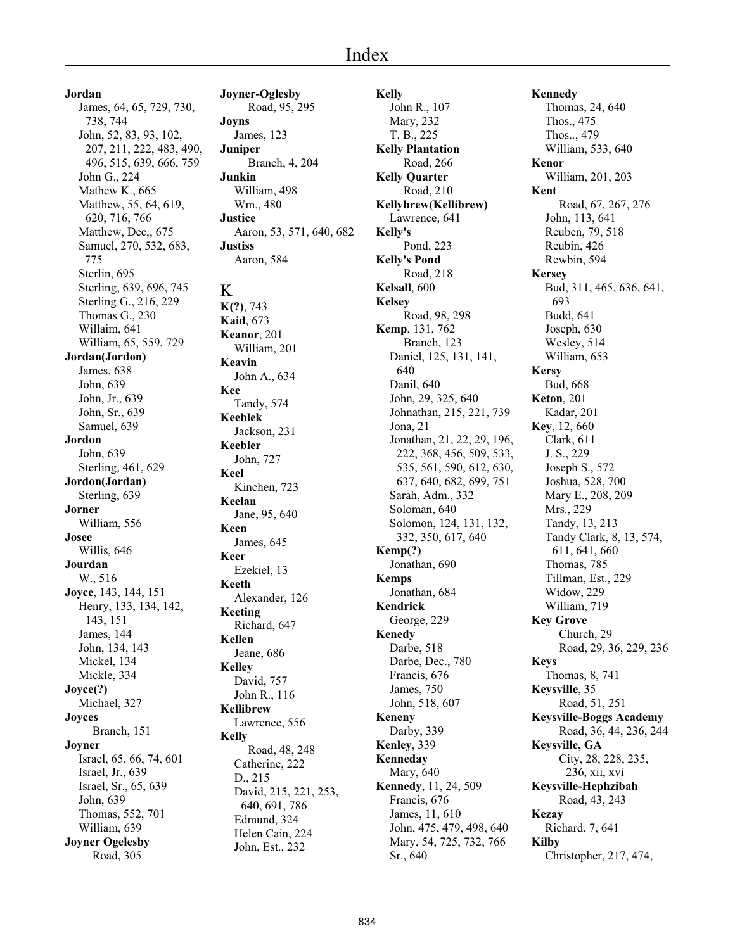**Jordan** James, 64, 65, 729, 730, 738, 744 John, 52, 83, 93, 102, 207, 211, 222, 483, 490, 496, 515, 639, 666, 759 John G., 224 Mathew K., 665 Matthew, 55, 64, 619, 620, 716, 766 Matthew, Dec,, 675 Samuel, 270, 532, 683, 775 Sterlin, 695 Sterling, 639, 696, 745 Sterling G., 216, 229 Thomas G., 230 Willaim, 641 William, 65, 559, 729 **Jordan(Jordon)** James, 638 John, 639 John, Jr., 639 John, Sr., 639 Samuel, 639 **Jordon** John, 639 Sterling, 461, 629 **Jordon(Jordan)** Sterling, 639 **Jorner** William, 556 **Josee** Willis, 646 **Jourdan** W., 516 **Joyce**, 143, 144, 151 Henry, 133, 134, 142, 143, 151 James, 144 John, 134, 143 Mickel, 134 Mickle, 334 **Joyce(?)** Michael, 327 **Joyces** Branch, 151 **Joyner** Israel, 65, 66, 74, 601 Israel, Jr., 639 Israel, Sr., 65, 639 John, 639 Thomas, 552, 701 William, 639 **Joyner Ogelesby** Road, 305

**Joyner-Oglesby** Road, 95, 295 **Joyns** James, 123 **Juniper** Branch, 4, 204 **Junkin** William, 498 Wm., 480 **Justice** Aaron, 53, 571, 640, 682 **Justiss** Aaron, 584 K **K(?)**, 743 **Kaid**, 673 **Keanor**, 201 William, 201 **Keavin** John A., 634 **Kee** Tandy, 574 **Keeblek** Jackson, 231 **Keebler** John, 727 **Keel** Kinchen, 723 **Keelan** Jane, 95, 640 **Keen** James, 645 **Keer** Ezekiel, 13 **Keeth** Alexander, 126 **Keeting** Richard, 647 **Kellen** Jeane, 686 **Kelley** David, 757 John R., 116 **Kellibrew** Lawrence, 556 **Kelly** Road, 48, 248 Catherine, 222 D., 215 David, 215, 221, 253, 640, 691, 786 Edmund, 324 Helen Cain, 224 John, Est., 232

**Kelly** John R., 107 Mary, 232 T. B., 225 **Kelly Plantation** Road, 266 **Kelly Quarter** Road, 210 **Kellybrew(Kellibrew)** Lawrence, 641 **Kelly's** Pond, 223 **Kelly's Pond** Road, 218 **Kelsall**, 600 **Kelsey** Road, 98, 298 **Kemp**, 131, 762 Branch, 123 Daniel, 125, 131, 141, 640 Danil, 640 John, 29, 325, 640 Johnathan, 215, 221, 739 Jona, 21 Jonathan, 21, 22, 29, 196, 222, 368, 456, 509, 533, 535, 561, 590, 612, 630, 637, 640, 682, 699, 751 Sarah, Adm., 332 Soloman, 640 Solomon, 124, 131, 132, 332, 350, 617, 640 **Kemp(?)** Jonathan, 690 **Kemps** Jonathan, 684 **Kendrick** George, 229 **Kenedy** Darbe, 518 Darbe, Dec., 780 Francis, 676 James, 750 John, 518, 607 **Keneny** Darby, 339 **Kenley**, 339 **Kenneday** Mary, 640 **Kennedy**, 11, 24, 509 Francis, 676 James, 11, 610 John, 475, 479, 498, 640 Mary, 54, 725, 732, 766 Sr., 640

**Kennedy** Thomas, 24, 640 Thos., 475 Thos.., 479 William, 533, 640 **Kenor** William, 201, 203 **Kent** Road, 67, 267, 276 John, 113, 641 Reuben, 79, 518 Reubin, 426 Rewbin, 594 **Kersey** Bud, 311, 465, 636, 641, 693 Budd, 641 Joseph, 630 Wesley, 514 William, 653 **Kersy** Bud, 668 **Keton**, 201 Kadar, 201 **Key**, 12, 660 Clark, 611 J. S., 229 Joseph S., 572 Joshua, 528, 700 Mary E., 208, 209 Mrs., 229 Tandy, 13, 213 Tandy Clark, 8, 13, 574, 611, 641, 660 Thomas, 785 Tillman, Est., 229 Widow, 229 William, 719 **Key Grove** Church, 29 Road, 29, 36, 229, 236 **Keys** Thomas, 8, 741 **Keysville**, 35 Road, 51, 251 **Keysville-Boggs Academy** Road, 36, 44, 236, 244 **Keysville, GA** City, 28, 228, 235, 236, xii, xvi **Keysville-Hephzibah** Road, 43, 243 **Kezay** Richard, 7, 641 **Kilby** Christopher, 217, 474,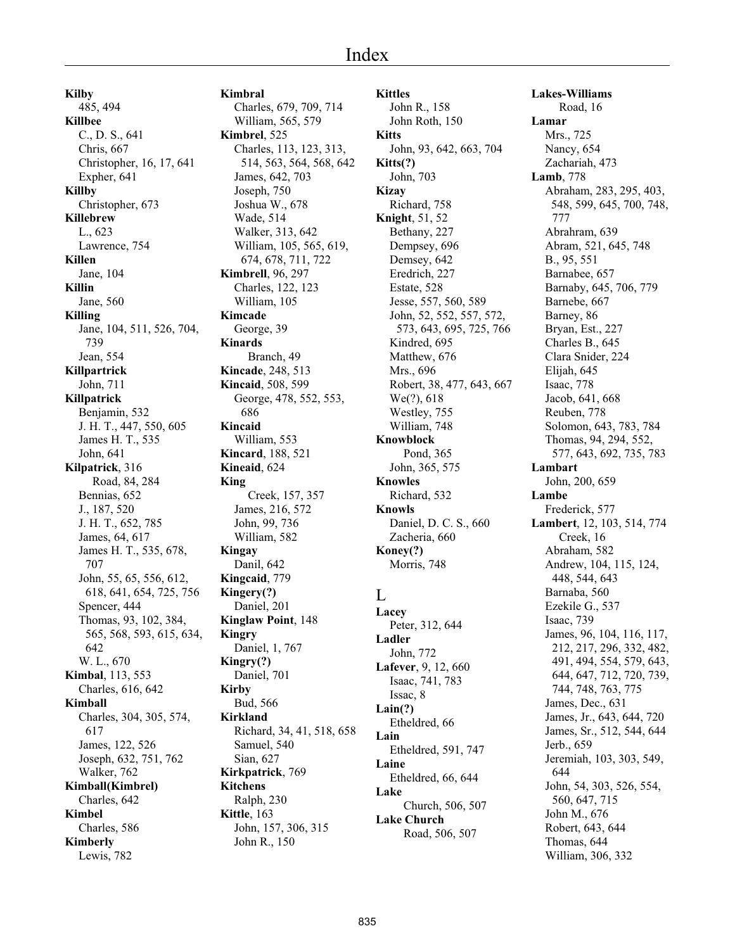**Kilby** 485, 494 **Killbee** C., D. S., 641 Chris, 667 Christopher, 16, 17, 641 Expher, 641 **Killby** Christopher, 673 **Killebrew** L., 623 Lawrence, 754 **Killen** Jane, 104 **Killin** Jane, 560 **Killing** Jane, 104, 511, 526, 704, 739 Jean, 554 **Killpartrick** John, 711 **Killpatrick** Benjamin, 532 J. H. T., 447, 550, 605 James H. T., 535 John, 641 **Kilpatrick**, 316 Road, 84, 284 Bennias, 652 J., 187, 520 J. H. T., 652, 785 James, 64, 617 James H. T., 535, 678, 707 John, 55, 65, 556, 612, 618, 641, 654, 725, 756 Spencer, 444 Thomas, 93, 102, 384, 565, 568, 593, 615, 634, 642 W. L., 670 **Kimbal**, 113, 553 Charles, 616, 642 **Kimball** Charles, 304, 305, 574, 617 James, 122, 526 Joseph, 632, 751, 762 Walker, 762 **Kimball(Kimbrel)** Charles, 642 **Kimbel** Charles, 586 **Kimberly** Lewis, 782

**Kimbral** Charles, 679, 709, 714 William, 565, 579 **Kimbrel**, 525 Charles, 113, 123, 313, 514, 563, 564, 568, 642 James, 642, 703 Joseph, 750 Joshua W., 678 Wade, 514 Walker, 313, 642 William, 105, 565, 619, 674, 678, 711, 722 **Kimbrell**, 96, 297 Charles, 122, 123 William, 105 **Kimcade** George, 39 **Kinards** Branch, 49 **Kincade**, 248, 513 **Kincaid**, 508, 599 George, 478, 552, 553, 686 **Kincaid** William, 553 **Kincard**, 188, 521 **Kineaid**, 624 **King** Creek, 157, 357 James, 216, 572 John, 99, 736 William, 582 **Kingay** Danil, 642 **Kingcaid**, 779 **Kingery(?)** Daniel, 201 **Kinglaw Point**, 148 **Kingry** Daniel, 1, 767 **Kingry(?)** Daniel, 701 **Kirby** Bud, 566 **Kirkland** Richard, 34, 41, 518, 658 Samuel, 540 Sian, 627 **Kirkpatrick**, 769 **Kitchens** Ralph, 230 **Kittle**, 163 John, 157, 306, 315 John R., 150

**Kittles** John R., 158 John Roth, 150 **Kitts** John, 93, 642, 663, 704 **Kitts(?)** John, 703 **Kizay** Richard, 758 **Knight**, 51, 52 Bethany, 227 Dempsey, 696 Demsey, 642 Eredrich, 227 Estate, 528 Jesse, 557, 560, 589 John, 52, 552, 557, 572, 573, 643, 695, 725, 766 Kindred, 695 Matthew, 676 Mrs., 696 Robert, 38, 477, 643, 667 We(?), 618 Westley, 755 William, 748 **Knowblock** Pond, 365 John, 365, 575 **Knowles** Richard, 532 **Knowls** Daniel, D. C. S., 660 Zacheria, 660 **Koney(?)** Morris, 748  $\mathbf{L}$ **Lacey** Peter, 312, 644 **Ladler** John, 772 **Lafever**, 9, 12, 660 Isaac, 741, 783 Issac, 8 **Lain(?)** Etheldred, 66 **Lain** Etheldred, 591, 747 **Laine** Etheldred, 66, 644 **Lake** Church, 506, 507 **Lake Church**

Road, 506, 507

**Lakes-Williams** Road, 16 **Lamar** Mrs., 725 Nancy, 654 Zachariah, 473 **Lamb**, 778 Abraham, 283, 295, 403, 548, 599, 645, 700, 748, 777 Abrahram, 639 Abram, 521, 645, 748 B., 95, 551 Barnabee, 657 Barnaby, 645, 706, 779 Barnebe, 667 Barney, 86 Bryan, Est., 227 Charles B., 645 Clara Snider, 224 Elijah, 645 Isaac, 778 Jacob, 641, 668 Reuben, 778 Solomon, 643, 783, 784 Thomas, 94, 294, 552, 577, 643, 692, 735, 783 **Lambart** John, 200, 659 **Lambe** Frederick, 577 **Lambert**, 12, 103, 514, 774 Creek, 16 Abraham, 582 Andrew, 104, 115, 124, 448, 544, 643 Barnaba, 560 Ezekile G., 537 Isaac, 739 James, 96, 104, 116, 117, 212, 217, 296, 332, 482, 491, 494, 554, 579, 643, 644, 647, 712, 720, 739, 744, 748, 763, 775 James, Dec., 631 James, Jr., 643, 644, 720 James, Sr., 512, 544, 644 Jerb., 659 Jeremiah, 103, 303, 549, 644 John, 54, 303, 526, 554, 560, 647, 715 John M., 676 Robert, 643, 644 Thomas, 644 William, 306, 332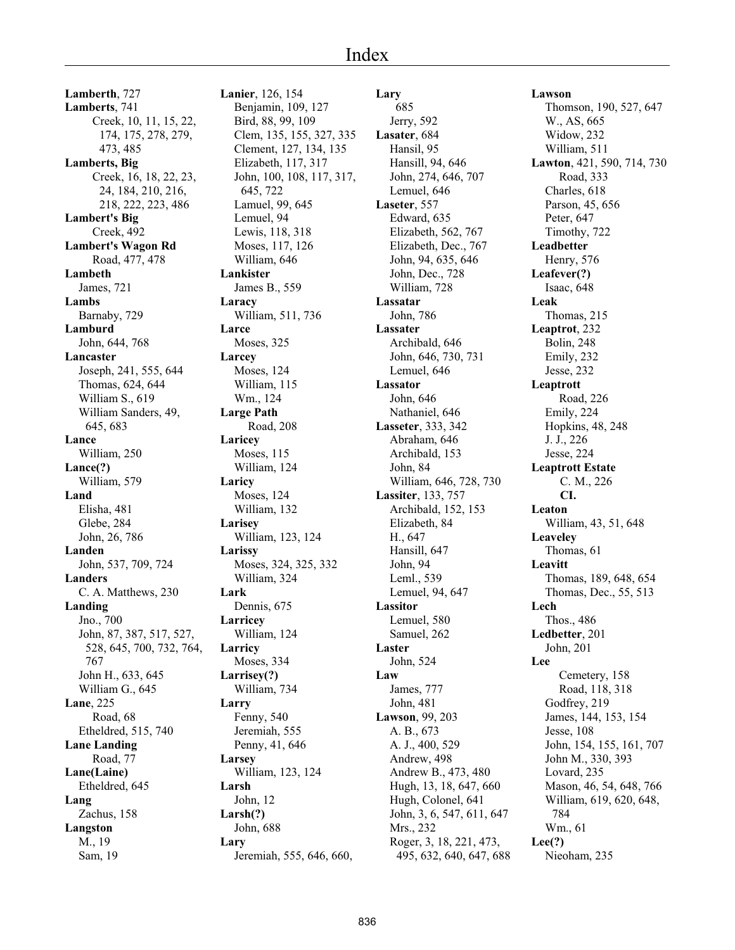**Lamberth**, 727 **Lamberts**, 741 Creek, 10, 11, 15, 22, 174, 175, 278, 279, 473, 485 **Lamberts, Big** Creek, 16, 18, 22, 23, 24, 184, 210, 216, 218, 222, 223, 486 **Lambert's Big** Creek, 492 **Lambert's Wagon Rd** Road, 477, 478 **Lambeth** James, 721 **Lambs** Barnaby, 729 **Lamburd** John, 644, 768 **Lancaster** Joseph, 241, 555, 644 Thomas, 624, 644 William S., 619 William Sanders, 49, 645, 683 **Lance** William, 250 **Lance(?)** William, 579 **Land** Elisha, 481 Glebe, 284 John, 26, 786 **Landen** John, 537, 709, 724 **Landers** C. A. Matthews, 230 **Landing** Jno., 700 John, 87, 387, 517, 527, 528, 645, 700, 732, 764, 767 John H., 633, 645 William G., 645 **Lane**, 225 Road, 68 Etheldred, 515, 740 **Lane Landing** Road, 77 **Lane(Laine)** Etheldred, 645 **Lang** Zachus, 158 **Langston** M., 19 Sam, 19

**Lanier**, 126, 154 Benjamin, 109, 127 Bird, 88, 99, 109 Clem, 135, 155, 327, 335 Clement, 127, 134, 135 Elizabeth, 117, 317 John, 100, 108, 117, 317, 645, 722 Lamuel, 99, 645 Lemuel, 94 Lewis, 118, 318 Moses, 117, 126 William, 646 **Lankister** James B., 559 **Laracy** William, 511, 736 **Larce** Moses, 325 **Larcey** Moses, 124 William, 115 Wm., 124 **Large Path** Road, 208 **Laricey** Moses, 115 William, 124 **Laricy** Moses, 124 William, 132 **Larisey** William, 123, 124 **Larissy** Moses, 324, 325, 332 William, 324 **Lark** Dennis, 675 **Larricey** William, 124 **Larricy** Moses, 334 **Larrisey(?)** William, 734 **Larry** Fenny, 540 Jeremiah, 555 Penny, 41, 646 **Larsey** William, 123, 124 **Larsh** John, 12 **Larsh(?)** John, 688 **Lary** Jeremiah, 555, 646, 660,

**Lary** 685 Jerry, 592 **Lasater**, 684 Hansil, 95 Hansill, 94, 646 John, 274, 646, 707 Lemuel, 646 **Laseter**, 557 Edward, 635 Elizabeth, 562, 767 Elizabeth, Dec., 767 John, 94, 635, 646 John, Dec., 728 William, 728 **Lassatar** John, 786 **Lassater** Archibald, 646 John, 646, 730, 731 Lemuel, 646 **Lassator** John, 646 Nathaniel, 646 **Lasseter**, 333, 342 Abraham, 646 Archibald, 153 John, 84 William, 646, 728, 730 **Lassiter**, 133, 757 Archibald, 152, 153 Elizabeth, 84 H., 647 Hansill, 647 John, 94 Leml., 539 Lemuel, 94, 647 **Lassitor** Lemuel, 580 Samuel, 262 **Laster** John, 524 **Law** James, 777 John, 481 **Lawson**, 99, 203 A. B., 673 A. J., 400, 529 Andrew, 498 Andrew B., 473, 480 Hugh, 13, 18, 647, 660 Hugh, Colonel, 641 John, 3, 6, 547, 611, 647 Mrs., 232 Roger, 3, 18, 221, 473, 495, 632, 640, 647, 688

**Lawson** Thomson, 190, 527, 647 W., AS, 665 Widow, 232 William, 511 **Lawton**, 421, 590, 714, 730 Road, 333 Charles, 618 Parson, 45, 656 Peter, 647 Timothy, 722 **Leadbetter** Henry, 576 **Leafever(?)** Isaac, 648 **Leak** Thomas, 215 **Leaptrot**, 232 Bolin, 248 Emily, 232 Jesse, 232 **Leaptrott** Road, 226 Emily, 224 Hopkins, 48, 248 J. J., 226 Jesse, 224 **Leaptrott Estate** C. M., 226 **CI. Leaton** William, 43, 51, 648 **Leaveley** Thomas, 61 **Leavitt** Thomas, 189, 648, 654 Thomas, Dec., 55, 513 **Lech** Thos., 486 **Ledbetter**, 201 John, 201 **Lee** Cemetery, 158 Road, 118, 318 Godfrey, 219 James, 144, 153, 154 Jesse, 108 John, 154, 155, 161, 707 John M., 330, 393 Lovard, 235 Mason, 46, 54, 648, 766 William, 619, 620, 648, 784 Wm., 61 **Lee(?)**

Nieoham, 235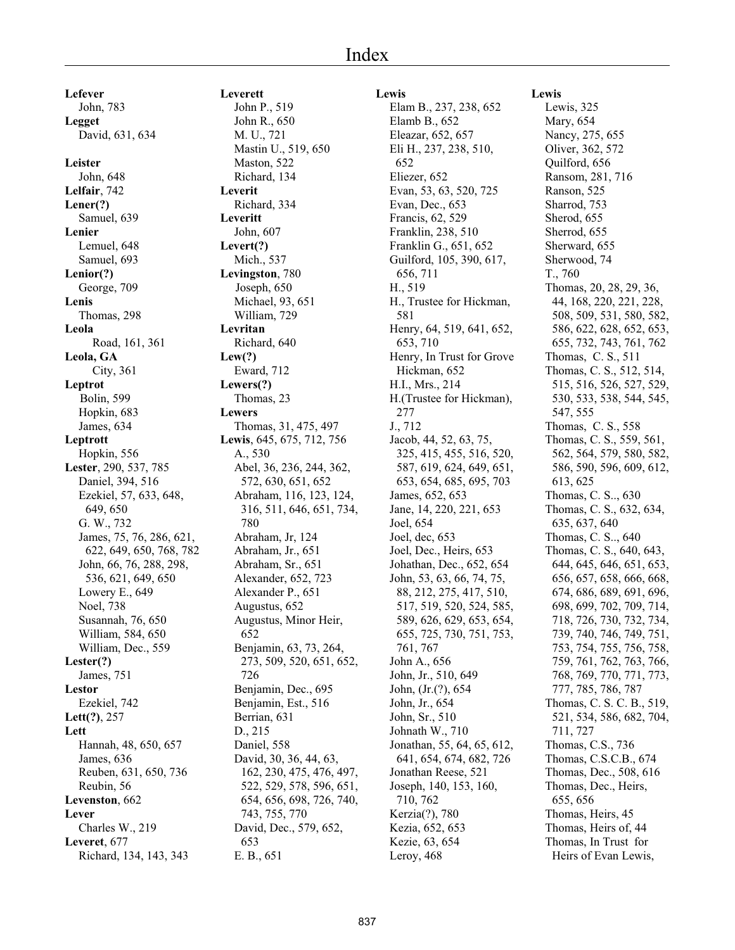**Lefever** John, 783 **Legget** David, 631, 634 **Leister** John, 648 **Lelfair**, 742 **Lener(?)** Samuel, 639 **Lenier** Lemuel, 648 Samuel, 693 **Lenior(?)** George, 709 **Lenis** Thomas, 298 **Leola** Road, 161, 361 **Leola, GA** City, 361 **Leptrot** Bolin, 599 Hopkin, 683 James, 634 **Leptrott** Hopkin, 556 **Lester**, 290, 537, 785 Daniel, 394, 516 Ezekiel, 57, 633, 648, 649, 650 G. W., 732 James, 75, 76, 286, 621, 622, 649, 650, 768, 782 John, 66, 76, 288, 298, 536, 621, 649, 650 Lowery E., 649 Noel, 738 Susannah, 76, 650 William, 584, 650 William, Dec., 559 **Lester(?)** James, 751 **Lestor** Ezekiel, 742 **Lett(?)**, 257 **Lett** Hannah, 48, 650, 657 James, 636 Reuben, 631, 650, 736 Reubin, 56 **Levenston**, 662 **Lever** Charles W., 219 **Leveret**, 677 Richard, 134, 143, 343

**Leverett** John P., 519 John R., 650 M. U., 721 Mastin U., 519, 650 Maston, 522 Richard, 134 **Leverit** Richard, 334 **Leveritt** John, 607 **Levert(?)** Mich., 537 **Levingston**, 780 Joseph, 650 Michael, 93, 651 William, 729 **Levritan** Richard, 640 **Lew(?)** Eward, 712 **Lewers(?)** Thomas, 23 **Lewers** Thomas, 31, 475, 497 **Lewis**, 645, 675, 712, 756 A., 530 Abel, 36, 236, 244, 362, 572, 630, 651, 652 Abraham, 116, 123, 124, 316, 511, 646, 651, 734, 780 Abraham, Jr, 124 Abraham, Jr., 651 Abraham, Sr., 651 Alexander, 652, 723 Alexander P., 651 Augustus, 652 Augustus, Minor Heir, 652 Benjamin, 63, 73, 264, 273, 509, 520, 651, 652, 726 Benjamin, Dec., 695 Benjamin, Est., 516 Berrian, 631 D., 215 Daniel, 558 David, 30, 36, 44, 63, 162, 230, 475, 476, 497, 522, 529, 578, 596, 651, 654, 656, 698, 726, 740, 743, 755, 770 David, Dec., 579, 652, 653 E. B., 651

# **Lewis**

Elam B., 237, 238, 652 Elamb B., 652 Eleazar, 652, 657 Eli H., 237, 238, 510, 652 Eliezer, 652 Evan, 53, 63, 520, 725 Evan, Dec., 653 Francis, 62, 529 Franklin, 238, 510 Franklin G., 651, 652 Guilford, 105, 390, 617, 656, 711 H., 519 H., Trustee for Hickman, 581 Henry, 64, 519, 641, 652, 653, 710 Henry, In Trust for Grove Hickman, 652 H.I., Mrs., 214 H.(Trustee for Hickman), 277 J., 712 Jacob, 44, 52, 63, 75, 325, 415, 455, 516, 520, 587, 619, 624, 649, 651, 653, 654, 685, 695, 703 James, 652, 653 Jane, 14, 220, 221, 653 Joel, 654 Joel, dec, 653 Joel, Dec., Heirs, 653 Johathan, Dec., 652, 654 John, 53, 63, 66, 74, 75, 88, 212, 275, 417, 510, 517, 519, 520, 524, 585, 589, 626, 629, 653, 654, 655, 725, 730, 751, 753, 761, 767 John A., 656 John, Jr., 510, 649 John, (Jr.(?), 654 John, Jr., 654 John, Sr., 510 Johnath W., 710 Jonathan, 55, 64, 65, 612, 641, 654, 674, 682, 726 Jonathan Reese, 521 Joseph, 140, 153, 160, 710, 762 Kerzia(?), 780 Kezia, 652, 653 Kezie, 63, 654 Leroy, 468

**Lewis** Lewis, 325 Mary, 654 Nancy, 275, 655 Oliver, 362, 572 Quilford, 656 Ransom, 281, 716 Ranson, 525 Sharrod, 753 Sherod, 655 Sherrod, 655 Sherward, 655 Sherwood, 74 T., 760 Thomas, 20, 28, 29, 36, 44, 168, 220, 221, 228, 508, 509, 531, 580, 582, 586, 622, 628, 652, 653, 655, 732, 743, 761, 762 Thomas, C. S., 511 Thomas, C. S., 512, 514, 515, 516, 526, 527, 529, 530, 533, 538, 544, 545, 547, 555 Thomas, C. S., 558 Thomas, C. S., 559, 561, 562, 564, 579, 580, 582, 586, 590, 596, 609, 612, 613, 625 Thomas, C. S.., 630 Thomas, C. S., 632, 634, 635, 637, 640 Thomas, C. S.., 640 Thomas, C. S., 640, 643, 644, 645, 646, 651, 653, 656, 657, 658, 666, 668, 674, 686, 689, 691, 696, 698, 699, 702, 709, 714, 718, 726, 730, 732, 734, 739, 740, 746, 749, 751, 753, 754, 755, 756, 758, 759, 761, 762, 763, 766, 768, 769, 770, 771, 773, 777, 785, 786, 787 Thomas, C. S. C. B., 519, 521, 534, 586, 682, 704, 711, 727 Thomas, C.S., 736 Thomas, C.S.C.B., 674 Thomas, Dec., 508, 616 Thomas, Dec., Heirs, 655, 656 Thomas, Heirs, 45 Thomas, Heirs of, 44 Thomas, In Trust for

Heirs of Evan Lewis,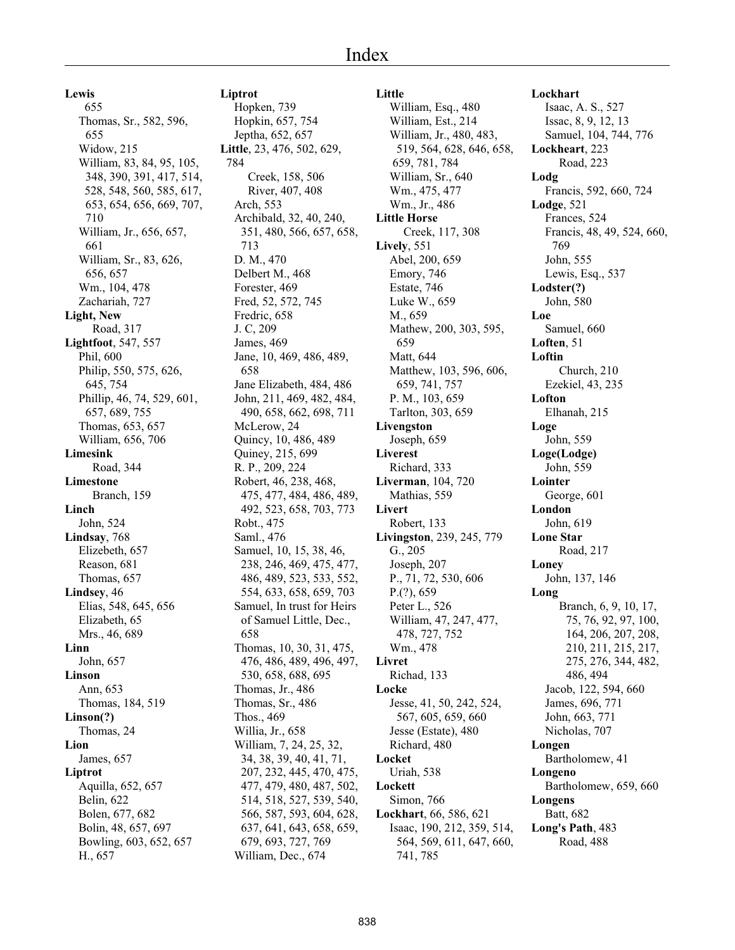**Little**

William, Esq., 480

**Lewis**

 655 Thomas, Sr., 582, 596, 655 Widow, 215 William, 83, 84, 95, 105, 348, 390, 391, 417, 514, 528, 548, 560, 585, 617, 653, 654, 656, 669, 707, 710 William, Jr., 656, 657, 661 William, Sr., 83, 626, 656, 657 Wm., 104, 478 Zachariah, 727 **Light, New** Road, 317 **Lightfoot**, 547, 557 Phil, 600 Philip, 550, 575, 626, 645, 754 Phillip, 46, 74, 529, 601, 657, 689, 755 Thomas, 653, 657 William, 656, 706 **Limesink** Road, 344 **Limestone** Branch, 159 **Linch** John, 524 **Lindsay**, 768 Elizebeth, 657 Reason, 681 Thomas, 657 **Lindsey**, 46 Elias, 548, 645, 656 Elizabeth, 65 Mrs., 46, 689 **Linn** John, 657 **Linson** Ann, 653 Thomas, 184, 519 **Linson(?)** Thomas, 24 **Lion** James, 657 **Liptrot** Aquilla, 652, 657 Belin, 622 Bolen, 677, 682 Bolin, 48, 657, 697 Bowling, 603, 652, 657 H., 657

#### **Liptrot**

Hopken, 739 Hopkin, 657, 754 Jeptha, 652, 657 **Little**, 23, 476, 502, 629, 784 Creek, 158, 506 River, 407, 408 Arch, 553 Archibald, 32, 40, 240, 351, 480, 566, 657, 658, 713 D. M., 470 Delbert M., 468 Forester, 469 Fred, 52, 572, 745 Fredric, 658 J. C, 209 James, 469 Jane, 10, 469, 486, 489, 658 Jane Elizabeth, 484, 486 John, 211, 469, 482, 484, 490, 658, 662, 698, 711 McLerow, 24 Quincy, 10, 486, 489 Quiney, 215, 699 R. P., 209, 224 Robert, 46, 238, 468, 475, 477, 484, 486, 489, 492, 523, 658, 703, 773 Robt., 475 Saml., 476 Samuel, 10, 15, 38, 46, 238, 246, 469, 475, 477, 486, 489, 523, 533, 552, 554, 633, 658, 659, 703 Samuel, In trust for Heirs of Samuel Little, Dec., 658 Thomas, 10, 30, 31, 475, 476, 486, 489, 496, 497, 530, 658, 688, 695 Thomas, Jr., 486 Thomas, Sr., 486 Thos., 469 Willia, Jr., 658 William, 7, 24, 25, 32, 34, 38, 39, 40, 41, 71, 207, 232, 445, 470, 475, 477, 479, 480, 487, 502, 514, 518, 527, 539, 540, 566, 587, 593, 604, 628, 637, 641, 643, 658, 659, 679, 693, 727, 769 William, Dec., 674

William, Est., 214 William, Jr., 480, 483, 519, 564, 628, 646, 658, 659, 781, 784 William, Sr., 640 Wm., 475, 477 Wm., Jr., 486 **Little Horse** Creek, 117, 308 **Lively**, 551 Abel, 200, 659 Emory, 746 Estate, 746 Luke W., 659 M., 659 Mathew, 200, 303, 595, 659 Matt, 644 Matthew, 103, 596, 606, 659, 741, 757 P. M., 103, 659 Tarlton, 303, 659 **Livengston** Joseph, 659 **Liverest** Richard, 333 **Liverman**, 104, 720 Mathias, 559 **Livert** Robert, 133 **Livingston**, 239, 245, 779 G., 205 Joseph, 207 P., 71, 72, 530, 606 P.(?), 659 Peter L., 526 William, 47, 247, 477, 478, 727, 752 Wm., 478 **Livret** Richad, 133 **Locke** Jesse, 41, 50, 242, 524, 567, 605, 659, 660 Jesse (Estate), 480 Richard, 480 **Locket** Uriah, 538 **Lockett** Simon, 766 **Lockhart**, 66, 586, 621 Isaac, 190, 212, 359, 514, 564, 569, 611, 647, 660, 741, 785

**Lockhart** Isaac, A. S., 527 Issac, 8, 9, 12, 13 Samuel, 104, 744, 776 **Lockheart**, 223 Road, 223 **Lodg** Francis, 592, 660, 724 **Lodge**, 521 Frances, 524 Francis, 48, 49, 524, 660, 769 John, 555 Lewis, Esq., 537 **Lodster(?)** John, 580 **Loe** Samuel, 660 **Loften**, 51 **Loftin** Church, 210 Ezekiel, 43, 235 **Lofton** Elhanah, 215 **Loge** John, 559 **Loge(Lodge)** John, 559 **Lointer** George, 601 **London** John, 619 **Lone Star** Road, 217 **Loney** John, 137, 146 **Long** Branch, 6, 9, 10, 17, 75, 76, 92, 97, 100, 164, 206, 207, 208, 210, 211, 215, 217, 275, 276, 344, 482, 486, 494 Jacob, 122, 594, 660 James, 696, 771 John, 663, 771 Nicholas, 707 **Longen** Bartholomew, 41 **Longeno** Bartholomew, 659, 660 **Longens** Batt, 682 **Long's Path**, 483 Road, 488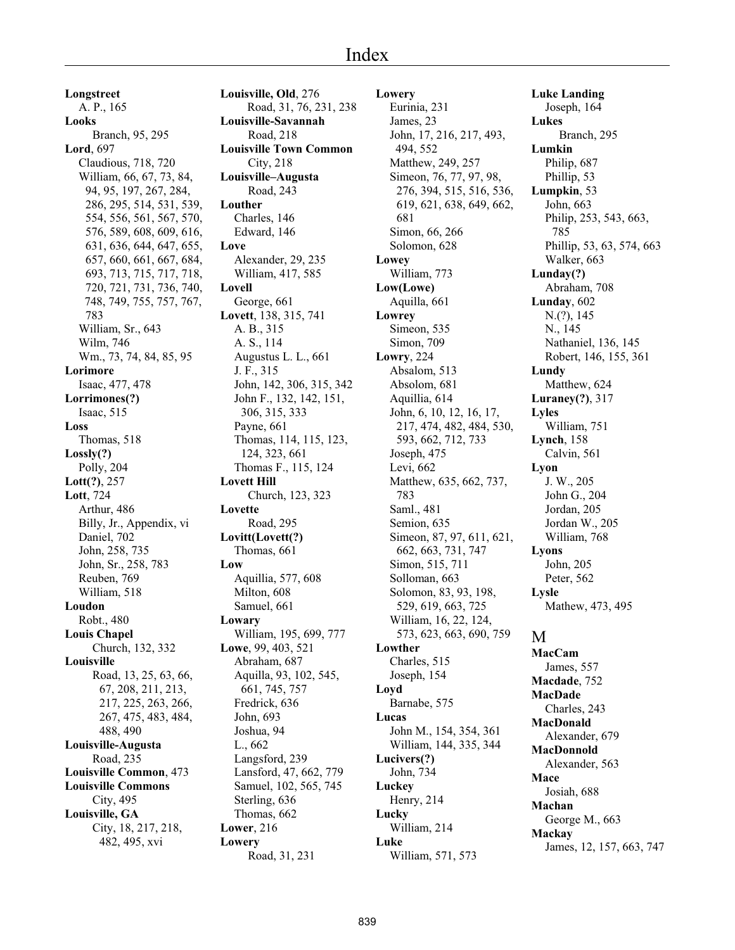**Longstreet** A. P., 165 **Looks** Branch, 95, 295 **Lord**, 697 Claudious, 718, 720 William, 66, 67, 73, 84, 94, 95, 197, 267, 284, 286, 295, 514, 531, 539, 554, 556, 561, 567, 570, 576, 589, 608, 609, 616, 631, 636, 644, 647, 655, 657, 660, 661, 667, 684, 693, 713, 715, 717, 718, 720, 721, 731, 736, 740, 748, 749, 755, 757, 767, 783 William, Sr., 643 Wilm, 746 Wm., 73, 74, 84, 85, 95 **Lorimore** Isaac, 477, 478 **Lorrimones(?)** Isaac, 515 **Loss** Thomas, 518 **Lossly(?)** Polly, 204 **Lott(?)**, 257 **Lott**, 724 Arthur, 486 Billy, Jr., Appendix, vi Daniel, 702 John, 258, 735 John, Sr., 258, 783 Reuben, 769 William, 518 **Loudon** Robt., 480 **Louis Chapel** Church, 132, 332 **Louisville** Road, 13, 25, 63, 66, 67, 208, 211, 213, 217, 225, 263, 266, 267, 475, 483, 484, 488, 490 **Louisville-Augusta** Road, 235 **Louisville Common**, 473 **Louisville Commons** City, 495 **Louisville, GA** City, 18, 217, 218, 482, 495, xvi

**Louisville, Old**, 276 Road, 31, 76, 231, 238 **Louisville-Savannah** Road, 218 **Louisville Town Common** City, 218 **Louisville–Augusta** Road, 243 **Louther** Charles, 146 Edward, 146 **Love** Alexander, 29, 235 William, 417, 585 **Lovell** George, 661 **Lovett**, 138, 315, 741 A. B., 315 A. S., 114 Augustus L. L., 661 J. F., 315 John, 142, 306, 315, 342 John F., 132, 142, 151, 306, 315, 333 Payne, 661 Thomas, 114, 115, 123, 124, 323, 661 Thomas F., 115, 124 **Lovett Hill** Church, 123, 323 **Lovette** Road, 295 **Lovitt(Lovett(?)** Thomas, 661 **Low** Aquillia, 577, 608 Milton, 608 Samuel, 661 **Lowary** William, 195, 699, 777 **Lowe**, 99, 403, 521 Abraham, 687 Aquilla, 93, 102, 545, 661, 745, 757 Fredrick, 636 John, 693 Joshua, 94 L., 662 Langsford, 239 Lansford, 47, 662, 779 Samuel, 102, 565, 745 Sterling, 636 Thomas, 662 **Lower**, 216 **Lowery** Road, 31, 231

**Lowery** Eurinia, 231 James, 23 John, 17, 216, 217, 493, 494, 552 Matthew, 249, 257 Simeon, 76, 77, 97, 98, 276, 394, 515, 516, 536, 619, 621, 638, 649, 662, 681 Simon, 66, 266 Solomon, 628 **Lowey** William, 773 **Low(Lowe)** Aquilla, 661 **Lowrey** Simeon, 535 Simon, 709 **Lowry**, 224 Absalom, 513 Absolom, 681 Aquillia, 614 John, 6, 10, 12, 16, 17, 217, 474, 482, 484, 530, 593, 662, 712, 733 Joseph, 475 Levi, 662 Matthew, 635, 662, 737, 783 Saml., 481 Semion, 635 Simeon, 87, 97, 611, 621, 662, 663, 731, 747 Simon, 515, 711 Solloman, 663 Solomon, 83, 93, 198, 529, 619, 663, 725 William, 16, 22, 124, 573, 623, 663, 690, 759 **Lowther** Charles, 515 Joseph, 154 **Loyd** Barnabe, 575 **Lucas** John M., 154, 354, 361 William, 144, 335, 344 **Lucivers(?)** John, 734 **Luckey** Henry, 214 **Lucky** William, 214 **Luke** William, 571, 573

**Luke Landing** Joseph, 164 **Lukes** Branch, 295 **Lumkin** Philip, 687 Phillip, 53 **Lumpkin**, 53 John, 663 Philip, 253, 543, 663, 785 Phillip, 53, 63, 574, 663 Walker, 663 **Lunday(?)** Abraham, 708 **Lunday**, 602 N.(?), 145 N., 145 Nathaniel, 136, 145 Robert, 146, 155, 361 **Lundy** Matthew, 624 **Luraney(?)**, 317 **Lyles** William, 751 **Lynch**, 158 Calvin, 561 **Lyon** J. W., 205 John G., 204 Jordan, 205 Jordan W., 205 William, 768 **Lyons** John, 205 Peter, 562 **Lysle** Mathew, 473, 495 M **MacCam** James, 557 **Macdade**, 752 **MacDade** Charles, 243 **MacDonald** Alexander, 679 **MacDonnold** Alexander, 563 **Mace** Josiah, 688 **Machan** George M., 663 **Mackay** James, 12, 157, 663, 747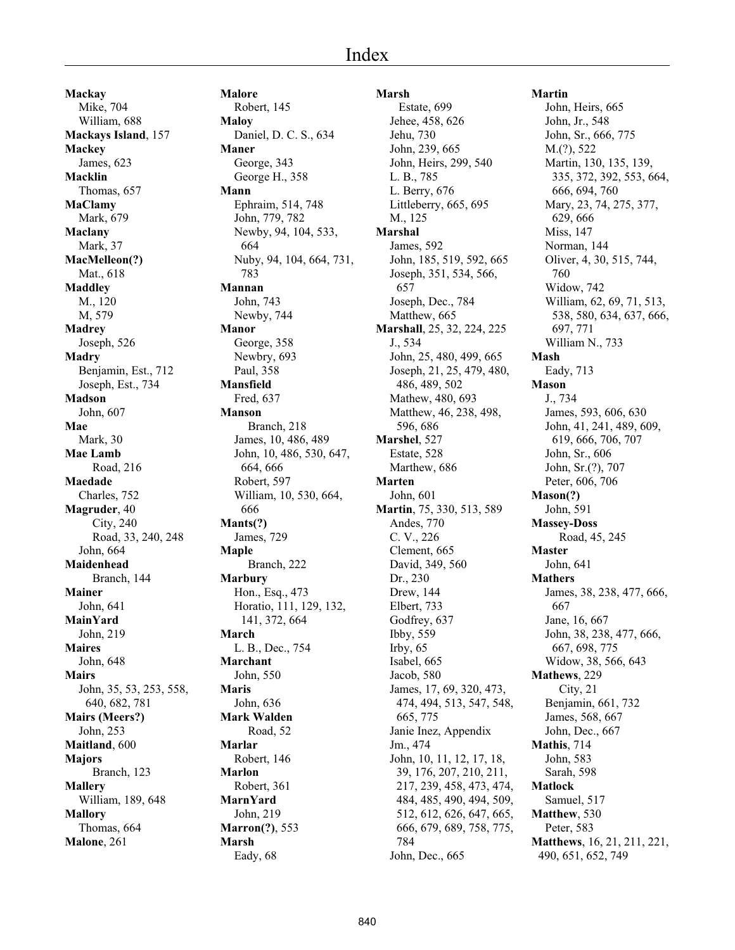**Mackay** Mike, 704 William, 688 **Mackays Island**, 157 **Mackey** James, 623 **Macklin** Thomas, 657 **MaClamy** Mark, 679 **Maclany** Mark, 37 **MacMelleon(?)** Mat., 618 **Maddley** M., 120 M, 579 **Madrey** Joseph, 526 **Madry** Benjamin, Est., 712 Joseph, Est., 734 **Madson** John, 607 **Mae** Mark, 30 **Mae Lamb** Road, 216 **Maedade** Charles, 752 **Magruder**, 40 City, 240 Road, 33, 240, 248 John, 664 **Maidenhead** Branch, 144 **Mainer** John, 641 **MainYard** John, 219 **Maires** John, 648 **Mairs** John, 35, 53, 253, 558, 640, 682, 781 **Mairs (Meers?)** John, 253 **Maitland**, 600 **Majors** Branch, 123 **Mallery** William, 189, 648 **Mallory** Thomas, 664 **Malone**, 261

**Malore** Robert, 145 **Maloy** Daniel, D. C. S., 634 **Maner** George, 343 George H., 358 **Mann** Ephraim, 514, 748 John, 779, 782 Newby, 94, 104, 533, 664 Nuby, 94, 104, 664, 731, 783 **Mannan** John, 743 Newby, 744 **Manor** George, 358 Newbry, 693 Paul, 358 **Mansfield** Fred, 637 **Manson** Branch, 218 James, 10, 486, 489 John, 10, 486, 530, 647, 664, 666 Robert, 597 William, 10, 530, 664, 666 **Mants(?)** James, 729 **Maple** Branch, 222 **Marbury** Hon., Esq., 473 Horatio, 111, 129, 132, 141, 372, 664 **March** L. B., Dec., 754 **Marchant** John, 550 **Maris** John, 636 **Mark Walden** Road, 52 **Marlar** Robert, 146 **Marlon** Robert, 361 **MarnYard** John, 219 **Marron(?)**, 553 **Marsh** Eady, 68

### **Marsh**

 Estate, 699 Jehee, 458, 626 Jehu, 730 John, 239, 665 John, Heirs, 299, 540 L. B., 785 L. Berry, 676 Littleberry, 665, 695 M., 125 **Marshal** James, 592 John, 185, 519, 592, 665 Joseph, 351, 534, 566, 657 Joseph, Dec., 784 Matthew, 665 **Marshall**, 25, 32, 224, 225 J., 534 John, 25, 480, 499, 665 Joseph, 21, 25, 479, 480, 486, 489, 502 Mathew, 480, 693 Matthew, 46, 238, 498, 596, 686 **Marshel**, 527 Estate, 528 Marthew, 686 **Marten** John, 601 **Martin**, 75, 330, 513, 589 Andes, 770 C. V., 226 Clement, 665 David, 349, 560 Dr., 230 Drew, 144 Elbert, 733 Godfrey, 637 Ibby, 559 Irby, 65 Isabel, 665 Jacob, 580 James, 17, 69, 320, 473, 474, 494, 513, 547, 548, 665, 775 Janie Inez, Appendix Jm., 474 John, 10, 11, 12, 17, 18, 39, 176, 207, 210, 211, 217, 239, 458, 473, 474, 484, 485, 490, 494, 509, 512, 612, 626, 647, 665, 666, 679, 689, 758, 775, 784 John, Dec., 665

# **Martin**

John, Heirs, 665 John, Jr., 548 John, Sr., 666, 775 M.(?), 522 Martin, 130, 135, 139, 335, 372, 392, 553, 664, 666, 694, 760 Mary, 23, 74, 275, 377, 629, 666 Miss, 147 Norman, 144 Oliver, 4, 30, 515, 744, 760 Widow, 742 William, 62, 69, 71, 513, 538, 580, 634, 637, 666, 697, 771 William N., 733 **Mash** Eady, 713 **Mason** J., 734 James, 593, 606, 630 John, 41, 241, 489, 609, 619, 666, 706, 707 John, Sr., 606 John, Sr.(?), 707 Peter, 606, 706 **Mason(?)** John, 591 **Massey-Doss** Road, 45, 245 **Master** John, 641 **Mathers** James, 38, 238, 477, 666, 667 Jane, 16, 667 John, 38, 238, 477, 666, 667, 698, 775 Widow, 38, 566, 643 **Mathews**, 229 City, 21 Benjamin, 661, 732 James, 568, 667 John, Dec., 667 **Mathis**, 714 John, 583 Sarah, 598 **Matlock** Samuel, 517 **Matthew**, 530 Peter, 583 **Matthews**, 16, 21, 211, 221, 490, 651, 652, 749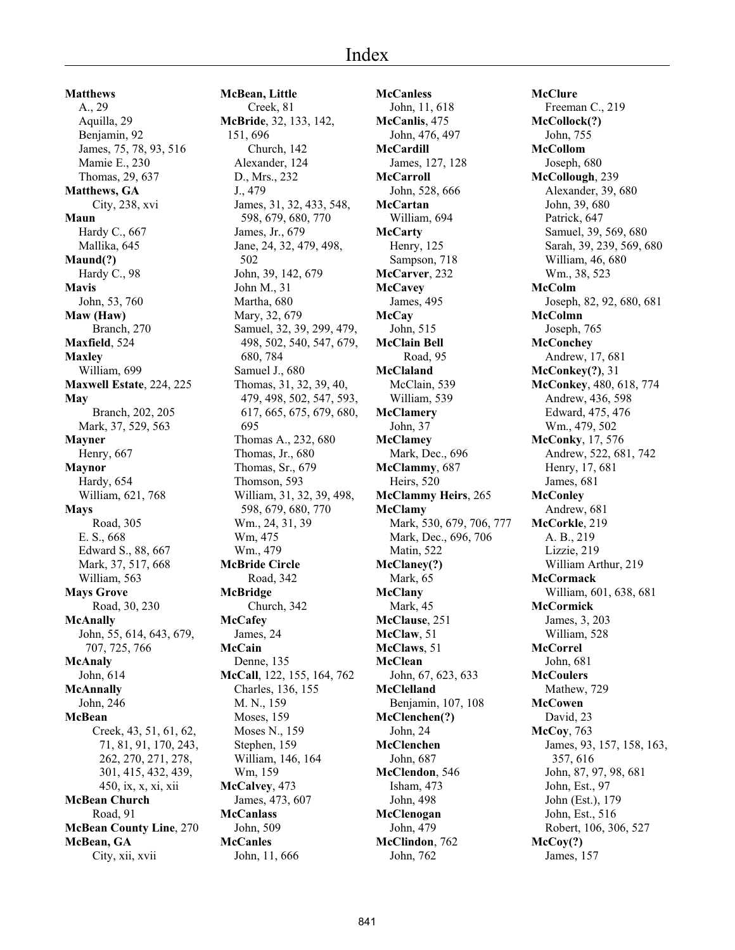**Matthews** A., 29 Aquilla, 29 Benjamin, 92 James, 75, 78, 93, 516 Mamie E., 230 Thomas, 29, 637 **Matthews, GA** City, 238, xvi **Maun** Hardy C., 667 Mallika, 645 **Maund(?)** Hardy C., 98 **Mavis** John, 53, 760 **Maw (Haw)** Branch, 270 **Maxfield**, 524 **Maxley** William, 699 **Maxwell Estate**, 224, 225 **May** Branch, 202, 205 Mark, 37, 529, 563 **Mayner** Henry, 667 **Maynor** Hardy, 654 William, 621, 768 **Mays** Road, 305 E. S., 668 Edward S., 88, 667 Mark, 37, 517, 668 William, 563 **Mays Grove** Road, 30, 230 **McAnally** John, 55, 614, 643, 679, 707, 725, 766 **McAnaly** John, 614 **McAnnally** John, 246 **McBean** Creek, 43, 51, 61, 62, 71, 81, 91, 170, 243, 262, 270, 271, 278, 301, 415, 432, 439, 450, ix, x, xi, xii **McBean Church** Road, 91 **McBean County Line**, 270 **McBean, GA** City, xii, xvii

**McBean, Little** Creek, 81 **McBride**, 32, 133, 142, 151, 696 Church, 142 Alexander, 124 D., Mrs., 232 J., 479 James, 31, 32, 433, 548, 598, 679, 680, 770 James, Jr., 679 Jane, 24, 32, 479, 498, 502 John, 39, 142, 679 John M., 31 Martha, 680 Mary, 32, 679 Samuel, 32, 39, 299, 479, 498, 502, 540, 547, 679, 680, 784 Samuel J., 680 Thomas, 31, 32, 39, 40, 479, 498, 502, 547, 593, 617, 665, 675, 679, 680, 695 Thomas A., 232, 680 Thomas, Jr., 680 Thomas, Sr., 679 Thomson, 593 William, 31, 32, 39, 498, 598, 679, 680, 770 Wm., 24, 31, 39 Wm, 475 Wm., 479 **McBride Circle** Road, 342 **McBridge** Church, 342 **McCafey** James, 24 **McCain** Denne, 135 **McCall**, 122, 155, 164, 762 Charles, 136, 155 M. N., 159 Moses, 159 Moses N., 159 Stephen, 159 William, 146, 164 Wm, 159 **McCalvey**, 473 James, 473, 607 **McCanlass** John, 509 **McCanles** John, 11, 666

**McCanless** John, 11, 618 **McCanlis**, 475 John, 476, 497 **McCardill** James, 127, 128 **McCarroll** John, 528, 666 **McCartan** William, 694 **McCarty** Henry, 125 Sampson, 718 **McCarver**, 232 **McCavey** James, 495 **McCay** John, 515 **McClain Bell** Road, 95 **McClaland** McClain, 539 William, 539 **McClamery** John, 37 **McClamey** Mark, Dec., 696 **McClammy**, 687 Heirs, 520 **McClammy Heirs**, 265 **McClamy** Mark, 530, 679, 706, 777 Mark, Dec., 696, 706 Matin, 522 **McClaney(?)** Mark, 65 **McClany** Mark, 45 **McClause**, 251 **McClaw**, 51 **McClaws**, 51 **McClean** John, 67, 623, 633 **McClelland** Benjamin, 107, 108 **McClenchen(?)** John, 24 **McClenchen** John, 687 **McClendon**, 546 Isham, 473 John, 498 **McClenogan** John, 479 **McClindon**, 762 John, 762

**McClure** Freeman C., 219 **McCollock(?)** John, 755 **McCollom** Joseph, 680 **McCollough**, 239 Alexander, 39, 680 John, 39, 680 Patrick, 647 Samuel, 39, 569, 680 Sarah, 39, 239, 569, 680 William, 46, 680 Wm., 38, 523 **McColm** Joseph, 82, 92, 680, 681 **McColmn** Joseph, 765 **McConchey** Andrew, 17, 681 **McConkey(?)**, 31 **McConkey**, 480, 618, 774 Andrew, 436, 598 Edward, 475, 476 Wm., 479, 502 **McConky**, 17, 576 Andrew, 522, 681, 742 Henry, 17, 681 James, 681 **McConley** Andrew, 681 **McCorkle**, 219 A. B., 219 Lizzie, 219 William Arthur, 219 **McCormack** William, 601, 638, 681 **McCormick** James, 3, 203 William, 528 **McCorrel** John, 681 **McCoulers** Mathew, 729 **McCowen** David, 23 **McCoy**, 763 James, 93, 157, 158, 163, 357, 616 John, 87, 97, 98, 681 John, Est., 97 John (Est.), 179 John, Est., 516 Robert, 106, 306, 527 **McCoy(?)** James, 157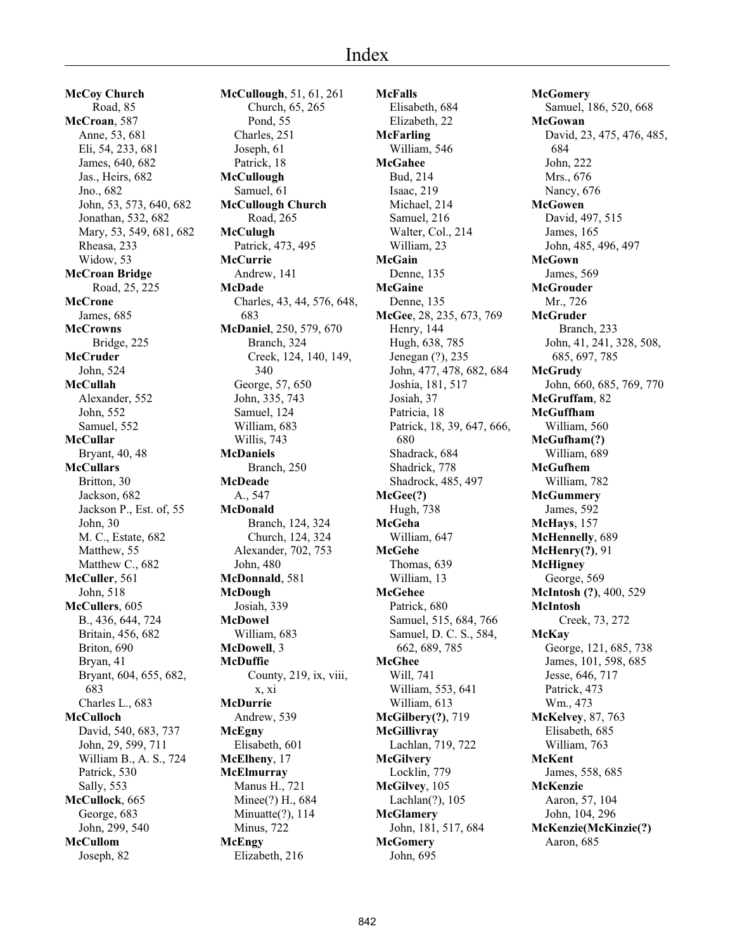**McCoy Church** Road, 85 **McCroan**, 587 Anne, 53, 681 Eli, 54, 233, 681 James, 640, 682 Jas., Heirs, 682 Jno., 682 John, 53, 573, 640, 682 Jonathan, 532, 682 Mary, 53, 549, 681, 682 Rheasa, 233 Widow, 53 **McCroan Bridge** Road, 25, 225 **McCrone** James, 685 **McCrowns** Bridge, 225 **McCruder** John, 524 **McCullah** Alexander, 552 John, 552 Samuel, 552 **McCullar** Bryant, 40, 48 **McCullars** Britton, 30 Jackson, 682 Jackson P., Est. of, 55 John, 30 M. C., Estate, 682 Matthew, 55 Matthew C., 682 **McCuller**, 561 John, 518 **McCullers**, 605 B., 436, 644, 724 Britain, 456, 682 Briton, 690 Bryan, 41 Bryant, 604, 655, 682, 683 Charles L., 683 **McCulloch** David, 540, 683, 737 John, 29, 599, 711 William B., A. S., 724 Patrick, 530 Sally, 553 **McCullock**, 665 George, 683 John, 299, 540 **McCullom** Joseph, 82

**McCullough**, 51, 61, 261 Church, 65, 265 Pond, 55 Charles, 251 Joseph, 61 Patrick, 18 **McCullough** Samuel, 61 **McCullough Church** Road, 265 **McCulugh** Patrick, 473, 495 **McCurrie** Andrew, 141 **McDade** Charles, 43, 44, 576, 648, 683 **McDaniel**, 250, 579, 670 Branch, 324 Creek, 124, 140, 149, 340 George, 57, 650 John, 335, 743 Samuel, 124 William, 683 Willis, 743 **McDaniels** Branch, 250 **McDeade** A., 547 **McDonald** Branch, 124, 324 Church, 124, 324 Alexander, 702, 753 John, 480 **McDonnald**, 581 **McDough** Josiah, 339 **McDowel** William, 683 **McDowell**, 3 **McDuffie** County, 219, ix, viii, x, xi **McDurrie** Andrew, 539 **McEgny** Elisabeth, 601 **McElheny**, 17 **McElmurray** Manus H., 721 Minee(?) H., 684 Minuatte(?), 114 Minus, 722 **McEngy** Elizabeth, 216

**McFalls** Elisabeth, 684 Elizabeth, 22 **McFarling** William, 546 **McGahee** Bud, 214 Isaac, 219 Michael, 214 Samuel, 216 Walter, Col., 214 William, 23 **McGain** Denne, 135 **McGaine** Denne, 135 **McGee**, 28, 235, 673, 769 Henry, 144 Hugh, 638, 785 Jenegan (?), 235 John, 477, 478, 682, 684 Joshia, 181, 517 Josiah, 37 Patricia, 18 Patrick, 18, 39, 647, 666, 680 Shadrack, 684 Shadrick, 778 Shadrock, 485, 497 **McGee(?)** Hugh, 738 **McGeha** William, 647 **McGehe** Thomas, 639 William, 13 **McGehee** Patrick, 680 Samuel, 515, 684, 766 Samuel, D. C. S., 584, 662, 689, 785 **McGhee** Will, 741 William, 553, 641 William, 613 **McGilbery(?)**, 719 **McGillivray** Lachlan, 719, 722 **McGilvery** Locklin, 779 **McGilvey**, 105 Lachlan(?), 105 **McGlamery** John, 181, 517, 684 **McGomery** John, 695

**McGomery** Samuel, 186, 520, 668 **McGowan** David, 23, 475, 476, 485, 684 John, 222 Mrs., 676 Nancy, 676 **McGowen** David, 497, 515 James, 165 John, 485, 496, 497 **McGown** James, 569 **McGrouder** Mr., 726 **McGruder** Branch, 233 John, 41, 241, 328, 508, 685, 697, 785 **McGrudy** John, 660, 685, 769, 770 **McGruffam**, 82 **McGuffham** William, 560 **McGufham(?)** William, 689 **McGufhem** William, 782 **McGummery** James, 592 **McHays**, 157 **McHennelly**, 689 **McHenry(?)**, 91 **McHigney** George, 569 **McIntosh (?)**, 400, 529 **McIntosh** Creek, 73, 272 **McKay** George, 121, 685, 738 James, 101, 598, 685 Jesse, 646, 717 Patrick, 473 Wm., 473 **McKelvey**, 87, 763 Elisabeth, 685 William, 763 **McKent** James, 558, 685 **McKenzie** Aaron, 57, 104 John, 104, 296 **McKenzie(McKinzie(?)** Aaron, 685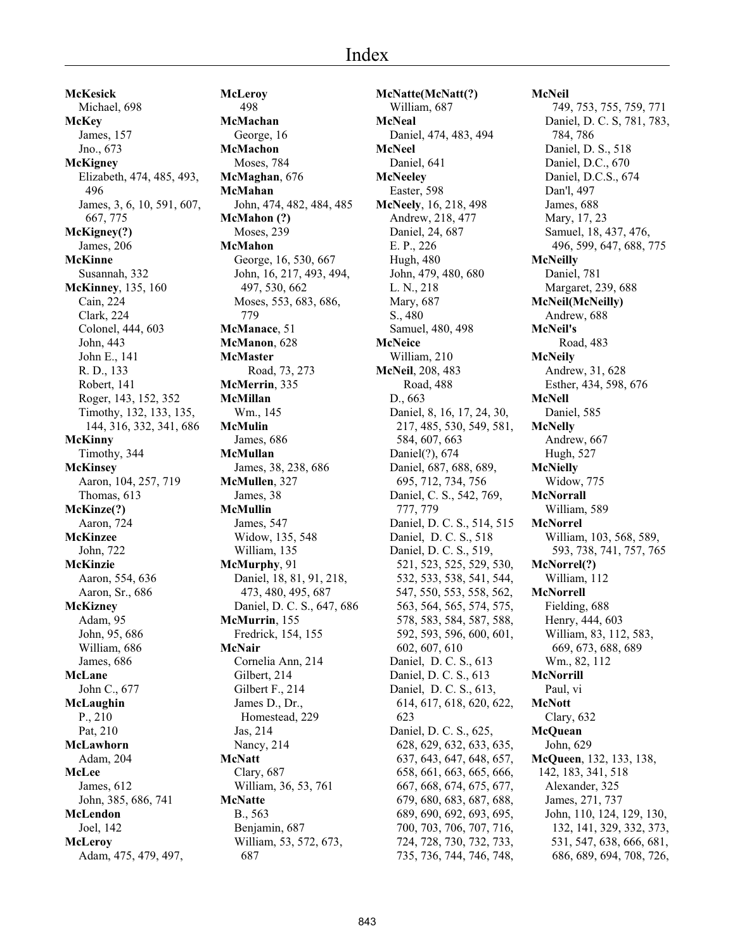**McKesick** Michael, 698 **McKey** James, 157 Jno., 673 **McKigney** Elizabeth, 474, 485, 493, 496 James, 3, 6, 10, 591, 607, 667, 775 **McKigney(?)** James, 206 **McKinne** Susannah, 332 **McKinney**, 135, 160 Cain, 224 Clark, 224 Colonel, 444, 603 John, 443 John E., 141 R. D., 133 Robert, 141 Roger, 143, 152, 352 Timothy, 132, 133, 135, 144, 316, 332, 341, 686 **McKinny** Timothy, 344 **McKinsey** Aaron, 104, 257, 719 Thomas, 613 **McKinze(?)** Aaron, 724 **McKinzee** John, 722 **McKinzie** Aaron, 554, 636 Aaron, Sr., 686 **McKizney** Adam, 95 John, 95, 686 William, 686 James, 686 **McLane** John C., 677 **McLaughin** P., 210 Pat, 210 **McLawhorn** Adam, 204 **McLee** James, 612 John, 385, 686, 741 **McLendon** Joel, 142 **McLeroy** Adam, 475, 479, 497,

**McLeroy** 498 **McMachan** George, 16 **McMachon** Moses, 784 **McMaghan**, 676 **McMahan** John, 474, 482, 484, 485 **McMahon (?)** Moses, 239 **McMahon** George, 16, 530, 667 John, 16, 217, 493, 494, 497, 530, 662 Moses, 553, 683, 686, 779 **McManace**, 51 **McManon**, 628 **McMaster** Road, 73, 273 **McMerrin**, 335 **McMillan** Wm., 145 **McMulin** James, 686 **McMullan** James, 38, 238, 686 **McMullen**, 327 James, 38 **McMullin** James, 547 Widow, 135, 548 William, 135 **McMurphy**, 91 Daniel, 18, 81, 91, 218, 473, 480, 495, 687 Daniel, D. C. S., 647, 686 **McMurrin**, 155 Fredrick, 154, 155 **McNair** Cornelia Ann, 214 Gilbert, 214 Gilbert F., 214 James D., Dr., Homestead, 229 Jas, 214 Nancy, 214 **McNatt** Clary, 687 William, 36, 53, 761 **McNatte** B., 563 Benjamin, 687 William, 53, 572, 673, 687

**McNatte(McNatt(?)** William, 687 **McNeal** Daniel, 474, 483, 494 **McNeel** Daniel, 641 **McNeeley** Easter, 598 **McNeely**, 16, 218, 498 Andrew, 218, 477 Daniel, 24, 687 E. P., 226 Hugh, 480 John, 479, 480, 680 L. N., 218 Mary, 687 S., 480 Samuel, 480, 498 **McNeice** William, 210 **McNeil**, 208, 483 Road, 488 D., 663 Daniel, 8, 16, 17, 24, 30, 217, 485, 530, 549, 581, 584, 607, 663 Daniel(?), 674 Daniel, 687, 688, 689, 695, 712, 734, 756 Daniel, C. S., 542, 769, 777, 779 Daniel, D. C. S., 514, 515 Daniel, D. C. S., 518 Daniel, D. C. S., 519, 521, 523, 525, 529, 530, 532, 533, 538, 541, 544, 547, 550, 553, 558, 562, 563, 564, 565, 574, 575, 578, 583, 584, 587, 588, 592, 593, 596, 600, 601, 602, 607, 610 Daniel, D. C. S., 613 Daniel, D. C. S., 613 Daniel, D. C. S., 613, 614, 617, 618, 620, 622, 623 Daniel, D. C. S., 625, 628, 629, 632, 633, 635, 637, 643, 647, 648, 657, 658, 661, 663, 665, 666, 667, 668, 674, 675, 677, 679, 680, 683, 687, 688, 689, 690, 692, 693, 695, 700, 703, 706, 707, 716, 724, 728, 730, 732, 733, 735, 736, 744, 746, 748, **McNeil** 749, 753, 755, 759, 771 Daniel, D. C. S, 781, 783, 784, 786 Daniel, D. S., 518 Daniel, D.C., 670 Daniel, D.C.S., 674 Dan'l, 497 James, 688 Mary, 17, 23 Samuel, 18, 437, 476, 496, 599, 647, 688, 775 **McNeilly** Daniel, 781 Margaret, 239, 688 **McNeil(McNeilly)** Andrew, 688 **McNeil's** Road, 483 **McNeily** Andrew, 31, 628 Esther, 434, 598, 676 **McNell** Daniel, 585 **McNelly** Andrew, 667 Hugh, 527 **McNielly** Widow, 775 **McNorrall** William, 589 **McNorrel** William, 103, 568, 589, 593, 738, 741, 757, 765 **McNorrel(?)** William, 112 **McNorrell** Fielding, 688 Henry, 444, 603 William, 83, 112, 583, 669, 673, 688, 689 Wm., 82, 112 **McNorrill** Paul, vi **McNott** Clary, 632 **McQuean** John, 629 **McQueen**, 132, 133, 138, 142, 183, 341, 518 Alexander, 325 James, 271, 737 John, 110, 124, 129, 130, 132, 141, 329, 332, 373, 531, 547, 638, 666, 681, 686, 689, 694, 708, 726,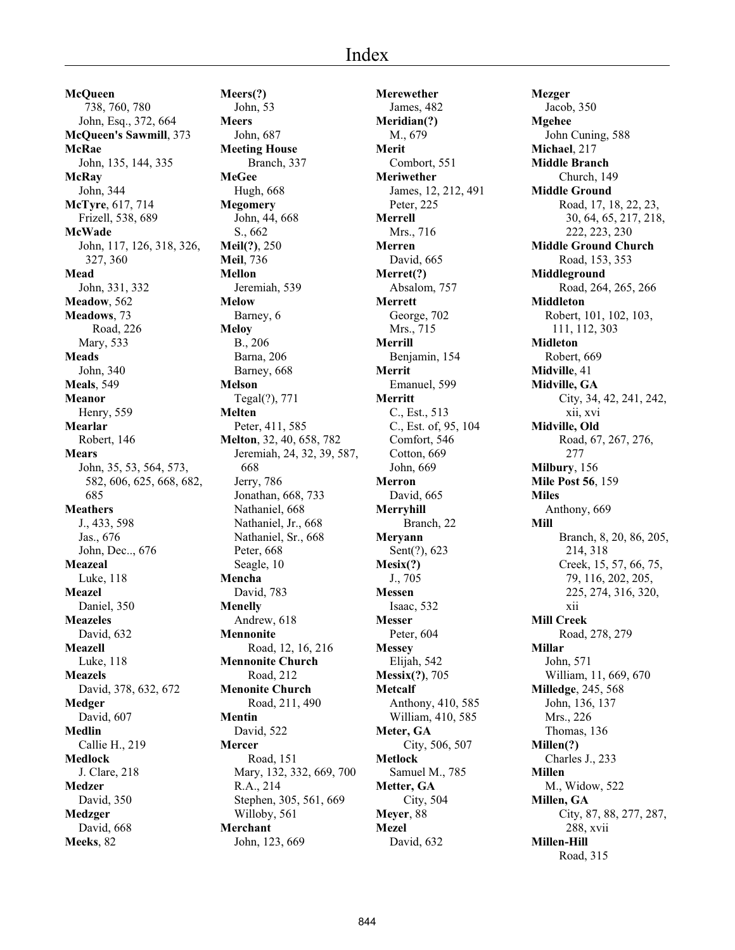**McQueen** 738, 760, 780 John, Esq., 372, 664 **McQueen's Sawmill**, 373 **McRae** John, 135, 144, 335 **McRay** John, 344 **McTyre**, 617, 714 Frizell, 538, 689 **McWade** John, 117, 126, 318, 326, 327, 360 **Mead** John, 331, 332 **Meadow**, 562 **Meadows**, 73 Road, 226 Mary, 533 **Meads** John, 340 **Meals**, 549 **Meanor** Henry, 559 **Mearlar** Robert, 146 **Mears** John, 35, 53, 564, 573, 582, 606, 625, 668, 682, 685 **Meathers** J., 433, 598 Jas., 676 John, Dec.., 676 **Meazeal** Luke, 118 **Meazel** Daniel, 350 **Meazeles** David, 632 **Meazell** Luke, 118 **Meazels** David, 378, 632, 672 **Medger** David, 607 **Medlin** Callie H., 219 **Medlock** J. Clare, 218 **Medzer** David, 350 **Medzger** David, 668 **Meeks**, 82

**Meers(?)** John, 53 **Meers** John, 687 **Meeting House** Branch, 337 **MeGee** Hugh, 668 **Megomery** John, 44, 668 S., 662 **Meil(?)**, 250 **Meil**, 736 **Mellon** Jeremiah, 539 **Melow** Barney, 6 **Meloy** B., 206 Barna, 206 Barney, 668 **Melson** Tegal(?), 771 **Melten** Peter, 411, 585 **Melton**, 32, 40, 658, 782 Jeremiah, 24, 32, 39, 587, 668 Jerry, 786 Jonathan, 668, 733 Nathaniel, 668 Nathaniel, Jr., 668 Nathaniel, Sr., 668 Peter, 668 Seagle, 10 **Mencha** David, 783 **Menelly** Andrew, 618 **Mennonite** Road, 12, 16, 216 **Mennonite Church** Road, 212 **Menonite Church** Road, 211, 490 **Mentin** David, 522 **Mercer** Road, 151 Mary, 132, 332, 669, 700 R.A., 214 Stephen, 305, 561, 669 Willoby, 561 **Merchant**

John, 123, 669

**Merewether** James, 482 **Meridian(?)** M., 679 **Merit** Combort, 551 **Meriwether** James, 12, 212, 491 Peter, 225 **Merrell** Mrs., 716 **Merren** David, 665 **Merret(?)** Absalom, 757 **Merrett** George, 702 Mrs., 715 **Merrill** Benjamin, 154 **Merrit** Emanuel, 599 **Merritt** C., Est., 513 C., Est. of, 95, 104 Comfort, 546 Cotton, 669 John, 669 **Merron** David, 665 **Merryhill** Branch, 22 **Meryann** Sent(?), 623 **Mesix(?)** J., 705 **Messen** Isaac, 532 **Messer** Peter, 604 **Messey** Elijah, 542 **Messix(?)**, 705 **Metcalf** Anthony, 410, 585 William, 410, 585 **Meter, GA** City, 506, 507 **Metlock** Samuel M., 785 **Metter, GA** City, 504 **Meyer**, 88 **Mezel** David, 632

**Mezger** Jacob, 350 **Mgehee** John Cuning, 588 **Michael**, 217 **Middle Branch** Church, 149 **Middle Ground** Road, 17, 18, 22, 23, 30, 64, 65, 217, 218, 222, 223, 230 **Middle Ground Church** Road, 153, 353 **Middleground** Road, 264, 265, 266 **Middleton** Robert, 101, 102, 103, 111, 112, 303 **Midleton** Robert, 669 **Midville**, 41 **Midville, GA** City, 34, 42, 241, 242, xii, xvi **Midville, Old** Road, 67, 267, 276, 277 **Milbury**, 156 **Mile Post 56**, 159 **Miles** Anthony, 669 **Mill** Branch, 8, 20, 86, 205, 214, 318 Creek, 15, 57, 66, 75, 79, 116, 202, 205, 225, 274, 316, 320, xii **Mill Creek** Road, 278, 279 **Millar** John, 571 William, 11, 669, 670 **Milledge**, 245, 568 John, 136, 137 Mrs., 226 Thomas, 136 **Millen(?)** Charles J., 233 **Millen** M., Widow, 522 **Millen, GA** City, 87, 88, 277, 287, 288, xvii **Millen-Hill** Road, 315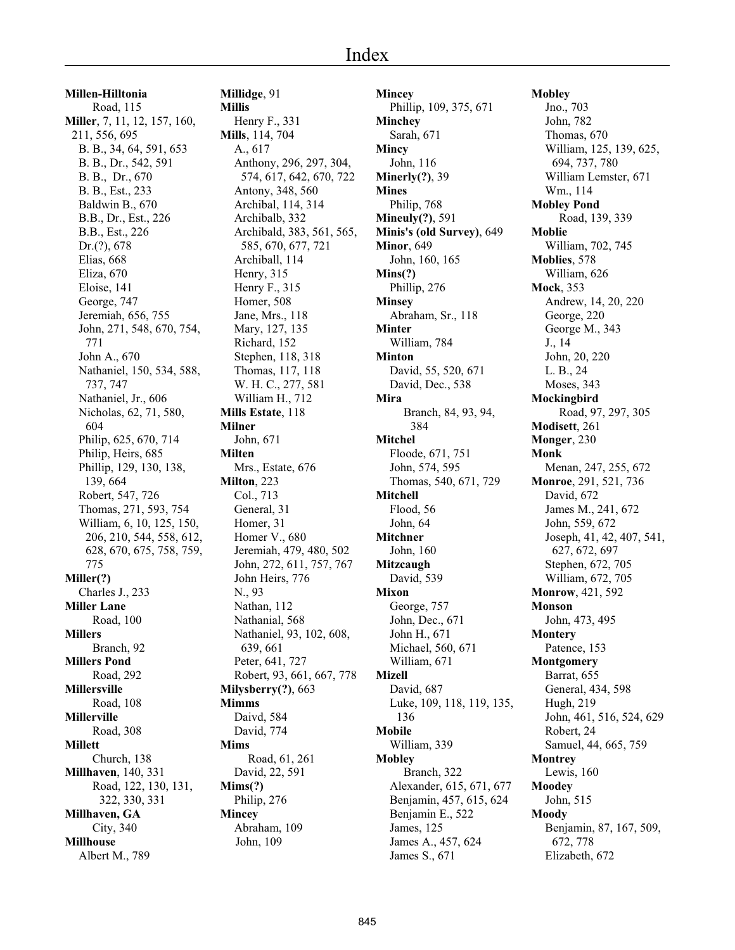**Millen-Hilltonia** Road, 115 **Miller**, 7, 11, 12, 157, 160, 211, 556, 695 B. B., 34, 64, 591, 653 B. B., Dr., 542, 591 B. B., Dr., 670 B. B., Est., 233 Baldwin B., 670 B.B., Dr., Est., 226 B.B., Est., 226 Dr.(?), 678 Elias, 668 Eliza, 670 Eloise, 141 George, 747 Jeremiah, 656, 755 John, 271, 548, 670, 754, 771 John A., 670 Nathaniel, 150, 534, 588, 737, 747 Nathaniel, Jr., 606 Nicholas, 62, 71, 580, 604 Philip, 625, 670, 714 Philip, Heirs, 685 Phillip, 129, 130, 138, 139, 664 Robert, 547, 726 Thomas, 271, 593, 754 William, 6, 10, 125, 150, 206, 210, 544, 558, 612, 628, 670, 675, 758, 759, 775 **Miller(?)** Charles J., 233 **Miller Lane** Road, 100 **Millers** Branch, 92 **Millers Pond** Road, 292 **Millersville** Road, 108 **Millerville** Road, 308 **Millett** Church, 138 **Millhaven**, 140, 331 Road, 122, 130, 131, 322, 330, 331 **Millhaven, GA** City, 340 **Millhouse** Albert M., 789

**Millidge**, 91 **Millis** Henry F., 331 **Mills**, 114, 704 A., 617 Anthony, 296, 297, 304, 574, 617, 642, 670, 722 Antony, 348, 560 Archibal, 114, 314 Archibalb, 332 Archibald, 383, 561, 565, 585, 670, 677, 721 Archiball, 114 Henry, 315 Henry F., 315 Homer, 508 Jane, Mrs., 118 Mary, 127, 135 Richard, 152 Stephen, 118, 318 Thomas, 117, 118 W. H. C., 277, 581 William H., 712 **Mills Estate**, 118 **Milner** John, 671 **Milten** Mrs., Estate, 676 **Milton**, 223 Col., 713 General, 31 Homer, 31 Homer V., 680 Jeremiah, 479, 480, 502 John, 272, 611, 757, 767 John Heirs, 776 N., 93 Nathan, 112 Nathanial, 568 Nathaniel, 93, 102, 608, 639, 661 Peter, 641, 727 Robert, 93, 661, 667, 778 **Milysberry(?)**, 663 **Mimms** Daivd, 584 David, 774 **Mims** Road, 61, 261 David, 22, 591 **Mims(?)** Philip, 276 **Mincey** Abraham, 109 John, 109

**Mincey** Phillip, 109, 375, 671 **Minchey** Sarah, 671 **Mincy** John, 116 **Minerly(?)**, 39 **Mines** Philip, 768 **Mineuly(?)**, 591 **Minis's (old Survey)**, 649 **Minor**, 649 John, 160, 165 **Mins(?)** Phillip, 276 **Minsey** Abraham, Sr., 118 **Minter** William, 784 **Minton** David, 55, 520, 671 David, Dec., 538 **Mira** Branch, 84, 93, 94, 384 **Mitchel** Floode, 671, 751 John, 574, 595 Thomas, 540, 671, 729 **Mitchell** Flood, 56 John, 64 **Mitchner** John, 160 **Mitzcaugh** David, 539 **Mixon** George, 757 John, Dec., 671 John H., 671 Michael, 560, 671 William, 671 **Mizell** David, 687 Luke, 109, 118, 119, 135, 136 **Mobile** William, 339 **Mobley** Branch, 322 Alexander, 615, 671, 677 Benjamin, 457, 615, 624 Benjamin E., 522 James, 125 James A., 457, 624 James S., 671

**Mobley** Jno., 703 John, 782 Thomas, 670 William, 125, 139, 625, 694, 737, 780 William Lemster, 671 Wm., 114 **Mobley Pond** Road, 139, 339 **Moblie** William, 702, 745 **Moblies**, 578 William, 626 **Mock**, 353 Andrew, 14, 20, 220 George, 220 George M., 343 J., 14 John, 20, 220 L. B., 24 Moses, 343 **Mockingbird** Road, 97, 297, 305 **Modisett**, 261 **Monger**, 230 **Monk** Menan, 247, 255, 672 **Monroe**, 291, 521, 736 David, 672 James M., 241, 672 John, 559, 672 Joseph, 41, 42, 407, 541, 627, 672, 697 Stephen, 672, 705 William, 672, 705 **Monrow**, 421, 592 **Monson** John, 473, 495 **Montery** Patence, 153 **Montgomery** Barrat, 655 General, 434, 598 Hugh, 219 John, 461, 516, 524, 629 Robert, 24 Samuel, 44, 665, 759 **Montrey** Lewis, 160 **Moodey** John, 515 **Moody** Benjamin, 87, 167, 509, 672, 778 Elizabeth, 672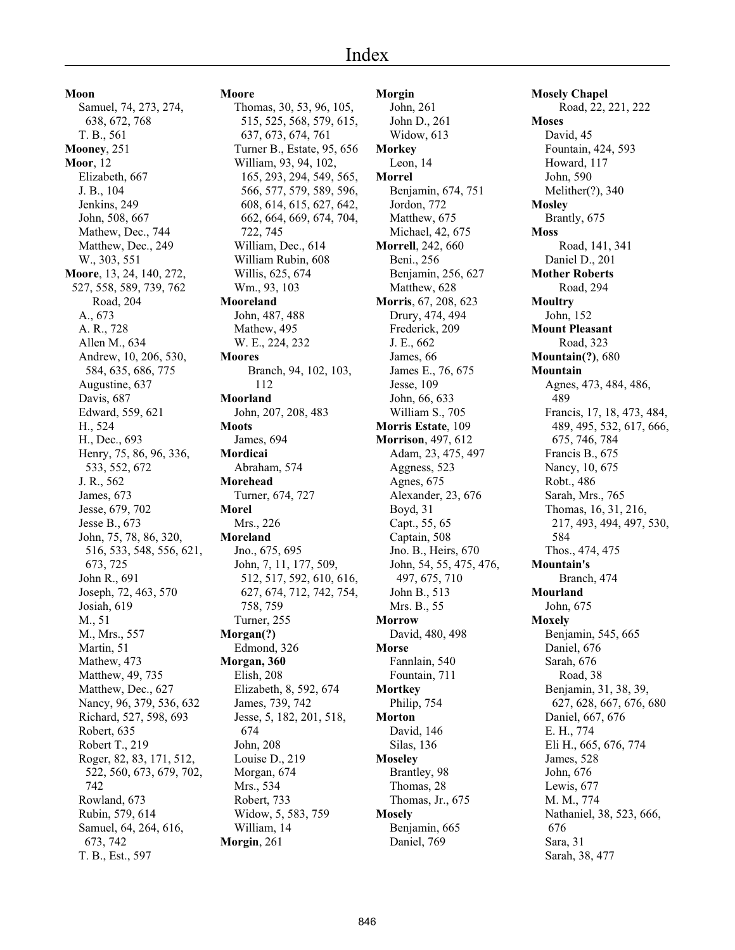# Index

**Moon** Samuel, 74, 273, 274, 638, 672, 768 T. B., 561 **Mooney**, 251 **Moor**, 12 Elizabeth, 667 J. B., 104 Jenkins, 249 John, 508, 667 Mathew, Dec., 744 Matthew, Dec., 249 W., 303, 551 **Moore**, 13, 24, 140, 272, 527, 558, 589, 739, 762 Road, 204 A., 673 A. R., 728 Allen M., 634 Andrew, 10, 206, 530, 584, 635, 686, 775 Augustine, 637 Davis, 687 Edward, 559, 621 H., 524 H., Dec., 693 Henry, 75, 86, 96, 336, 533, 552, 672 J. R., 562 James, 673 Jesse, 679, 702 Jesse B., 673 John, 75, 78, 86, 320, 516, 533, 548, 556, 621, 673, 725 John R., 691 Joseph, 72, 463, 570 Josiah, 619 M., 51 M., Mrs., 557 Martin, 51 Mathew, 473 Matthew, 49, 735 Matthew, Dec., 627 Nancy, 96, 379, 536, 632 Richard, 527, 598, 693 Robert, 635 Robert T., 219 Roger, 82, 83, 171, 512, 522, 560, 673, 679, 702, 742 Rowland, 673 Rubin, 579, 614 Samuel, 64, 264, 616, 673, 742 T. B., Est., 597

**Moore** Thomas, 30, 53, 96, 105, 515, 525, 568, 579, 615, 637, 673, 674, 761 Turner B., Estate, 95, 656 William, 93, 94, 102, 165, 293, 294, 549, 565, 566, 577, 579, 589, 596, 608, 614, 615, 627, 642, 662, 664, 669, 674, 704, 722, 745 William, Dec., 614 William Rubin, 608 Willis, 625, 674 Wm., 93, 103 **Mooreland** John, 487, 488 Mathew, 495 W. E., 224, 232 **Moores** Branch, 94, 102, 103, 112 **Moorland** John, 207, 208, 483 **Moots** James, 694 **Mordicai** Abraham, 574 **Morehead** Turner, 674, 727 **Morel** Mrs., 226 **Moreland** Jno., 675, 695 John, 7, 11, 177, 509, 512, 517, 592, 610, 616, 627, 674, 712, 742, 754, 758, 759 Turner, 255 **Morgan(?)** Edmond, 326 **Morgan, 360** Elish, 208 Elizabeth, 8, 592, 674 James, 739, 742 Jesse, 5, 182, 201, 518, 674 John, 208 Louise D., 219 Morgan, 674 Mrs., 534 Robert, 733 Widow, 5, 583, 759 William, 14 **Morgin**, 261

**Morgin** John, 261 John D., 261 Widow, 613 **Morkey** Leon, 14 **Morrel** Benjamin, 674, 751 Jordon, 772 Matthew, 675 Michael, 42, 675 **Morrell**, 242, 660 Beni., 256 Benjamin, 256, 627 Matthew, 628 **Morris**, 67, 208, 623 Drury, 474, 494 Frederick, 209 J. E., 662 James, 66 James E., 76, 675 Jesse, 109 John, 66, 633 William S., 705 **Morris Estate**, 109 **Morrison**, 497, 612 Adam, 23, 475, 497 Aggness, 523 Agnes, 675 Alexander, 23, 676 Boyd, 31 Capt., 55, 65 Captain, 508 Jno. B., Heirs, 670 John, 54, 55, 475, 476, 497, 675, 710 John B., 513 Mrs. B., 55 **Morrow** David, 480, 498 **Morse** Fannlain, 540 Fountain, 711 **Mortkey** Philip, 754 **Morton** David, 146 Silas, 136 **Moseley** Brantley, 98 Thomas, 28 Thomas, Jr., 675 **Mosely** Benjamin, 665 Daniel, 769

**Mosely Chapel** Road, 22, 221, 222 **Moses** David, 45 Fountain, 424, 593 Howard, 117 John, 590 Melither(?), 340 **Mosley** Brantly, 675 **Moss** Road, 141, 341 Daniel D., 201 **Mother Roberts** Road, 294 **Moultry** John, 152 **Mount Pleasant** Road, 323 **Mountain(?)**, 680 **Mountain** Agnes, 473, 484, 486, 489 Francis, 17, 18, 473, 484, 489, 495, 532, 617, 666, 675, 746, 784 Francis B., 675 Nancy, 10, 675 Robt., 486 Sarah, Mrs., 765 Thomas, 16, 31, 216, 217, 493, 494, 497, 530, 584 Thos., 474, 475 **Mountain's** Branch, 474 **Mourland** John, 675 **Moxely** Benjamin, 545, 665 Daniel, 676 Sarah, 676 Road, 38 Benjamin, 31, 38, 39, 627, 628, 667, 676, 680 Daniel, 667, 676 E. H., 774 Eli H., 665, 676, 774 James, 528 John, 676 Lewis, 677 M. M., 774 Nathaniel, 38, 523, 666, 676 Sara, 31 Sarah, 38, 477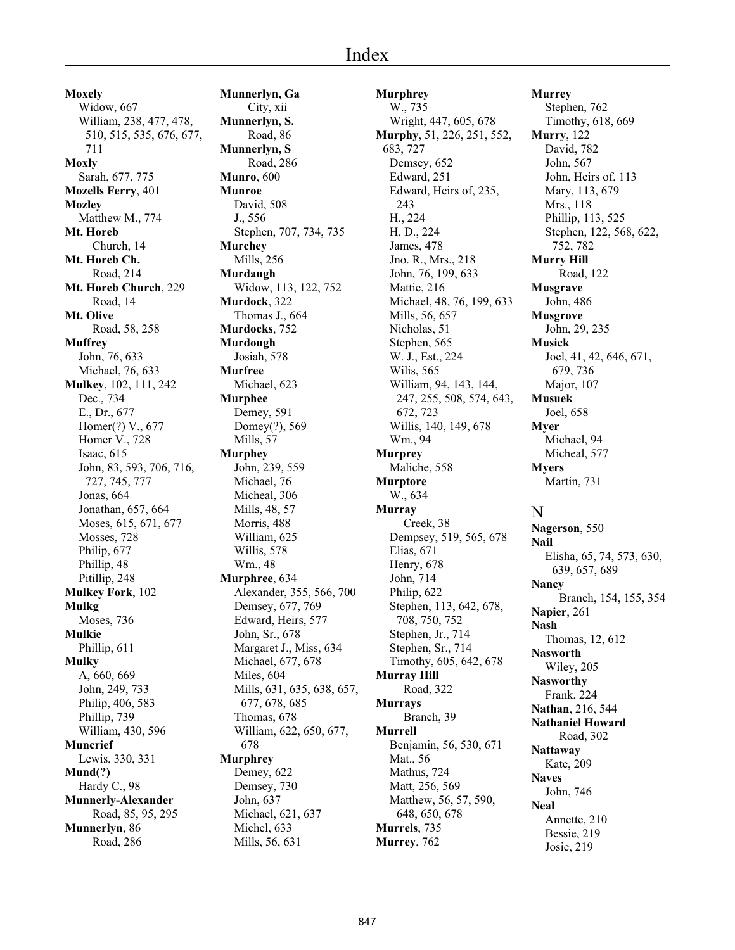**Moxely** Widow, 667 William, 238, 477, 478, 510, 515, 535, 676, 677, 711 **Moxly** Sarah, 677, 775 **Mozells Ferry**, 401 **Mozley** Matthew M., 774 **Mt. Horeb** Church, 14 **Mt. Horeb Ch.** Road, 214 **Mt. Horeb Church**, 229 Road, 14 **Mt. Olive** Road, 58, 258 **Muffrey** John, 76, 633 Michael, 76, 633 **Mulkey**, 102, 111, 242 Dec., 734 E., Dr., 677 Homer(?) V., 677 Homer V., 728 Isaac, 615 John, 83, 593, 706, 716, 727, 745, 777 Jonas, 664 Jonathan, 657, 664 Moses, 615, 671, 677 Mosses, 728 Philip, 677 Phillip, 48 Pitillip, 248 **Mulkey Fork**, 102 **Mulkg** Moses, 736 **Mulkie** Phillip, 611 **Mulky** A, 660, 669 John, 249, 733 Philip, 406, 583 Phillip, 739 William, 430, 596 **Muncrief** Lewis, 330, 331 **Mund(?)** Hardy C., 98 **Munnerly-Alexander** Road, 85, 95, 295 **Munnerlyn**, 86 Road, 286

**Munnerlyn, Ga** City, xii **Munnerlyn, S.** Road, 86 **Munnerlyn, S** Road, 286 **Munro**, 600 **Munroe** David, 508 J., 556 Stephen, 707, 734, 735 **Murchey** Mills, 256 **Murdaugh** Widow, 113, 122, 752 **Murdock**, 322 Thomas J., 664 **Murdocks**, 752 **Murdough** Josiah, 578 **Murfree** Michael, 623 **Murphee** Demey, 591 Domey(?), 569 Mills, 57 **Murphey** John, 239, 559 Michael, 76 Micheal, 306 Mills, 48, 57 Morris, 488 William, 625 Willis, 578 Wm., 48 **Murphree**, 634 Alexander, 355, 566, 700 Demsey, 677, 769 Edward, Heirs, 577 John, Sr., 678 Margaret J., Miss, 634 Michael, 677, 678 Miles, 604 Mills, 631, 635, 638, 657, 677, 678, 685 Thomas, 678 William, 622, 650, 677, 678 **Murphrey** Demey, 622 Demsey, 730 John, 637 Michael, 621, 637 Michel, 633 Mills, 56, 631

**Murphrey** W., 735 Wright, 447, 605, 678 **Murphy**, 51, 226, 251, 552, 683, 727 Demsey, 652 Edward, 251 Edward, Heirs of, 235, 243 H., 224 H. D., 224 James, 478 Jno. R., Mrs., 218 John, 76, 199, 633 Mattie, 216 Michael, 48, 76, 199, 633 Mills, 56, 657 Nicholas, 51 Stephen, 565 W. J., Est., 224 Wilis, 565 William, 94, 143, 144, 247, 255, 508, 574, 643, 672, 723 Willis, 140, 149, 678 Wm., 94 **Murprey** Maliche, 558 **Murptore** W., 634 **Murray** Creek, 38 Dempsey, 519, 565, 678 Elias, 671 Henry, 678 John, 714 Philip, 622 Stephen, 113, 642, 678, 708, 750, 752 Stephen, Jr., 714 Stephen, Sr., 714 Timothy, 605, 642, 678 **Murray Hill** Road, 322 **Murrays** Branch, 39 **Murrell** Benjamin, 56, 530, 671 Mat., 56 Mathus, 724 Matt, 256, 569 Matthew, 56, 57, 590, 648, 650, 678 **Murrels**, 735 **Murrey**, 762

**Murrey** Stephen, 762 Timothy, 618, 669 **Murry**, 122 David, 782 John, 567 John, Heirs of, 113 Mary, 113, 679 Mrs., 118 Phillip, 113, 525 Stephen, 122, 568, 622, 752, 782 **Murry Hill** Road, 122 **Musgrave** John, 486 **Musgrove** John, 29, 235 **Musick** Joel, 41, 42, 646, 671, 679, 736 Major, 107 **Musuek** Joel, 658 **Myer** Michael, 94 Micheal, 577 **Myers** Martin, 731 N **Nagerson**, 550 **Nail** 639, 657, 689 **Nancy Napier**, 261 **Nash** Thomas, 12, 612 **Nasworth**

Elisha, 65, 74, 573, 630, Branch, 154, 155, 354 Wiley, 205 **Nasworthy** Frank, 224 **Nathan**, 216, 544 **Nathaniel Howard** Road, 302 **Nattaway** Kate, 209 **Naves** John, 746 **Neal** Annette, 210 Bessie, 219 Josie, 219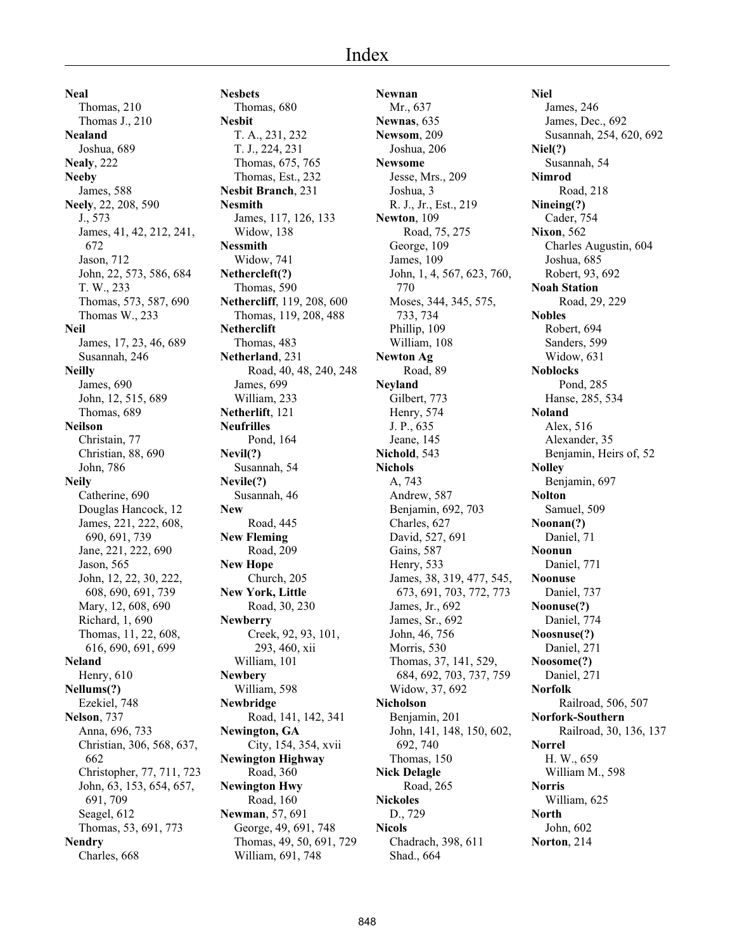**Neal** Thomas, 210 Thomas J., 210 **Nealand** Joshua, 689 **Nealy**, 222 **Neeby** James, 588 **Neely**, 22, 208, 590 J., 573 James, 41, 42, 212, 241, 672 Jason, 712 John, 22, 573, 586, 684 T. W., 233 Thomas, 573, 587, 690 Thomas W., 233 **Neil** James, 17, 23, 46, 689 Susannah, 246 **Neilly** James, 690 John, 12, 515, 689 Thomas, 689 **Neilson** Christain, 77 Christian, 88, 690 John, 786 **Neily** Catherine, 690 Douglas Hancock, 12 James, 221, 222, 608, 690, 691, 739 Jane, 221, 222, 690 Jason, 565 John, 12, 22, 30, 222, 608, 690, 691, 739 Mary, 12, 608, 690 Richard, 1, 690 Thomas, 11, 22, 608, 616, 690, 691, 699 **Neland** Henry, 610 **Nellums(?)** Ezekiel, 748 **Nelson**, 737 Anna, 696, 733 Christian, 306, 568, 637, 662 Christopher, 77, 711, 723 John, 63, 153, 654, 657, 691, 709 Seagel, 612 Thomas, 53, 691, 773 **Nendry** Charles, 668

**Nesbets** Thomas, 680 **Nesbit** T. A., 231, 232 T. J., 224, 231 Thomas, 675, 765 Thomas, Est., 232 **Nesbit Branch**, 231 **Nesmith** James, 117, 126, 133 Widow, 138 **Nessmith** Widow, 741 **Nethercleft(?)** Thomas, 590 **Nethercliff**, 119, 208, 600 Thomas, 119, 208, 488 **Netherclift** Thomas, 483 **Netherland**, 231 Road, 40, 48, 240, 248 James, 699 William, 233 **Netherlift**, 121 **Neufrilles** Pond, 164 **Nevil(?)** Susannah, 54 **Nevile(?)** Susannah, 46 **New** Road, 445 **New Fleming** Road, 209 **New Hope** Church, 205 **New York, Little** Road, 30, 230 **Newberry** Creek, 92, 93, 101, 293, 460, xii William, 101 **Newbery** William, 598 **Newbridge** Road, 141, 142, 341 **Newington, GA** City, 154, 354, xvii **Newington Highway** Road, 360 **Newington Hwy** Road, 160 **Newman**, 57, 691 George, 49, 691, 748 Thomas, 49, 50, 691, 729 William, 691, 748

**Newnan** Mr., 637 **Newnas**, 635 **Newsom**, 209 Joshua, 206 **Newsome** Jesse, Mrs., 209 Joshua, 3 R. J., Jr., Est., 219 **Newton**, 109 Road, 75, 275 George, 109 James, 109 John, 1, 4, 567, 623, 760, 770 Moses, 344, 345, 575, 733, 734 Phillip, 109 William, 108 **Newton Ag** Road, 89 **Neyland** Gilbert, 773 Henry, 574 J. P., 635 Jeane, 145 **Nichold**, 543 **Nichols** A, 743 Andrew, 587 Benjamin, 692, 703 Charles, 627 David, 527, 691 Gains, 587 Henry, 533 James, 38, 319, 477, 545, 673, 691, 703, 772, 773 James, Jr., 692 James, Sr., 692 John, 46, 756 Morris, 530 Thomas, 37, 141, 529, 684, 692, 703, 737, 759 Widow, 37, 692 **Nicholson** Benjamin, 201 John, 141, 148, 150, 602, 692, 740 Thomas, 150 **Nick Delagle** Road, 265 **Nickoles** D., 729 **Nicols** Chadrach, 398, 611 Shad., 664

**Niel** James, 246 James, Dec., 692 Susannah, 254, 620, 692 **Niel(?)** Susannah, 54 **Nimrod** Road, 218 **Nineing(?)** Cader, 754 **Nixon**, 562 Charles Augustin, 604 Joshua, 685 Robert, 93, 692 **Noah Station** Road, 29, 229 **Nobles** Robert, 694 Sanders, 599 Widow, 631 **Noblocks** Pond, 285 Hanse, 285, 534 **Noland** Alex, 516 Alexander, 35 Benjamin, Heirs of, 52 **Nolley** Benjamin, 697 **Nolton** Samuel, 509 **Noonan(?)** Daniel, 71 **Noonun** Daniel, 771 **Noonuse** Daniel, 737 **Noonuse(?)** Daniel, 774 **Noosnuse(?)** Daniel, 271 **Noosome(?)** Daniel, 271 **Norfolk** Railroad, 506, 507 **Norfork-Southern** Railroad, 30, 136, 137 **Norrel** H. W., 659 William M., 598 **Norris** William, 625 **North** John, 602 **Norton**, 214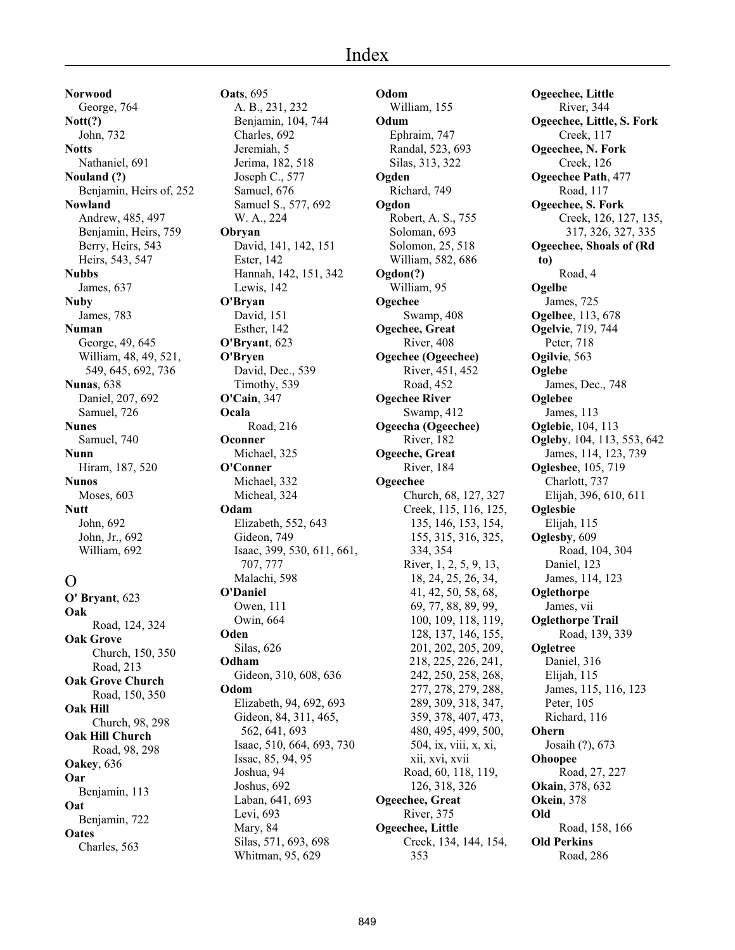**Norwood** George, 764 **Nott(?)** John, 732 **Notts** Nathaniel, 691 **Nouland (?)** Benjamin, Heirs of, 252 **Nowland** Andrew, 485, 497 Benjamin, Heirs, 759 Berry, Heirs, 543 Heirs, 543, 547 **Nubbs** James, 637 **Nuby** James, 783 **Numan** George, 49, 645 William, 48, 49, 521, 549, 645, 692, 736 **Nunas**, 638 Daniel, 207, 692 Samuel, 726 **Nunes** Samuel, 740 **Nunn** Hiram, 187, 520 **Nunos** Moses, 603 **Nutt** John, 692 John, Jr., 692 William, 692

# $\Omega$

**O' Bryant**, 623 **Oak** Road, 124, 324 **Oak Grove** Church, 150, 350 Road, 213 **Oak Grove Church** Road, 150, 350 **Oak Hill** Church, 98, 298 **Oak Hill Church** Road, 98, 298 **Oakey**, 636 **Oar** Benjamin, 113 **Oat** Benjamin, 722 **Oates** Charles, 563

**Oats**, 695 A. B., 231, 232 Benjamin, 104, 744 Charles, 692 Jeremiah, 5 Jerima, 182, 518 Joseph C., 577 Samuel, 676 Samuel S., 577, 692 W. A., 224 **Obryan** David, 141, 142, 151 Ester, 142 Hannah, 142, 151, 342 Lewis, 142 **O'Bryan** David, 151 Esther, 142 **O'Bryant**, 623 **O'Bryen** David, Dec., 539 Timothy, 539 **O'Cain**, 347 **Ocala** Road, 216 **Oconner** Michael, 325 **O'Conner** Michael, 332 Micheal, 324 **Odam** Elizabeth, 552, 643 Gideon, 749 Isaac, 399, 530, 611, 661, 707, 777 Malachi, 598 **O'Daniel** Owen, 111 Owin, 664 **Oden** Silas, 626 **Odham** Gideon, 310, 608, 636 **Odom** Elizabeth, 94, 692, 693 Gideon, 84, 311, 465, 562, 641, 693 Isaac, 510, 664, 693, 730 Issac, 85, 94, 95 Joshua, 94 Joshus, 692 Laban, 641, 693 Levi, 693 Mary, 84 Silas, 571, 693, 698 Whitman, 95, 629

**Odom** William, 155 **Odum** Ephraim, 747 Randal, 523, 693 Silas, 313, 322 **Ogden** Richard, 749 **Ogdon** Robert, A. S., 755 Soloman, 693 Solomon, 25, 518 William, 582, 686 **Ogdon(?)** William, 95 **Ogechee** Swamp, 408 **Ogechee, Great** River, 408 **Ogechee (Ogeechee)** River, 451, 452 Road, 452 **Ogechee River** Swamp, 412 **Ogeecha (Ogeechee)** River, 182 **Ogeeche, Great** River, 184 **Ogeechee** Church, 68, 127, 327 Creek, 115, 116, 125, 135, 146, 153, 154, 155, 315, 316, 325, 334, 354 River, 1, 2, 5, 9, 13, 18, 24, 25, 26, 34, 41, 42, 50, 58, 68, 69, 77, 88, 89, 99, 100, 109, 118, 119, 128, 137, 146, 155, 201, 202, 205, 209, 218, 225, 226, 241, 242, 250, 258, 268, 277, 278, 279, 288, 289, 309, 318, 347, 359, 378, 407, 473, 480, 495, 499, 500, 504, ix, viii, x, xi, xii, xvi, xvii Road, 60, 118, 119, 126, 318, 326 **Ogeechee, Great** River, 375 **Ogeechee, Little** Creek, 134, 144, 154, 353

**Ogeechee, Little** River, 344 **Ogeechee, Little, S. Fork** Creek, 117 **Ogeechee, N. Fork** Creek, 126 **Ogeechee Path**, 477 Road, 117 **Ogeechee, S. Fork** Creek, 126, 127, 135, 317, 326, 327, 335 **Ogeechee, Shoals of (Rd to)** Road, 4 **Ogelbe** James, 725 **Ogelbee**, 113, 678 **Ogelvie**, 719, 744 Peter, 718 **Ogilvie**, 563 **Oglebe** James, Dec., 748 **Oglebee** James, 113 **Oglebie**, 104, 113 **Ogleby**, 104, 113, 553, 642 James, 114, 123, 739 **Oglesbee**, 105, 719 Charlott, 737 Elijah, 396, 610, 611 **Oglesbie** Elijah, 115 **Oglesby**, 609 Road, 104, 304 Daniel, 123 James, 114, 123 **Oglethorpe** James, vii **Oglethorpe Trail** Road, 139, 339 **Ogletree** Daniel, 316 Elijah, 115 James, 115, 116, 123 Peter, 105 Richard, 116 **Ohern** Josaih (?), 673 **Ohoopee** Road, 27, 227 **Okain**, 378, 632 **Okein**, 378 **Old** Road, 158, 166 **Old Perkins** Road, 286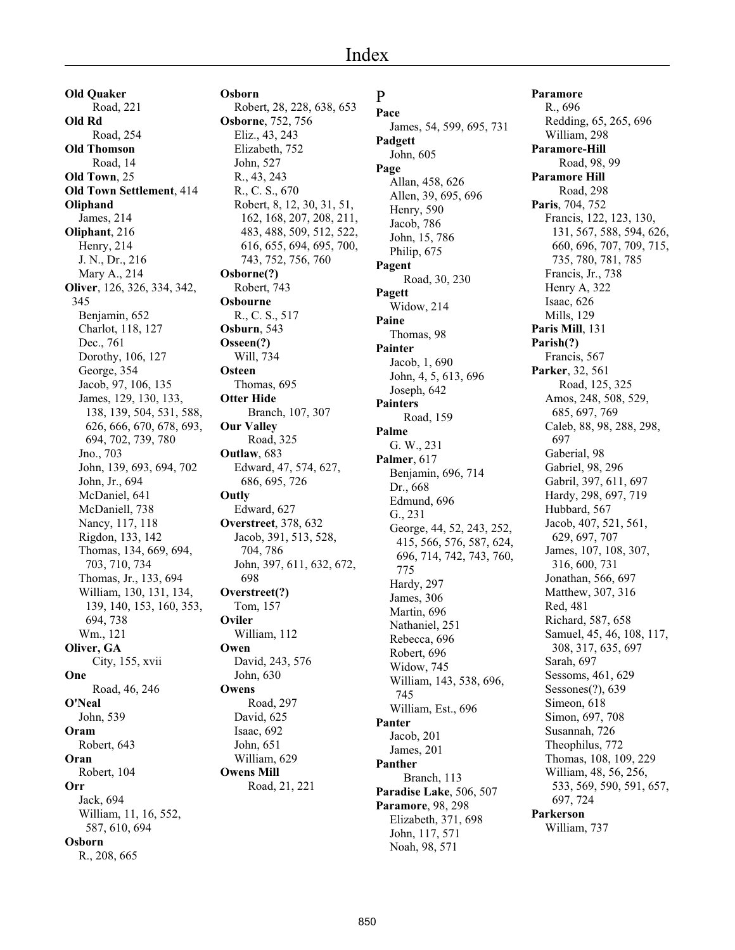**Old Quaker** Road, 221 **Old Rd** Road, 254 **Old Thomson** Road, 14 **Old Town**, 25 **Old Town Settlement**, 414 **Oliphand** James, 214 **Oliphant**, 216 Henry, 214 J. N., Dr., 216 Mary A., 214 **Oliver**, 126, 326, 334, 342, 345 Benjamin, 652 Charlot, 118, 127 Dec., 761 Dorothy, 106, 127 George, 354 Jacob, 97, 106, 135 James, 129, 130, 133, 138, 139, 504, 531, 588, 626, 666, 670, 678, 693, 694, 702, 739, 780 Jno., 703 John, 139, 693, 694, 702 John, Jr., 694 McDaniel, 641 McDaniell, 738 Nancy, 117, 118 Rigdon, 133, 142 Thomas, 134, 669, 694, 703, 710, 734 Thomas, Jr., 133, 694 William, 130, 131, 134, 139, 140, 153, 160, 353, 694, 738 Wm., 121 **Oliver, GA** City, 155, xvii **One** Road, 46, 246 **O'Neal** John, 539 **Oram** Robert, 643 **Oran** Robert, 104 **Orr** Jack, 694 William, 11, 16, 552, 587, 610, 694 **Osborn** R., 208, 665

**Osborn** Robert, 28, 228, 638, 653 **Osborne**, 752, 756 Eliz., 43, 243 Elizabeth, 752 John, 527 R., 43, 243 R., C. S., 670 Robert, 8, 12, 30, 31, 51, 162, 168, 207, 208, 211, 483, 488, 509, 512, 522, 616, 655, 694, 695, 700, 743, 752, 756, 760 **Osborne(?)** Robert, 743 **Osbourne** R., C. S., 517 **Osburn**, 543 **Osseen(?)** Will, 734 **Osteen** Thomas, 695 **Otter Hide** Branch, 107, 307 **Our Valley** Road, 325 **Outlaw**, 683 Edward, 47, 574, 627, 686, 695, 726 **Outly** Edward, 627 **Overstreet**, 378, 632 Jacob, 391, 513, 528, 704, 786 John, 397, 611, 632, 672, 698 **Overstreet(?)** Tom, 157 **Oviler** William, 112 **Owen** David, 243, 576 John, 630 **Owens** Road, 297 David, 625 Isaac, 692 John, 651 William, 629 **Owens Mill** Road, 21, 221

# P

**Pace** James, 54, 599, 695, 731 **Padgett** John, 605 **Page** Allan, 458, 626 Allen, 39, 695, 696 Henry, 590 Jacob, 786 John, 15, 786 Philip, 675 **Pagent** Road, 30, 230 **Pagett** Widow, 214 **Paine** Thomas, 98 **Painter** Jacob, 1, 690 John, 4, 5, 613, 696 Joseph, 642 **Painters** Road, 159 **Palme** G. W., 231 **Palmer**, 617 Benjamin, 696, 714 Dr., 668 Edmund, 696 G., 231 George, 44, 52, 243, 252, 415, 566, 576, 587, 624, 696, 714, 742, 743, 760, 775 Hardy, 297 James, 306 Martin, 696 Nathaniel, 251 Rebecca, 696 Robert, 696 Widow, 745 William, 143, 538, 696, 745 William, Est., 696 **Panter** Jacob, 201 James, 201 **Panther** Branch, 113 **Paradise Lake**, 506, 507 **Paramore**, 98, 298 Elizabeth, 371, 698 John, 117, 571 Noah, 98, 571

**Paramore** R., 696 Redding, 65, 265, 696 William, 298 **Paramore-Hill** Road, 98, 99 **Paramore Hill** Road, 298 **Paris**, 704, 752 Francis, 122, 123, 130, 131, 567, 588, 594, 626, 660, 696, 707, 709, 715, 735, 780, 781, 785 Francis, Jr., 738 Henry A, 322 Isaac, 626 Mills, 129 **Paris Mill**, 131 **Parish(?)** Francis, 567 **Parker**, 32, 561 Road, 125, 325 Amos, 248, 508, 529, 685, 697, 769 Caleb, 88, 98, 288, 298, 697 Gaberial, 98 Gabriel, 98, 296 Gabril, 397, 611, 697 Hardy, 298, 697, 719 Hubbard, 567 Jacob, 407, 521, 561, 629, 697, 707 James, 107, 108, 307, 316, 600, 731 Jonathan, 566, 697 Matthew, 307, 316 Red, 481 Richard, 587, 658 Samuel, 45, 46, 108, 117, 308, 317, 635, 697 Sarah, 697 Sessoms, 461, 629 Sessones(?), 639 Simeon, 618 Simon, 697, 708 Susannah, 726 Theophilus, 772 Thomas, 108, 109, 229 William, 48, 56, 256, 533, 569, 590, 591, 657, 697, 724 **Parkerson** William, 737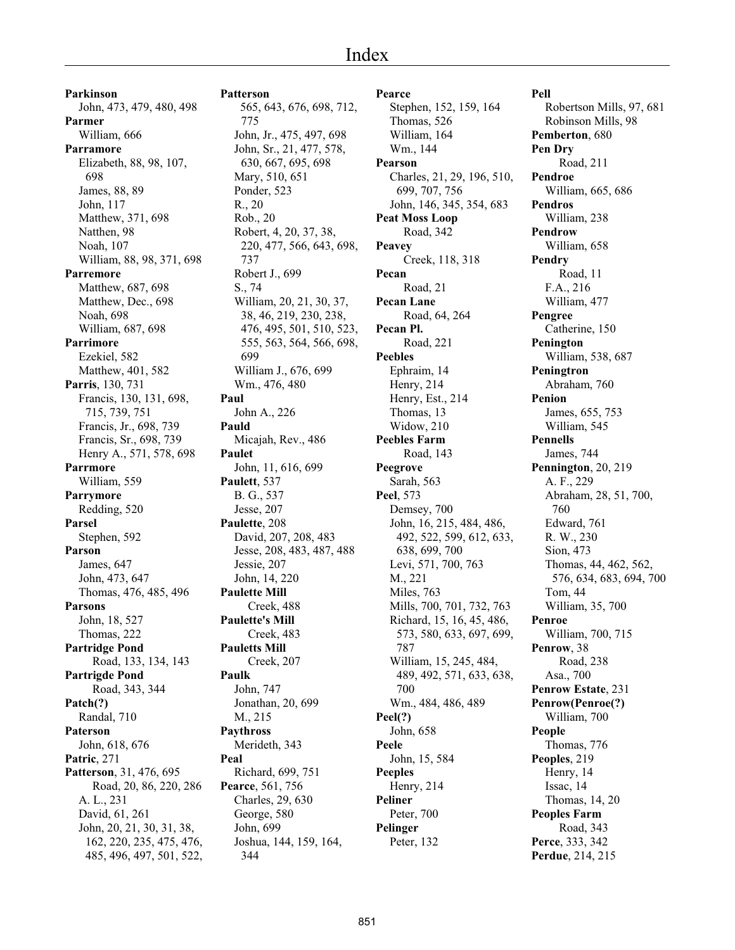# Index

**Parkinson** John, 473, 479, 480, 498 **Parmer** William, 666 **Parramore** Elizabeth, 88, 98, 107, 698 James, 88, 89 John, 117 Matthew, 371, 698 Natthen, 98 Noah, 107 William, 88, 98, 371, 698 **Parremore** Matthew, 687, 698 Matthew, Dec., 698 Noah, 698 William, 687, 698 **Parrimore** Ezekiel, 582 Matthew, 401, 582 **Parris**, 130, 731 Francis, 130, 131, 698, 715, 739, 751 Francis, Jr., 698, 739 Francis, Sr., 698, 739 Henry A., 571, 578, 698 **Parrmore** William, 559 **Parrymore** Redding, 520 **Parsel** Stephen, 592 **Parson** James, 647 John, 473, 647 Thomas, 476, 485, 496 **Parsons** John, 18, 527 Thomas, 222 **Partridge Pond** Road, 133, 134, 143 **Partrigde Pond** Road, 343, 344 **Patch(?)** Randal, 710 **Paterson** John, 618, 676 **Patric**, 271 **Patterson**, 31, 476, 695 Road, 20, 86, 220, 286 A. L., 231 David, 61, 261 John, 20, 21, 30, 31, 38, 162, 220, 235, 475, 476, 485, 496, 497, 501, 522,

**Patterson** 565, 643, 676, 698, 712, 775 John, Jr., 475, 497, 698 John, Sr., 21, 477, 578, 630, 667, 695, 698 Mary, 510, 651 Ponder, 523 R., 20 Rob., 20 Robert, 4, 20, 37, 38, 220, 477, 566, 643, 698, 737 Robert J., 699 S., 74 William, 20, 21, 30, 37, 38, 46, 219, 230, 238, 476, 495, 501, 510, 523, 555, 563, 564, 566, 698, 699 William J., 676, 699 Wm., 476, 480 **Paul** John A., 226 **Pauld** Micajah, Rev., 486 **Paulet** John, 11, 616, 699 **Paulett**, 537 B. G., 537 Jesse, 207 **Paulette**, 208 David, 207, 208, 483 Jesse, 208, 483, 487, 488 Jessie, 207 John, 14, 220 **Paulette Mill** Creek, 488 **Paulette's Mill** Creek, 483 **Pauletts Mill** Creek, 207 **Paulk** John, 747 Jonathan, 20, 699 M., 215 **Paythross** Merideth, 343 **Peal** Richard, 699, 751 **Pearce**, 561, 756 Charles, 29, 630 George, 580 John, 699 Joshua, 144, 159, 164, 344

**Pearce** Stephen, 152, 159, 164 Thomas, 526 William, 164 Wm., 144 **Pearson** Charles, 21, 29, 196, 510, 699, 707, 756 John, 146, 345, 354, 683 **Peat Moss Loop** Road, 342 **Peavey** Creek, 118, 318 **Pecan** Road, 21 **Pecan Lane** Road, 64, 264 **Pecan Pl.** Road, 221 **Peebles** Ephraim, 14 Henry, 214 Henry, Est., 214 Thomas, 13 Widow, 210 **Peebles Farm** Road, 143 **Peegrove** Sarah, 563 **Peel**, 573 Demsey, 700 John, 16, 215, 484, 486, 492, 522, 599, 612, 633, 638, 699, 700 Levi, 571, 700, 763 M., 221 Miles, 763 Mills, 700, 701, 732, 763 Richard, 15, 16, 45, 486, 573, 580, 633, 697, 699, 787 William, 15, 245, 484, 489, 492, 571, 633, 638, 700 Wm., 484, 486, 489 **Peel(?)** John, 658 **Peele** John, 15, 584 **Peeples** Henry, 214 **Peliner** Peter, 700 **Pelinger** Peter, 132

**Pell** Robertson Mills, 97, 681 Robinson Mills, 98 **Pemberton**, 680 **Pen Dry** Road, 211 **Pendroe** William, 665, 686 **Pendros** William, 238 **Pendrow** William, 658 **Pendry** Road, 11 F.A., 216 William, 477 **Pengree** Catherine, 150 **Penington** William, 538, 687 **Peningtron** Abraham, 760 **Penion** James, 655, 753 William, 545 **Pennells** James, 744 **Pennington**, 20, 219 A. F., 229 Abraham, 28, 51, 700, 760 Edward, 761 R. W., 230 Sion, 473 Thomas, 44, 462, 562, 576, 634, 683, 694, 700 Tom, 44 William, 35, 700 **Penroe** William, 700, 715 **Penrow**, 38 Road, 238 Asa., 700 **Penrow Estate**, 231 **Penrow(Penroe(?)** William, 700 **People** Thomas, 776 **Peoples**, 219 Henry, 14 Issac, 14 Thomas, 14, 20 **Peoples Farm** Road, 343 **Perce**, 333, 342 **Perdue**, 214, 215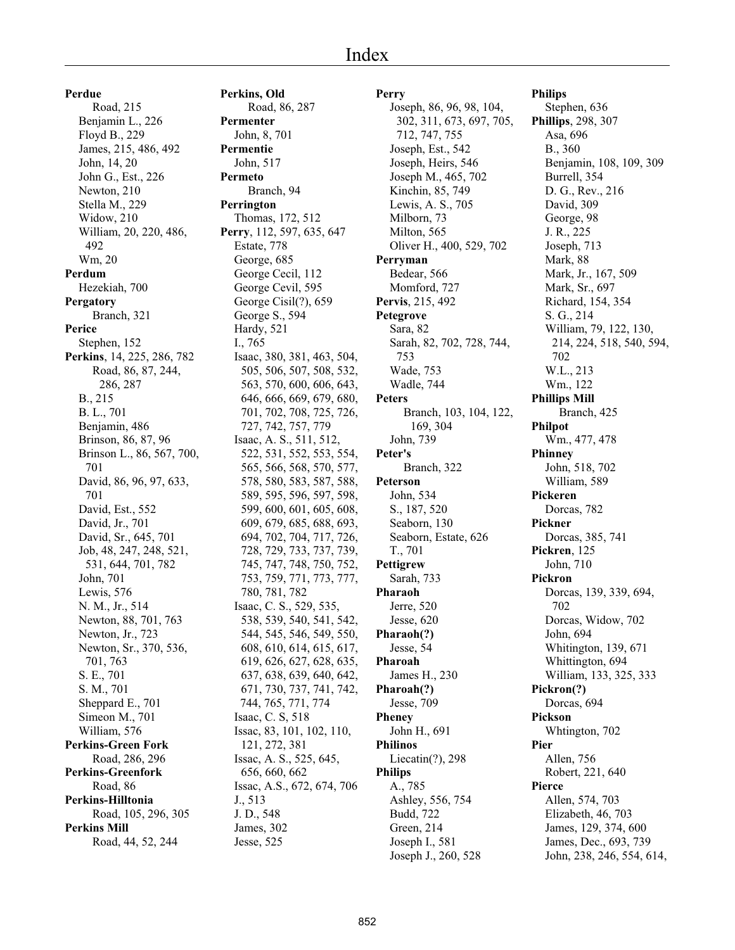**Perdue** Road, 215 Benjamin L., 226 Floyd B., 229 James, 215, 486, 492 John, 14, 20 John G., Est., 226 Newton, 210 Stella M., 229 Widow, 210 William, 20, 220, 486, 492 Wm, 20 **Perdum** Hezekiah, 700 **Pergatory** Branch, 321 **Perice** Stephen, 152 **Perkins**, 14, 225, 286, 782 Road, 86, 87, 244, 286, 287 B., 215 B. L., 701 Benjamin, 486 Brinson, 86, 87, 96 Brinson L., 86, 567, 700, 701 David, 86, 96, 97, 633, 701 David, Est., 552 David, Jr., 701 David, Sr., 645, 701 Job, 48, 247, 248, 521, 531, 644, 701, 782 John, 701 Lewis, 576 N. M., Jr., 514 Newton, 88, 701, 763 Newton, Jr., 723 Newton, Sr., 370, 536, 701, 763 S. E., 701 S. M., 701 Sheppard E., 701 Simeon M., 701 William, 576 **Perkins-Green Fork** Road, 286, 296 **Perkins-Greenfork** Road, 86 **Perkins-Hilltonia** Road, 105, 296, 305 **Perkins Mill** Road, 44, 52, 244

**Perkins, Old** Road, 86, 287 **Permenter** John, 8, 701 **Permentie** John, 517 **Permeto** Branch, 94 **Perrington** Thomas, 172, 512 **Perry**, 112, 597, 635, 647 Estate, 778 George, 685 George Cecil, 112 George Cevil, 595 George Cisil(?), 659 George S., 594 Hardy, 521 I., 765 Isaac, 380, 381, 463, 504, 505, 506, 507, 508, 532, 563, 570, 600, 606, 643, 646, 666, 669, 679, 680, 701, 702, 708, 725, 726, 727, 742, 757, 779 Isaac, A. S., 511, 512, 522, 531, 552, 553, 554, 565, 566, 568, 570, 577, 578, 580, 583, 587, 588, 589, 595, 596, 597, 598, 599, 600, 601, 605, 608, 609, 679, 685, 688, 693, 694, 702, 704, 717, 726, 728, 729, 733, 737, 739, 745, 747, 748, 750, 752, 753, 759, 771, 773, 777, 780, 781, 782 Isaac, C. S., 529, 535, 538, 539, 540, 541, 542, 544, 545, 546, 549, 550, 608, 610, 614, 615, 617, 619, 626, 627, 628, 635, 637, 638, 639, 640, 642, 671, 730, 737, 741, 742, 744, 765, 771, 774 Isaac, C. S, 518 Issac, 83, 101, 102, 110, 121, 272, 381 Issac, A. S., 525, 645, 656, 660, 662 Issac, A.S., 672, 674, 706 J., 513 J. D., 548 James, 302 Jesse, 525

**Perry** Joseph, 86, 96, 98, 104, 302, 311, 673, 697, 705, 712, 747, 755 Joseph, Est., 542 Joseph, Heirs, 546 Joseph M., 465, 702 Kinchin, 85, 749 Lewis, A. S., 705 Milborn, 73 Milton, 565 Oliver H., 400, 529, 702 **Perryman** Bedear, 566 Momford, 727 **Pervis**, 215, 492 **Petegrove** Sara, 82 Sarah, 82, 702, 728, 744, 753 Wade, 753 Wadle, 744 **Peters** Branch, 103, 104, 122, 169, 304 John, 739 **Peter's** Branch, 322 **Peterson** John, 534 S., 187, 520 Seaborn, 130 Seaborn, Estate, 626 T., 701 **Pettigrew** Sarah, 733 **Pharaoh** Jerre, 520 Jesse, 620 **Pharaoh(?)** Jesse, 54 **Pharoah** James H., 230 **Pharoah(?)** Jesse, 709 **Pheney** John H., 691 **Philinos** Liecatin(?), 298 **Philips** A., 785 Ashley, 556, 754 Budd, 722 Green, 214 Joseph I., 581 Joseph J., 260, 528

**Philips** Stephen, 636 **Phillips**, 298, 307 Asa, 696 B., 360 Benjamin, 108, 109, 309 Burrell, 354 D. G., Rev., 216 David, 309 George, 98 J. R., 225 Joseph, 713 Mark, 88 Mark, Jr., 167, 509 Mark, Sr., 697 Richard, 154, 354 S. G., 214 William, 79, 122, 130, 214, 224, 518, 540, 594, 702 W.L., 213 Wm., 122 **Phillips Mill** Branch, 425 **Philpot** Wm., 477, 478 **Phinney** John, 518, 702 William, 589 **Pickeren** Dorcas, 782 **Pickner** Dorcas, 385, 741 **Pickren**, 125 John, 710 **Pickron** Dorcas, 139, 339, 694, 702 Dorcas, Widow, 702 John, 694 Whitington, 139, 671 Whittington, 694 William, 133, 325, 333 **Pickron(?)** Dorcas, 694 **Pickson** Whtington, 702 **Pier** Allen, 756 Robert, 221, 640 **Pierce** Allen, 574, 703 Elizabeth, 46, 703 James, 129, 374, 600 James, Dec., 693, 739 John, 238, 246, 554, 614,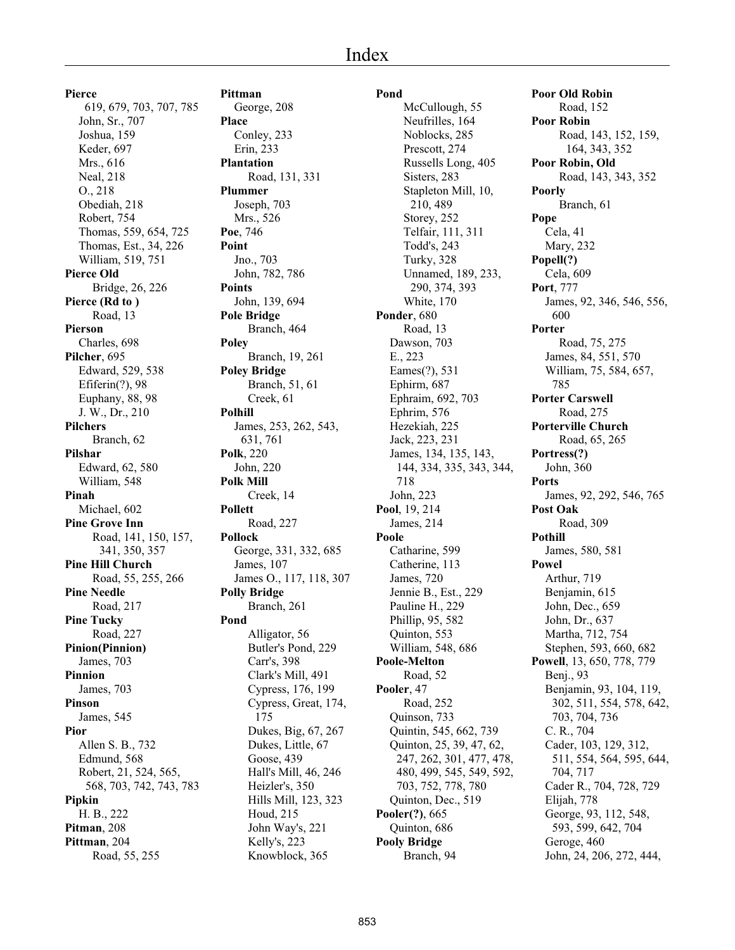# Index

**Pierce** 619, 679, 703, 707, 785 John, Sr., 707 Joshua, 159 Keder, 697 Mrs., 616 Neal, 218 O., 218 Obediah, 218 Robert, 754 Thomas, 559, 654, 725 Thomas, Est., 34, 226 William, 519, 751 **Pierce Old** Bridge, 26, 226 **Pierce (Rd to )** Road, 13 **Pierson** Charles, 698 **Pilcher**, 695 Edward, 529, 538 Efiferin(?), 98 Euphany, 88, 98 J. W., Dr., 210 **Pilchers** Branch, 62 **Pilshar** Edward, 62, 580 William, 548 **Pinah** Michael, 602 **Pine Grove Inn** Road, 141, 150, 157, 341, 350, 357 **Pine Hill Church** Road, 55, 255, 266 **Pine Needle** Road, 217 **Pine Tucky** Road, 227 **Pinion(Pinnion)** James, 703 **Pinnion** James, 703 **Pinson** James, 545 **Pior** Allen S. B., 732 Edmund, 568 Robert, 21, 524, 565, 568, 703, 742, 743, 783 **Pipkin** H. B., 222 **Pitman**, 208 **Pittman**, 204 Road, 55, 255

**Pittman** George, 208 **Place** Conley, 233 Erin, 233 **Plantation** Road, 131, 331 **Plummer** Joseph, 703 Mrs., 526 **Poe**, 746 **Point** Jno., 703 John, 782, 786 **Points** John, 139, 694 **Pole Bridge** Branch, 464 **Poley** Branch, 19, 261 **Poley Bridge** Branch, 51, 61 Creek, 61 **Polhill** James, 253, 262, 543, 631, 761 **Polk**, 220 John, 220 **Polk Mill** Creek, 14 **Pollett** Road, 227 **Pollock** George, 331, 332, 685 James, 107 James O., 117, 118, 307 **Polly Bridge** Branch, 261 **Pond** Alligator, 56 Butler's Pond, 229 Carr's, 398 Clark's Mill, 491 Cypress, 176, 199 Cypress, Great, 174, 175 Dukes, Big, 67, 267 Dukes, Little, 67 Goose, 439 Hall's Mill, 46, 246 Heizler's, 350 Hills Mill, 123, 323 Houd, 215 John Way's, 221 Kelly's, 223

Knowblock, 365

**Pond** McCullough, 55 Neufrilles, 164 Noblocks, 285 Prescott, 274 Russells Long, 405 Sisters, 283 Stapleton Mill, 10, 210, 489 Storey, 252 Telfair, 111, 311 Todd's, 243 Turky, 328 Unnamed, 189, 233, 290, 374, 393 White, 170 **Ponder**, 680 Road, 13 Dawson, 703 E., 223 Eames(?), 531 Ephirm, 687 Ephraim, 692, 703 Ephrim, 576 Hezekiah, 225 Jack, 223, 231 James, 134, 135, 143, 144, 334, 335, 343, 344, 718 John, 223 **Pool**, 19, 214 James, 214 **Poole** Catharine, 599 Catherine, 113 James, 720 Jennie B., Est., 229 Pauline H., 229 Phillip, 95, 582 Quinton, 553 William, 548, 686 **Poole-Melton** Road, 52 **Pooler**, 47 Road, 252 Quinson, 733 Quintin, 545, 662, 739 Quinton, 25, 39, 47, 62, 247, 262, 301, 477, 478, 480, 499, 545, 549, 592, 703, 752, 778, 780 Quinton, Dec., 519 **Pooler(?)**, 665 Quinton, 686 **Pooly Bridge** Branch, 94

**Poor Old Robin** Road, 152 **Poor Robin** Road, 143, 152, 159, 164, 343, 352 **Poor Robin, Old** Road, 143, 343, 352 **Poorly** Branch, 61 **Pope** Cela, 41 Mary, 232 **Popell(?)** Cela, 609 **Port**, 777 James, 92, 346, 546, 556, 600 **Porter** Road, 75, 275 James, 84, 551, 570 William, 75, 584, 657, 785 **Porter Carswell** Road, 275 **Porterville Church** Road, 65, 265 **Portress(?)** John, 360 **Ports** James, 92, 292, 546, 765 **Post Oak** Road, 309 **Pothill** James, 580, 581 **Powel** Arthur, 719 Benjamin, 615 John, Dec., 659 John, Dr., 637 Martha, 712, 754 Stephen, 593, 660, 682 **Powell**, 13, 650, 778, 779 Benj., 93 Benjamin, 93, 104, 119, 302, 511, 554, 578, 642, 703, 704, 736 C. R., 704 Cader, 103, 129, 312, 511, 554, 564, 595, 644, 704, 717 Cader R., 704, 728, 729 Elijah, 778 George, 93, 112, 548, 593, 599, 642, 704 Geroge, 460 John, 24, 206, 272, 444,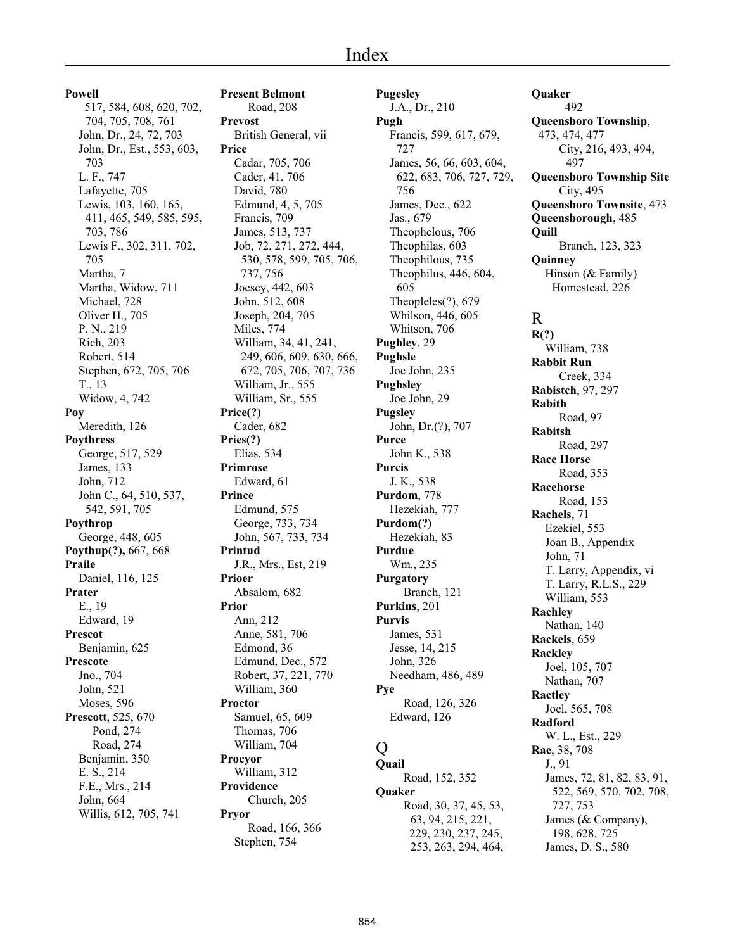#### **Powell**

 517, 584, 608, 620, 702, 704, 705, 708, 761 John, Dr., 24, 72, 703 John, Dr., Est., 553, 603, 703 L. F., 747 Lafayette, 705 Lewis, 103, 160, 165, 411, 465, 549, 585, 595, 703, 786 Lewis F., 302, 311, 702, 705 Martha, 7 Martha, Widow, 711 Michael, 728 Oliver H., 705 P. N., 219 Rich, 203 Robert, 514 Stephen, 672, 705, 706 T., 13 Widow, 4, 742 **Poy** Meredith, 126 **Poythress** George, 517, 529 James, 133 John, 712 John C., 64, 510, 537, 542, 591, 705 **Poythrop** George, 448, 605 **Poythup(?),** 667, 668 **Praile** Daniel, 116, 125 **Prater** E., 19 Edward, 19 **Prescot** Benjamin, 625 **Prescote** Jno., 704 John, 521 Moses, 596 **Prescott**, 525, 670 Pond, 274 Road, 274 Benjamin, 350 E. S., 214 F.E., Mrs., 214 John, 664 Willis, 612, 705, 741

**Present Belmont** Road, 208 **Prevost** British General, vii **Price** Cadar, 705, 706 Cader, 41, 706 David, 780 Edmund, 4, 5, 705 Francis, 709 James, 513, 737 Job, 72, 271, 272, 444, 530, 578, 599, 705, 706, 737, 756 Joesey, 442, 603 John, 512, 608 Joseph, 204, 705 Miles, 774 William, 34, 41, 241, 249, 606, 609, 630, 666, 672, 705, 706, 707, 736 William, Jr., 555 William, Sr., 555 **Price(?)** Cader, 682 **Pries(?)** Elias, 534 **Primrose** Edward, 61 **Prince** Edmund, 575 George, 733, 734 John, 567, 733, 734 **Printud** J.R., Mrs., Est, 219 **Prioer** Absalom, 682 **Prior** Ann, 212 Anne, 581, 706 Edmond, 36 Edmund, Dec., 572 Robert, 37, 221, 770 William, 360 **Proctor** Samuel, 65, 609 Thomas, 706 William, 704 **Procyor** William, 312 **Providence** Church, 205 **Pryor** Road, 166, 366 Stephen, 754

**Pugesley** J.A., Dr., 210 **Pugh** Francis, 599, 617, 679, 727 James, 56, 66, 603, 604, 622, 683, 706, 727, 729, 756 James, Dec., 622 Jas., 679 Theophelous, 706 Theophilas, 603 Theophilous, 735 Theophilus, 446, 604, 605 Theopleles(?), 679 Whilson, 446, 605 Whitson, 706 **Pughley**, 29 **Pughsle** Joe John, 235 **Pughsley** Joe John, 29 **Pugsley** John, Dr.(?), 707 **Purce** John K., 538 **Purcis** J. K., 538 **Purdom**, 778 Hezekiah, 777 **Purdom(?)** Hezekiah, 83 **Purdue** Wm., 235 **Purgatory** Branch, 121 **Purkins**, 201 **Purvis** James, 531 Jesse, 14, 215 John, 326 Needham, 486, 489 **Pye** Road, 126, 326 Edward, 126  $\overline{O}$ 

**Quail** Road, 152, 352 **Quaker** Road, 30, 37, 45, 53, 63, 94, 215, 221, 229, 230, 237, 245, 253, 263, 294, 464,

**Quaker** 492 **Queensboro Township**, 473, 474, 477 City, 216, 493, 494, 497 **Queensboro Township Site** City, 495 **Queensboro Townsite**, 473 **Queensborough**, 485 **Quill** Branch, 123, 323 **Quinney** Hinson (& Family) Homestead, 226 R **R(?)** William, 738 **Rabbit Run** Creek, 334 **Rabistch**, 97, 297 **Rabith** Road, 97 **Rabitsh** Road, 297 **Race Horse** Road, 353 **Racehorse** Road, 153 **Rachels**, 71 Ezekiel, 553 Joan B., Appendix John, 71 T. Larry, Appendix, vi T. Larry, R.L.S., 229 William, 553 **Rachley** Nathan, 140 **Rackels**, 659

Joel, 105, 707 Nathan, 707 **Ractley** Joel, 565, 708 **Radford** W. L., Est., 229 **Rae**, 38, 708 J., 91 James, 72, 81, 82, 83, 91, 522, 569, 570, 702, 708, 727, 753 James (& Company), 198, 628, 725 James, D. S., 580

**Rackley**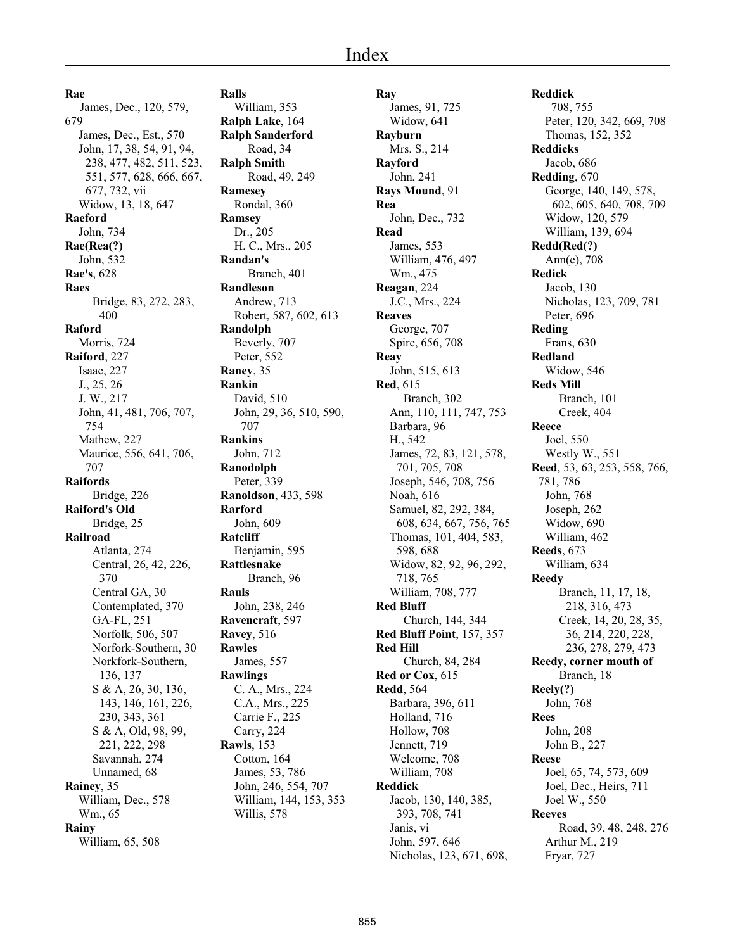**Rae** James, Dec., 120, 579, 679 James, Dec., Est., 570 John, 17, 38, 54, 91, 94, 238, 477, 482, 511, 523, 551, 577, 628, 666, 667, 677, 732, vii Widow, 13, 18, 647 **Raeford** John, 734 **Rae(Rea(?)** John, 532 **Rae's**, 628 **Raes** Bridge, 83, 272, 283, 400 **Raford** Morris, 724 **Raiford**, 227 Isaac, 227 J., 25, 26 J. W., 217 John, 41, 481, 706, 707, 754 Mathew, 227 Maurice, 556, 641, 706, 707 **Raifords** Bridge, 226 **Raiford's Old** Bridge, 25 **Railroad** Atlanta, 274 Central, 26, 42, 226, 370 Central GA, 30 Contemplated, 370 GA-FL, 251 Norfolk, 506, 507 Norfork-Southern, 30 Norkfork-Southern, 136, 137 S & A, 26, 30, 136, 143, 146, 161, 226, 230, 343, 361 S & A, Old, 98, 99, 221, 222, 298 Savannah, 274 Unnamed, 68 **Rainey**, 35 William, Dec., 578 Wm., 65 **Rainy** William, 65, 508

**Ralls** William, 353 **Ralph Lake**, 164 **Ralph Sanderford** Road, 34 **Ralph Smith** Road, 49, 249 **Ramesey** Rondal, 360 **Ramsey** Dr., 205 H. C., Mrs., 205 **Randan's** Branch, 401 **Randleson** Andrew, 713 Robert, 587, 602, 613 **Randolph** Beverly, 707 Peter, 552 **Raney**, 35 **Rankin** David, 510 John, 29, 36, 510, 590, 707 **Rankins** John, 712 **Ranodolph** Peter, 339 **Ranoldson**, 433, 598 **Rarford** John, 609 **Ratcliff** Benjamin, 595 **Rattlesnake** Branch, 96 **Rauls** John, 238, 246 **Ravencraft**, 597 **Ravey**, 516 **Rawles** James, 557 **Rawlings** C. A., Mrs., 224 C.A., Mrs., 225 Carrie F., 225 Carry, 224 **Rawls**, 153 Cotton, 164 James, 53, 786 John, 246, 554, 707 William, 144, 153, 353 Willis, 578

**Ray** James, 91, 725 Widow, 641 **Rayburn** Mrs. S., 214 **Rayford** John, 241 **Rays Mound**, 91 **Rea** John, Dec., 732 **Read** James, 553 William, 476, 497 Wm., 475 **Reagan**, 224 J.C., Mrs., 224 **Reaves** George, 707 Spire, 656, 708 **Reay** John, 515, 613 **Red**, 615 Branch, 302 Ann, 110, 111, 747, 753 Barbara, 96 H., 542 James, 72, 83, 121, 578, 701, 705, 708 Joseph, 546, 708, 756 Noah, 616 Samuel, 82, 292, 384, 608, 634, 667, 756, 765 Thomas, 101, 404, 583, 598, 688 Widow, 82, 92, 96, 292, 718, 765 William, 708, 777 **Red Bluff** Church, 144, 344 **Red Bluff Point**, 157, 357 **Red Hill** Church, 84, 284 **Red or Cox**, 615 **Redd**, 564 Barbara, 396, 611 Holland, 716 Hollow, 708 Jennett, 719 Welcome, 708 William, 708 **Reddick** Jacob, 130, 140, 385, 393, 708, 741 Janis, vi John, 597, 646 Nicholas, 123, 671, 698,

**Reddick** 708, 755 Peter, 120, 342, 669, 708 Thomas, 152, 352 **Reddicks** Jacob, 686 **Redding**, 670 George, 140, 149, 578, 602, 605, 640, 708, 709 Widow, 120, 579 William, 139, 694 **Redd(Red(?)** Ann(e), 708 **Redick** Jacob, 130 Nicholas, 123, 709, 781 Peter, 696 **Reding** Frans, 630 **Redland** Widow, 546 **Reds Mill** Branch, 101 Creek, 404 **Reece** Joel, 550 Westly W., 551 **Reed**, 53, 63, 253, 558, 766, 781, 786 John, 768 Joseph, 262 Widow, 690 William, 462 **Reeds**, 673 William, 634 **Reedy** Branch, 11, 17, 18, 218, 316, 473 Creek, 14, 20, 28, 35, 36, 214, 220, 228, 236, 278, 279, 473 **Reedy, corner mouth of** Branch, 18 **Reely(?)** John, 768 **Rees** John, 208 John B., 227 **Reese** Joel, 65, 74, 573, 609 Joel, Dec., Heirs, 711 Joel W., 550 **Reeves** Road, 39, 48, 248, 276 Arthur M., 219 Fryar, 727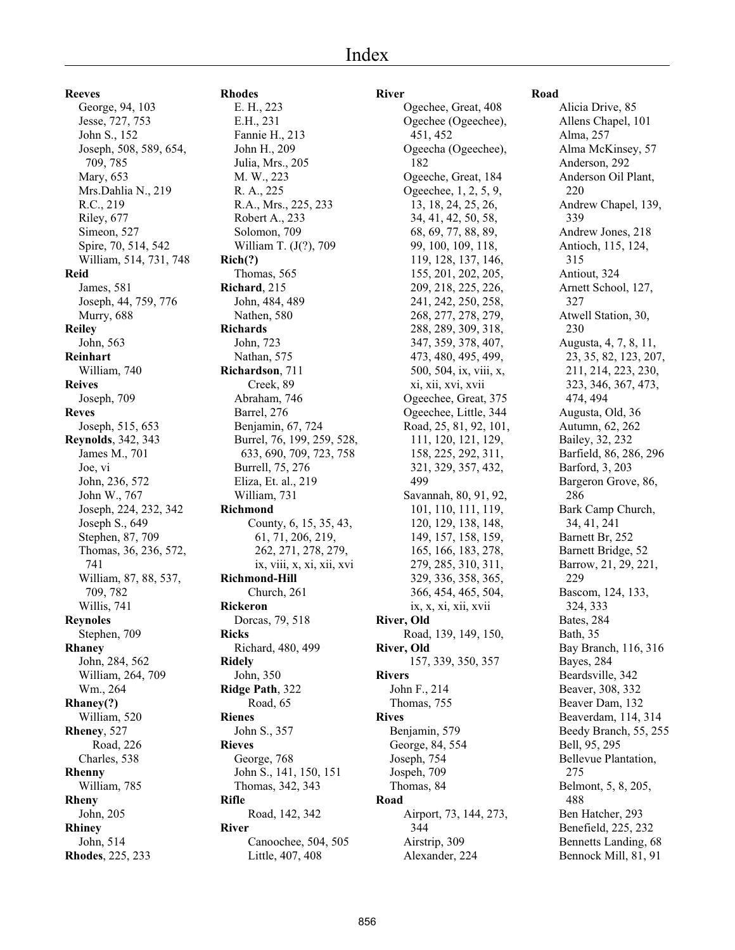**Reeves**

George, 94, 103 Jesse, 727, 753 John S., 152 Joseph, 508, 589, 654, 709, 785 Mary, 653 Mrs.Dahlia N., 219 R.C., 219 Riley, 677 Simeon, 527 Spire, 70, 514, 542 William, 514, 731, 748 **Reid** James, 581 Joseph, 44, 759, 776 Murry, 688 **Reiley** John, 563 **Reinhart** William, 740 **Reives** Joseph, 709 **Reves** Joseph, 515, 653 **Reynolds**, 342, 343 James M., 701 Joe, vi John, 236, 572 John W., 767 Joseph, 224, 232, 342 Joseph S., 649 Stephen, 87, 709 Thomas, 36, 236, 572, 741 William, 87, 88, 537, 709, 782 Willis, 741 **Reynoles** Stephen, 709 **Rhaney** John, 284, 562 William, 264, 709 Wm., 264 **Rhaney(?)** William, 520 **Rheney**, 527 Road, 226 Charles, 538 **Rhenny** William, 785 **Rheny** John, 205 **Rhiney** John, 514 **Rhodes**, 225, 233

**Rhodes** E. H., 223 E.H., 231 Fannie H., 213 John H., 209 Julia, Mrs., 205 M. W., 223 R. A., 225 R.A., Mrs., 225, 233 Robert A., 233 Solomon, 709 William T. (J(?), 709 **Rich(?)** Thomas, 565 **Richard**, 215 John, 484, 489 Nathen, 580 **Richards** John, 723 Nathan, 575 **Richardson**, 711 Creek, 89 Abraham, 746 Barrel, 276 Benjamin, 67, 724 Burrel, 76, 199, 259, 528, 633, 690, 709, 723, 758 Burrell, 75, 276 Eliza, Et. al., 219 William, 731 **Richmond** County, 6, 15, 35, 43, 61, 71, 206, 219, 262, 271, 278, 279, ix, viii, x, xi, xii, xvi **Richmond-Hill** Church, 261 **Rickeron** Dorcas, 79, 518 **Ricks** Richard, 480, 499 **Ridely** John, 350 **Ridge Path**, 322 Road, 65 **Rienes** John S., 357 **Rieves** George, 768 John S., 141, 150, 151 Thomas, 342, 343 **Rifle** Road, 142, 342 **River** Canoochee, 504, 505 Little, 407, 408

# **River** Ogechee, Great, 408 Ogechee (Ogeechee), 451, 452 Ogeecha (Ogeechee), 182 Ogeeche, Great, 184 Ogeechee, 1, 2, 5, 9, 13, 18, 24, 25, 26, 34, 41, 42, 50, 58, 68, 69, 77, 88, 89, 99, 100, 109, 118, 119, 128, 137, 146, 155, 201, 202, 205, 209, 218, 225, 226, 241, 242, 250, 258, 268, 277, 278, 279, 288, 289, 309, 318, 347, 359, 378, 407, 473, 480, 495, 499, 500, 504, ix, viii, x, xi, xii, xvi, xvii Ogeechee, Great, 375 Ogeechee, Little, 344 Road, 25, 81, 92, 101, 111, 120, 121, 129, 158, 225, 292, 311, 321, 329, 357, 432, 499 Savannah, 80, 91, 92, 101, 110, 111, 119, 120, 129, 138, 148, 149, 157, 158, 159, 165, 166, 183, 278, 279, 285, 310, 311, 329, 336, 358, 365, 366, 454, 465, 504, ix, x, xi, xii, xvii **River, Old** Road, 139, 149, 150, **River, Old** 157, 339, 350, 357 **Rivers** John F., 214 Thomas, 755 **Rives** Benjamin, 579 George, 84, 554 Joseph, 754 Jospeh, 709 Thomas, 84 **Road** Airport, 73, 144, 273, 344 Airstrip, 309 Alexander, 224

#### **Road**

Alicia Drive, 85 Allens Chapel, 101 Alma, 257 Alma McKinsey, 57 Anderson, 292 Anderson Oil Plant, 220 Andrew Chapel, 139, 339 Andrew Jones, 218 Antioch, 115, 124, 315 Antiout, 324 Arnett School, 127, 327 Atwell Station, 30, 230 Augusta, 4, 7, 8, 11, 23, 35, 82, 123, 207, 211, 214, 223, 230, 323, 346, 367, 473, 474, 494 Augusta, Old, 36 Autumn, 62, 262 Bailey, 32, 232 Barfield, 86, 286, 296 Barford, 3, 203 Bargeron Grove, 86, 286 Bark Camp Church, 34, 41, 241 Barnett Br, 252 Barnett Bridge, 52 Barrow, 21, 29, 221, 229 Bascom, 124, 133, 324, 333 Bates, 284 Bath, 35 Bay Branch, 116, 316 Bayes, 284 Beardsville, 342 Beaver, 308, 332 Beaver Dam, 132 Beaverdam, 114, 314 Beedy Branch, 55, 255 Bell, 95, 295 Bellevue Plantation, 275 Belmont, 5, 8, 205, 488 Ben Hatcher, 293 Benefield, 225, 232 Bennetts Landing, 68 Bennock Mill, 81, 91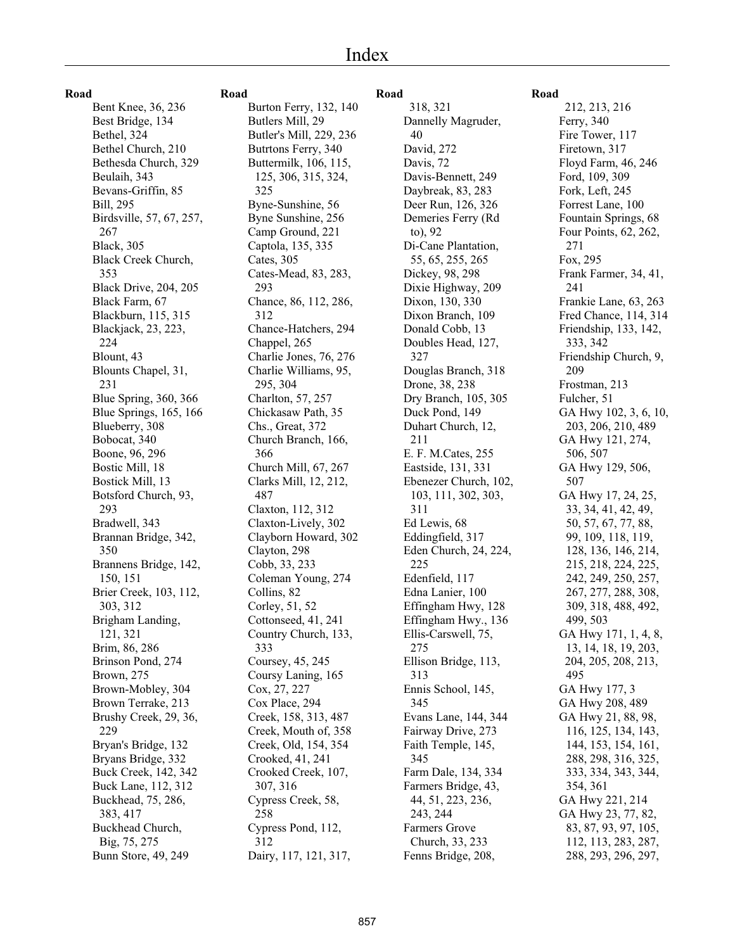| I<br>.<br>w<br>۰.<br>v |  |
|------------------------|--|
|------------------------|--|

Bent Knee, 36, 236 Best Bridge, 134 Bethel, 324 Bethel Church, 210 Bethesda Church, 329 Beulaih, 343 Bevans-Griffin, 85 Bill, 295 Birdsville, 57, 67, 257, 267 Black, 305 Black Creek Church, 353 Black Drive, 204, 205 Black Farm, 67 Blackburn, 115, 315 Blackjack, 23, 223, 224 Blount, 43 Blounts Chapel, 31, 231 Blue Spring, 360, 366 Blue Springs, 165, 166 Blueberry, 308 Bobocat, 340 Boone, 96, 296 Bostic Mill, 18 Bostick Mill, 13 Botsford Church, 93, 293 Bradwell, 343 Brannan Bridge, 342, 350 Brannens Bridge, 142, 150, 151 Brier Creek, 103, 112, 303, 312 Brigham Landing, 121, 321 Brim, 86, 286 Brinson Pond, 274 Brown, 275 Brown-Mobley, 304 Brown Terrake, 213 Brushy Creek, 29, 36, 229 Bryan's Bridge, 132 Bryans Bridge, 332 Buck Creek, 142, 342 Buck Lane, 112, 312 Buckhead, 75, 286, 383, 417 Buckhead Church, Big, 75, 275 Bunn Store, 49, 249

# **Road**

Burton Ferry, 132, 140 Butlers Mill, 29 Butler's Mill, 229, 236 Butrtons Ferry, 340 Buttermilk, 106, 115, 125, 306, 315, 324, 325 Byne-Sunshine, 56 Byne Sunshine, 256 Camp Ground, 221 Captola, 135, 335 Cates, 305 Cates-Mead, 83, 283, 293 Chance, 86, 112, 286, 312 Chance-Hatchers, 294 Chappel, 265 Charlie Jones, 76, 276 Charlie Williams, 95, 295, 304 Charlton, 57, 257 Chickasaw Path, 35 Chs., Great, 372 Church Branch, 166, 366 Church Mill, 67, 267 Clarks Mill, 12, 212, 487 Claxton, 112, 312 Claxton-Lively, 302 Clayborn Howard, 302 Clayton, 298 Cobb, 33, 233 Coleman Young, 274 Collins, 82 Corley, 51, 52 Cottonseed, 41, 241 Country Church, 133, 333 Coursey, 45, 245 Coursy Laning, 165 Cox, 27, 227 Cox Place, 294 Creek, 158, 313, 487 Creek, Mouth of, 358 Creek, Old, 154, 354 Crooked, 41, 241 Crooked Creek, 107, 307, 316 Cypress Creek, 58, 258 Cypress Pond, 112, 312 Dairy, 117, 121, 317,

# **Road**

 318, 321 Dannelly Magruder, 40 David, 272 Davis, 72 Davis-Bennett, 249 Daybreak, 83, 283 Deer Run, 126, 326 Demeries Ferry (Rd to), 92 Di-Cane Plantation, 55, 65, 255, 265 Dickey, 98, 298 Dixie Highway, 209 Dixon, 130, 330 Dixon Branch, 109 Donald Cobb, 13 Doubles Head, 127, 327 Douglas Branch, 318 Drone, 38, 238 Dry Branch, 105, 305 Duck Pond, 149 Duhart Church, 12, 211 E. F. M.Cates, 255 Eastside, 131, 331 Ebenezer Church, 102, 103, 111, 302, 303, 311 Ed Lewis, 68 Eddingfield, 317 Eden Church, 24, 224, 225 Edenfield, 117 Edna Lanier, 100 Effingham Hwy, 128 Effingham Hwy., 136 Ellis-Carswell, 75, 275 Ellison Bridge, 113, 313 Ennis School, 145, 345 Evans Lane, 144, 344 Fairway Drive, 273 Faith Temple, 145, 345 Farm Dale, 134, 334 Farmers Bridge, 43, 44, 51, 223, 236, 243, 244 Farmers Grove Church, 33, 233 Fenns Bridge, 208,

# **Road**

 212, 213, 216 Ferry, 340 Fire Tower, 117 Firetown, 317 Floyd Farm, 46, 246 Ford, 109, 309 Fork, Left, 245 Forrest Lane, 100 Fountain Springs, 68 Four Points, 62, 262, 271 Fox, 295 Frank Farmer, 34, 41, 241 Frankie Lane, 63, 263 Fred Chance, 114, 314 Friendship, 133, 142, 333, 342 Friendship Church, 9, 209 Frostman, 213 Fulcher, 51 GA Hwy 102, 3, 6, 10, 203, 206, 210, 489 GA Hwy 121, 274, 506, 507 GA Hwy 129, 506, 507 GA Hwy 17, 24, 25, 33, 34, 41, 42, 49, 50, 57, 67, 77, 88, 99, 109, 118, 119, 128, 136, 146, 214, 215, 218, 224, 225, 242, 249, 250, 257, 267, 277, 288, 308, 309, 318, 488, 492, 499, 503 GA Hwy 171, 1, 4, 8, 13, 14, 18, 19, 203, 204, 205, 208, 213, 495 GA Hwy 177, 3 GA Hwy 208, 489 GA Hwy 21, 88, 98, 116, 125, 134, 143, 144, 153, 154, 161, 288, 298, 316, 325, 333, 334, 343, 344, 354, 361 GA Hwy 221, 214 GA Hwy 23, 77, 82, 83, 87, 93, 97, 105, 112, 113, 283, 287, 288, 293, 296, 297,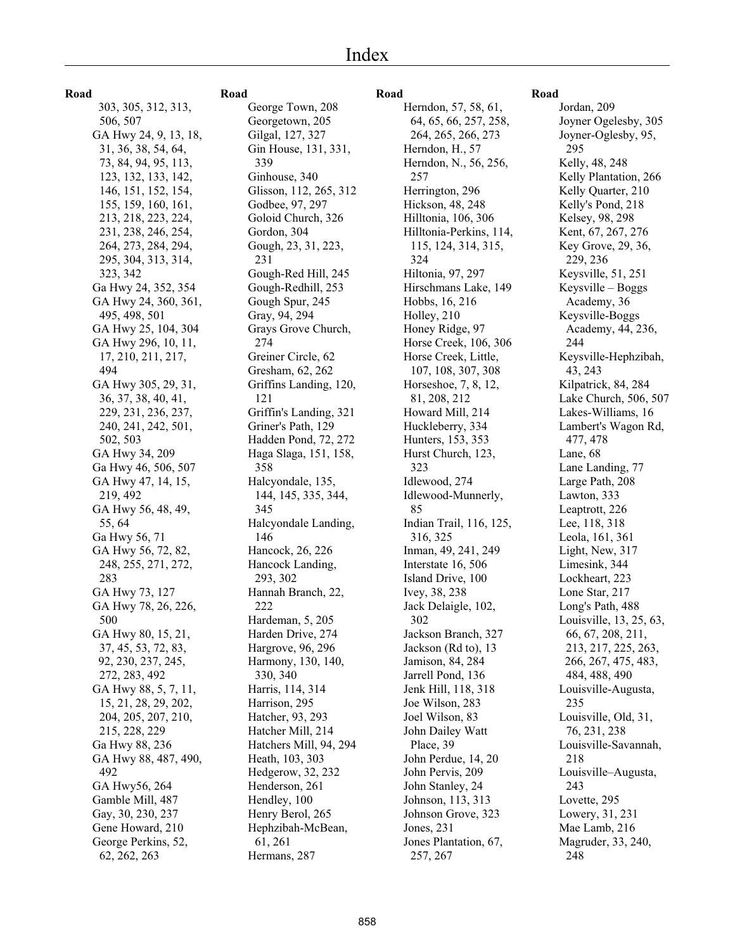# **Road** 303, 305, 312, 313, 506, 507 GA Hwy 24, 9, 13, 18, 31, 36, 38, 54, 64, 73, 84, 94, 95, 113, 123, 132, 133, 142, 146, 151, 152, 154, 155, 159, 160, 161, 213, 218, 223, 224, 231, 238, 246, 254, 264, 273, 284, 294, 295, 304, 313, 314, 323, 342 Ga Hwy 24, 352, 354 GA Hwy 24, 360, 361, 495, 498, 501 GA Hwy 25, 104, 304 GA Hwy 296, 10, 11, 17, 210, 211, 217, 494 GA Hwy 305, 29, 31, 36, 37, 38, 40, 41, 229, 231, 236, 237, 240, 241, 242, 501, 502, 503 GA Hwy 34, 209 Ga Hwy 46, 506, 507 GA Hwy 47, 14, 15, 219, 492 GA Hwy 56, 48, 49, 55, 64 Ga Hwy 56, 71 GA Hwy 56, 72, 82, 248, 255, 271, 272, 283 GA Hwy 73, 127 GA Hwy 78, 26, 226, 500 GA Hwy 80, 15, 21, 37, 45, 53, 72, 83, 92, 230, 237, 245, 272, 283, 492 GA Hwy 88, 5, 7, 11, 15, 21, 28, 29, 202, 204, 205, 207, 210, 215, 228, 229 Ga Hwy 88, 236 GA Hwy 88, 487, 490, 492 GA Hwy56, 264 Gamble Mill, 487 Gay, 30, 230, 237 Gene Howard, 210 George Perkins, 52, 62, 262, 263

# **Road**

George Town, 208 Georgetown, 205 Gilgal, 127, 327 Gin House, 131, 331, 339 Ginhouse, 340 Glisson, 112, 265, 312 Godbee, 97, 297 Goloid Church, 326 Gordon, 304 Gough, 23, 31, 223, 231 Gough-Red Hill, 245 Gough-Redhill, 253 Gough Spur, 245 Gray, 94, 294 Grays Grove Church, 274 Greiner Circle, 62 Gresham, 62, 262 Griffins Landing, 120, 121 Griffin's Landing, 321 Griner's Path, 129 Hadden Pond, 72, 272 Haga Slaga, 151, 158, 358 Halcyondale, 135, 144, 145, 335, 344, 345 Halcyondale Landing, 146 Hancock, 26, 226 Hancock Landing, 293, 302 Hannah Branch, 22, 222 Hardeman, 5, 205 Harden Drive, 274 Hargrove, 96, 296 Harmony, 130, 140, 330, 340 Harris, 114, 314 Harrison, 295 Hatcher, 93, 293 Hatcher Mill, 214 Hatchers Mill, 94, 294 Heath, 103, 303 Hedgerow, 32, 232 Henderson, 261 Hendley, 100 Henry Berol, 265 Hephzibah-McBean, 61, 261 Hermans, 287

# **Road**

Herndon, 57, 58, 61, 64, 65, 66, 257, 258, 264, 265, 266, 273 Herndon, H., 57 Herndon, N., 56, 256, 257 Herrington, 296 Hickson, 48, 248 Hilltonia, 106, 306 Hilltonia-Perkins, 114, 115, 124, 314, 315, 324 Hiltonia, 97, 297 Hirschmans Lake, 149 Hobbs, 16, 216 Holley, 210 Honey Ridge, 97 Horse Creek, 106, 306 Horse Creek, Little, 107, 108, 307, 308 Horseshoe, 7, 8, 12, 81, 208, 212 Howard Mill, 214 Huckleberry, 334 Hunters, 153, 353 Hurst Church, 123, 323 Idlewood, 274 Idlewood-Munnerly, 85 Indian Trail, 116, 125, 316, 325 Inman, 49, 241, 249 Interstate 16, 506 Island Drive, 100 Ivey, 38, 238 Jack Delaigle, 102, 302 Jackson Branch, 327 Jackson (Rd to), 13 Jamison, 84, 284 Jarrell Pond, 136 Jenk Hill, 118, 318 Joe Wilson, 283 Joel Wilson, 83 John Dailey Watt Place, 39 John Perdue, 14, 20 John Pervis, 209 John Stanley, 24 Johnson, 113, 313 Johnson Grove, 323 Jones, 231 Jones Plantation, 67, 257, 267

#### **Road**

Jordan, 209 Joyner Ogelesby, 305 Joyner-Oglesby, 95, 295 Kelly, 48, 248 Kelly Plantation, 266 Kelly Quarter, 210 Kelly's Pond, 218 Kelsey, 98, 298 Kent, 67, 267, 276 Key Grove, 29, 36, 229, 236 Keysville, 51, 251 Keysville – Boggs Academy, 36 Keysville-Boggs Academy, 44, 236, 244 Keysville-Hephzibah, 43, 243 Kilpatrick, 84, 284 Lake Church, 506, 507 Lakes-Williams, 16 Lambert's Wagon Rd, 477, 478 Lane, 68 Lane Landing, 77 Large Path, 208 Lawton, 333 Leaptrott, 226 Lee, 118, 318 Leola, 161, 361 Light, New, 317 Limesink, 344 Lockheart, 223 Lone Star, 217 Long's Path, 488 Louisville, 13, 25, 63, 66, 67, 208, 211, 213, 217, 225, 263, 266, 267, 475, 483, 484, 488, 490 Louisville-Augusta, 235 Louisville, Old, 31, 76, 231, 238 Louisville-Savannah, 218 Louisville–Augusta, 243 Lovette, 295 Lowery, 31, 231 Mae Lamb, 216 Magruder, 33, 240, 248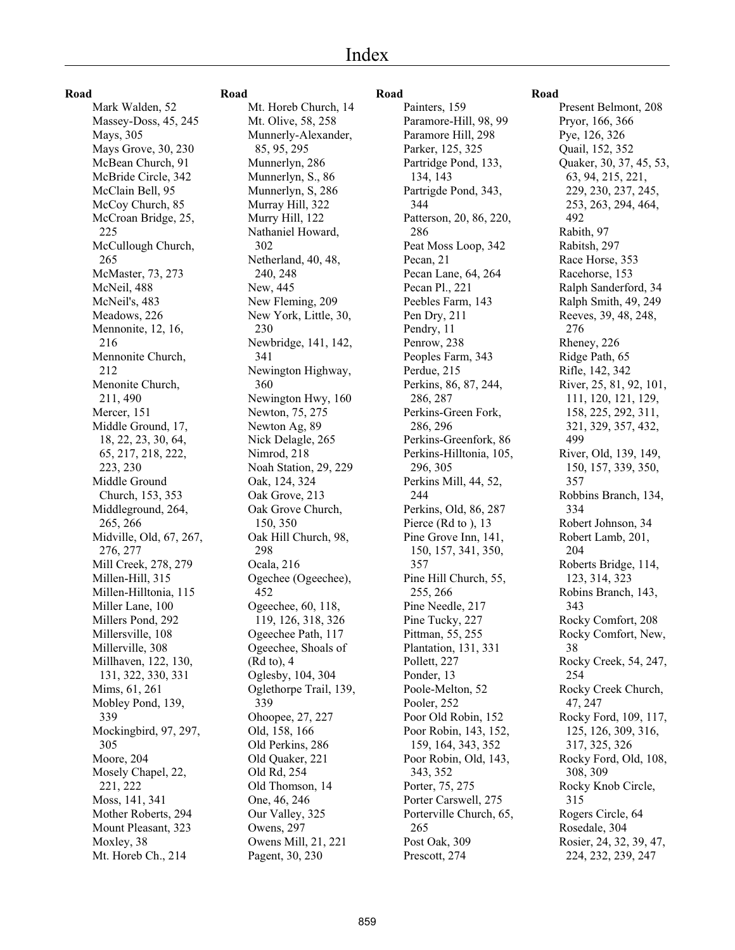# Index

#### **Road**

Mark Walden, 52 Massey-Doss, 45, 245 Mays, 305 Mays Grove, 30, 230 McBean Church, 91 McBride Circle, 342 McClain Bell, 95 McCoy Church, 85 McCroan Bridge, 25, 225 McCullough Church, 265 McMaster, 73, 273 McNeil, 488 McNeil's, 483 Meadows, 226 Mennonite, 12, 16, 216 Mennonite Church, 212 Menonite Church, 211, 490 Mercer, 151 Middle Ground, 17, 18, 22, 23, 30, 64, 65, 217, 218, 222, 223, 230 Middle Ground Church, 153, 353 Middleground, 264, 265, 266 Midville, Old, 67, 267, 276, 277 Mill Creek, 278, 279 Millen-Hill, 315 Millen-Hilltonia, 115 Miller Lane, 100 Millers Pond, 292 Millersville, 108 Millerville, 308 Millhaven, 122, 130, 131, 322, 330, 331 Mims, 61, 261 Mobley Pond, 139, 339 Mockingbird, 97, 297, 305 Moore, 204 Mosely Chapel, 22, 221, 222 Moss, 141, 341 Mother Roberts, 294 Mount Pleasant, 323 Moxley, 38 Mt. Horeb Ch., 214

### **Road**

Mt. Horeb Church, 14 Mt. Olive, 58, 258 Munnerly-Alexander, 85, 95, 295 Munnerlyn, 286 Munnerlyn, S., 86 Munnerlyn, S, 286 Murray Hill, 322 Murry Hill, 122 Nathaniel Howard, 302 Netherland, 40, 48, 240, 248 New, 445 New Fleming, 209 New York, Little, 30, 230 Newbridge, 141, 142, 341 Newington Highway, 360 Newington Hwy, 160 Newton, 75, 275 Newton Ag, 89 Nick Delagle, 265 Nimrod, 218 Noah Station, 29, 229 Oak, 124, 324 Oak Grove, 213 Oak Grove Church, 150, 350 Oak Hill Church, 98, 298 Ocala, 216 Ogechee (Ogeechee), 452 Ogeechee, 60, 118, 119, 126, 318, 326 Ogeechee Path, 117 Ogeechee, Shoals of (Rd to), 4 Oglesby, 104, 304 Oglethorpe Trail, 139, 339 Ohoopee, 27, 227 Old, 158, 166 Old Perkins, 286 Old Quaker, 221 Old Rd, 254 Old Thomson, 14 One, 46, 246 Our Valley, 325 Owens, 297 Owens Mill, 21, 221 Pagent, 30, 230

#### **Road**

Painters, 159 Paramore-Hill, 98, 99 Paramore Hill, 298 Parker, 125, 325 Partridge Pond, 133, 134, 143 Partrigde Pond, 343, 344 Patterson, 20, 86, 220, 286 Peat Moss Loop, 342 Pecan, 21 Pecan Lane, 64, 264 Pecan Pl., 221 Peebles Farm, 143 Pen Dry, 211 Pendry, 11 Penrow, 238 Peoples Farm, 343 Perdue, 215 Perkins, 86, 87, 244, 286, 287 Perkins-Green Fork, 286, 296 Perkins-Greenfork, 86 Perkins-Hilltonia, 105, 296, 305 Perkins Mill, 44, 52, 244 Perkins, Old, 86, 287 Pierce (Rd to ), 13 Pine Grove Inn, 141, 150, 157, 341, 350, 357 Pine Hill Church, 55, 255, 266 Pine Needle, 217 Pine Tucky, 227 Pittman, 55, 255 Plantation, 131, 331 Pollett, 227 Ponder, 13 Poole-Melton, 52 Pooler, 252 Poor Old Robin, 152 Poor Robin, 143, 152, 159, 164, 343, 352 Poor Robin, Old, 143, 343, 352 Porter, 75, 275 Porter Carswell, 275 Porterville Church, 65, 265 Post Oak, 309 Prescott, 274

# **Road**

Present Belmont, 208 Pryor, 166, 366 Pye, 126, 326 Quail, 152, 352 Quaker, 30, 37, 45, 53, 63, 94, 215, 221, 229, 230, 237, 245, 253, 263, 294, 464, 492 Rabith, 97 Rabitsh, 297 Race Horse, 353 Racehorse, 153 Ralph Sanderford, 34 Ralph Smith, 49, 249 Reeves, 39, 48, 248, 276 Rheney, 226 Ridge Path, 65 Rifle, 142, 342 River, 25, 81, 92, 101, 111, 120, 121, 129, 158, 225, 292, 311, 321, 329, 357, 432, 499 River, Old, 139, 149, 150, 157, 339, 350, 357 Robbins Branch, 134, 334 Robert Johnson, 34 Robert Lamb, 201, 204 Roberts Bridge, 114, 123, 314, 323 Robins Branch, 143, 343 Rocky Comfort, 208 Rocky Comfort, New, 38 Rocky Creek, 54, 247, 254 Rocky Creek Church, 47, 247 Rocky Ford, 109, 117, 125, 126, 309, 316, 317, 325, 326 Rocky Ford, Old, 108, 308, 309 Rocky Knob Circle, 315 Rogers Circle, 64 Rosedale, 304 Rosier, 24, 32, 39, 47, 224, 232, 239, 247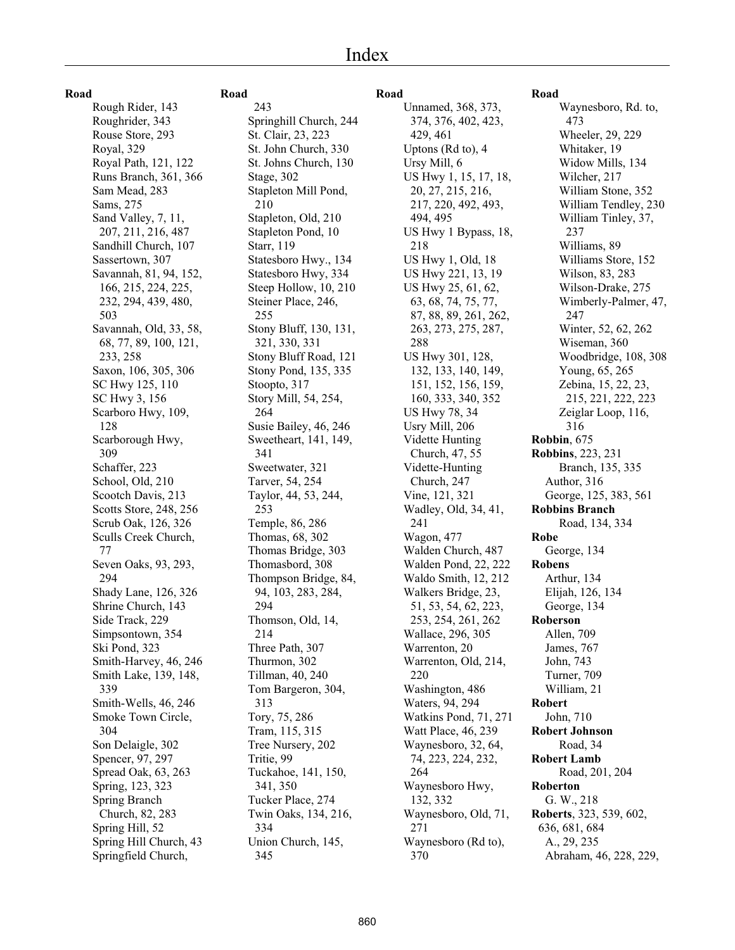# Index

**Road**

Rough Rider, 143 Roughrider, 343 Rouse Store, 293 Royal, 329 Royal Path, 121, 122 Runs Branch, 361, 366 Sam Mead, 283 Sams, 275 Sand Valley, 7, 11, 207, 211, 216, 487 Sandhill Church, 107 Sassertown, 307 Savannah, 81, 94, 152, 166, 215, 224, 225, 232, 294, 439, 480, 503 Savannah, Old, 33, 58, 68, 77, 89, 100, 121, 233, 258 Saxon, 106, 305, 306 SC Hwy 125, 110 SC Hwy 3, 156 Scarboro Hwy, 109, 128 Scarborough Hwy, 309 Schaffer, 223 School, Old, 210 Scootch Davis, 213 Scotts Store, 248, 256 Scrub Oak, 126, 326 Sculls Creek Church, 77 Seven Oaks, 93, 293, 294 Shady Lane, 126, 326 Shrine Church, 143 Side Track, 229 Simpsontown, 354 Ski Pond, 323 Smith-Harvey, 46, 246 Smith Lake, 139, 148, 339 Smith-Wells, 46, 246 Smoke Town Circle, 304 Son Delaigle, 302 Spencer, 97, 297 Spread Oak, 63, 263 Spring, 123, 323 Spring Branch Church, 82, 283 Spring Hill, 52 Spring Hill Church, 43 Springfield Church,

# **Road**

 243 Springhill Church, 244 St. Clair, 23, 223 St. John Church, 330 St. Johns Church, 130 Stage, 302 Stapleton Mill Pond, 210 Stapleton, Old, 210 Stapleton Pond, 10 Starr, 119 Statesboro Hwy., 134 Statesboro Hwy, 334 Steep Hollow, 10, 210 Steiner Place, 246, 255 Stony Bluff, 130, 131, 321, 330, 331 Stony Bluff Road, 121 Stony Pond, 135, 335 Stoopto, 317 Story Mill, 54, 254, 264 Susie Bailey, 46, 246 Sweetheart, 141, 149, 341 Sweetwater, 321 Tarver, 54, 254 Taylor, 44, 53, 244, 253 Temple, 86, 286 Thomas, 68, 302 Thomas Bridge, 303 Thomasbord, 308 Thompson Bridge, 84, 94, 103, 283, 284, 294 Thomson, Old, 14, 214 Three Path, 307 Thurmon, 302 Tillman, 40, 240 Tom Bargeron, 304, 313 Tory, 75, 286 Tram, 115, 315 Tree Nursery, 202 Tritie, 99 Tuckahoe, 141, 150, 341, 350 Tucker Place, 274 Twin Oaks, 134, 216, 334 Union Church, 145, 345

#### **Road**

Unnamed, 368, 373, 374, 376, 402, 423, 429, 461 Uptons (Rd to), 4 Ursy Mill, 6 US Hwy 1, 15, 17, 18, 20, 27, 215, 216, 217, 220, 492, 493, 494, 495 US Hwy 1 Bypass, 18, 218 US Hwy 1, Old, 18 US Hwy 221, 13, 19 US Hwy 25, 61, 62, 63, 68, 74, 75, 77, 87, 88, 89, 261, 262, 263, 273, 275, 287, 288 US Hwy 301, 128, 132, 133, 140, 149, 151, 152, 156, 159, 160, 333, 340, 352 US Hwy 78, 34 Usry Mill, 206 Vidette Hunting Church, 47, 55 Vidette-Hunting Church, 247 Vine, 121, 321 Wadley, Old, 34, 41, 241 Wagon, 477 Walden Church, 487 Walden Pond, 22, 222 Waldo Smith, 12, 212 Walkers Bridge, 23, 51, 53, 54, 62, 223, 253, 254, 261, 262 Wallace, 296, 305 Warrenton, 20 Warrenton, Old, 214, 220 Washington, 486 Waters, 94, 294 Watkins Pond, 71, 271 Watt Place, 46, 239 Waynesboro, 32, 64, 74, 223, 224, 232, 264 Waynesboro Hwy, 132, 332 Waynesboro, Old, 71, 271 Waynesboro (Rd to), 370

# **Road**

Waynesboro, Rd. to, 473 Wheeler, 29, 229 Whitaker, 19 Widow Mills, 134 Wilcher, 217 William Stone, 352 William Tendley, 230 William Tinley, 37, 237 Williams, 89 Williams Store, 152 Wilson, 83, 283 Wilson-Drake, 275 Wimberly-Palmer, 47, 247 Winter, 52, 62, 262 Wiseman, 360 Woodbridge, 108, 308 Young, 65, 265 Zebina, 15, 22, 23, 215, 221, 222, 223 Zeiglar Loop, 116, 316 **Robbin**, 675 **Robbins**, 223, 231 Branch, 135, 335 Author, 316 George, 125, 383, 561 **Robbins Branch** Road, 134, 334 **Robe** George, 134 **Robens** Arthur, 134 Elijah, 126, 134 George, 134 **Roberson** Allen, 709 James, 767 John, 743 Turner, 709 William, 21 **Robert** John, 710 **Robert Johnson** Road, 34 **Robert Lamb** Road, 201, 204 **Roberton** G. W., 218 **Roberts**, 323, 539, 602, 636, 681, 684 A., 29, 235 Abraham, 46, 228, 229,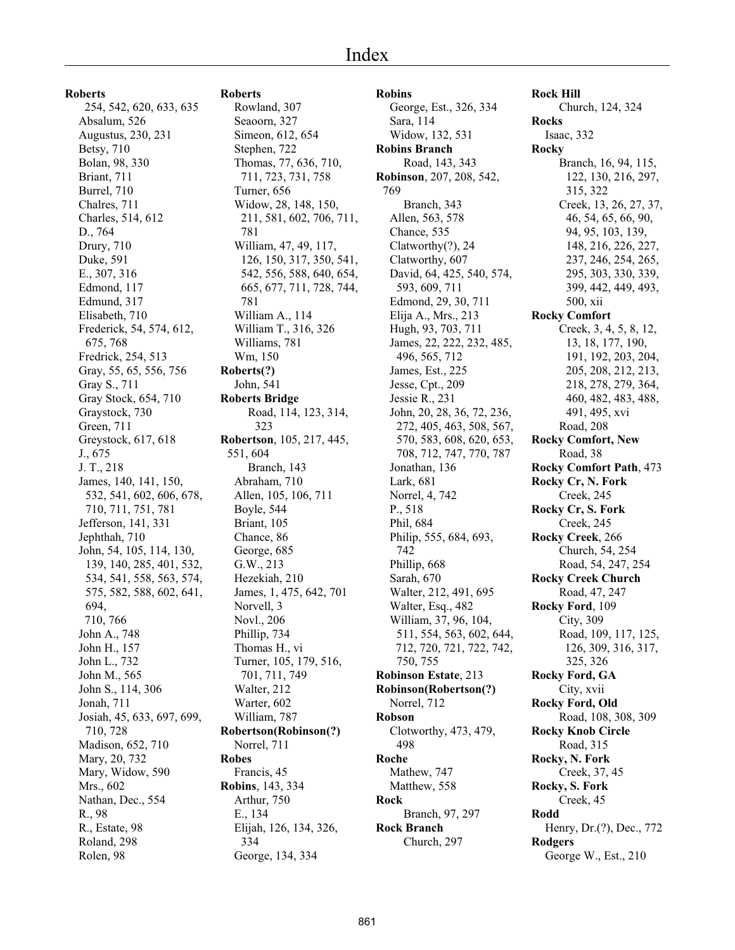**Roberts** 254, 542, 620, 633, 635 Absalum, 526 Augustus, 230, 231 Betsy, 710 Bolan, 98, 330 Briant, 711 Burrel, 710 Chalres, 711 Charles, 514, 612 D., 764 Drury, 710 Duke, 591 E., 307, 316 Edmond, 117 Edmund, 317 Elisabeth, 710 Frederick, 54, 574, 612, 675, 768 Fredrick, 254, 513 Gray, 55, 65, 556, 756 Gray S., 711 Gray Stock, 654, 710 Graystock, 730 Green, 711 Greystock, 617, 618 J., 675 J. T., 218 James, 140, 141, 150, 532, 541, 602, 606, 678, 710, 711, 751, 781 Jefferson, 141, 331 Jephthah, 710 John, 54, 105, 114, 130, 139, 140, 285, 401, 532, 534, 541, 558, 563, 574, 575, 582, 588, 602, 641, 694, 710, 766 John A., 748 John H., 157 John L., 732 John M., 565 John S., 114, 306 Jonah, 711 Josiah, 45, 633, 697, 699, 710, 728 Madison, 652, 710 Mary, 20, 732 Mary, Widow, 590 Mrs., 602 Nathan, Dec., 554 R., 98 R., Estate, 98 Roland, 298 Rolen, 98

#### **Roberts**

Rowland, 307 Seaoorn, 327 Simeon, 612, 654 Stephen, 722 Thomas, 77, 636, 710, 711, 723, 731, 758 Turner, 656 Widow, 28, 148, 150, 211, 581, 602, 706, 711, 781 William, 47, 49, 117, 126, 150, 317, 350, 541, 542, 556, 588, 640, 654, 665, 677, 711, 728, 744, 781 William A., 114 William T., 316, 326 Williams, 781 Wm, 150 **Roberts(?)** John, 541 **Roberts Bridge** Road, 114, 123, 314, 323 **Robertson**, 105, 217, 445, 551, 604 Branch, 143 Abraham, 710 Allen, 105, 106, 711 Boyle, 544 Briant, 105 Chance, 86 George, 685 G.W., 213 Hezekiah, 210 James, 1, 475, 642, 701 Norvell, 3 Novl., 206 Phillip, 734 Thomas H., vi Turner, 105, 179, 516, 701, 711, 749 Walter, 212 Warter, 602 William, 787 **Robertson(Robinson(?)** Norrel, 711 **Robes** Francis, 45 **Robins**, 143, 334 Arthur, 750 E., 134 Elijah, 126, 134, 326, 334 George, 134, 334

**Robins** George, Est., 326, 334 Sara, 114 Widow, 132, 531 **Robins Branch** Road, 143, 343 **Robinson**, 207, 208, 542, 769 Branch, 343 Allen, 563, 578 Chance, 535 Clatworthy(?), 24 Clatworthy, 607 David, 64, 425, 540, 574, 593, 609, 711 Edmond, 29, 30, 711 Elija A., Mrs., 213 Hugh, 93, 703, 711 James, 22, 222, 232, 485, 496, 565, 712 James, Est., 225 Jesse, Cpt., 209 Jessie R., 231 John, 20, 28, 36, 72, 236, 272, 405, 463, 508, 567, 570, 583, 608, 620, 653, 708, 712, 747, 770, 787 Jonathan, 136 Lark, 681 Norrel, 4, 742 P., 518 Phil, 684 Philip, 555, 684, 693, 742 Phillip, 668 Sarah, 670 Walter, 212, 491, 695 Walter, Esq., 482 William, 37, 96, 104, 511, 554, 563, 602, 644, 712, 720, 721, 722, 742, 750, 755 **Robinson Estate**, 213 **Robinson(Robertson(?)** Norrel, 712 **Robson** Clotworthy, 473, 479, 498 **Roche** Mathew, 747 Matthew, 558 **Rock** Branch, 97, 297 **Rock Branch** Church, 297

**Rock Hill** Church, 124, 324 **Rocks** Isaac, 332 **Rocky** Branch, 16, 94, 115, 122, 130, 216, 297, 315, 322 Creek, 13, 26, 27, 37, 46, 54, 65, 66, 90, 94, 95, 103, 139, 148, 216, 226, 227, 237, 246, 254, 265, 295, 303, 330, 339, 399, 442, 449, 493, 500, xii **Rocky Comfort** Creek, 3, 4, 5, 8, 12, 13, 18, 177, 190, 191, 192, 203, 204, 205, 208, 212, 213, 218, 278, 279, 364, 460, 482, 483, 488, 491, 495, xvi Road, 208 **Rocky Comfort, New** Road, 38 **Rocky Comfort Path**, 473 **Rocky Cr, N. Fork** Creek, 245 **Rocky Cr, S. Fork** Creek, 245 **Rocky Creek**, 266 Church, 54, 254 Road, 54, 247, 254 **Rocky Creek Church** Road, 47, 247 **Rocky Ford**, 109 City, 309 Road, 109, 117, 125, 126, 309, 316, 317, 325, 326 **Rocky Ford, GA** City, xvii **Rocky Ford, Old** Road, 108, 308, 309 **Rocky Knob Circle** Road, 315 **Rocky, N. Fork** Creek, 37, 45 **Rocky, S. Fork** Creek, 45 **Rodd** Henry, Dr.(?), Dec., 772 **Rodgers** George W., Est., 210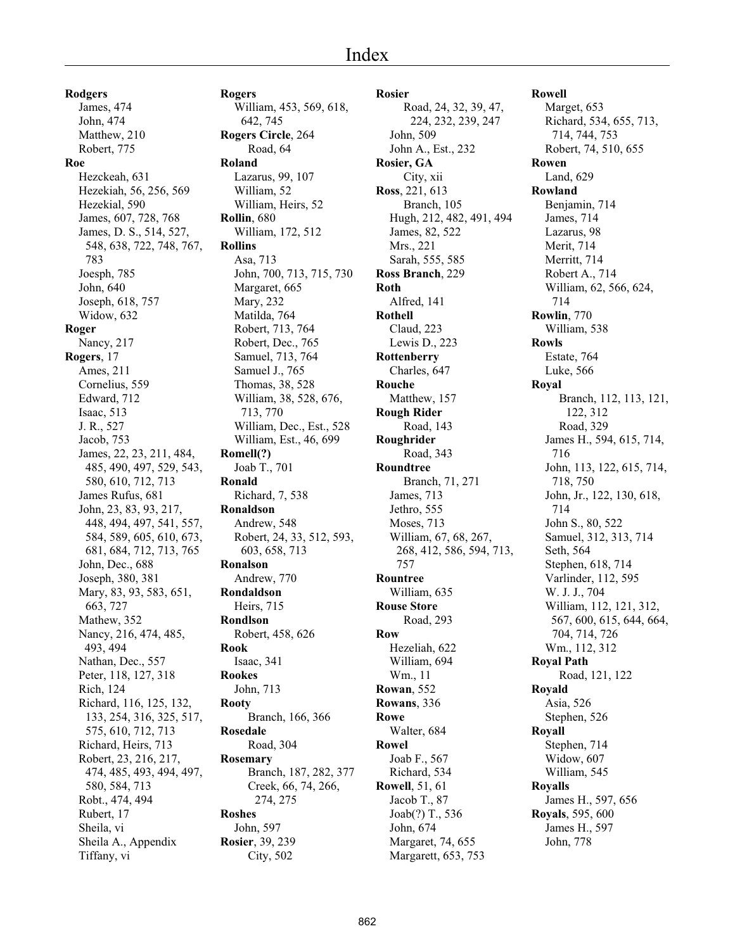**Rodgers** James, 474 John, 474 Matthew, 210 Robert, 775 **Roe** Hezckeah, 631 Hezekiah, 56, 256, 569 Hezekial, 590 James, 607, 728, 768 James, D. S., 514, 527, 548, 638, 722, 748, 767, 783 Joesph, 785 John, 640 Joseph, 618, 757 Widow, 632 **Roger** Nancy, 217 **Rogers**, 17 Ames, 211 Cornelius, 559 Edward, 712 Isaac, 513 J. R., 527 Jacob, 753 James, 22, 23, 211, 484, 485, 490, 497, 529, 543, 580, 610, 712, 713 James Rufus, 681 John, 23, 83, 93, 217, 448, 494, 497, 541, 557, 584, 589, 605, 610, 673, 681, 684, 712, 713, 765 John, Dec., 688 Joseph, 380, 381 Mary, 83, 93, 583, 651, 663, 727 Mathew, 352 Nancy, 216, 474, 485, 493, 494 Nathan, Dec., 557 Peter, 118, 127, 318 Rich, 124 Richard, 116, 125, 132, 133, 254, 316, 325, 517, 575, 610, 712, 713 Richard, Heirs, 713 Robert, 23, 216, 217, 474, 485, 493, 494, 497, 580, 584, 713 Robt., 474, 494 Rubert, 17 Sheila, vi Sheila A., Appendix Tiffany, vi

**Rogers** William, 453, 569, 618, 642, 745 **Rogers Circle**, 264 Road, 64 **Roland** Lazarus, 99, 107 William, 52 William, Heirs, 52 **Rollin**, 680 William, 172, 512 **Rollins** Asa, 713 John, 700, 713, 715, 730 Margaret, 665 Mary, 232 Matilda, 764 Robert, 713, 764 Robert, Dec., 765 Samuel, 713, 764 Samuel J., 765 Thomas, 38, 528 William, 38, 528, 676, 713, 770 William, Dec., Est., 528 William, Est., 46, 699 **Romell(?)** Joab T., 701 **Ronald** Richard, 7, 538 **Ronaldson** Andrew, 548 Robert, 24, 33, 512, 593, 603, 658, 713 **Ronalson** Andrew, 770 **Rondaldson** Heirs, 715 **Rondlson** Robert, 458, 626 **Rook** Isaac, 341 **Rookes** John, 713 **Rooty** Branch, 166, 366 **Rosedale** Road, 304 **Rosemary** Branch, 187, 282, 377 Creek, 66, 74, 266, 274, 275 **Roshes** John, 597 **Rosier**, 39, 239 City, 502

**Rosier** Road, 24, 32, 39, 47, 224, 232, 239, 247 John, 509 John A., Est., 232 **Rosier, GA** City, xii **Ross**, 221, 613 Branch, 105 Hugh, 212, 482, 491, 494 James, 82, 522 Mrs., 221 Sarah, 555, 585 **Ross Branch**, 229 **Roth** Alfred, 141 **Rothell** Claud, 223 Lewis D., 223 **Rottenberry** Charles, 647 **Rouche** Matthew, 157 **Rough Rider** Road, 143 **Roughrider** Road, 343 **Roundtree** Branch, 71, 271 James, 713 Jethro, 555 Moses, 713 William, 67, 68, 267, 268, 412, 586, 594, 713, 757 **Rountree** William, 635 **Rouse Store** Road, 293 **Row** Hezeliah, 622 William, 694 Wm., 11 **Rowan**, 552 **Rowans**, 336 **Rowe** Walter, 684 **Rowel** Joab F., 567 Richard, 534 **Rowell**, 51, 61 Jacob T., 87 Joab(?) T., 536 John, 674 Margaret, 74, 655 Margarett, 653, 753

**Rowell** Marget, 653 Richard, 534, 655, 713, 714, 744, 753 Robert, 74, 510, 655 **Rowen** Land, 629 **Rowland** Benjamin, 714 James, 714 Lazarus, 98 Merit, 714 Merritt, 714 Robert A., 714 William, 62, 566, 624, 714 **Rowlin**, 770 William, 538 **Rowls** Estate, 764 Luke, 566 **Royal** Branch, 112, 113, 121, 122, 312 Road, 329 James H., 594, 615, 714, 716 John, 113, 122, 615, 714, 718, 750 John, Jr., 122, 130, 618, 714 John S., 80, 522 Samuel, 312, 313, 714 Seth, 564 Stephen, 618, 714 Varlinder, 112, 595 W. J. J., 704 William, 112, 121, 312, 567, 600, 615, 644, 664, 704, 714, 726 Wm., 112, 312 **Royal Path** Road, 121, 122 **Royald** Asia, 526 Stephen, 526 **Royall** Stephen, 714 Widow, 607 William, 545 **Royalls** James H., 597, 656 **Royals**, 595, 600 James H., 597 John, 778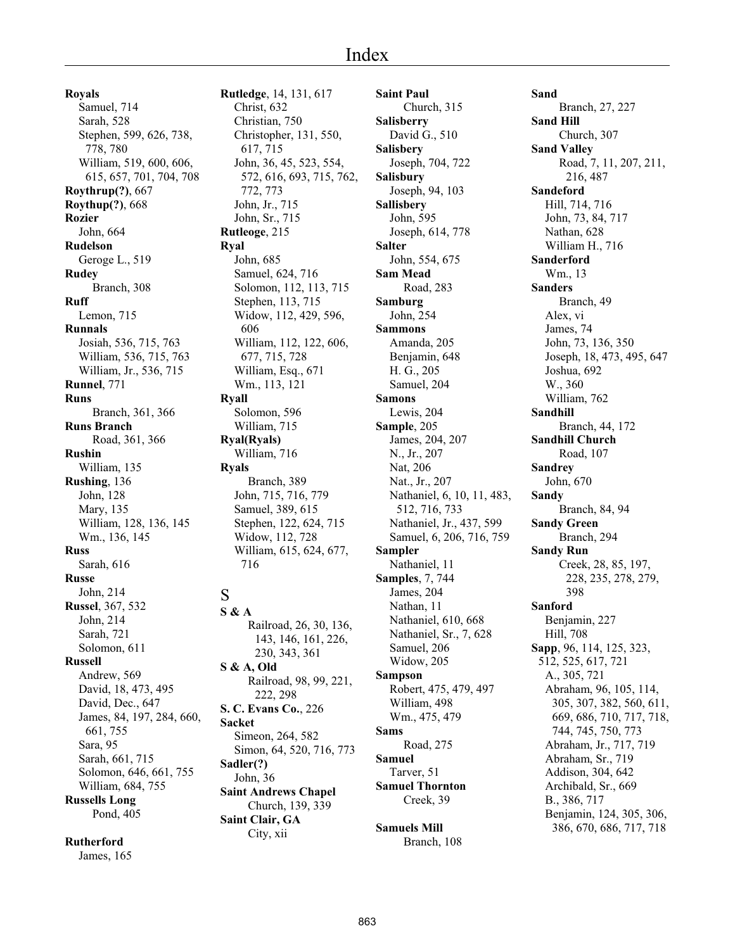**Royals** Samuel, 714 Sarah, 528 Stephen, 599, 626, 738, 778, 780 William, 519, 600, 606, 615, 657, 701, 704, 708 **Roythrup(?)**, 667 **Roythup(?)**, 668 **Rozier** John, 664 **Rudelson** Geroge L., 519 **Rudey** Branch, 308 **Ruff** Lemon, 715 **Runnals** Josiah, 536, 715, 763 William, 536, 715, 763 William, Jr., 536, 715 **Runnel**, 771 **Runs** Branch, 361, 366 **Runs Branch** Road, 361, 366 **Rushin** William, 135 **Rushing**, 136 John, 128 Mary, 135 William, 128, 136, 145 Wm., 136, 145 **Russ** Sarah, 616 **Russe** John, 214 **Russel**, 367, 532 John, 214 Sarah, 721 Solomon, 611 **Russell** Andrew, 569 David, 18, 473, 495 David, Dec., 647 James, 84, 197, 284, 660, 661, 755 Sara, 95 Sarah, 661, 715 Solomon, 646, 661, 755 William, 684, 755 **Russells Long** Pond, 405

**Rutherford**

James, 165

**Rutledge**, 14, 131, 617 Christ, 632 Christian, 750 Christopher, 131, 550, 617, 715 John, 36, 45, 523, 554, 572, 616, 693, 715, 762, 772, 773 John, Jr., 715 John, Sr., 715 **Rutleoge**, 215 **Ryal** John, 685 Samuel, 624, 716 Solomon, 112, 113, 715 Stephen, 113, 715 Widow, 112, 429, 596, 606 William, 112, 122, 606, 677, 715, 728 William, Esq., 671 Wm., 113, 121 **Ryall** Solomon, 596 William, 715 **Ryal(Ryals)** William, 716 **Ryals** Branch, 389 John, 715, 716, 779 Samuel, 389, 615 Stephen, 122, 624, 715 Widow, 112, 728 William, 615, 624, 677, 716 S

**S & A** Railroad, 26, 30, 136, 143, 146, 161, 226, 230, 343, 361 **S & A, Old** Railroad, 98, 99, 221, 222, 298 **S. C. Evans Co.**, 226 **Sacket** Simeon, 264, 582 Simon, 64, 520, 716, 773 **Sadler(?)** John, 36 **Saint Andrews Chapel** Church, 139, 339 **Saint Clair, GA** City, xii

**Saint Paul** Church, 315 **Salisberry** David G., 510 **Salisbery** Joseph, 704, 722 **Salisbury** Joseph, 94, 103 **Sallisbery** John, 595 Joseph, 614, 778 **Salter** John, 554, 675 **Sam Mead** Road, 283 **Samburg** John, 254 **Sammons** Amanda, 205 Benjamin, 648 H. G., 205 Samuel, 204 **Samons** Lewis, 204 **Sample**, 205 James, 204, 207 N., Jr., 207 Nat, 206 Nat., Jr., 207 Nathaniel, 6, 10, 11, 483, 512, 716, 733 Nathaniel, Jr., 437, 599 Samuel, 6, 206, 716, 759 **Sampler** Nathaniel, 11 **Samples**, 7, 744 James, 204 Nathan, 11 Nathaniel, 610, 668 Nathaniel, Sr., 7, 628 Samuel, 206 Widow, 205 **Sampson** Robert, 475, 479, 497 William, 498 Wm., 475, 479 **Sams** Road, 275 **Samuel** Tarver, 51 **Samuel Thornton** Creek, 39

**Samuels Mill** Branch, 108 **Sand** Branch, 27, 227 **Sand Hill** Church, 307 **Sand Valley** Road, 7, 11, 207, 211, 216, 487 **Sandeford** Hill, 714, 716 John, 73, 84, 717 Nathan, 628 William H., 716 **Sanderford** Wm., 13 **Sanders** Branch, 49 Alex, vi James, 74 John, 73, 136, 350 Joseph, 18, 473, 495, 647 Joshua, 692 W., 360 William, 762 **Sandhill** Branch, 44, 172 **Sandhill Church** Road, 107 **Sandrey** John, 670 **Sandy** Branch, 84, 94 **Sandy Green** Branch, 294 **Sandy Run** Creek, 28, 85, 197, 228, 235, 278, 279, 398 **Sanford** Benjamin, 227 Hill, 708 **Sapp**, 96, 114, 125, 323, 512, 525, 617, 721 A., 305, 721 Abraham, 96, 105, 114, 305, 307, 382, 560, 611, 669, 686, 710, 717, 718, 744, 745, 750, 773 Abraham, Jr., 717, 719 Abraham, Sr., 719 Addison, 304, 642 Archibald, Sr., 669 B., 386, 717 Benjamin, 124, 305, 306, 386, 670, 686, 717, 718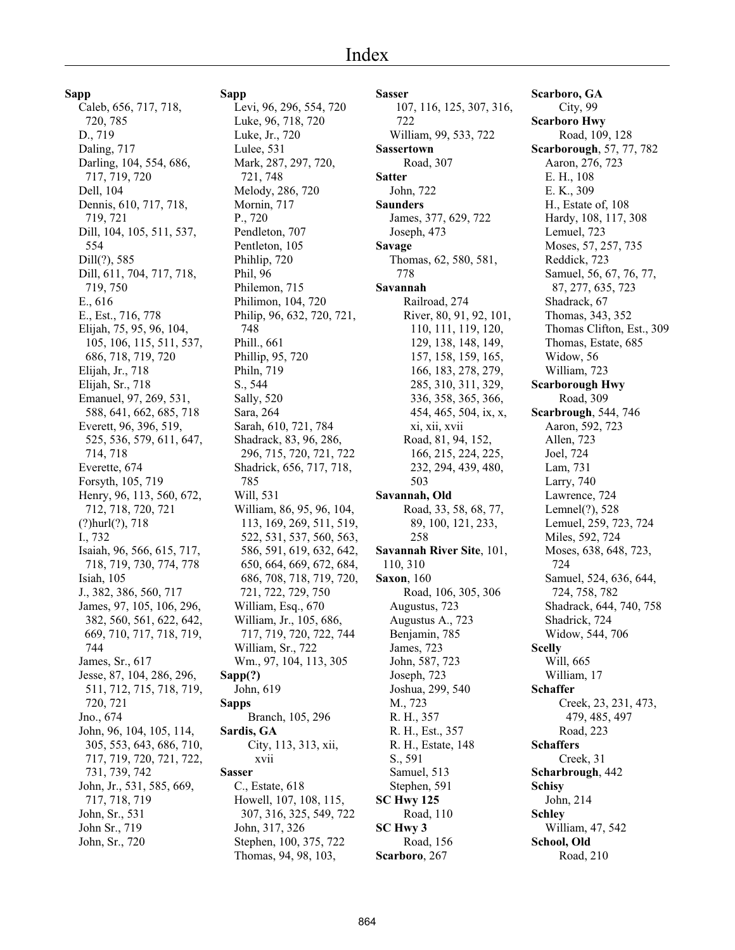**Sapp** Caleb, 656, 717, 718, 720, 785 D., 719 Daling, 717 Darling, 104, 554, 686, 717, 719, 720 Dell, 104 Dennis, 610, 717, 718, 719, 721 Dill, 104, 105, 511, 537, 554 Dill(?), 585 Dill, 611, 704, 717, 718, 719, 750 E., 616 E., Est., 716, 778 Elijah, 75, 95, 96, 104, 105, 106, 115, 511, 537, 686, 718, 719, 720 Elijah, Jr., 718 Elijah, Sr., 718 Emanuel, 97, 269, 531, 588, 641, 662, 685, 718 Everett, 96, 396, 519, 525, 536, 579, 611, 647, 714, 718 Everette, 674 Forsyth, 105, 719 Henry, 96, 113, 560, 672, 712, 718, 720, 721 (?)hurl(?), 718 I., 732 Isaiah, 96, 566, 615, 717, 718, 719, 730, 774, 778 Isiah, 105 J., 382, 386, 560, 717 James, 97, 105, 106, 296, 382, 560, 561, 622, 642, 669, 710, 717, 718, 719, 744 James, Sr., 617 Jesse, 87, 104, 286, 296, 511, 712, 715, 718, 719, 720, 721 Jno., 674 John, 96, 104, 105, 114, 305, 553, 643, 686, 710, 717, 719, 720, 721, 722, 731, 739, 742 John, Jr., 531, 585, 669, 717, 718, 719 John, Sr., 531 John Sr., 719 John, Sr., 720

**Sapp** Levi, 96, 296, 554, 720 Luke, 96, 718, 720 Luke, Jr., 720 Lulee, 531 Mark, 287, 297, 720, 721, 748 Melody, 286, 720 Mornin, 717 P., 720 Pendleton, 707 Pentleton, 105 Phihlip, 720 Phil, 96 Philemon, 715 Philimon, 104, 720 Philip, 96, 632, 720, 721, 748 Phill., 661 Phillip, 95, 720 Philn, 719 S., 544 Sally, 520 Sara, 264 785 Will, 531

Sarah, 610, 721, 784 Shadrack, 83, 96, 286, 296, 715, 720, 721, 722 Shadrick, 656, 717, 718, William, 86, 95, 96, 104, 113, 169, 269, 511, 519, 522, 531, 537, 560, 563, 586, 591, 619, 632, 642, 650, 664, 669, 672, 684, 686, 708, 718, 719, 720, 721, 722, 729, 750 William, Esq., 670 William, Jr., 105, 686, 717, 719, 720, 722, 744 William, Sr., 722 Wm., 97, 104, 113, 305 **Sapp(?)** John, 619 **Sapps** Branch, 105, 296 **Sardis, GA** City, 113, 313, xii, xvii **Sasser** C., Estate, 618 Howell, 107, 108, 115, 307, 316, 325, 549, 722 John, 317, 326 Stephen, 100, 375, 722

Thomas, 94, 98, 103,

**Sasser** 107, 116, 125, 307, 316, 722 William, 99, 533, 722 **Sassertown** Road, 307 **Satter** John, 722 **Saunders** James, 377, 629, 722 Joseph, 473 **Savage** Thomas, 62, 580, 581, 778 **Savannah** Railroad, 274 River, 80, 91, 92, 101, 110, 111, 119, 120, 129, 138, 148, 149, 157, 158, 159, 165, 166, 183, 278, 279, 285, 310, 311, 329, 336, 358, 365, 366, 454, 465, 504, ix, x, xi, xii, xvii Road, 81, 94, 152, 166, 215, 224, 225, 232, 294, 439, 480, 503 **Savannah, Old** Road, 33, 58, 68, 77, 89, 100, 121, 233, 258 **Savannah River Site**, 101, 110, 310 **Saxon**, 160 Road, 106, 305, 306 Augustus, 723 Augustus A., 723 Benjamin, 785 James, 723 John, 587, 723 Joseph, 723 Joshua, 299, 540 M., 723 R. H., 357 R. H., Est., 357 R. H., Estate, 148 S., 591 Samuel, 513 Stephen, 591 **SC Hwy 125** Road, 110 **SC Hwy 3** Road, 156 **Scarboro**, 267

**Scarboro, GA** City, 99 **Scarboro Hwy** Road, 109, 128 **Scarborough**, 57, 77, 782 Aaron, 276, 723 E. H., 108 E. K., 309 H., Estate of, 108 Hardy, 108, 117, 308 Lemuel, 723 Moses, 57, 257, 735 Reddick, 723 Samuel, 56, 67, 76, 77, 87, 277, 635, 723 Shadrack, 67 Thomas, 343, 352 Thomas Clifton, Est., 309 Thomas, Estate, 685 Widow, 56 William, 723 **Scarborough Hwy** Road, 309 **Scarbrough**, 544, 746 Aaron, 592, 723 Allen, 723 Joel, 724 Lam, 731 Larry, 740 Lawrence, 724 Lemnel(?), 528 Lemuel, 259, 723, 724 Miles, 592, 724 Moses, 638, 648, 723, 724 Samuel, 524, 636, 644, 724, 758, 782 Shadrack, 644, 740, 758 Shadrick, 724 Widow, 544, 706 **Scelly** Will, 665 William, 17 **Schaffer** Creek, 23, 231, 473, 479, 485, 497 Road, 223 **Schaffers** Creek, 31 **Scharbrough**, 442 **Schisy** John, 214 **Schley** William, 47, 542 **School, Old** Road, 210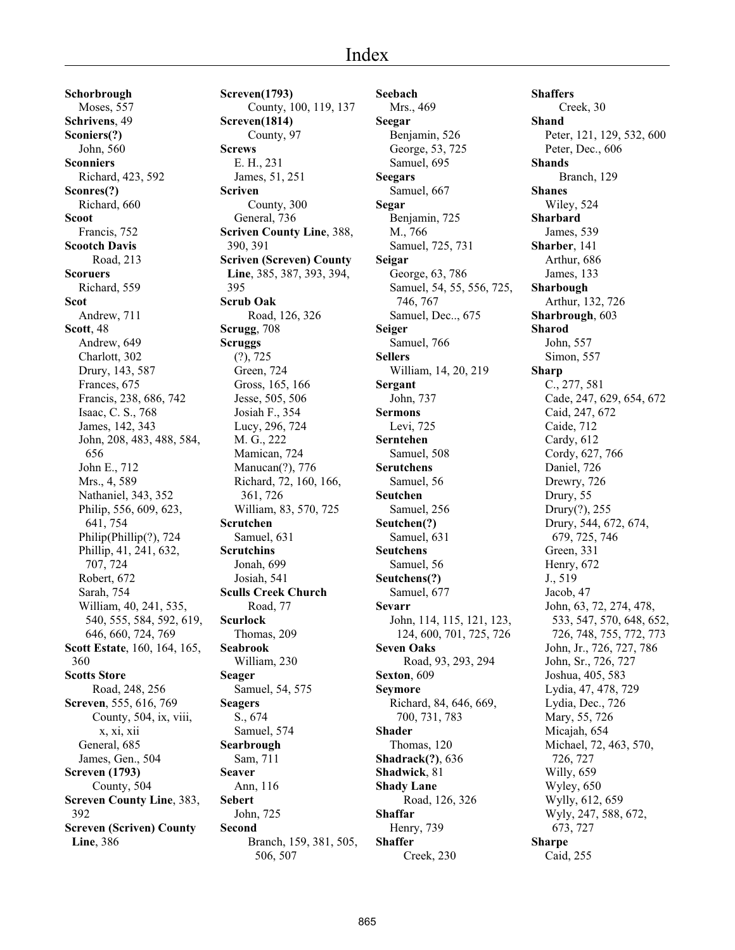**Schorbrough** Moses, 557 **Schrivens**, 49 **Sconiers(?)** John, 560 **Sconniers** Richard, 423, 592 **Sconres(?)** Richard, 660 **Scoot** Francis, 752 **Scootch Davis** Road, 213 **Scoruers** Richard, 559 **Scot** Andrew, 711 **Scott**, 48 Andrew, 649 Charlott, 302 Drury, 143, 587 Frances, 675 Francis, 238, 686, 742 Isaac, C. S., 768 James, 142, 343 John, 208, 483, 488, 584, 656 John E., 712 Mrs., 4, 589 Nathaniel, 343, 352 Philip, 556, 609, 623, 641, 754 Philip(Phillip(?), 724 Phillip, 41, 241, 632, 707, 724 Robert, 672 Sarah, 754 William, 40, 241, 535, 540, 555, 584, 592, 619, 646, 660, 724, 769 **Scott Estate**, 160, 164, 165, 360 **Scotts Store** Road, 248, 256 **Screven**, 555, 616, 769 County, 504, ix, viii, x, xi, xii General, 685 James, Gen., 504 **Screven (1793)** County, 504 **Screven County Line**, 383, 392 **Screven (Scriven) County Line**, 386

**Screven(1793)** County, 100, 119, 137 **Screven(1814)** County, 97 **Screws** E. H., 231 James, 51, 251 **Scriven** County, 300 General, 736 **Scriven County Line**, 388, 390, 391 **Scriven (Screven) County Line**, 385, 387, 393, 394, 395 **Scrub Oak** Road, 126, 326 **Scrugg**, 708 **Scruggs** (?), 725 Green, 724 Gross, 165, 166 Jesse, 505, 506 Josiah F., 354 Lucy, 296, 724 M. G., 222 Mamican, 724 Manucan(?), 776 Richard, 72, 160, 166, 361, 726 William, 83, 570, 725 **Scrutchen** Samuel, 631 **Scrutchins** Jonah, 699 Josiah, 541 **Sculls Creek Church** Road, 77 **Scurlock** Thomas, 209 **Seabrook** William, 230 **Seager** Samuel, 54, 575 **Seagers** S., 674 Samuel, 574 **Searbrough** Sam, 711 **Seaver** Ann, 116 **Sebert** John, 725 **Second** Branch, 159, 381, 505, 506, 507

**Seebach** Mrs., 469 **Seegar** Benjamin, 526 George, 53, 725 Samuel, 695 **Seegars** Samuel, 667 **Segar** Benjamin, 725 M., 766 Samuel, 725, 731 **Seigar** George, 63, 786 Samuel, 54, 55, 556, 725, 746, 767 Samuel, Dec.., 675 **Seiger** Samuel, 766 **Sellers** William, 14, 20, 219 **Sergant** John, 737 **Sermons** Levi, 725 **Serntehen** Samuel, 508 **Serutchens** Samuel, 56 **Seutchen** Samuel, 256 **Seutchen(?)** Samuel, 631 **Seutchens** Samuel, 56 **Seutchens(?)** Samuel, 677 **Sevarr** John, 114, 115, 121, 123, 124, 600, 701, 725, 726 **Seven Oaks** Road, 93, 293, 294 **Sexton**, 609 **Seymore** Richard, 84, 646, 669, 700, 731, 783 **Shader** Thomas, 120 **Shadrack(?)**, 636 **Shadwick**, 81 **Shady Lane** Road, 126, 326 **Shaffar** Henry, 739 **Shaffer** Creek, 230

**Shaffers** Creek, 30 **Shand** Peter, 121, 129, 532, 600 Peter, Dec., 606 **Shands** Branch, 129 **Shanes** Wiley, 524 **Sharbard** James, 539 **Sharber**, 141 Arthur, 686 James, 133 **Sharbough** Arthur, 132, 726 **Sharbrough**, 603 **Sharod** John, 557 Simon, 557 **Sharp** C., 277, 581 Cade, 247, 629, 654, 672 Caid, 247, 672 Caide, 712 Cardy, 612 Cordy, 627, 766 Daniel, 726 Drewry, 726 Drury, 55 Drury(?), 255 Drury, 544, 672, 674, 679, 725, 746 Green, 331 Henry, 672 J., 519 Jacob, 47 John, 63, 72, 274, 478, 533, 547, 570, 648, 652, 726, 748, 755, 772, 773 John, Jr., 726, 727, 786 John, Sr., 726, 727 Joshua, 405, 583 Lydia, 47, 478, 729 Lydia, Dec., 726 Mary, 55, 726 Micajah, 654 Michael, 72, 463, 570, 726, 727 Willy, 659 Wyley, 650 Wylly, 612, 659 Wyly, 247, 588, 672, 673, 727 **Sharpe** Caid, 255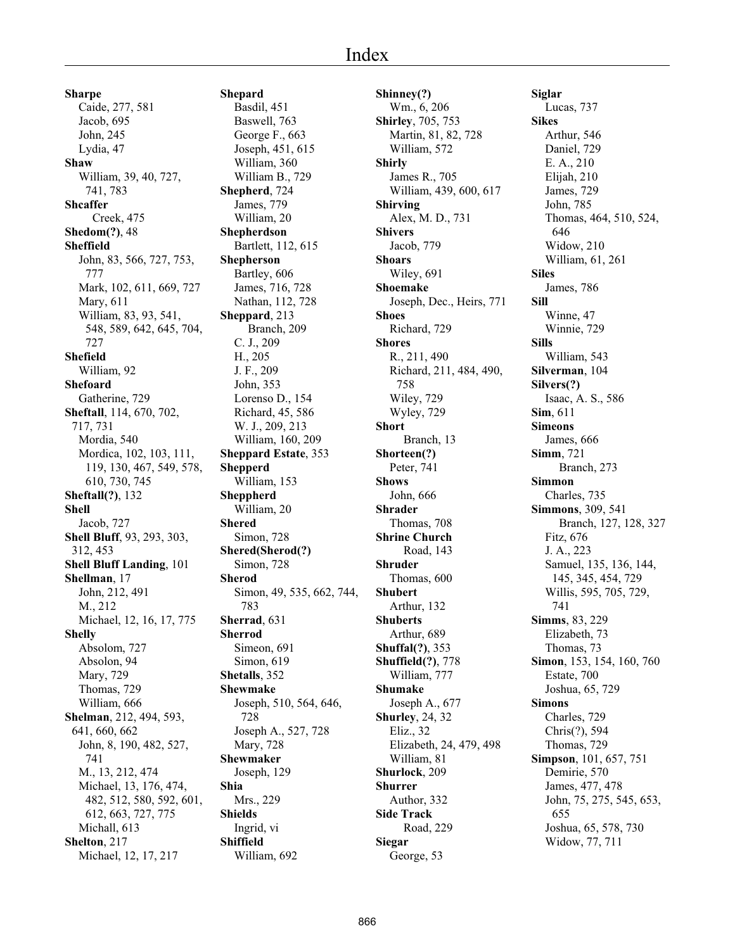**Sharpe** Caide, 277, 581 Jacob, 695 John, 245 Lydia, 47 **Shaw** William, 39, 40, 727, 741, 783 **Shcaffer** Creek, 475 **Shedom(?)**, 48 **Sheffield** John, 83, 566, 727, 753, 777 Mark, 102, 611, 669, 727 Mary, 611 William, 83, 93, 541, 548, 589, 642, 645, 704, 727 **Shefield** William, 92 **Shefoard** Gatherine, 729 **Sheftall**, 114, 670, 702, 717, 731 Mordia, 540 Mordica, 102, 103, 111, 119, 130, 467, 549, 578, 610, 730, 745 **Sheftall(?)**, 132 **Shell** Jacob, 727 **Shell Bluff**, 93, 293, 303, 312, 453 **Shell Bluff Landing**, 101 **Shellman**, 17 John, 212, 491 M., 212 Michael, 12, 16, 17, 775 **Shelly** Absolom, 727 Absolon, 94 Mary, 729 Thomas, 729 William, 666 **Shelman**, 212, 494, 593, 641, 660, 662 John, 8, 190, 482, 527, 741 M., 13, 212, 474 Michael, 13, 176, 474, 482, 512, 580, 592, 601, 612, 663, 727, 775 Michall, 613 **Shelton**, 217 Michael, 12, 17, 217

**Shepard** Basdil, 451 Baswell, 763 George F., 663 Joseph, 451, 615 William, 360 William B., 729 **Shepherd**, 724 James, 779 William, 20 **Shepherdson** Bartlett, 112, 615 **Shepherson** Bartley, 606 James, 716, 728 Nathan, 112, 728 **Sheppard**, 213 Branch, 209 C. J., 209 H., 205 J. F., 209 John, 353 Lorenso D., 154 Richard, 45, 586 W. J., 209, 213 William, 160, 209 **Sheppard Estate**, 353 **Shepperd** William, 153 **Sheppherd** William, 20 **Shered** Simon, 728 **Shered(Sherod(?)** Simon, 728 **Sherod** Simon, 49, 535, 662, 744, 783 **Sherrad**, 631 **Sherrod** Simeon, 691 Simon, 619 **Shetalls**, 352 **Shewmake** Joseph, 510, 564, 646, 728 Joseph A., 527, 728 Mary, 728 **Shewmaker** Joseph, 129 **Shia** Mrs., 229 **Shields** Ingrid, vi **Shiffield** William, 692

**Shinney(?)** Wm., 6, 206 **Shirley**, 705, 753 Martin, 81, 82, 728 William, 572 **Shirly** James R., 705 William, 439, 600, 617 **Shirving** Alex, M. D., 731 **Shivers** Jacob, 779 **Shoars** Wiley, 691 **Shoemake** Joseph, Dec., Heirs, 771 **Shoes** Richard, 729 **Shores** R., 211, 490 Richard, 211, 484, 490, 758 Wiley, 729 Wyley, 729 **Short** Branch, 13 **Shorteen(?)** Peter, 741 **Shows** John, 666 **Shrader** Thomas, 708 **Shrine Church** Road, 143 **Shruder** Thomas, 600 **Shubert** Arthur, 132 **Shuberts** Arthur, 689 **Shuffal(?)**, 353 **Shuffield(?)**, 778 William, 777 **Shumake** Joseph A., 677 **Shurley**, 24, 32 Eliz., 32 Elizabeth, 24, 479, 498 William, 81 **Shurlock**, 209 **Shurrer** Author, 332 **Side Track** Road, 229 **Siegar** George, 53

**Siglar** Lucas, 737 **Sikes** Arthur, 546 Daniel, 729 E. A., 210 Elijah, 210 James, 729 John, 785 Thomas, 464, 510, 524, 646 Widow, 210 William, 61, 261 **Siles** James, 786 **Sill** Winne, 47 Winnie, 729 **Sills** William, 543 **Silverman**, 104 **Silvers(?)** Isaac, A. S., 586 **Sim**, 611 **Simeons** James, 666 **Simm**, 721 Branch, 273 **Simmon** Charles, 735 **Simmons**, 309, 541 Branch, 127, 128, 327 Fitz, 676 J. A., 223 Samuel, 135, 136, 144, 145, 345, 454, 729 Willis, 595, 705, 729, 741 **Simms**, 83, 229 Elizabeth, 73 Thomas, 73 **Simon**, 153, 154, 160, 760 Estate, 700 Joshua, 65, 729 **Simons** Charles, 729 Chris(?), 594 Thomas, 729 **Simpson**, 101, 657, 751 Demirie, 570 James, 477, 478 John, 75, 275, 545, 653, 655 Joshua, 65, 578, 730 Widow, 77, 711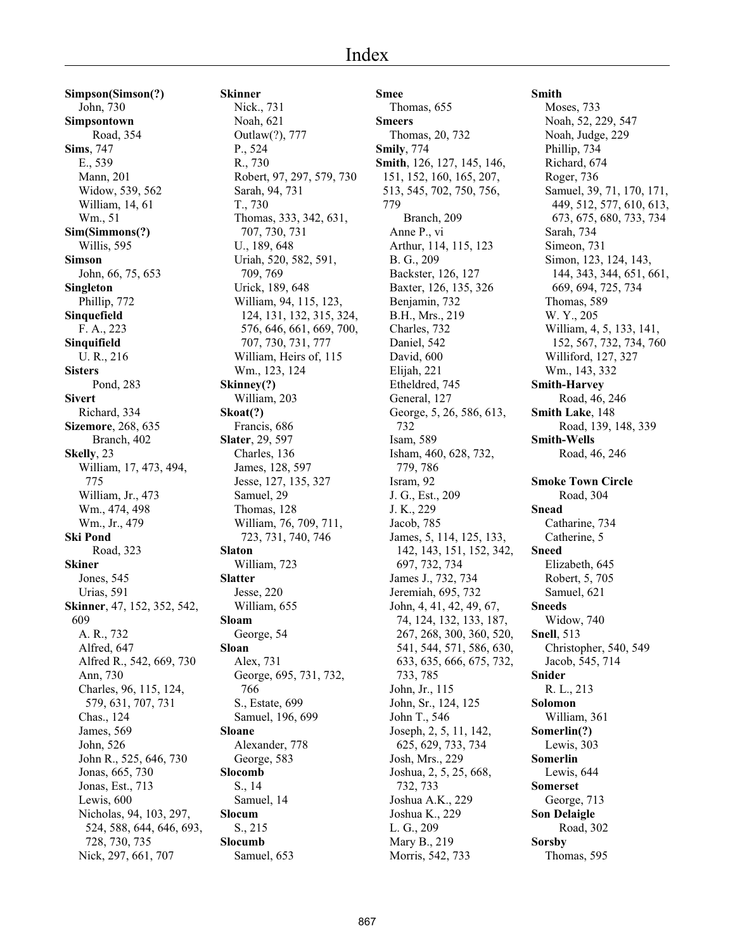**Simpson(Simson(?)** John, 730 **Simpsontown** Road, 354 **Sims**, 747 E., 539 Mann, 201 Widow, 539, 562 William, 14, 61 Wm., 51 **Sim(Simmons(?)** Willis, 595 **Simson** John, 66, 75, 653 **Singleton** Phillip, 772 **Sinquefield** F. A., 223 **Sinquifield** U. R., 216 **Sisters** Pond, 283 **Sivert** Richard, 334 **Sizemore**, 268, 635 Branch, 402 **Skelly**, 23 William, 17, 473, 494, 775 William, Jr., 473 Wm., 474, 498 Wm., Jr., 479 **Ski Pond** Road, 323 **Skiner** Jones, 545 Urias, 591 **Skinner**, 47, 152, 352, 542, 609 A. R., 732 Alfred, 647 Alfred R., 542, 669, 730 Ann, 730 Charles, 96, 115, 124, 579, 631, 707, 731 Chas., 124 James, 569 John, 526 John R., 525, 646, 730 Jonas, 665, 730 Jonas, Est., 713 Lewis, 600 Nicholas, 94, 103, 297, 524, 588, 644, 646, 693, 728, 730, 735 Nick, 297, 661, 707

**Skinner** Nick., 731 Noah, 621 Outlaw(?), 777 P., 524 R., 730 Robert, 97, 297, 579, 730 Sarah, 94, 731 T., 730 Thomas, 333, 342, 631, 707, 730, 731 U., 189, 648 Uriah, 520, 582, 591, 709, 769 Urick, 189, 648 William, 94, 115, 123, 124, 131, 132, 315, 324, 576, 646, 661, 669, 700, 707, 730, 731, 777 William, Heirs of, 115 Wm., 123, 124 **Skinney(?)** William, 203 **Skoat(?)** Francis, 686 **Slater**, 29, 597 Charles, 136 James, 128, 597 Jesse, 127, 135, 327 Samuel, 29 Thomas, 128 William, 76, 709, 711, 723, 731, 740, 746 **Slaton** William, 723 **Slatter** Jesse, 220 William, 655 **Sloam** George, 54 **Sloan** Alex, 731 George, 695, 731, 732, 766 S., Estate, 699 Samuel, 196, 699 **Sloane** Alexander, 778 George, 583 **Slocomb** S., 14 Samuel, 14 **Slocum** S., 215 **Slocumb** Samuel, 653

**Smee** Thomas, 655 **Smeers** Thomas, 20, 732 **Smily**, 774 **Smith**, 126, 127, 145, 146, 151, 152, 160, 165, 207, 513, 545, 702, 750, 756, 779 Branch, 209 Anne P., vi Arthur, 114, 115, 123 B. G., 209 Backster, 126, 127 Baxter, 126, 135, 326 Benjamin, 732 B.H., Mrs., 219 Charles, 732 Daniel, 542 David, 600 Elijah, 221 Etheldred, 745 General, 127 George, 5, 26, 586, 613, 732 Isam, 589 Isham, 460, 628, 732, 779, 786 Isram, 92 J. G., Est., 209 J. K., 229 Jacob, 785 James, 5, 114, 125, 133, 142, 143, 151, 152, 342, 697, 732, 734 James J., 732, 734 Jeremiah, 695, 732 John, 4, 41, 42, 49, 67, 74, 124, 132, 133, 187, 267, 268, 300, 360, 520, 541, 544, 571, 586, 630, 633, 635, 666, 675, 732, 733, 785 John, Jr., 115 John, Sr., 124, 125 John T., 546 Joseph, 2, 5, 11, 142, 625, 629, 733, 734 Josh, Mrs., 229 Joshua, 2, 5, 25, 668, 732, 733 Joshua A.K., 229 Joshua K., 229 L. G., 209 Mary B., 219 Morris, 542, 733

#### **Smith**

Moses, 733 Noah, 52, 229, 547 Noah, Judge, 229 Phillip, 734 Richard, 674 Roger, 736 Samuel, 39, 71, 170, 171, 449, 512, 577, 610, 613, 673, 675, 680, 733, 734 Sarah, 734 Simeon, 731 Simon, 123, 124, 143, 144, 343, 344, 651, 661, 669, 694, 725, 734 Thomas, 589 W. Y., 205 William, 4, 5, 133, 141, 152, 567, 732, 734, 760 Williford, 127, 327 Wm., 143, 332 **Smith-Harvey** Road, 46, 246 **Smith Lake**, 148 Road, 139, 148, 339 **Smith-Wells** Road, 46, 246 **Smoke Town Circle** Road, 304 **Snead** Catharine, 734 Catherine, 5 **Sneed** Elizabeth, 645 Robert, 5, 705 Samuel, 621 **Sneeds** Widow, 740 **Snell**, 513 Christopher, 540, 549 Jacob, 545, 714 **Snider** R. L., 213 **Solomon** William, 361 **Somerlin(?)** Lewis, 303 **Somerlin** Lewis, 644 **Somerset** George, 713 **Son Delaigle** Road, 302 **Sorsby** Thomas, 595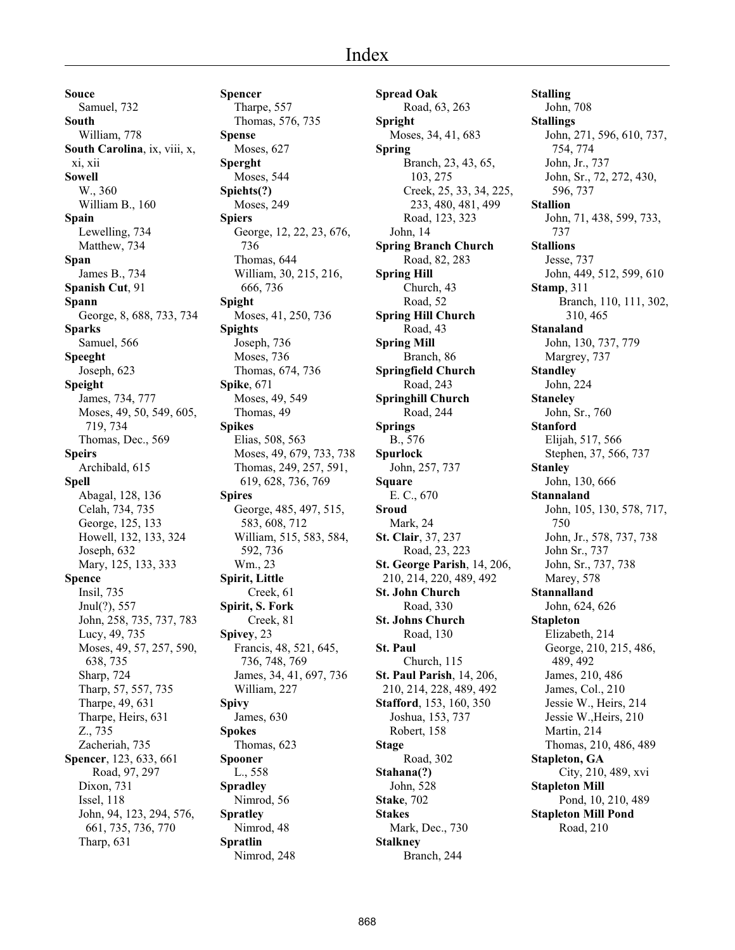**Souce** Samuel, 732 **South** William, 778 **South Carolina**, ix, viii, x, xi, xii **Sowell** W., 360 William B., 160 **Spain** Lewelling, 734 Matthew, 734 **Span** James B., 734 **Spanish Cut**, 91 **Spann** George, 8, 688, 733, 734 **Sparks** Samuel, 566 **Speeght** Joseph, 623 **Speight** James, 734, 777 Moses, 49, 50, 549, 605, 719, 734 Thomas, Dec., 569 **Speirs** Archibald, 615 **Spell** Abagal, 128, 136 Celah, 734, 735 George, 125, 133 Howell, 132, 133, 324 Joseph, 632 Mary, 125, 133, 333 **Spence** Insil, 735 Jnul(?), 557 John, 258, 735, 737, 783 Lucy, 49, 735 Moses, 49, 57, 257, 590, 638, 735 Sharp, 724 Tharp, 57, 557, 735 Tharpe, 49, 631 Tharpe, Heirs, 631 Z., 735 Zacheriah, 735 **Spencer**, 123, 633, 661 Road, 97, 297 Dixon, 731 Issel, 118 John, 94, 123, 294, 576, 661, 735, 736, 770 Tharp, 631

**Spencer** Tharpe, 557 Thomas, 576, 735 **Spense** Moses, 627 **Sperght** Moses, 544 **Spiehts(?)** Moses, 249 **Spiers** George, 12, 22, 23, 676, 736 Thomas, 644 William, 30, 215, 216, 666, 736 **Spight** Moses, 41, 250, 736 **Spights** Joseph, 736 Moses, 736 Thomas, 674, 736 **Spike**, 671 Moses, 49, 549 Thomas, 49 **Spikes** Elias, 508, 563 Moses, 49, 679, 733, 738 Thomas, 249, 257, 591, 619, 628, 736, 769 **Spires** George, 485, 497, 515, 583, 608, 712 William, 515, 583, 584, 592, 736 Wm., 23 **Spirit, Little** Creek, 61 **Spirit, S. Fork** Creek, 81 **Spivey**, 23 Francis, 48, 521, 645, 736, 748, 769 James, 34, 41, 697, 736 William, 227 **Spivy** James, 630 **Spokes** Thomas, 623 **Spooner** L., 558 **Spradley** Nimrod, 56 **Spratley** Nimrod, 48 **Spratlin** Nimrod, 248

**Spread Oak** Road, 63, 263 **Spright** Moses, 34, 41, 683 **Spring** Branch, 23, 43, 65, 103, 275 Creek, 25, 33, 34, 225, 233, 480, 481, 499 Road, 123, 323 John, 14 **Spring Branch Church** Road, 82, 283 **Spring Hill** Church, 43 Road, 52 **Spring Hill Church** Road, 43 **Spring Mill** Branch, 86 **Springfield Church** Road, 243 **Springhill Church** Road, 244 **Springs** B., 576 **Spurlock** John, 257, 737 **Square** E. C., 670 **Sroud** Mark, 24 **St. Clair**, 37, 237 Road, 23, 223 **St. George Parish**, 14, 206, 210, 214, 220, 489, 492 **St. John Church** Road, 330 **St. Johns Church** Road, 130 **St. Paul** Church, 115 **St. Paul Parish**, 14, 206, 210, 214, 228, 489, 492 **Stafford**, 153, 160, 350 Joshua, 153, 737 Robert, 158 **Stage** Road, 302 **Stahana(?)** John, 528 **Stake**, 702 **Stakes** Mark, Dec., 730 **Stalkney** Branch, 244

**Stalling** John, 708 **Stallings** John, 271, 596, 610, 737, 754, 774 John, Jr., 737 John, Sr., 72, 272, 430, 596, 737 **Stallion** John, 71, 438, 599, 733, 737 **Stallions** Jesse, 737 John, 449, 512, 599, 610 **Stamp**, 311 Branch, 110, 111, 302, 310, 465 **Stanaland** John, 130, 737, 779 Margrey, 737 **Standley** John, 224 **Staneley** John, Sr., 760 **Stanford** Elijah, 517, 566 Stephen, 37, 566, 737 **Stanley** John, 130, 666 **Stannaland** John, 105, 130, 578, 717, 750 John, Jr., 578, 737, 738 John Sr., 737 John, Sr., 737, 738 Marey, 578 **Stannalland** John, 624, 626 **Stapleton** Elizabeth, 214 George, 210, 215, 486, 489, 492 James, 210, 486 James, Col., 210 Jessie W., Heirs, 214 Jessie W.,Heirs, 210 Martin, 214 Thomas, 210, 486, 489 **Stapleton, GA** City, 210, 489, xvi **Stapleton Mill** Pond, 10, 210, 489 **Stapleton Mill Pond** Road, 210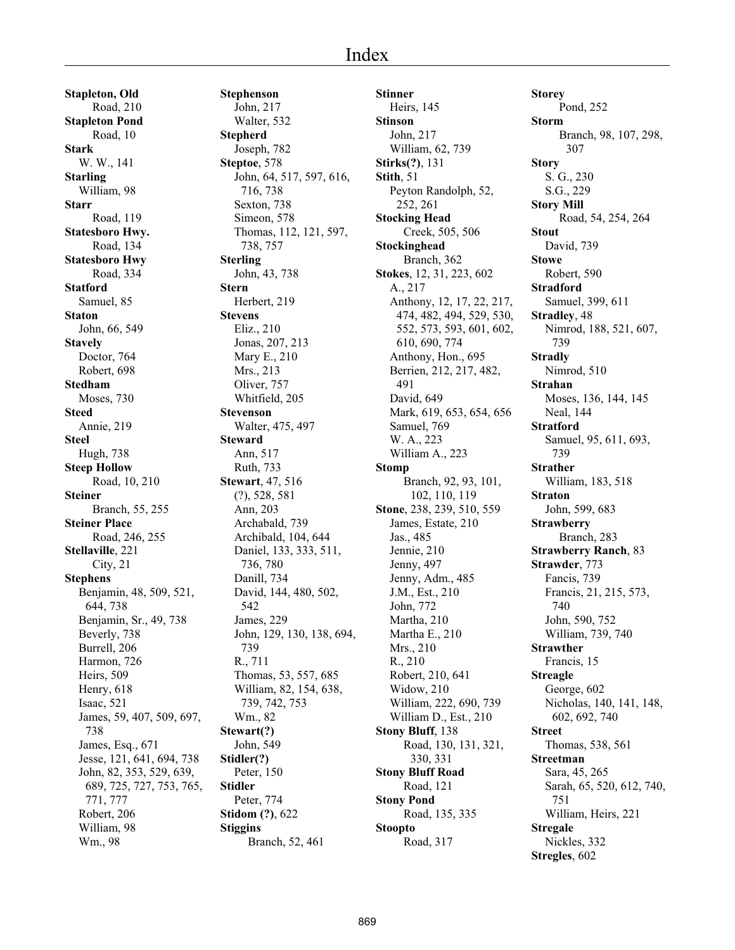#### Index

**Stapleton, Old** Road, 210 **Stapleton Pond** Road, 10 **Stark** W. W., 141 **Starling** William, 98 **Starr** Road, 119 **Statesboro Hwy.** Road, 134 **Statesboro Hwy** Road, 334 **Statford** Samuel, 85 **Staton** John, 66, 549 **Stavely** Doctor, 764 Robert, 698 **Stedham** Moses, 730 **Steed** Annie, 219 **Steel** Hugh, 738 **Steep Hollow** Road, 10, 210 **Steiner** Branch, 55, 255 **Steiner Place** Road, 246, 255 **Stellaville**, 221 City, 21 **Stephens** Benjamin, 48, 509, 521, 644, 738 Benjamin, Sr., 49, 738 Beverly, 738 Burrell, 206 Harmon, 726 Heirs, 509 Henry, 618 Isaac, 521 James, 59, 407, 509, 697, 738 James, Esq., 671 Jesse, 121, 641, 694, 738 John, 82, 353, 529, 639, 689, 725, 727, 753, 765, 771, 777 Robert, 206 William, 98 Wm., 98

**Stephenson** John, 217 Walter, 532 **Stepherd** Joseph, 782 **Steptoe**, 578 John, 64, 517, 597, 616, 716, 738 Sexton, 738 Simeon, 578 Thomas, 112, 121, 597, 738, 757 **Sterling** John, 43, 738 **Stern** Herbert, 219 **Stevens** Eliz., 210 Jonas, 207, 213 Mary E., 210 Mrs., 213 Oliver, 757 Whitfield, 205 **Stevenson** Walter, 475, 497 **Steward** Ann, 517 Ruth, 733 **Stewart**, 47, 516 (?), 528, 581 Ann, 203 Archabald, 739 Archibald, 104, 644 Daniel, 133, 333, 511, 736, 780 Danill, 734 David, 144, 480, 502, 542 James, 229 John, 129, 130, 138, 694, 739 R., 711 Thomas, 53, 557, 685 William, 82, 154, 638, 739, 742, 753 Wm., 82 **Stewart(?)** John, 549 **Stidler(?)** Peter, 150 **Stidler** Peter, 774 **Stidom (?)**, 622 **Stiggins** Branch, 52, 461

**Stinner** Heirs, 145 **Stinson** John, 217 William, 62, 739 **Stirks(?)**, 131 **Stith**, 51 Peyton Randolph, 52, 252, 261 **Stocking Head** Creek, 505, 506 **Stockinghead** Branch, 362 **Stokes**, 12, 31, 223, 602 A., 217 Anthony, 12, 17, 22, 217, 474, 482, 494, 529, 530, 552, 573, 593, 601, 602, 610, 690, 774 Anthony, Hon., 695 Berrien, 212, 217, 482, 491 David, 649 Mark, 619, 653, 654, 656 Samuel, 769 W. A., 223 William A., 223 **Stomp** Branch, 92, 93, 101, 102, 110, 119 **Stone**, 238, 239, 510, 559 James, Estate, 210 Jas., 485 Jennie, 210 Jenny, 497 Jenny, Adm., 485 J.M., Est., 210 John, 772 Martha, 210 Martha E., 210 Mrs., 210 R., 210 Robert, 210, 641 Widow, 210 William, 222, 690, 739 William D., Est., 210 **Stony Bluff**, 138 Road, 130, 131, 321, 330, 331 **Stony Bluff Road** Road, 121 **Stony Pond** Road, 135, 335 **Stoopto** Road, 317

**Storey** Pond, 252 **Storm** Branch, 98, 107, 298, 307 **Story** S. G., 230 S.G., 229 **Story Mill** Road, 54, 254, 264 **Stout** David, 739 **Stowe** Robert, 590 **Stradford** Samuel, 399, 611 **Stradley**, 48 Nimrod, 188, 521, 607, 739 **Stradly** Nimrod, 510 **Strahan** Moses, 136, 144, 145 Neal, 144 **Stratford** Samuel, 95, 611, 693, 739 **Strather** William, 183, 518 **Straton** John, 599, 683 **Strawberry** Branch, 283 **Strawberry Ranch**, 83 **Strawder**, 773 Fancis, 739 Francis, 21, 215, 573, 740 John, 590, 752 William, 739, 740 **Strawther** Francis, 15 **Streagle** George, 602 Nicholas, 140, 141, 148, 602, 692, 740 **Street** Thomas, 538, 561 **Streetman** Sara, 45, 265 Sarah, 65, 520, 612, 740, 751 William, Heirs, 221 **Stregale** Nickles, 332 **Stregles**, 602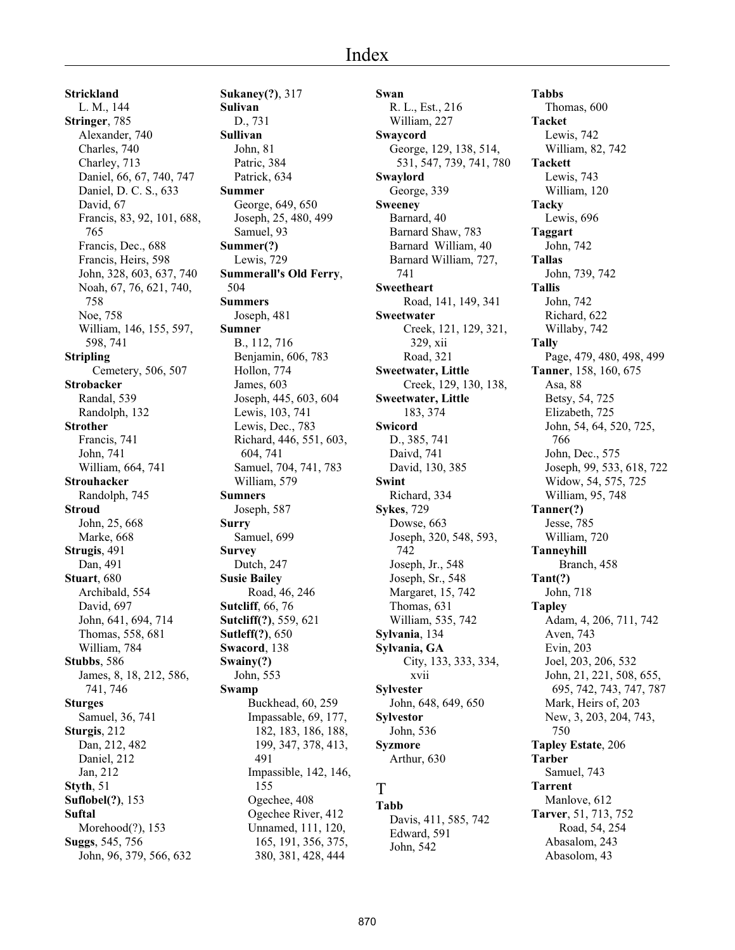**Strickland** L. M., 144 **Stringer**, 785 Alexander, 740 Charles, 740 Charley, 713 Daniel, 66, 67, 740, 747 Daniel, D. C. S., 633 David, 67 Francis, 83, 92, 101, 688, 765 Francis, Dec., 688 Francis, Heirs, 598 John, 328, 603, 637, 740 Noah, 67, 76, 621, 740, 758 Noe, 758 William, 146, 155, 597, 598, 741 **Stripling** Cemetery, 506, 507 **Strobacker** Randal, 539 Randolph, 132 **Strother** Francis, 741 John, 741 William, 664, 741 **Strouhacker** Randolph, 745 **Stroud** John, 25, 668 Marke, 668 **Strugis**, 491 Dan, 491 **Stuart**, 680 Archibald, 554 David, 697 John, 641, 694, 714 Thomas, 558, 681 William, 784 **Stubbs**, 586 James, 8, 18, 212, 586, 741, 746 **Sturges** Samuel, 36, 741 **Sturgis**, 212 Dan, 212, 482 Daniel, 212 Jan, 212 **Styth**, 51 **Suflobel(?)**, 153 **Suftal** Morehood(?), 153 **Suggs**, 545, 756 John, 96, 379, 566, 632

**Sukaney(?)**, 317 **Sulivan** D., 731 **Sullivan** John, 81 Patric, 384 Patrick, 634 **Summer** George, 649, 650 Joseph, 25, 480, 499 Samuel, 93 **Summer(?)** Lewis, 729 **Summerall's Old Ferry**, 504 **Summers** Joseph, 481 **Sumner** B., 112, 716 Benjamin, 606, 783 Hollon, 774 James, 603 Joseph, 445, 603, 604 Lewis, 103, 741 Lewis, Dec., 783 Richard, 446, 551, 603, 604, 741 Samuel, 704, 741, 783 William, 579 **Sumners** Joseph, 587 **Surry** Samuel, 699 **Survey** Dutch, 247 **Susie Bailey** Road, 46, 246 **Sutcliff**, 66, 76 **Sutcliff(?)**, 559, 621 **Sutleff(?)**, 650 **Swacord**, 138 **Swainy(?)** John, 553 **Swamp** Buckhead, 60, 259 Impassable, 69, 177, 182, 183, 186, 188, 199, 347, 378, 413, 491 Impassible, 142, 146, 155 Ogechee, 408 Ogechee River, 412 Unnamed, 111, 120, 165, 191, 356, 375, 380, 381, 428, 444

**Swan** R. L., Est., 216 William, 227 **Swaycord** George, 129, 138, 514, 531, 547, 739, 741, 780 **Swaylord** George, 339 **Sweeney** Barnard, 40 Barnard Shaw, 783 Barnard William, 40 Barnard William, 727, 741 **Sweetheart** Road, 141, 149, 341 **Sweetwater** Creek, 121, 129, 321, 329, xii Road, 321 **Sweetwater, Little** Creek, 129, 130, 138, **Sweetwater, Little** 183, 374 **Swicord** D., 385, 741 Daivd, 741 David, 130, 385 **Swint** Richard, 334 **Sykes**, 729 Dowse, 663 Joseph, 320, 548, 593, 742 Joseph, Jr., 548 Joseph, Sr., 548 Margaret, 15, 742 Thomas, 631 William, 535, 742 **Sylvania**, 134 **Sylvania, GA** City, 133, 333, 334, xvii **Sylvester** John, 648, 649, 650 **Sylvestor** John, 536 **Syzmore** Arthur, 630

# T

**Tabb** Davis, 411, 585, 742 Edward, 591 John, 542

**Tabbs** Thomas, 600 **Tacket** Lewis, 742 William, 82, 742 **Tackett** Lewis, 743 William, 120 **Tacky** Lewis, 696 **Taggart** John, 742 **Tallas** John, 739, 742 **Tallis** John, 742 Richard, 622 Willaby, 742 **Tally** Page, 479, 480, 498, 499 **Tanner**, 158, 160, 675 Asa, 88 Betsy, 54, 725 Elizabeth, 725 John, 54, 64, 520, 725, 766 John, Dec., 575 Joseph, 99, 533, 618, 722 Widow, 54, 575, 725 William, 95, 748 **Tanner(?)** Jesse, 785 William, 720 **Tanneyhill** Branch, 458 **Tant(?)** John, 718 **Tapley** Adam, 4, 206, 711, 742 Aven, 743 Evin, 203 Joel, 203, 206, 532 John, 21, 221, 508, 655, 695, 742, 743, 747, 787 Mark, Heirs of, 203 New, 3, 203, 204, 743, 750 **Tapley Estate**, 206 **Tarber** Samuel, 743 **Tarrent** Manlove, 612 **Tarver**, 51, 713, 752 Road, 54, 254 Abasalom, 243 Abasolom, 43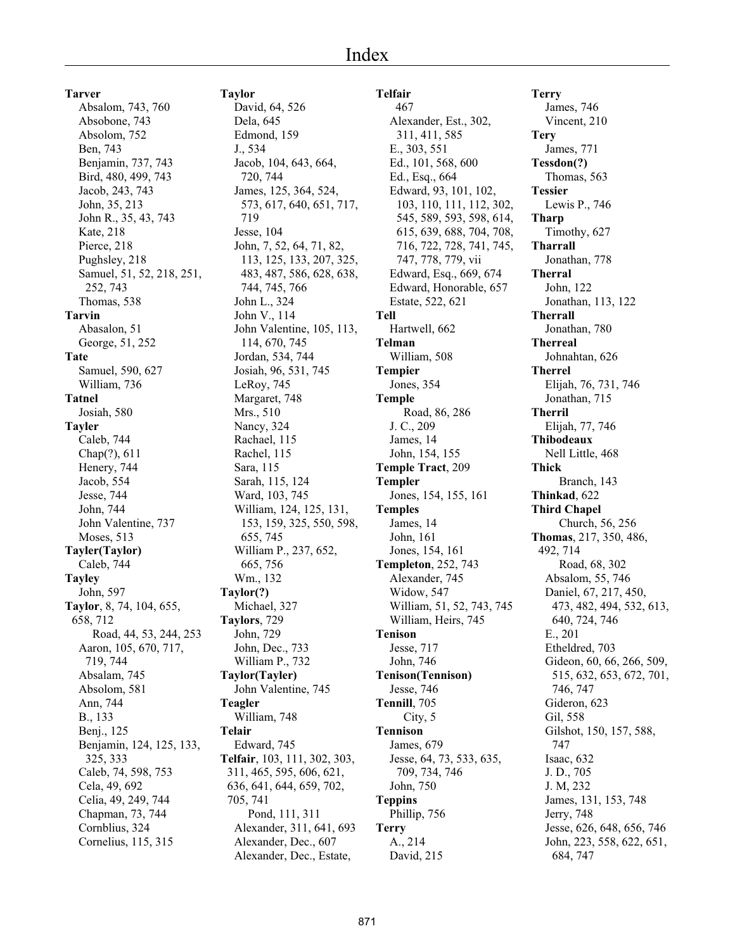**Tarver** Absalom, 743, 760 Absobone, 743 Absolom, 752 Ben, 743 Benjamin, 737, 743 Bird, 480, 499, 743 Jacob, 243, 743 John, 35, 213 John R., 35, 43, 743 Kate, 218 Pierce, 218 Pughsley, 218 Samuel, 51, 52, 218, 251, 252, 743 Thomas, 538 **Tarvin** Abasalon, 51 George, 51, 252 **Tate** Samuel, 590, 627 William, 736 **Tatnel** Josiah, 580 **Tayler** Caleb, 744 Chap(?), 611 Henery, 744 Jacob, 554 Jesse, 744 John, 744 John Valentine, 737 Moses, 513 **Tayler(Taylor)** Caleb, 744 **Tayley** John, 597 **Taylor**, 8, 74, 104, 655, 658, 712 Road, 44, 53, 244, 253 Aaron, 105, 670, 717, 719, 744 Absalam, 745 Absolom, 581 Ann, 744 B., 133 Benj., 125 Benjamin, 124, 125, 133, 325, 333 Caleb, 74, 598, 753 Cela, 49, 692 Celia, 49, 249, 744 Chapman, 73, 744 Cornblius, 324 Cornelius, 115, 315

**Taylor** David, 64, 526 Dela, 645 Edmond, 159 J., 534 Jacob, 104, 643, 664, 720, 744 James, 125, 364, 524, 573, 617, 640, 651, 717, 719 Jesse, 104 John, 7, 52, 64, 71, 82, 113, 125, 133, 207, 325, 483, 487, 586, 628, 638, 744, 745, 766 John L., 324 John V., 114 John Valentine, 105, 113, 114, 670, 745 Jordan, 534, 744 Josiah, 96, 531, 745 LeRoy, 745 Margaret, 748 Mrs., 510 Nancy, 324 Rachael, 115 Rachel, 115 Sara, 115 Sarah, 115, 124 Ward, 103, 745 William, 124, 125, 131, 153, 159, 325, 550, 598, 655, 745 William P., 237, 652, 665, 756 Wm., 132 **Taylor(?)** Michael, 327 **Taylors**, 729 John, 729 John, Dec., 733 William P., 732 **Taylor(Tayler)** John Valentine, 745 **Teagler** William, 748 **Telair** Edward, 745 **Telfair**, 103, 111, 302, 303, 311, 465, 595, 606, 621, 636, 641, 644, 659, 702, 705, 741 Pond, 111, 311 Alexander, 311, 641, 693 Alexander, Dec., 607 Alexander, Dec., Estate,

**Telfair** 467 Alexander, Est., 302, 311, 411, 585 E., 303, 551 Ed., 101, 568, 600 Ed., Esq., 664 Edward, 93, 101, 102, 103, 110, 111, 112, 302, 545, 589, 593, 598, 614, 615, 639, 688, 704, 708, 716, 722, 728, 741, 745, 747, 778, 779, vii Edward, Esq., 669, 674 Edward, Honorable, 657 Estate, 522, 621 **Tell** Hartwell, 662 **Telman** William, 508 **Tempier** Jones, 354 **Temple** Road, 86, 286 J. C., 209 James, 14 John, 154, 155 **Temple Tract**, 209 **Templer** Jones, 154, 155, 161 **Temples** James, 14 John, 161 Jones, 154, 161 **Templeton**, 252, 743 Alexander, 745 Widow, 547 William, 51, 52, 743, 745 William, Heirs, 745 **Tenison** Jesse, 717 John, 746 **Tenison(Tennison)** Jesse, 746 **Tennill**, 705 City, 5 **Tennison** James, 679 Jesse, 64, 73, 533, 635, 709, 734, 746 John, 750 **Teppins** Phillip, 756 **Terry** A., 214 David, 215

**Terry** James, 746 Vincent, 210 **Tery** James, 771 **Tessdon(?)** Thomas, 563 **Tessier** Lewis P., 746 **Tharp** Timothy, 627 **Tharrall** Jonathan, 778 **Therral** John, 122 Jonathan, 113, 122 **Therrall** Jonathan, 780 **Therreal** Johnahtan, 626 **Therrel** Elijah, 76, 731, 746 Jonathan, 715 **Therril** Elijah, 77, 746 **Thibodeaux** Nell Little, 468 **Thick** Branch, 143 **Thinkad**, 622 **Third Chapel** Church, 56, 256 **Thomas**, 217, 350, 486, 492, 714 Road, 68, 302 Absalom, 55, 746 Daniel, 67, 217, 450, 473, 482, 494, 532, 613, 640, 724, 746 E., 201 Etheldred, 703 Gideon, 60, 66, 266, 509, 515, 632, 653, 672, 701, 746, 747 Gideron, 623 Gil, 558 Gilshot, 150, 157, 588, 747 Isaac, 632 J. D., 705 J. M, 232 James, 131, 153, 748 Jerry, 748 Jesse, 626, 648, 656, 746 John, 223, 558, 622, 651, 684, 747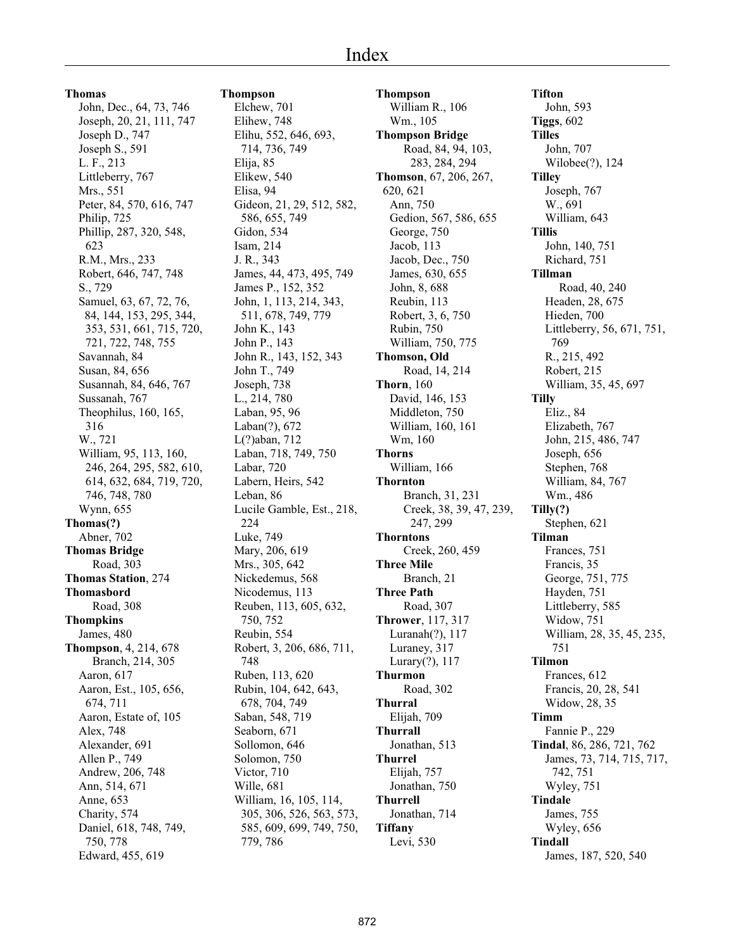**Thomas**

John, Dec., 64, 73, 746 Joseph, 20, 21, 111, 747 Joseph D., 747 Joseph S., 591 L. F., 213 Littleberry, 767 Mrs., 551 Peter, 84, 570, 616, 747 Philip, 725 Phillip, 287, 320, 548, 623 R.M., Mrs., 233 Robert, 646, 747, 748 S., 729 Samuel, 63, 67, 72, 76, 84, 144, 153, 295, 344, 353, 531, 661, 715, 720, 721, 722, 748, 755 Savannah, 84 Susan, 84, 656 Susannah, 84, 646, 767 Sussanah, 767 Theophilus, 160, 165, 316 W., 721 William, 95, 113, 160, 246, 264, 295, 582, 610, 614, 632, 684, 719, 720, 746, 748, 780 Wynn, 655 **Thomas(?)** Abner, 702 **Thomas Bridge** Road, 303 **Thomas Station**, 274 **Thomasbord** Road, 308 **Thompkins** James, 480 **Thompson**, 4, 214, 678 Branch, 214, 305 Aaron, 617 Aaron, Est., 105, 656, 674, 711 Aaron, Estate of, 105 Alex, 748 Alexander, 691 Allen P., 749 Andrew, 206, 748 Ann, 514, 671 Anne, 653 Charity, 574 Daniel, 618, 748, 749, 750, 778 Edward, 455, 619

**Thompson** Elchew, 701 Elihew, 748 Elihu, 552, 646, 693, 714, 736, 749 Elija, 85 Elikew, 540 Elisa, 94 Gideon, 21, 29, 512, 582, 586, 655, 749 Gidon, 534 Isam, 214 J. R., 343 James, 44, 473, 495, 749 James P., 152, 352 John, 1, 113, 214, 343, 511, 678, 749, 779 John K., 143 John P., 143 John R., 143, 152, 343 John T., 749 Joseph, 738 L., 214, 780 Laban, 95, 96 Laban(?), 672 L(?)aban, 712 Laban, 718, 749, 750 Labar, 720 Labern, Heirs, 542 Leban, 86 Lucile Gamble, Est., 218, 224 Luke, 749 Mary, 206, 619 Mrs., 305, 642 Nickedemus, 568 Nicodemus, 113 Reuben, 113, 605, 632, 750, 752 Reubin, 554 Robert, 3, 206, 686, 711, 748 Ruben, 113, 620 Rubin, 104, 642, 643, 678, 704, 749 Saban, 548, 719 Seaborn, 671 Sollomon, 646 Solomon, 750 Victor, 710 Wille, 681 William, 16, 105, 114, 305, 306, 526, 563, 573, 585, 609, 699, 749, 750, 779, 786

**Thompson** William R., 106 Wm., 105 **Thompson Bridge** Road, 84, 94, 103, 283, 284, 294 **Thomson**, 67, 206, 267, 620, 621 Ann, 750 Gedion, 567, 586, 655 George, 750 Jacob, 113 Jacob, Dec., 750 James, 630, 655 John, 8, 688 Reubin, 113 Robert, 3, 6, 750 Rubin, 750 William, 750, 775 **Thomson, Old** Road, 14, 214 **Thorn**, 160 David, 146, 153 Middleton, 750 William, 160, 161 Wm, 160 **Thorns** William, 166 **Thornton** Branch, 31, 231 Creek, 38, 39, 47, 239, 247, 299 **Thorntons** Creek, 260, 459 **Three Mile** Branch, 21 **Three Path** Road, 307 **Thrower**, 117, 317 Luranah(?), 117 Luraney, 317 Lurary(?), 117 **Thurmon** Road, 302 **Thurral** Elijah, 709 **Thurrall** Jonathan, 513 **Thurrel** Elijah, 757 Jonathan, 750 **Thurrell** Jonathan, 714 **Tiffany** Levi, 530

**Tifton** John, 593 **Tiggs**, 602 **Tilles** John, 707 Wilobee(?), 124 **Tilley** Joseph, 767 W., 691 William, 643 **Tillis** John, 140, 751 Richard, 751 **Tillman** Road, 40, 240 Headen, 28, 675 Hieden, 700 Littleberry, 56, 671, 751, 769 R., 215, 492 Robert, 215 William, 35, 45, 697 **Tilly** Eliz., 84 Elizabeth, 767 John, 215, 486, 747 Joseph, 656 Stephen, 768 William, 84, 767 Wm., 486 **Tilly(?)** Stephen, 621 **Tilman** Frances, 751 Francis, 35 George, 751, 775 Hayden, 751 Littleberry, 585 Widow, 751 William, 28, 35, 45, 235, 751 **Tilmon** Frances, 612 Francis, 20, 28, 541 Widow, 28, 35 **Timm** Fannie P., 229 **Tindal**, 86, 286, 721, 762 James, 73, 714, 715, 717, 742, 751 Wyley, 751 **Tindale** James, 755 Wyley, 656 **Tindall** James, 187, 520, 540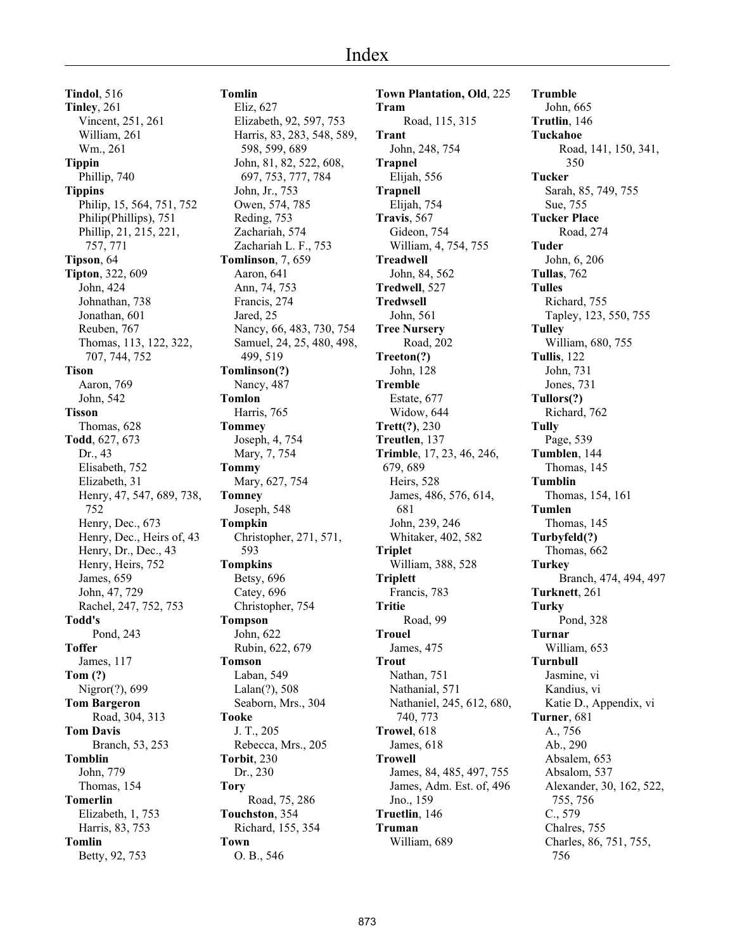**Tindol**, 516 **Tinley**, 261 Vincent, 251, 261 William, 261 Wm., 261 **Tippin** Phillip, 740 **Tippins** Philip, 15, 564, 751, 752 Philip(Phillips), 751 Phillip, 21, 215, 221, 757, 771 **Tipson**, 64 **Tipton**, 322, 609 John, 424 Johnathan, 738 Jonathan, 601 Reuben, 767 Thomas, 113, 122, 322, 707, 744, 752 **Tison** Aaron, 769 John, 542 **Tisson** Thomas, 628 **Todd**, 627, 673 Dr., 43 Elisabeth, 752 Elizabeth, 31 Henry, 47, 547, 689, 738, 752 Henry, Dec., 673 Henry, Dec., Heirs of, 43 Henry, Dr., Dec., 43 Henry, Heirs, 752 James, 659 John, 47, 729 Rachel, 247, 752, 753 **Todd's** Pond, 243 **Toffer** James, 117 **Tom (?)** Nigror(?), 699 **Tom Bargeron** Road, 304, 313 **Tom Davis** Branch, 53, 253 **Tomblin** John, 779 Thomas, 154 **Tomerlin** Elizabeth, 1, 753 Harris, 83, 753 **Tomlin** Betty, 92, 753

## **Tomlin**

Eliz, 627 Elizabeth, 92, 597, 753 Harris, 83, 283, 548, 589, 598, 599, 689 John, 81, 82, 522, 608, 697, 753, 777, 784 John, Jr., 753 Owen, 574, 785 Reding, 753 Zachariah, 574 Zachariah L. F., 753 **Tomlinson**, 7, 659 Aaron, 641 Ann, 74, 753 Francis, 274 Jared, 25 Nancy, 66, 483, 730, 754 Samuel, 24, 25, 480, 498, 499, 519 **Tomlinson(?)** Nancy, 487 **Tomlon** Harris, 765 **Tommey** Joseph, 4, 754 Mary, 7, 754 **Tommy** Mary, 627, 754 **Tomney** Joseph, 548 **Tompkin** Christopher, 271, 571, 593 **Tompkins** Betsy, 696 Catey, 696 Christopher, 754 **Tompson** John, 622 Rubin, 622, 679 **Tomson** Laban, 549 Lalan(?), 508 Seaborn, Mrs., 304 **Tooke** J. T., 205 Rebecca, Mrs., 205 **Torbit**, 230 Dr., 230 **Tory** Road, 75, 286 **Touchston**, 354 Richard, 155, 354 **Town** O. B., 546

**Town Plantation, Old**, 225 **Tram** Road, 115, 315 **Trant** John, 248, 754 **Trapnel** Elijah, 556 **Trapnell** Elijah, 754 **Travis**, 567 Gideon, 754 William, 4, 754, 755 **Treadwell** John, 84, 562 **Tredwell**, 527 **Tredwsell** John, 561 **Tree Nursery** Road, 202 **Treeton(?)** John, 128 **Tremble** Estate, 677 Widow, 644 **Trett(?)**, 230 **Treutlen**, 137 **Trimble**, 17, 23, 46, 246, 679, 689 Heirs, 528 James, 486, 576, 614, 681 John, 239, 246 Whitaker, 402, 582 **Triplet** William, 388, 528 **Triplett** Francis, 783 **Tritie** Road, 99 **Trouel** James, 475 **Trout** Nathan, 751 Nathanial, 571 Nathaniel, 245, 612, 680, 740, 773 **Trowel**, 618 James, 618 **Trowell** James, 84, 485, 497, 755 James, Adm. Est. of, 496 Jno., 159 **Truetlin**, 146 **Truman** William, 689

**Trumble** John, 665 **Trutlin**, 146 **Tuckahoe** Road, 141, 150, 341, 350 **Tucker** Sarah, 85, 749, 755 Sue, 755 **Tucker Place** Road, 274 **Tuder** John, 6, 206 **Tullas**, 762 **Tulles** Richard, 755 Tapley, 123, 550, 755 **Tulley** William, 680, 755 **Tullis**, 122 John, 731 Jones, 731 **Tullors(?)** Richard, 762 **Tully** Page, 539 **Tumblen**, 144 Thomas, 145 **Tumblin** Thomas, 154, 161 **Tumlen** Thomas, 145 **Turbyfeld(?)** Thomas, 662 **Turkey** Branch, 474, 494, 497 **Turknett**, 261 **Turky** Pond, 328 **Turnar** William, 653 **Turnbull** Jasmine, vi Kandius, vi Katie D., Appendix, vi **Turner**, 681 A., 756 Ab., 290 Absalem, 653 Absalom, 537 Alexander, 30, 162, 522, 755, 756 C., 579 Chalres, 755 Charles, 86, 751, 755, 756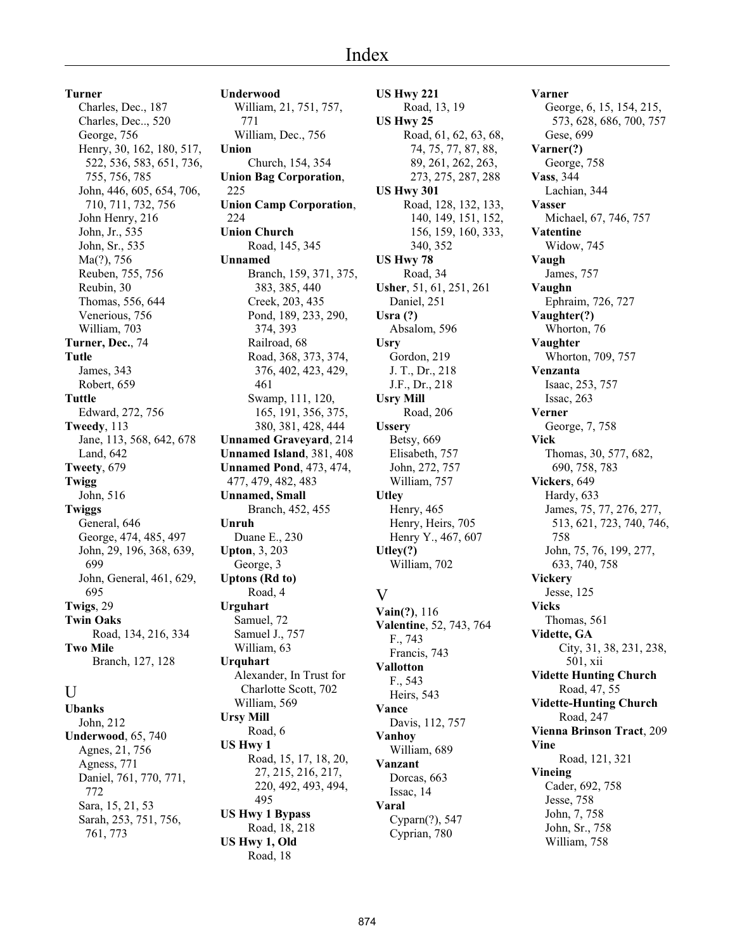**Turner** Charles, Dec., 187 Charles, Dec.., 520 George, 756 Henry, 30, 162, 180, 517, 522, 536, 583, 651, 736, 755, 756, 785 John, 446, 605, 654, 706, 710, 711, 732, 756 John Henry, 216 John, Jr., 535 John, Sr., 535 Ma(?), 756 Reuben, 755, 756 Reubin, 30 Thomas, 556, 644 Venerious, 756 William, 703 **Turner, Dec.**, 74 **Tutle** James, 343 Robert, 659 **Tuttle** Edward, 272, 756 **Tweedy**, 113 Jane, 113, 568, 642, 678 Land, 642 **Tweety**, 679 **Twigg** John, 516 **Twiggs** General, 646 George, 474, 485, 497 John, 29, 196, 368, 639, 699 John, General, 461, 629, 695 **Twigs**, 29 **Twin Oaks** Road, 134, 216, 334 **Two Mile** Branch, 127, 128

## U

**Ubanks** John, 212 **Underwood**, 65, 740 Agnes, 21, 756 Agness, 771 Daniel, 761, 770, 771, 772 Sara, 15, 21, 53 Sarah, 253, 751, 756, 761, 773

**Underwood** William, 21, 751, 757, 771 William, Dec., 756 **Union** Church, 154, 354 **Union Bag Corporation**, 225 **Union Camp Corporation**, 224 **Union Church** Road, 145, 345 **Unnamed** Branch, 159, 371, 375, 383, 385, 440 Creek, 203, 435 Pond, 189, 233, 290, 374, 393 Railroad, 68 Road, 368, 373, 374, 376, 402, 423, 429, 461 Swamp, 111, 120, 165, 191, 356, 375, 380, 381, 428, 444 **Unnamed Graveyard**, 214 **Unnamed Island**, 381, 408 **Unnamed Pond**, 473, 474, 477, 479, 482, 483 **Unnamed, Small** Branch, 452, 455 **Unruh** Duane E., 230 **Upton**, 3, 203 George, 3 **Uptons (Rd to)** Road, 4 **Urguhart** Samuel, 72 Samuel J., 757 William, 63 **Urquhart** Alexander, In Trust for Charlotte Scott, 702 William, 569 **Ursy Mill** Road, 6 **US Hwy 1** Road, 15, 17, 18, 20, 27, 215, 216, 217, 220, 492, 493, 494, 495 **US Hwy 1 Bypass** Road, 18, 218

**US Hwy 1, Old** Road, 18

**US Hwy 221** Road, 13, 19 **US Hwy 25** Road, 61, 62, 63, 68, 74, 75, 77, 87, 88, 89, 261, 262, 263, 273, 275, 287, 288 **US Hwy 301** Road, 128, 132, 133, 140, 149, 151, 152, 156, 159, 160, 333, 340, 352 **US Hwy 78** Road, 34 **Usher**, 51, 61, 251, 261 Daniel, 251 **Usra (?)** Absalom, 596 **Usry** Gordon, 219 J. T., Dr., 218 J.F., Dr., 218 **Usry Mill** Road, 206 **Ussery** Betsy, 669 Elisabeth, 757 John, 272, 757 William, 757 **Utley** Henry, 465 Henry, Heirs, 705 Henry Y., 467, 607 **Utley(?)** William, 702  $\overline{V}$ **Vain(?)**, 116 **Valentine**, 52, 743, 764 F., 743 Francis, 743 **Vallotton** F., 543 Heirs, 543 **Vance** Davis, 112, 757 **Vanhoy** William, 689 **Vanzant** Dorcas, 663 Issac, 14 **Varal** Cyparn(?), 547 Cyprian, 780

**Varner** George, 6, 15, 154, 215, 573, 628, 686, 700, 757 Gese, 699 **Varner(?)** George, 758 **Vass**, 344 Lachian, 344 **Vasser** Michael, 67, 746, 757 **Vatentine** Widow, 745 **Vaugh** James, 757 **Vaughn** Ephraim, 726, 727 **Vaughter(?)** Whorton, 76 **Vaughter** Whorton, 709, 757 **Venzanta** Isaac, 253, 757 Issac, 263 **Verner** George, 7, 758 **Vick** Thomas, 30, 577, 682, 690, 758, 783 **Vickers**, 649 Hardy, 633 James, 75, 77, 276, 277, 513, 621, 723, 740, 746, 758 John, 75, 76, 199, 277, 633, 740, 758 **Vickery** Jesse, 125 **Vicks** Thomas, 561 **Vidette, GA** City, 31, 38, 231, 238, 501, xii **Vidette Hunting Church** Road, 47, 55 **Vidette-Hunting Church** Road, 247 **Vienna Brinson Tract**, 209 **Vine** Road, 121, 321 **Vineing** Cader, 692, 758 Jesse, 758 John, 7, 758 John, Sr., 758 William, 758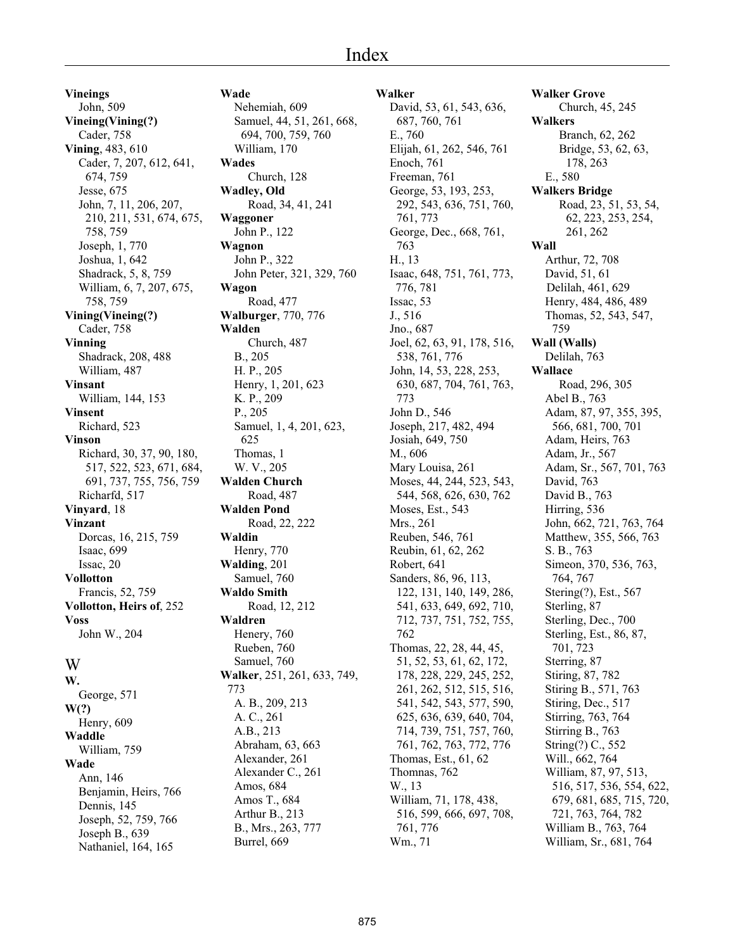**Vineings** John, 509 **Vineing(Vining(?)** Cader, 758 **Vining**, 483, 610 Cader, 7, 207, 612, 641, 674, 759 Jesse, 675 John, 7, 11, 206, 207, 210, 211, 531, 674, 675, 758, 759 Joseph, 1, 770 Joshua, 1, 642 Shadrack, 5, 8, 759 William, 6, 7, 207, 675, 758, 759 **Vining(Vineing(?)** Cader, 758 **Vinning** Shadrack, 208, 488 William, 487 **Vinsant** William, 144, 153 **Vinsent** Richard, 523 **Vinson** Richard, 30, 37, 90, 180, 517, 522, 523, 671, 684, 691, 737, 755, 756, 759 Richarfd, 517 **Vinyard**, 18 **Vinzant** Dorcas, 16, 215, 759 Isaac, 699 Issac, 20 **Vollotton** Francis, 52, 759 **Vollotton, Heirs of**, 252 **Voss** John W., 204 W **W.** George, 571 **W(?)**

Henry, 609 **Waddle** William, 759 **Wade** Ann, 146 Benjamin, Heirs, 766 Dennis, 145 Joseph, 52, 759, 766 Joseph B., 639 Nathaniel, 164, 165

## **Wade**

Nehemiah, 609 Samuel, 44, 51, 261, 668, 694, 700, 759, 760 William, 170 **Wades** Church, 128 **Wadley, Old** Road, 34, 41, 241 **Waggoner** John P., 122 **Wagnon** John P., 322 John Peter, 321, 329, 760 **Wagon** Road, 477 **Walburger**, 770, 776 **Walden** Church, 487 B., 205 H. P., 205 Henry, 1, 201, 623 K. P., 209 P., 205 Samuel, 1, 4, 201, 623, 625 Thomas, 1 W. V., 205 **Walden Church** Road, 487 **Walden Pond** Road, 22, 222 **Waldin** Henry, 770 **Walding**, 201 Samuel, 760 **Waldo Smith** Road, 12, 212 **Waldren** Henery, 760 Rueben, 760 Samuel, 760 **Walker**, 251, 261, 633, 749, 773 A. B., 209, 213 A. C., 261 A.B., 213 Abraham, 63, 663 Alexander, 261 Alexander C., 261 Amos, 684 Amos T., 684 Arthur B., 213 B., Mrs., 263, 777 Burrel, 669

**Walker** David, 53, 61, 543, 636, 687, 760, 761 E., 760 Elijah, 61, 262, 546, 761 Enoch, 761 Freeman, 761 George, 53, 193, 253, 292, 543, 636, 751, 760, 761, 773 George, Dec., 668, 761, 763 H., 13 Isaac, 648, 751, 761, 773, 776, 781 Issac, 53 J., 516 Jno., 687 Joel, 62, 63, 91, 178, 516, 538, 761, 776 John, 14, 53, 228, 253, 630, 687, 704, 761, 763, 773 John D., 546 Joseph, 217, 482, 494 Josiah, 649, 750 M., 606 Mary Louisa, 261 Moses, 44, 244, 523, 543, 544, 568, 626, 630, 762 Moses, Est., 543 Mrs., 261 Reuben, 546, 761 Reubin, 61, 62, 262 Robert, 641 Sanders, 86, 96, 113, 122, 131, 140, 149, 286, 541, 633, 649, 692, 710, 712, 737, 751, 752, 755, 762 Thomas, 22, 28, 44, 45, 51, 52, 53, 61, 62, 172, 178, 228, 229, 245, 252, 261, 262, 512, 515, 516, 541, 542, 543, 577, 590, 625, 636, 639, 640, 704, 714, 739, 751, 757, 760, 761, 762, 763, 772, 776 Thomas, Est., 61, 62 Thomnas, 762 W., 13 William, 71, 178, 438, 516, 599, 666, 697, 708, 761, 776 Wm., 71

**Walker Grove** Church, 45, 245 **Walkers** Branch, 62, 262 Bridge, 53, 62, 63, 178, 263 E., 580 **Walkers Bridge** Road, 23, 51, 53, 54, 62, 223, 253, 254, 261, 262 **Wall** Arthur, 72, 708 David, 51, 61 Delilah, 461, 629 Henry, 484, 486, 489 Thomas, 52, 543, 547, 759 **Wall (Walls)** Delilah, 763 **Wallace** Road, 296, 305 Abel B., 763 Adam, 87, 97, 355, 395, 566, 681, 700, 701 Adam, Heirs, 763 Adam, Jr., 567 Adam, Sr., 567, 701, 763 David, 763 David B., 763 Hirring, 536 John, 662, 721, 763, 764 Matthew, 355, 566, 763 S. B., 763 Simeon, 370, 536, 763, 764, 767 Stering(?), Est., 567 Sterling, 87 Sterling, Dec., 700 Sterling, Est., 86, 87, 701, 723 Sterring, 87 Stiring, 87, 782 Stiring B., 571, 763 Stiring, Dec., 517 Stirring, 763, 764 Stirring B., 763 String(?) C., 552 Will., 662, 764 William, 87, 97, 513, 516, 517, 536, 554, 622, 679, 681, 685, 715, 720, 721, 763, 764, 782 William B., 763, 764 William, Sr., 681, 764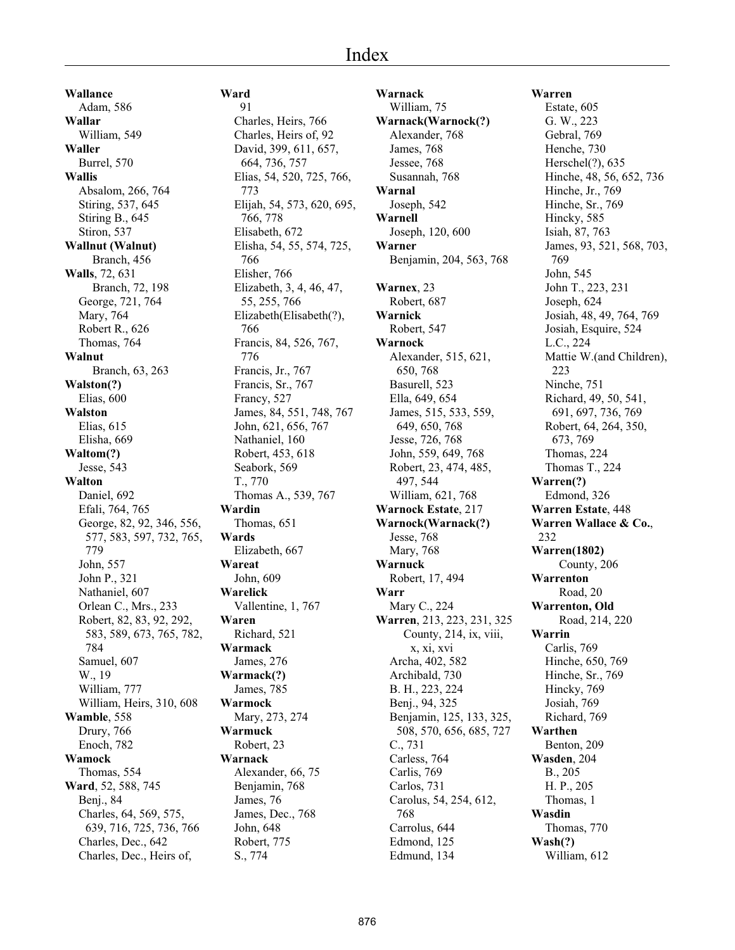**Wallance** Adam, 586 **Wallar** William, 549 **Waller** Burrel, 570 **Wallis** Absalom, 266, 764 Stiring, 537, 645 Stiring B., 645 Stiron, 537 **Wallnut (Walnut)** Branch, 456 **Walls**, 72, 631 Branch, 72, 198 George, 721, 764 Mary, 764 Robert R., 626 Thomas, 764 **Walnut** Branch, 63, 263 **Walston(?)** Elias, 600 **Walston** Elias, 615 Elisha, 669 **Waltom(?)** Jesse, 543 **Walton** Daniel, 692 Efali, 764, 765 George, 82, 92, 346, 556, 577, 583, 597, 732, 765, 779 John, 557 John P., 321 Nathaniel, 607 Orlean C., Mrs., 233 Robert, 82, 83, 92, 292, 583, 589, 673, 765, 782, 784 Samuel, 607 W., 19 William, 777 William, Heirs, 310, 608 **Wamble**, 558 Drury, 766 Enoch, 782 **Wamock** Thomas, 554 **Ward**, 52, 588, 745 Benj., 84 Charles, 64, 569, 575, 639, 716, 725, 736, 766 Charles, Dec., 642 Charles, Dec., Heirs of,

**Ward** 91 Charles, Heirs, 766 Charles, Heirs of, 92 David, 399, 611, 657, 664, 736, 757 Elias, 54, 520, 725, 766, 773 Elijah, 54, 573, 620, 695, 766, 778 Elisabeth, 672 Elisha, 54, 55, 574, 725, 766 Elisher, 766 Elizabeth, 3, 4, 46, 47, 55, 255, 766 Elizabeth(Elisabeth(?), 766 Francis, 84, 526, 767, 776 Francis, Jr., 767 Francis, Sr., 767 Francy, 527 James, 84, 551, 748, 767 John, 621, 656, 767 Nathaniel, 160 Robert, 453, 618 Seabork, 569 T., 770 Thomas A., 539, 767 **Wardin** Thomas, 651 **Wards** Elizabeth, 667 **Wareat** John, 609 **Warelick** Vallentine, 1, 767 **Waren** Richard, 521 **Warmack** James, 276 **Warmack(?)** James, 785 **Warmock** Mary, 273, 274 **Warmuck** Robert, 23 **Warnack** Alexander, 66, 75 Benjamin, 768 James, 76 James, Dec., 768 John, 648 Robert, 775 S., 774

**Warnack** William, 75 **Warnack(Warnock(?)** Alexander, 768 James, 768 Jessee, 768 Susannah, 768 **Warnal** Joseph, 542 **Warnell** Joseph, 120, 600 **Warner** Benjamin, 204, 563, 768 **Warnex**, 23 Robert, 687 **Warnick** Robert, 547 **Warnock** Alexander, 515, 621, 650, 768 Basurell, 523 Ella, 649, 654 James, 515, 533, 559, 649, 650, 768 Jesse, 726, 768 John, 559, 649, 768 Robert, 23, 474, 485, 497, 544 William, 621, 768 **Warnock Estate**, 217 **Warnock(Warnack(?)** Jesse, 768 Mary, 768 **Warnuck** Robert, 17, 494 **Warr** Mary C., 224 **Warren**, 213, 223, 231, 325 County, 214, ix, viii, x, xi, xvi Archa, 402, 582 Archibald, 730 B. H., 223, 224 Benj., 94, 325 Benjamin, 125, 133, 325, 508, 570, 656, 685, 727 C., 731 Carless, 764 Carlis, 769 Carlos, 731 Carolus, 54, 254, 612, 768 Carrolus, 644 Edmond, 125 Edmund, 134

**Warren** Estate, 605 G. W., 223 Gebral, 769 Henche, 730 Herschel(?), 635 Hinche, 48, 56, 652, 736 Hinche, Jr., 769 Hinche, Sr., 769 Hincky, 585 Isiah, 87, 763 James, 93, 521, 568, 703, 769 John, 545 John T., 223, 231 Joseph, 624 Josiah, 48, 49, 764, 769 Josiah, Esquire, 524 L.C., 224 Mattie W.(and Children), 223 Ninche, 751 Richard, 49, 50, 541, 691, 697, 736, 769 Robert, 64, 264, 350, 673, 769 Thomas, 224 Thomas T., 224 **Warren(?)** Edmond, 326 **Warren Estate**, 448 **Warren Wallace & Co.**, 232 **Warren(1802)** County, 206 **Warrenton** Road, 20 **Warrenton, Old** Road, 214, 220 **Warrin** Carlis, 769 Hinche, 650, 769 Hinche, Sr., 769 Hincky, 769 Josiah, 769 Richard, 769 **Warthen** Benton, 209 **Wasden**, 204 B., 205 H. P., 205 Thomas, 1 **Wasdin** Thomas, 770 **Wash(?)** William, 612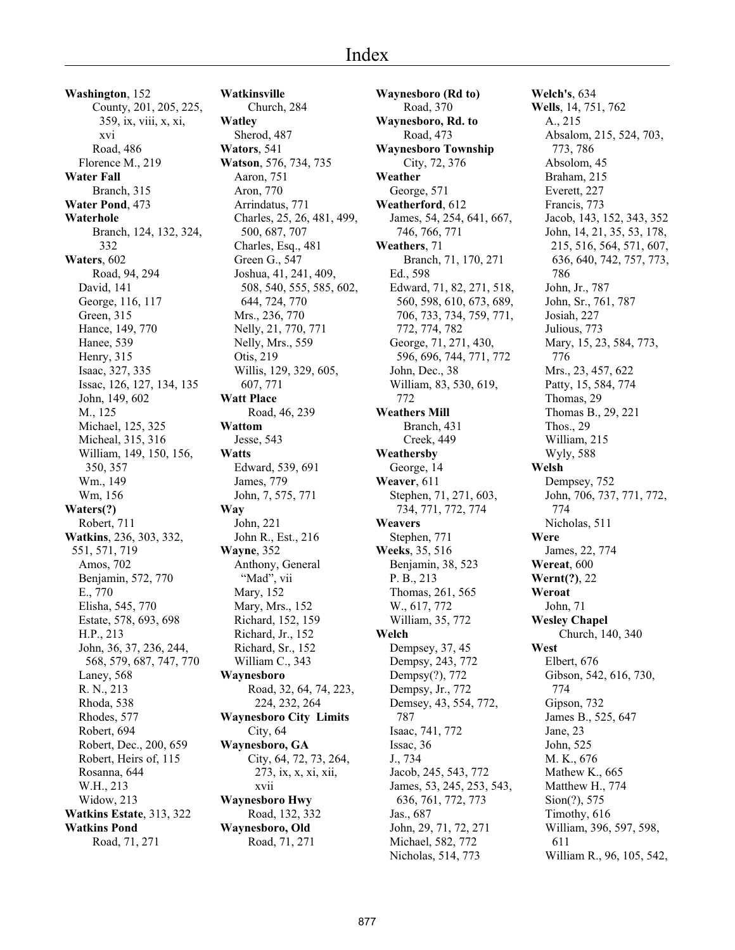**Washington**, 152 County, 201, 205, 225, 359, ix, viii, x, xi, xvi Road, 486 Florence M., 219 **Water Fall** Branch, 315 **Water Pond**, 473 **Waterhole** Branch, 124, 132, 324, 332 **Waters**, 602 Road, 94, 294 David, 141 George, 116, 117 Green, 315 Hance, 149, 770 Hanee, 539 Henry, 315 Isaac, 327, 335 Issac, 126, 127, 134, 135 John, 149, 602 M., 125 Michael, 125, 325 Micheal, 315, 316 William, 149, 150, 156, 350, 357 Wm., 149 Wm, 156 **Waters(?)** Robert, 711 **Watkins**, 236, 303, 332, 551, 571, 719 Amos, 702 Benjamin, 572, 770 E., 770 Elisha, 545, 770 Estate, 578, 693, 698 H.P., 213 John, 36, 37, 236, 244, 568, 579, 687, 747, 770 Laney, 568 R. N., 213 Rhoda, 538 Rhodes, 577 Robert, 694 Robert, Dec., 200, 659 Robert, Heirs of, 115 Rosanna, 644 W.H., 213 Widow, 213 **Watkins Estate**, 313, 322 **Watkins Pond** Road, 71, 271

**Watkinsville** Church, 284 **Watley** Sherod, 487 **Wators**, 541 **Watson**, 576, 734, 735 Aaron, 751 Aron, 770 Arrindatus, 771 Charles, 25, 26, 481, 499, 500, 687, 707 Charles, Esq., 481 Green G., 547 Joshua, 41, 241, 409, 508, 540, 555, 585, 602, 644, 724, 770 Mrs., 236, 770 Nelly, 21, 770, 771 Nelly, Mrs., 559 Otis, 219 Willis, 129, 329, 605, 607, 771 **Watt Place** Road, 46, 239 **Wattom** Jesse, 543 **Watts** Edward, 539, 691 James, 779 John, 7, 575, 771 **Way** John, 221 John R., Est., 216 **Wayne**, 352 Anthony, General "Mad", vii Mary, 152 Mary, Mrs., 152 Richard, 152, 159 Richard, Jr., 152 Richard, Sr., 152 William C., 343 **Waynesboro** Road, 32, 64, 74, 223, 224, 232, 264 **Waynesboro City Limits** City, 64 **Waynesboro, GA** City, 64, 72, 73, 264, 273, ix, x, xi, xii, xvii **Waynesboro Hwy** Road, 132, 332 **Waynesboro, Old** Road, 71, 271

**Waynesboro (Rd to)** Road, 370 **Waynesboro, Rd. to** Road, 473 **Waynesboro Township** City, 72, 376 **Weather** George, 571 **Weatherford**, 612 James, 54, 254, 641, 667, 746, 766, 771 **Weathers**, 71 Branch, 71, 170, 271 Ed., 598 Edward, 71, 82, 271, 518, 560, 598, 610, 673, 689, 706, 733, 734, 759, 771, 772, 774, 782 George, 71, 271, 430, 596, 696, 744, 771, 772 John, Dec., 38 William, 83, 530, 619, 772 **Weathers Mill** Branch, 431 Creek, 449 **Weathersby** George, 14 **Weaver**, 611 Stephen, 71, 271, 603, 734, 771, 772, 774 **Weavers** Stephen, 771 **Weeks**, 35, 516 Benjamin, 38, 523 P. B., 213 Thomas, 261, 565 W., 617, 772 William, 35, 772 **Welch** Dempsey, 37, 45 Dempsy, 243, 772 Dempsy(?), 772 Dempsy, Jr., 772 Demsey, 43, 554, 772, 787 Isaac, 741, 772 Issac, 36 J., 734 Jacob, 245, 543, 772 James, 53, 245, 253, 543, 636, 761, 772, 773 Jas., 687 John, 29, 71, 72, 271 Michael, 582, 772 Nicholas, 514, 773

**Welch's**, 634 **Wells**, 14, 751, 762 A., 215 Absalom, 215, 524, 703, 773, 786 Absolom, 45 Braham, 215 Everett, 227 Francis, 773 Jacob, 143, 152, 343, 352 John, 14, 21, 35, 53, 178, 215, 516, 564, 571, 607, 636, 640, 742, 757, 773, 786 John, Jr., 787 John, Sr., 761, 787 Josiah, 227 Julious, 773 Mary, 15, 23, 584, 773, 776 Mrs., 23, 457, 622 Patty, 15, 584, 774 Thomas, 29 Thomas B., 29, 221 Thos., 29 William, 215 Wyly, 588 **Welsh** Dempsey, 752 John, 706, 737, 771, 772, 774 Nicholas, 511 **Were** James, 22, 774 **Wereat**, 600 **Wernt(?)**, 22 **Weroat** John, 71 **Wesley Chapel** Church, 140, 340 **West** Elbert, 676 Gibson, 542, 616, 730, 774 Gipson, 732 James B., 525, 647 Jane, 23 John, 525 M. K., 676 Mathew K., 665 Matthew H., 774 Sion(?), 575 Timothy, 616 William, 396, 597, 598, 611 William R., 96, 105, 542,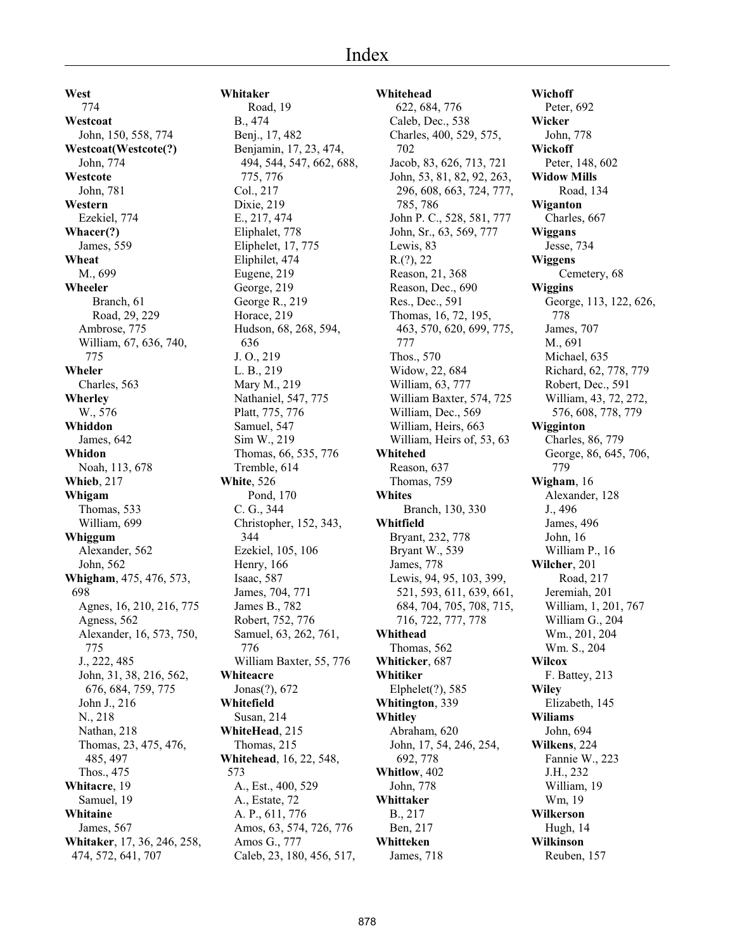**West** 774 **Westcoat** John, 150, 558, 774 **Westcoat(Westcote(?)** John, 774 **Westcote** John, 781 **Western** Ezekiel, 774 **Whacer(?)** James, 559 **Wheat** M., 699 **Wheeler** Branch, 61 Road, 29, 229 Ambrose, 775 William, 67, 636, 740, 775 **Wheler** Charles, 563 **Wherley** W., 576 **Whiddon** James, 642 **Whidon** Noah, 113, 678 **Whieb**, 217 **Whigam** Thomas, 533 William, 699 **Whiggum** Alexander, 562 John, 562 **Whigham**, 475, 476, 573, 698 Agnes, 16, 210, 216, 775 Agness, 562 Alexander, 16, 573, 750, 775 J., 222, 485 John, 31, 38, 216, 562, 676, 684, 759, 775 John J., 216 N., 218 Nathan, 218 Thomas, 23, 475, 476, 485, 497 Thos., 475 **Whitacre**, 19 Samuel, 19 **Whitaine** James, 567 **Whitaker**, 17, 36, 246, 258, 474, 572, 641, 707

**Whitaker** Road, 19 B., 474 Benj., 17, 482 Benjamin, 17, 23, 474, 494, 544, 547, 662, 688, 775, 776 Col., 217 Dixie, 219 E., 217, 474 Eliphalet, 778 Eliphelet, 17, 775 Eliphilet, 474 Eugene, 219 George, 219 George R., 219 Horace, 219 Hudson, 68, 268, 594, 636 J. O., 219 L. B., 219 Mary M., 219 Nathaniel, 547, 775 Platt, 775, 776 Samuel, 547 Sim W., 219 Thomas, 66, 535, 776 Tremble, 614 **White**, 526 Pond, 170 C. G., 344 Christopher, 152, 343, 344 Ezekiel, 105, 106 Henry, 166 Isaac, 587 James, 704, 771 James B., 782 Robert, 752, 776 Samuel, 63, 262, 761, 776 William Baxter, 55, 776 **Whiteacre** Jonas(?), 672 **Whitefield** Susan, 214 **WhiteHead**, 215 Thomas, 215 **Whitehead**, 16, 22, 548, 573 A., Est., 400, 529 A., Estate, 72 A. P., 611, 776 Amos, 63, 574, 726, 776 Amos G., 777 Caleb, 23, 180, 456, 517,

**Whitehead** 622, 684, 776 Caleb, Dec., 538 Charles, 400, 529, 575, 702 Jacob, 83, 626, 713, 721 John, 53, 81, 82, 92, 263, 296, 608, 663, 724, 777, 785, 786 John P. C., 528, 581, 777 John, Sr., 63, 569, 777 Lewis, 83 R.(?), 22 Reason, 21, 368 Reason, Dec., 690 Res., Dec., 591 Thomas, 16, 72, 195, 463, 570, 620, 699, 775, 777 Thos., 570 Widow, 22, 684 William, 63, 777 William Baxter, 574, 725 William, Dec., 569 William, Heirs, 663 William, Heirs of, 53, 63 **Whitehed** Reason, 637 Thomas, 759 **Whites** Branch, 130, 330 **Whitfield** Bryant, 232, 778 Bryant W., 539 James, 778 Lewis, 94, 95, 103, 399, 521, 593, 611, 639, 661, 684, 704, 705, 708, 715, 716, 722, 777, 778 **Whithead** Thomas, 562 **Whiticker**, 687 **Whitiker** Elphelet(?), 585 **Whitington**, 339 **Whitley** Abraham, 620 John, 17, 54, 246, 254, 692, 778 **Whitlow**, 402 John, 778 **Whittaker** B., 217 Ben, 217 **Whitteken** James, 718

**Wichoff** Peter, 692 **Wicker** John, 778 **Wickoff** Peter, 148, 602 **Widow Mills** Road, 134 **Wiganton** Charles, 667 **Wiggans** Jesse, 734 **Wiggens** Cemetery, 68 **Wiggins** George, 113, 122, 626, 778 James, 707 M., 691 Michael, 635 Richard, 62, 778, 779 Robert, Dec., 591 William, 43, 72, 272, 576, 608, 778, 779 **Wigginton** Charles, 86, 779 George, 86, 645, 706, 779 **Wigham**, 16 Alexander, 128 J., 496 James, 496 John, 16 William P., 16 **Wilcher**, 201 Road, 217 Jeremiah, 201 William, 1, 201, 767 William G., 204 Wm., 201, 204 Wm. S., 204 **Wilcox** F. Battey, 213 **Wiley** Elizabeth, 145 **Wiliams** John, 694 **Wilkens**, 224 Fannie W., 223 J.H., 232 William, 19 Wm, 19 **Wilkerson** Hugh, 14 **Wilkinson** Reuben, 157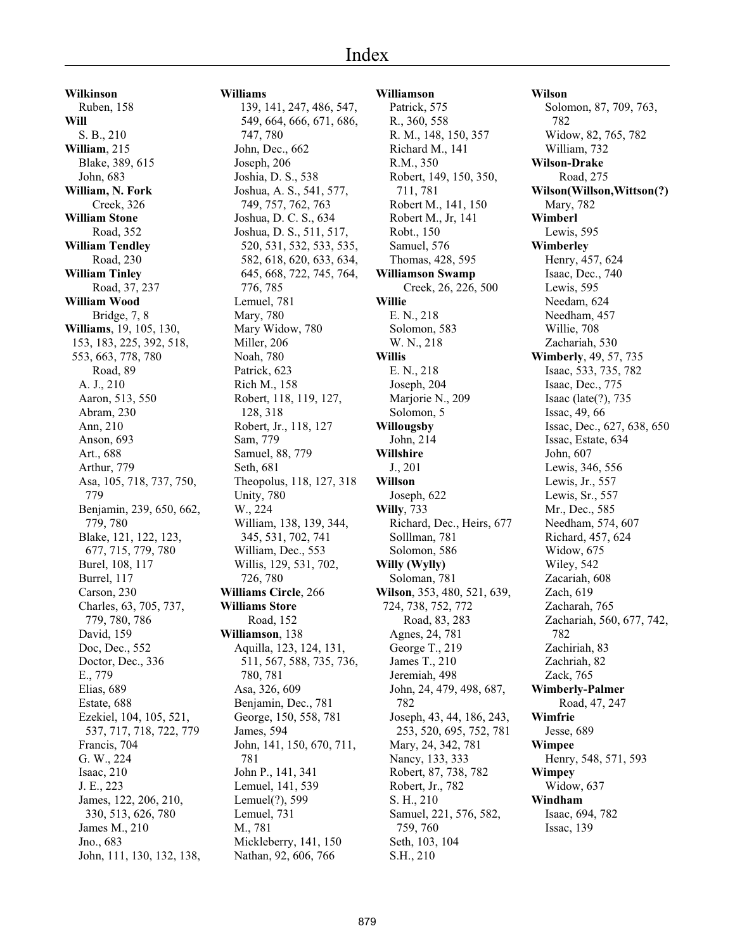#### Index

**Wilkinson** Ruben, 158 **Will** S. B., 210 **William**, 215 Blake, 389, 615 John, 683 **William, N. Fork** Creek, 326 **William Stone** Road, 352 **William Tendley** Road, 230 **William Tinley** Road, 37, 237 **William Wood** Bridge, 7, 8 **Williams**, 19, 105, 130, 153, 183, 225, 392, 518, 553, 663, 778, 780 Road, 89 A. J., 210 Aaron, 513, 550 Abram, 230 Ann, 210 Anson, 693 Art., 688 Arthur, 779 Asa, 105, 718, 737, 750, 779 Benjamin, 239, 650, 662, 779, 780 Blake, 121, 122, 123, 677, 715, 779, 780 Burel, 108, 117 Burrel, 117 Carson, 230 Charles, 63, 705, 737, 779, 780, 786 David, 159 Doc, Dec., 552 Doctor, Dec., 336 E., 779 Elias, 689 Estate, 688 Ezekiel, 104, 105, 521, 537, 717, 718, 722, 779 Francis, 704 G. W., 224 Isaac, 210 J. E., 223 James, 122, 206, 210, 330, 513, 626, 780 James M., 210 Jno., 683 John, 111, 130, 132, 138,

**Williams** 139, 141, 247, 486, 547, 549, 664, 666, 671, 686, 747, 780 John, Dec., 662 Joseph, 206 Joshia, D. S., 538 Joshua, A. S., 541, 577, 749, 757, 762, 763 Joshua, D. C. S., 634 Joshua, D. S., 511, 517, 520, 531, 532, 533, 535, 582, 618, 620, 633, 634, 645, 668, 722, 745, 764, 776, 785 Lemuel, 781 Mary, 780 Mary Widow, 780 Miller, 206 Noah, 780 Patrick, 623 Rich M., 158 Robert, 118, 119, 127, 128, 318 Robert, Jr., 118, 127 Sam, 779 Samuel, 88, 779 Seth, 681 Theopolus, 118, 127, 318 Unity, 780 W., 224 William, 138, 139, 344, 345, 531, 702, 741 William, Dec., 553 Willis, 129, 531, 702, 726, 780 **Williams Circle**, 266 **Williams Store** Road, 152 **Williamson**, 138 Aquilla, 123, 124, 131, 511, 567, 588, 735, 736, 780, 781 Asa, 326, 609 Benjamin, Dec., 781 George, 150, 558, 781 James, 594 John, 141, 150, 670, 711, 781 John P., 141, 341 Lemuel, 141, 539 Lemuel(?), 599 Lemuel, 731 M., 781 Mickleberry, 141, 150 Nathan, 92, 606, 766

**Williamson** Patrick, 575 R., 360, 558 R. M., 148, 150, 357 Richard M., 141 R.M., 350 Robert, 149, 150, 350, 711, 781 Robert M., 141, 150 Robert M., Jr, 141 Robt., 150 Samuel, 576 Thomas, 428, 595 **Williamson Swamp** Creek, 26, 226, 500 **Willie** E. N., 218 Solomon, 583 W. N., 218 **Willis** E. N., 218 Joseph, 204 Marjorie N., 209 Solomon, 5 **Willougsby** John, 214 **Willshire** J., 201 **Willson** Joseph, 622 **Willy**, 733 Richard, Dec., Heirs, 677 Solllman, 781 Solomon, 586 **Willy (Wylly)** Soloman, 781 **Wilson**, 353, 480, 521, 639, 724, 738, 752, 772 Road, 83, 283 Agnes, 24, 781 George T., 219 James T., 210 Jeremiah, 498 John, 24, 479, 498, 687, 782 Joseph, 43, 44, 186, 243, 253, 520, 695, 752, 781 Mary, 24, 342, 781 Nancy, 133, 333 Robert, 87, 738, 782 Robert, Jr., 782 S. H., 210 Samuel, 221, 576, 582, 759, 760 Seth, 103, 104 S.H., 210

**Wilson** Solomon, 87, 709, 763, 782 Widow, 82, 765, 782 William, 732 **Wilson-Drake** Road, 275 **Wilson(Willson,Wittson(?)** Mary, 782 **Wimberl** Lewis, 595 **Wimberley** Henry, 457, 624 Isaac, Dec., 740 Lewis, 595 Needam, 624 Needham, 457 Willie, 708 Zachariah, 530 **Wimberly**, 49, 57, 735 Isaac, 533, 735, 782 Isaac, Dec., 775 Isaac (late(?), 735 Issac, 49, 66 Issac, Dec., 627, 638, 650 Issac, Estate, 634 John, 607 Lewis, 346, 556 Lewis, Jr., 557 Lewis, Sr., 557 Mr., Dec., 585 Needham, 574, 607 Richard, 457, 624 Widow, 675 Wiley, 542 Zacariah, 608 Zach, 619 Zacharah, 765 Zachariah, 560, 677, 742, 782 Zachiriah, 83 Zachriah, 82 Zack, 765 **Wimberly-Palmer** Road, 47, 247 **Wimfrie** Jesse, 689 **Wimpee** Henry, 548, 571, 593 **Wimpey** Widow, 637 **Windham** Isaac, 694, 782 Issac, 139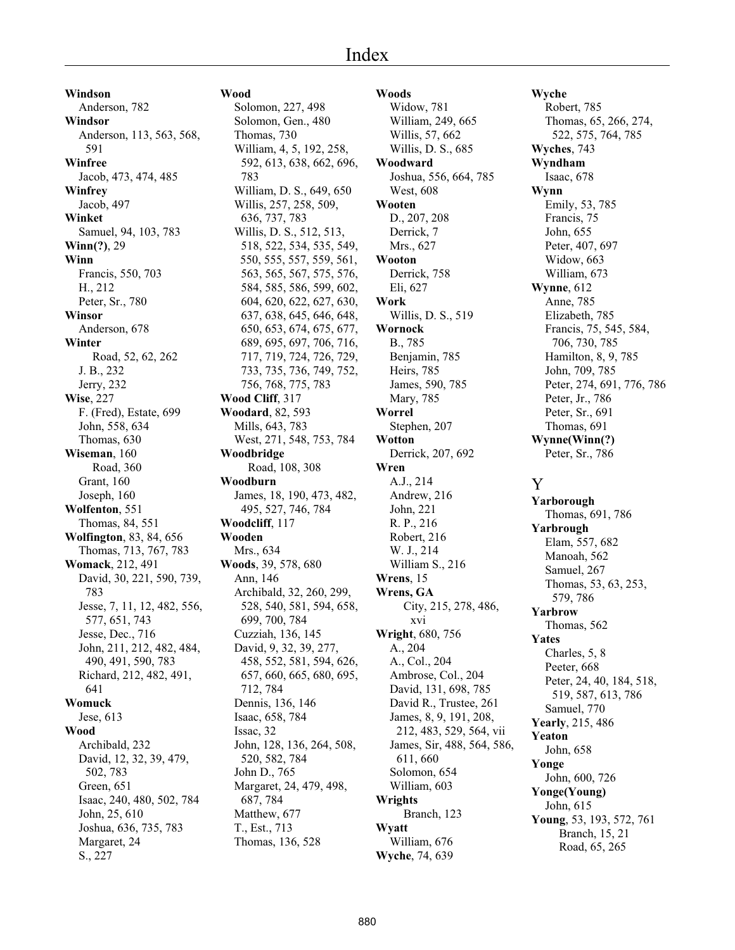**Windson** Anderson, 782 **Windsor** Anderson, 113, 563, 568, 591 **Winfree** Jacob, 473, 474, 485 **Winfrey** Jacob, 497 **Winket** Samuel, 94, 103, 783 **Winn(?)**, 29 **Winn** Francis, 550, 703 H., 212 Peter, Sr., 780 **Winsor** Anderson, 678 **Winter** Road, 52, 62, 262 J. B., 232 Jerry, 232 **Wise**, 227 F. (Fred), Estate, 699 John, 558, 634 Thomas, 630 **Wiseman**, 160 Road, 360 Grant, 160 Joseph, 160 **Wolfenton**, 551 Thomas, 84, 551 **Wolfington**, 83, 84, 656 Thomas, 713, 767, 783 **Womack**, 212, 491 David, 30, 221, 590, 739, 783 Jesse, 7, 11, 12, 482, 556, 577, 651, 743 Jesse, Dec., 716 John, 211, 212, 482, 484, 490, 491, 590, 783 Richard, 212, 482, 491, 641 **Womuck** Jese, 613 **Wood** Archibald, 232 David, 12, 32, 39, 479, 502, 783 Green, 651 Isaac, 240, 480, 502, 784 John, 25, 610 Joshua, 636, 735, 783 Margaret, 24 S., 227

#### **Wood**

Solomon, 227, 498 Solomon, Gen., 480 Thomas, 730 William, 4, 5, 192, 258, 592, 613, 638, 662, 696, 783 William, D. S., 649, 650 Willis, 257, 258, 509, 636, 737, 783 Willis, D. S., 512, 513, 518, 522, 534, 535, 549, 550, 555, 557, 559, 561, 563, 565, 567, 575, 576, 584, 585, 586, 599, 602, 604, 620, 622, 627, 630, 637, 638, 645, 646, 648, 650, 653, 674, 675, 677, 689, 695, 697, 706, 716, 717, 719, 724, 726, 729, 733, 735, 736, 749, 752, 756, 768, 775, 783 **Wood Cliff**, 317 **Woodard**, 82, 593 Mills, 643, 783 West, 271, 548, 753, 784 **Woodbridge** Road, 108, 308 **Woodburn** James, 18, 190, 473, 482, 495, 527, 746, 784 **Woodcliff**, 117 **Wooden** Mrs., 634 **Woods**, 39, 578, 680 Ann, 146 Archibald, 32, 260, 299, 528, 540, 581, 594, 658, 699, 700, 784 Cuzziah, 136, 145 David, 9, 32, 39, 277, 458, 552, 581, 594, 626, 657, 660, 665, 680, 695, 712, 784 Dennis, 136, 146 Isaac, 658, 784 Issac, 32 John, 128, 136, 264, 508, 520, 582, 784 John D., 765 Margaret, 24, 479, 498, 687, 784 Matthew, 677 T., Est., 713 Thomas, 136, 528

**Woods** Widow, 781 William, 249, 665 Willis, 57, 662 Willis, D. S., 685 **Woodward** Joshua, 556, 664, 785 West, 608 **Wooten** D., 207, 208 Derrick, 7 Mrs., 627 **Wooton** Derrick, 758 Eli, 627 **Work** Willis, D. S., 519 **Wornock** B., 785 Benjamin, 785 Heirs, 785 James, 590, 785 Mary, 785 **Worrel** Stephen, 207 **Wotton** Derrick, 207, 692 **Wren** A.J., 214 Andrew, 216 John, 221 R. P., 216 Robert, 216 W. J., 214 William S., 216 **Wrens**, 15 **Wrens, GA** City, 215, 278, 486, xvi **Wright**, 680, 756 A., 204 A., Col., 204 Ambrose, Col., 204 David, 131, 698, 785 David R., Trustee, 261 James, 8, 9, 191, 208, 212, 483, 529, 564, vii James, Sir, 488, 564, 586, 611, 660 Solomon, 654 William, 603 **Wrights** Branch, 123 **Wyatt** William, 676 **Wyche**, 74, 639

**Wyche** Robert, 785 Thomas, 65, 266, 274, 522, 575, 764, 785 **Wyches**, 743 **Wyndham** Isaac, 678 **Wynn** Emily, 53, 785 Francis, 75 John, 655 Peter, 407, 697 Widow, 663 William, 673 **Wynne**, 612 Anne, 785 Elizabeth, 785 Francis, 75, 545, 584, 706, 730, 785 Hamilton, 8, 9, 785 John, 709, 785 Peter, 274, 691, 776, 786 Peter, Jr., 786 Peter, Sr., 691 Thomas, 691 **Wynne(Winn(?)** Peter, Sr., 786 Y **Yarborough** Thomas, 691, 786 **Yarbrough** Elam, 557, 682 Manoah, 562 Samuel, 267 Thomas, 53, 63, 253, 579, 786 **Yarbrow** Thomas, 562 **Yates** Charles, 5, 8 Peeter, 668 Peter, 24, 40, 184, 518, 519, 587, 613, 786 Samuel, 770 **Yearly**, 215, 486 **Yeaton** John, 658 **Yonge** John, 600, 726 **Yonge(Young)** John, 615 **Young**, 53, 193, 572, 761 Branch, 15, 21

Road, 65, 265